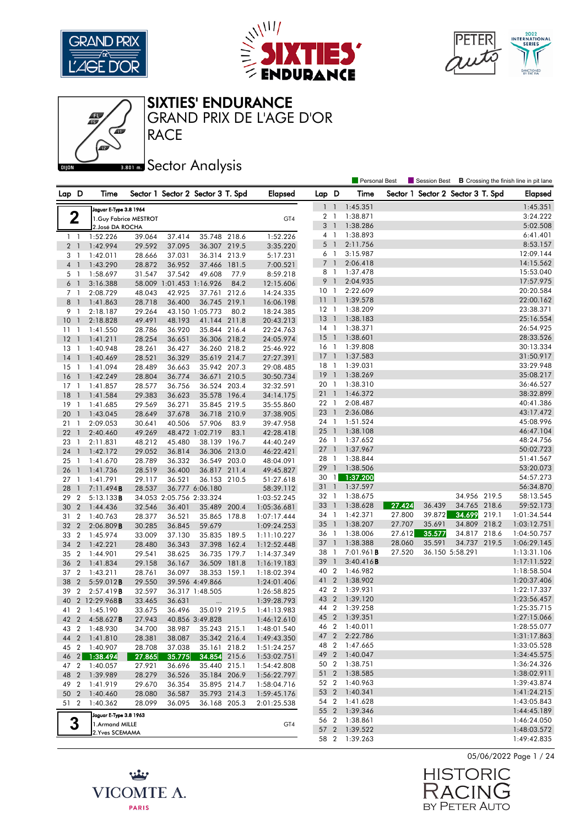





**RACE** GRAND PRIX DE L'AGE D'OR

**Bector Analysis** 

| Lap D<br>Sector 1 Sector 2 Sector 3 T. Spd<br>Lap D<br>Time<br>Sector 1 Sector 2 Sector 3 T. Spd<br><b>Elapsed</b><br>Time<br><b>Elapsed</b><br>1:45.351<br>$\overline{1}$<br>1:45.351<br>$\ddot{\phantom{1}}$<br>Jaguar E-Type 3.8 1964<br>$\mathbf 2$<br>1:38.871<br>3:24.222<br>2 <sub>1</sub><br>1. Guy Fabrice MESTROT<br>GT4<br>3<br>1:38.286<br>5:02.508<br>$\overline{\phantom{a}}$<br>2. José DA ROCHA<br>1:38.893<br>4<br>$\overline{1}$<br>6:41.401<br>39.064<br>37.414<br>35.748 218.6<br>1:52.226<br>1:52.226<br>$1 \quad 1$<br>8:53.157<br>5<br>2:11.756<br>$\overline{1}$<br>36.307 219.5<br>2 <sub>1</sub><br>1:42.994<br>29.592<br>37.095<br>3:35.220<br>3:15.987<br>12:09.144<br>6<br>$\overline{1}$<br>1:42.011<br>36.314<br>213.9<br>5:17.231<br>3 <sub>1</sub><br>28.666<br>37.031<br>7<br>$\overline{1}$<br>2:06.418<br>14:15.562<br>$4-1$<br>1:43.290<br>28.872<br>36.952<br>37.466 181.5<br>7:00.521<br>15:53.040<br>8 1<br>1:37.478<br>1:58.697<br>31.547<br>37.542<br>49.608<br>77.9<br>5 <sub>1</sub><br>8:59.218<br>17:57.975<br>9<br>$\mathbf{1}$<br>2:04.935<br>$6-1$<br>58.009<br>1:01.453 1:16.926<br>84.2<br>3:16.388<br>12:15.606<br>10 <sub>1</sub><br>2:22.609<br>20:20.584<br>48.043<br>37.761 212.6<br>7 1<br>2:08.729<br>42.925<br>14:24.335<br>111<br>1:39.578<br>22:00.162<br>8 <sup>1</sup><br>1:41.863<br>28.718<br>36.400<br>36.745 219.1<br>16:06.198<br>$12-1$<br>1:38.209<br>23:38.371<br>43.150 1:05.773<br>9<br>2:18.187<br>29.264<br>80.2<br>$\overline{1}$<br>18:24.385<br>13<br>$\overline{1}$<br>1:38.183<br>25:16.554<br>10<br>49.491<br>48.193<br>41.144 211.8<br>$\overline{1}$<br>2:18.828<br>20:43.213<br>$14-1$<br>1:38.371<br>26:54.925<br>28.786<br>36.920<br>35.844 216.4<br>22:24.763<br>11<br>$\overline{1}$<br>1:41.550<br>15<br>28:33.526<br>1:38.601<br>$\overline{1}$<br>12<br>28.254<br>36.306 218.2<br>24:05.974<br>$\overline{1}$<br>1:41.211<br>36.651<br>$16-1$<br>1:39.808<br>30:13.334<br>1:40.948<br>28.261<br>36.427<br>36.260 218.2<br>25:46.922<br>13<br>$\overline{1}$<br>17<br>$\overline{1}$<br>1:37.583<br>31:50.917<br>14<br>1:40.469<br>28.521<br>36.329<br>35.619 214.7<br>27:27.391<br>$\overline{1}$<br>33:29.948<br>18<br>1:39.031<br>$\overline{1}$<br>15<br>28.489<br>35.942 207.3<br>$\overline{1}$<br>1:41.094<br>36.663<br>29:08.485<br>19<br>$\overline{1}$<br>1:38.269<br>35:08.217<br>28.804<br>36.774<br>36.671 210.5<br>30:50.734<br>16<br>$\overline{1}$<br>1:42.249<br>20 1<br>1:38.310<br>36:46.527<br>$17-1$<br>28.577<br>36.756<br>36.524 203.4<br>32:32.591<br>1:41.857<br>38:32.899<br>211<br>1:46.372<br>18<br>29.383<br>36.623<br>35.578 196.4<br>$\overline{1}$<br>1:41.584<br>34:14.175<br>22 1<br>2:08.487<br>40:41.386<br>19<br>29.569<br>36.271<br>35.845 219.5<br>$\overline{1}$<br>1:41.685<br>35:55.860<br>23<br>$\overline{1}$<br>2:36.086<br>43:17.472<br>20<br>1:43.045<br>28.649<br>37.678<br>36.718 210.9<br>37:38.905<br>$\overline{1}$<br>1:51.524<br>45:08.996<br>24 1<br>57.906<br>2:09.053<br>30.641<br>40.506<br>83.9<br>39:47.958<br>21<br>-1<br>$25-1$<br>1:38.108<br>46:47.104<br>22<br>49.269<br>48.472 1:02.719<br>83.1<br>$\overline{1}$<br>2:40.460<br>42:28.418<br>48:24.756<br>26 1<br>1:37.652<br>48.212<br>45.480<br>38.139 196.7<br>23<br>$\overline{1}$<br>2:11.831<br>44:40.249<br>271<br>1:37.967<br>50:02.723<br>24<br>29.052<br>36.306 213.0<br>$\overline{1}$<br>1:42.172<br>36.814<br>46:22.421<br>28<br>$\overline{1}$<br>1:38.844<br>51:41.567<br>36.549 203.0<br>25<br>1:41.670<br>28.789<br>36.332<br>48:04.091<br>-1<br>29<br>$\overline{1}$<br>1:38.506<br>53:20.073<br>26<br>28.519<br>36.400<br>36.817 211.4<br>$\overline{1}$<br>1:41.736<br>49:45.827<br>$30 \quad 1$<br>1:37.200<br>54:57.273<br>27<br>29.117<br>36.521<br>36.153 210.5<br>$\overline{1}$<br>1:41.791<br>51:27.618<br>31<br>$\overline{1}$<br>1:37.597<br>56:34.870<br>28.537<br>36.777 6:06.180<br>28<br>$\overline{1}$<br>7:11.494B<br>58:39.112<br>34.956 219.5<br>32 1<br>1:38.675<br>58:13.545<br>29<br>$\overline{2}$<br>34.053 2:05.756 2:33.324<br>5:13.133B<br>1:03:52.245<br>33<br>1:38.628<br>27.424<br>36.439<br>34.765 218.6<br>59:52.173<br>$\overline{1}$<br>30<br>$\overline{2}$<br>32.546<br>35.489<br>200.4<br>1:44.436<br>36.401<br>1:05:36.681<br>27.800<br>39.872<br>34.699<br>219.1<br>34 1<br>1:42.371<br>1:01:34.544<br>28.377<br>31<br>$\overline{2}$<br>1:40.763<br>36.521<br>35.865 178.8<br>1:07:17.444<br>34.809 218.2<br>$35 \quad 1$<br>1:38.207<br>27.707<br>35.691<br>1:03:12.751<br>32<br>$\overline{2}$<br>2:06.809B<br>30.285<br>36.845<br>59.679<br>1:09:24.253<br>1:38.006<br>27.612<br>35.577<br>34.817 218.6<br>36 1<br>1:04:50.757<br>33<br>$\overline{2}$<br>1:45.974<br>33.009<br>37.130<br>35.835 189.5<br>1:11:10.227<br>1:38.388<br>35.591<br>34.737 219.5<br>37<br>$\overline{1}$<br>28.060<br>1:06:29.145<br>34<br>$\overline{2}$<br>28.480<br>36.343<br>37.398<br>162.4<br>1:42.221<br>1:12:52.448<br>38<br>7:01.961 <b>B</b><br>27.520<br>36.150 5:58.291<br>1:13:31.106<br>-1<br>$\overline{2}$<br>29.541<br>36.735<br>179.7<br>1:14:37.349<br>35<br>1:44.901<br>38.625<br>39 1<br>3:40.416B<br>1:17:11.522<br>36<br>$\overline{2}$<br>29.158<br>36.509 181.8<br>1:41.834<br>36.167<br>1:16:19.183<br>40 2<br>1:46.982<br>1:18:58.504<br>$\overline{2}$<br>1:43.211<br>28.761<br>36.097<br>38.353 159.1<br>37<br>1:18:02.394<br>41 2<br>1:38.902<br>1:20:37.406<br>38<br>$\overline{2}$<br>5:59.012B<br>29.550<br>39.596 4:49.866<br>1:24:01.406<br>42 2<br>1:39.931<br>1:22:17.337<br>39<br>$\overline{2}$<br>32.597<br>2:57.419B<br>36.317 1:48.505<br>1:26:58.825<br>43<br>$\overline{2}$<br>1:39.120<br>1:23:56.457<br>2 12:29.968B<br>33.465<br>1:39:28.793<br>40<br>36.631<br>$\ddotsc$<br>44 2<br>1:39.258<br>1:25:35.715<br>33.675<br>36.496<br>41<br>$\overline{2}$<br>1:45.190<br>35.019 219.5<br>1:41:13.983<br>45 2 1:39.351<br>1:27:15.066<br>42 2 4:58.627 <b>B</b><br>27.943<br>40.856 3:49.828<br>1:46:12.610<br>46 2 1:40.011<br>1:28:55.077<br>43 2 1:48.930<br>34.700<br>35.243 215.1<br>1:48:01.540<br>38.987<br>47 2 2:22.786<br>1:31:17.863<br>1:41.810<br>35.342 216.4<br>44 2<br>28.381<br>38.087<br>1:49:43.350<br>48 2 1:47.665<br>1:33:05.528<br>1:40.907<br>28.708<br>35.161 218.2<br>45 2<br>37.038<br>1:51:24.257<br>49 2 1:40.047<br>1:34:45.575<br>46 2 1:38.494<br>27.865<br>35.775<br>34.854 215.6<br>1:53:02.751<br>50 2 1:38.751<br>1:36:24.326<br>47 2<br>1:40.057<br>27.921<br>36.696<br>35.440 215.1<br>1:54:42.808<br>51 2 1:38.585<br>1:38:02.911<br>35.184 206.9<br>48 2<br>1:39.989<br>28.279<br>36.526<br>1:56:22.797<br>52 2<br>1:40.963<br>1:39:43.874<br>35.895 214.7<br>49 2<br>1:41.919<br>29.670<br>36.354<br>1:58:04.716<br>53 2 1:40.341<br>1:41:24.215<br>50 2<br>35.793 214.3<br>1:40.460<br>28.080<br>36.587<br>1:59:45.176<br>54 2 1:41.628<br>1:43:05.843<br>51 2<br>1:40.362<br>28.099<br>36.168 205.3<br>36.095<br>2:01:25.538<br>55 2 1:39.346<br>1:44:45.189<br>Jaguar E-Type 3.8 1963<br>3<br>56 2 1:38.861<br>1:46:24.050<br>1.Armand MILLE<br>GT4<br>57 2 1:39.522<br>1:48:03.572<br>2. Yves SCEMAMA<br>58 2 1:39.263 |  |  |  |  | <b>Personal Best</b> | Session Best |  | <b>B</b> Crossing the finish line in pit lane |
|-----------------------------------------------------------------------------------------------------------------------------------------------------------------------------------------------------------------------------------------------------------------------------------------------------------------------------------------------------------------------------------------------------------------------------------------------------------------------------------------------------------------------------------------------------------------------------------------------------------------------------------------------------------------------------------------------------------------------------------------------------------------------------------------------------------------------------------------------------------------------------------------------------------------------------------------------------------------------------------------------------------------------------------------------------------------------------------------------------------------------------------------------------------------------------------------------------------------------------------------------------------------------------------------------------------------------------------------------------------------------------------------------------------------------------------------------------------------------------------------------------------------------------------------------------------------------------------------------------------------------------------------------------------------------------------------------------------------------------------------------------------------------------------------------------------------------------------------------------------------------------------------------------------------------------------------------------------------------------------------------------------------------------------------------------------------------------------------------------------------------------------------------------------------------------------------------------------------------------------------------------------------------------------------------------------------------------------------------------------------------------------------------------------------------------------------------------------------------------------------------------------------------------------------------------------------------------------------------------------------------------------------------------------------------------------------------------------------------------------------------------------------------------------------------------------------------------------------------------------------------------------------------------------------------------------------------------------------------------------------------------------------------------------------------------------------------------------------------------------------------------------------------------------------------------------------------------------------------------------------------------------------------------------------------------------------------------------------------------------------------------------------------------------------------------------------------------------------------------------------------------------------------------------------------------------------------------------------------------------------------------------------------------------------------------------------------------------------------------------------------------------------------------------------------------------------------------------------------------------------------------------------------------------------------------------------------------------------------------------------------------------------------------------------------------------------------------------------------------------------------------------------------------------------------------------------------------------------------------------------------------------------------------------------------------------------------------------------------------------------------------------------------------------------------------------------------------------------------------------------------------------------------------------------------------------------------------------------------------------------------------------------------------------------------------------------------------------------------------------------------------------------------------------------------------------------------------------------------------------------------------------------------------------------------------------------------------------------------------------------------------------------------------------------------------------------------------------------------------------------------------------------------------------------------------------------------------------------------------------------------------------------------------------------------------------------------------------------------------------------------------------------------------------------------------------------------------------------------------------------------------------------------------------------------------------------------------------------------------------------------------------------------------------------------------------------------------------------------------------------------------------------------------------------------------------------------------------------------------------------------------------------------------------------------------------------------------------------------------------------------------------------------------------------------------------------------------------------------------------------------------------------------------------------------------------------------------------------------------------------------------------------------------------------------------------------------------------------------------------------------------------------------------------------------------------------------------------------------------------------------------------------------------------------------------------------------------------------------------------------------------------------------------------------------------------------------------------------------------------------------------------------------------------------------------------------------------------------------------------------------------------------------------------------------------------------------------------------------------------------------------------------------------------------------------------------------------------------------------------------------------------------------------------------------|--|--|--|--|----------------------|--------------|--|-----------------------------------------------|
|                                                                                                                                                                                                                                                                                                                                                                                                                                                                                                                                                                                                                                                                                                                                                                                                                                                                                                                                                                                                                                                                                                                                                                                                                                                                                                                                                                                                                                                                                                                                                                                                                                                                                                                                                                                                                                                                                                                                                                                                                                                                                                                                                                                                                                                                                                                                                                                                                                                                                                                                                                                                                                                                                                                                                                                                                                                                                                                                                                                                                                                                                                                                                                                                                                                                                                                                                                                                                                                                                                                                                                                                                                                                                                                                                                                                                                                                                                                                                                                                                                                                                                                                                                                                                                                                                                                                                                                                                                                                                                                                                                                                                                                                                                                                                                                                                                                                                                                                                                                                                                                                                                                                                                                                                                                                                                                                                                                                                                                                                                                                                                                                                                                                                                                                                                                                                                                                                                                                                                                                                                                                                                                                                                                                                                                                                                                                                                                                                                                                                                                                                                                                                                                                                                                                                                                                                                                                                                                                                                                                                                                                                                                                                                       |  |  |  |  |                      |              |  |                                               |
|                                                                                                                                                                                                                                                                                                                                                                                                                                                                                                                                                                                                                                                                                                                                                                                                                                                                                                                                                                                                                                                                                                                                                                                                                                                                                                                                                                                                                                                                                                                                                                                                                                                                                                                                                                                                                                                                                                                                                                                                                                                                                                                                                                                                                                                                                                                                                                                                                                                                                                                                                                                                                                                                                                                                                                                                                                                                                                                                                                                                                                                                                                                                                                                                                                                                                                                                                                                                                                                                                                                                                                                                                                                                                                                                                                                                                                                                                                                                                                                                                                                                                                                                                                                                                                                                                                                                                                                                                                                                                                                                                                                                                                                                                                                                                                                                                                                                                                                                                                                                                                                                                                                                                                                                                                                                                                                                                                                                                                                                                                                                                                                                                                                                                                                                                                                                                                                                                                                                                                                                                                                                                                                                                                                                                                                                                                                                                                                                                                                                                                                                                                                                                                                                                                                                                                                                                                                                                                                                                                                                                                                                                                                                                                       |  |  |  |  |                      |              |  |                                               |
|                                                                                                                                                                                                                                                                                                                                                                                                                                                                                                                                                                                                                                                                                                                                                                                                                                                                                                                                                                                                                                                                                                                                                                                                                                                                                                                                                                                                                                                                                                                                                                                                                                                                                                                                                                                                                                                                                                                                                                                                                                                                                                                                                                                                                                                                                                                                                                                                                                                                                                                                                                                                                                                                                                                                                                                                                                                                                                                                                                                                                                                                                                                                                                                                                                                                                                                                                                                                                                                                                                                                                                                                                                                                                                                                                                                                                                                                                                                                                                                                                                                                                                                                                                                                                                                                                                                                                                                                                                                                                                                                                                                                                                                                                                                                                                                                                                                                                                                                                                                                                                                                                                                                                                                                                                                                                                                                                                                                                                                                                                                                                                                                                                                                                                                                                                                                                                                                                                                                                                                                                                                                                                                                                                                                                                                                                                                                                                                                                                                                                                                                                                                                                                                                                                                                                                                                                                                                                                                                                                                                                                                                                                                                                                       |  |  |  |  |                      |              |  |                                               |
|                                                                                                                                                                                                                                                                                                                                                                                                                                                                                                                                                                                                                                                                                                                                                                                                                                                                                                                                                                                                                                                                                                                                                                                                                                                                                                                                                                                                                                                                                                                                                                                                                                                                                                                                                                                                                                                                                                                                                                                                                                                                                                                                                                                                                                                                                                                                                                                                                                                                                                                                                                                                                                                                                                                                                                                                                                                                                                                                                                                                                                                                                                                                                                                                                                                                                                                                                                                                                                                                                                                                                                                                                                                                                                                                                                                                                                                                                                                                                                                                                                                                                                                                                                                                                                                                                                                                                                                                                                                                                                                                                                                                                                                                                                                                                                                                                                                                                                                                                                                                                                                                                                                                                                                                                                                                                                                                                                                                                                                                                                                                                                                                                                                                                                                                                                                                                                                                                                                                                                                                                                                                                                                                                                                                                                                                                                                                                                                                                                                                                                                                                                                                                                                                                                                                                                                                                                                                                                                                                                                                                                                                                                                                                                       |  |  |  |  |                      |              |  |                                               |
|                                                                                                                                                                                                                                                                                                                                                                                                                                                                                                                                                                                                                                                                                                                                                                                                                                                                                                                                                                                                                                                                                                                                                                                                                                                                                                                                                                                                                                                                                                                                                                                                                                                                                                                                                                                                                                                                                                                                                                                                                                                                                                                                                                                                                                                                                                                                                                                                                                                                                                                                                                                                                                                                                                                                                                                                                                                                                                                                                                                                                                                                                                                                                                                                                                                                                                                                                                                                                                                                                                                                                                                                                                                                                                                                                                                                                                                                                                                                                                                                                                                                                                                                                                                                                                                                                                                                                                                                                                                                                                                                                                                                                                                                                                                                                                                                                                                                                                                                                                                                                                                                                                                                                                                                                                                                                                                                                                                                                                                                                                                                                                                                                                                                                                                                                                                                                                                                                                                                                                                                                                                                                                                                                                                                                                                                                                                                                                                                                                                                                                                                                                                                                                                                                                                                                                                                                                                                                                                                                                                                                                                                                                                                                                       |  |  |  |  |                      |              |  |                                               |
|                                                                                                                                                                                                                                                                                                                                                                                                                                                                                                                                                                                                                                                                                                                                                                                                                                                                                                                                                                                                                                                                                                                                                                                                                                                                                                                                                                                                                                                                                                                                                                                                                                                                                                                                                                                                                                                                                                                                                                                                                                                                                                                                                                                                                                                                                                                                                                                                                                                                                                                                                                                                                                                                                                                                                                                                                                                                                                                                                                                                                                                                                                                                                                                                                                                                                                                                                                                                                                                                                                                                                                                                                                                                                                                                                                                                                                                                                                                                                                                                                                                                                                                                                                                                                                                                                                                                                                                                                                                                                                                                                                                                                                                                                                                                                                                                                                                                                                                                                                                                                                                                                                                                                                                                                                                                                                                                                                                                                                                                                                                                                                                                                                                                                                                                                                                                                                                                                                                                                                                                                                                                                                                                                                                                                                                                                                                                                                                                                                                                                                                                                                                                                                                                                                                                                                                                                                                                                                                                                                                                                                                                                                                                                                       |  |  |  |  |                      |              |  |                                               |
|                                                                                                                                                                                                                                                                                                                                                                                                                                                                                                                                                                                                                                                                                                                                                                                                                                                                                                                                                                                                                                                                                                                                                                                                                                                                                                                                                                                                                                                                                                                                                                                                                                                                                                                                                                                                                                                                                                                                                                                                                                                                                                                                                                                                                                                                                                                                                                                                                                                                                                                                                                                                                                                                                                                                                                                                                                                                                                                                                                                                                                                                                                                                                                                                                                                                                                                                                                                                                                                                                                                                                                                                                                                                                                                                                                                                                                                                                                                                                                                                                                                                                                                                                                                                                                                                                                                                                                                                                                                                                                                                                                                                                                                                                                                                                                                                                                                                                                                                                                                                                                                                                                                                                                                                                                                                                                                                                                                                                                                                                                                                                                                                                                                                                                                                                                                                                                                                                                                                                                                                                                                                                                                                                                                                                                                                                                                                                                                                                                                                                                                                                                                                                                                                                                                                                                                                                                                                                                                                                                                                                                                                                                                                                                       |  |  |  |  |                      |              |  |                                               |
|                                                                                                                                                                                                                                                                                                                                                                                                                                                                                                                                                                                                                                                                                                                                                                                                                                                                                                                                                                                                                                                                                                                                                                                                                                                                                                                                                                                                                                                                                                                                                                                                                                                                                                                                                                                                                                                                                                                                                                                                                                                                                                                                                                                                                                                                                                                                                                                                                                                                                                                                                                                                                                                                                                                                                                                                                                                                                                                                                                                                                                                                                                                                                                                                                                                                                                                                                                                                                                                                                                                                                                                                                                                                                                                                                                                                                                                                                                                                                                                                                                                                                                                                                                                                                                                                                                                                                                                                                                                                                                                                                                                                                                                                                                                                                                                                                                                                                                                                                                                                                                                                                                                                                                                                                                                                                                                                                                                                                                                                                                                                                                                                                                                                                                                                                                                                                                                                                                                                                                                                                                                                                                                                                                                                                                                                                                                                                                                                                                                                                                                                                                                                                                                                                                                                                                                                                                                                                                                                                                                                                                                                                                                                                                       |  |  |  |  |                      |              |  |                                               |
|                                                                                                                                                                                                                                                                                                                                                                                                                                                                                                                                                                                                                                                                                                                                                                                                                                                                                                                                                                                                                                                                                                                                                                                                                                                                                                                                                                                                                                                                                                                                                                                                                                                                                                                                                                                                                                                                                                                                                                                                                                                                                                                                                                                                                                                                                                                                                                                                                                                                                                                                                                                                                                                                                                                                                                                                                                                                                                                                                                                                                                                                                                                                                                                                                                                                                                                                                                                                                                                                                                                                                                                                                                                                                                                                                                                                                                                                                                                                                                                                                                                                                                                                                                                                                                                                                                                                                                                                                                                                                                                                                                                                                                                                                                                                                                                                                                                                                                                                                                                                                                                                                                                                                                                                                                                                                                                                                                                                                                                                                                                                                                                                                                                                                                                                                                                                                                                                                                                                                                                                                                                                                                                                                                                                                                                                                                                                                                                                                                                                                                                                                                                                                                                                                                                                                                                                                                                                                                                                                                                                                                                                                                                                                                       |  |  |  |  |                      |              |  |                                               |
|                                                                                                                                                                                                                                                                                                                                                                                                                                                                                                                                                                                                                                                                                                                                                                                                                                                                                                                                                                                                                                                                                                                                                                                                                                                                                                                                                                                                                                                                                                                                                                                                                                                                                                                                                                                                                                                                                                                                                                                                                                                                                                                                                                                                                                                                                                                                                                                                                                                                                                                                                                                                                                                                                                                                                                                                                                                                                                                                                                                                                                                                                                                                                                                                                                                                                                                                                                                                                                                                                                                                                                                                                                                                                                                                                                                                                                                                                                                                                                                                                                                                                                                                                                                                                                                                                                                                                                                                                                                                                                                                                                                                                                                                                                                                                                                                                                                                                                                                                                                                                                                                                                                                                                                                                                                                                                                                                                                                                                                                                                                                                                                                                                                                                                                                                                                                                                                                                                                                                                                                                                                                                                                                                                                                                                                                                                                                                                                                                                                                                                                                                                                                                                                                                                                                                                                                                                                                                                                                                                                                                                                                                                                                                                       |  |  |  |  |                      |              |  |                                               |
|                                                                                                                                                                                                                                                                                                                                                                                                                                                                                                                                                                                                                                                                                                                                                                                                                                                                                                                                                                                                                                                                                                                                                                                                                                                                                                                                                                                                                                                                                                                                                                                                                                                                                                                                                                                                                                                                                                                                                                                                                                                                                                                                                                                                                                                                                                                                                                                                                                                                                                                                                                                                                                                                                                                                                                                                                                                                                                                                                                                                                                                                                                                                                                                                                                                                                                                                                                                                                                                                                                                                                                                                                                                                                                                                                                                                                                                                                                                                                                                                                                                                                                                                                                                                                                                                                                                                                                                                                                                                                                                                                                                                                                                                                                                                                                                                                                                                                                                                                                                                                                                                                                                                                                                                                                                                                                                                                                                                                                                                                                                                                                                                                                                                                                                                                                                                                                                                                                                                                                                                                                                                                                                                                                                                                                                                                                                                                                                                                                                                                                                                                                                                                                                                                                                                                                                                                                                                                                                                                                                                                                                                                                                                                                       |  |  |  |  |                      |              |  |                                               |
|                                                                                                                                                                                                                                                                                                                                                                                                                                                                                                                                                                                                                                                                                                                                                                                                                                                                                                                                                                                                                                                                                                                                                                                                                                                                                                                                                                                                                                                                                                                                                                                                                                                                                                                                                                                                                                                                                                                                                                                                                                                                                                                                                                                                                                                                                                                                                                                                                                                                                                                                                                                                                                                                                                                                                                                                                                                                                                                                                                                                                                                                                                                                                                                                                                                                                                                                                                                                                                                                                                                                                                                                                                                                                                                                                                                                                                                                                                                                                                                                                                                                                                                                                                                                                                                                                                                                                                                                                                                                                                                                                                                                                                                                                                                                                                                                                                                                                                                                                                                                                                                                                                                                                                                                                                                                                                                                                                                                                                                                                                                                                                                                                                                                                                                                                                                                                                                                                                                                                                                                                                                                                                                                                                                                                                                                                                                                                                                                                                                                                                                                                                                                                                                                                                                                                                                                                                                                                                                                                                                                                                                                                                                                                                       |  |  |  |  |                      |              |  |                                               |
|                                                                                                                                                                                                                                                                                                                                                                                                                                                                                                                                                                                                                                                                                                                                                                                                                                                                                                                                                                                                                                                                                                                                                                                                                                                                                                                                                                                                                                                                                                                                                                                                                                                                                                                                                                                                                                                                                                                                                                                                                                                                                                                                                                                                                                                                                                                                                                                                                                                                                                                                                                                                                                                                                                                                                                                                                                                                                                                                                                                                                                                                                                                                                                                                                                                                                                                                                                                                                                                                                                                                                                                                                                                                                                                                                                                                                                                                                                                                                                                                                                                                                                                                                                                                                                                                                                                                                                                                                                                                                                                                                                                                                                                                                                                                                                                                                                                                                                                                                                                                                                                                                                                                                                                                                                                                                                                                                                                                                                                                                                                                                                                                                                                                                                                                                                                                                                                                                                                                                                                                                                                                                                                                                                                                                                                                                                                                                                                                                                                                                                                                                                                                                                                                                                                                                                                                                                                                                                                                                                                                                                                                                                                                                                       |  |  |  |  |                      |              |  |                                               |
|                                                                                                                                                                                                                                                                                                                                                                                                                                                                                                                                                                                                                                                                                                                                                                                                                                                                                                                                                                                                                                                                                                                                                                                                                                                                                                                                                                                                                                                                                                                                                                                                                                                                                                                                                                                                                                                                                                                                                                                                                                                                                                                                                                                                                                                                                                                                                                                                                                                                                                                                                                                                                                                                                                                                                                                                                                                                                                                                                                                                                                                                                                                                                                                                                                                                                                                                                                                                                                                                                                                                                                                                                                                                                                                                                                                                                                                                                                                                                                                                                                                                                                                                                                                                                                                                                                                                                                                                                                                                                                                                                                                                                                                                                                                                                                                                                                                                                                                                                                                                                                                                                                                                                                                                                                                                                                                                                                                                                                                                                                                                                                                                                                                                                                                                                                                                                                                                                                                                                                                                                                                                                                                                                                                                                                                                                                                                                                                                                                                                                                                                                                                                                                                                                                                                                                                                                                                                                                                                                                                                                                                                                                                                                                       |  |  |  |  |                      |              |  |                                               |
|                                                                                                                                                                                                                                                                                                                                                                                                                                                                                                                                                                                                                                                                                                                                                                                                                                                                                                                                                                                                                                                                                                                                                                                                                                                                                                                                                                                                                                                                                                                                                                                                                                                                                                                                                                                                                                                                                                                                                                                                                                                                                                                                                                                                                                                                                                                                                                                                                                                                                                                                                                                                                                                                                                                                                                                                                                                                                                                                                                                                                                                                                                                                                                                                                                                                                                                                                                                                                                                                                                                                                                                                                                                                                                                                                                                                                                                                                                                                                                                                                                                                                                                                                                                                                                                                                                                                                                                                                                                                                                                                                                                                                                                                                                                                                                                                                                                                                                                                                                                                                                                                                                                                                                                                                                                                                                                                                                                                                                                                                                                                                                                                                                                                                                                                                                                                                                                                                                                                                                                                                                                                                                                                                                                                                                                                                                                                                                                                                                                                                                                                                                                                                                                                                                                                                                                                                                                                                                                                                                                                                                                                                                                                                                       |  |  |  |  |                      |              |  |                                               |
|                                                                                                                                                                                                                                                                                                                                                                                                                                                                                                                                                                                                                                                                                                                                                                                                                                                                                                                                                                                                                                                                                                                                                                                                                                                                                                                                                                                                                                                                                                                                                                                                                                                                                                                                                                                                                                                                                                                                                                                                                                                                                                                                                                                                                                                                                                                                                                                                                                                                                                                                                                                                                                                                                                                                                                                                                                                                                                                                                                                                                                                                                                                                                                                                                                                                                                                                                                                                                                                                                                                                                                                                                                                                                                                                                                                                                                                                                                                                                                                                                                                                                                                                                                                                                                                                                                                                                                                                                                                                                                                                                                                                                                                                                                                                                                                                                                                                                                                                                                                                                                                                                                                                                                                                                                                                                                                                                                                                                                                                                                                                                                                                                                                                                                                                                                                                                                                                                                                                                                                                                                                                                                                                                                                                                                                                                                                                                                                                                                                                                                                                                                                                                                                                                                                                                                                                                                                                                                                                                                                                                                                                                                                                                                       |  |  |  |  |                      |              |  |                                               |
|                                                                                                                                                                                                                                                                                                                                                                                                                                                                                                                                                                                                                                                                                                                                                                                                                                                                                                                                                                                                                                                                                                                                                                                                                                                                                                                                                                                                                                                                                                                                                                                                                                                                                                                                                                                                                                                                                                                                                                                                                                                                                                                                                                                                                                                                                                                                                                                                                                                                                                                                                                                                                                                                                                                                                                                                                                                                                                                                                                                                                                                                                                                                                                                                                                                                                                                                                                                                                                                                                                                                                                                                                                                                                                                                                                                                                                                                                                                                                                                                                                                                                                                                                                                                                                                                                                                                                                                                                                                                                                                                                                                                                                                                                                                                                                                                                                                                                                                                                                                                                                                                                                                                                                                                                                                                                                                                                                                                                                                                                                                                                                                                                                                                                                                                                                                                                                                                                                                                                                                                                                                                                                                                                                                                                                                                                                                                                                                                                                                                                                                                                                                                                                                                                                                                                                                                                                                                                                                                                                                                                                                                                                                                                                       |  |  |  |  |                      |              |  |                                               |
|                                                                                                                                                                                                                                                                                                                                                                                                                                                                                                                                                                                                                                                                                                                                                                                                                                                                                                                                                                                                                                                                                                                                                                                                                                                                                                                                                                                                                                                                                                                                                                                                                                                                                                                                                                                                                                                                                                                                                                                                                                                                                                                                                                                                                                                                                                                                                                                                                                                                                                                                                                                                                                                                                                                                                                                                                                                                                                                                                                                                                                                                                                                                                                                                                                                                                                                                                                                                                                                                                                                                                                                                                                                                                                                                                                                                                                                                                                                                                                                                                                                                                                                                                                                                                                                                                                                                                                                                                                                                                                                                                                                                                                                                                                                                                                                                                                                                                                                                                                                                                                                                                                                                                                                                                                                                                                                                                                                                                                                                                                                                                                                                                                                                                                                                                                                                                                                                                                                                                                                                                                                                                                                                                                                                                                                                                                                                                                                                                                                                                                                                                                                                                                                                                                                                                                                                                                                                                                                                                                                                                                                                                                                                                                       |  |  |  |  |                      |              |  |                                               |
|                                                                                                                                                                                                                                                                                                                                                                                                                                                                                                                                                                                                                                                                                                                                                                                                                                                                                                                                                                                                                                                                                                                                                                                                                                                                                                                                                                                                                                                                                                                                                                                                                                                                                                                                                                                                                                                                                                                                                                                                                                                                                                                                                                                                                                                                                                                                                                                                                                                                                                                                                                                                                                                                                                                                                                                                                                                                                                                                                                                                                                                                                                                                                                                                                                                                                                                                                                                                                                                                                                                                                                                                                                                                                                                                                                                                                                                                                                                                                                                                                                                                                                                                                                                                                                                                                                                                                                                                                                                                                                                                                                                                                                                                                                                                                                                                                                                                                                                                                                                                                                                                                                                                                                                                                                                                                                                                                                                                                                                                                                                                                                                                                                                                                                                                                                                                                                                                                                                                                                                                                                                                                                                                                                                                                                                                                                                                                                                                                                                                                                                                                                                                                                                                                                                                                                                                                                                                                                                                                                                                                                                                                                                                                                       |  |  |  |  |                      |              |  |                                               |
|                                                                                                                                                                                                                                                                                                                                                                                                                                                                                                                                                                                                                                                                                                                                                                                                                                                                                                                                                                                                                                                                                                                                                                                                                                                                                                                                                                                                                                                                                                                                                                                                                                                                                                                                                                                                                                                                                                                                                                                                                                                                                                                                                                                                                                                                                                                                                                                                                                                                                                                                                                                                                                                                                                                                                                                                                                                                                                                                                                                                                                                                                                                                                                                                                                                                                                                                                                                                                                                                                                                                                                                                                                                                                                                                                                                                                                                                                                                                                                                                                                                                                                                                                                                                                                                                                                                                                                                                                                                                                                                                                                                                                                                                                                                                                                                                                                                                                                                                                                                                                                                                                                                                                                                                                                                                                                                                                                                                                                                                                                                                                                                                                                                                                                                                                                                                                                                                                                                                                                                                                                                                                                                                                                                                                                                                                                                                                                                                                                                                                                                                                                                                                                                                                                                                                                                                                                                                                                                                                                                                                                                                                                                                                                       |  |  |  |  |                      |              |  |                                               |
|                                                                                                                                                                                                                                                                                                                                                                                                                                                                                                                                                                                                                                                                                                                                                                                                                                                                                                                                                                                                                                                                                                                                                                                                                                                                                                                                                                                                                                                                                                                                                                                                                                                                                                                                                                                                                                                                                                                                                                                                                                                                                                                                                                                                                                                                                                                                                                                                                                                                                                                                                                                                                                                                                                                                                                                                                                                                                                                                                                                                                                                                                                                                                                                                                                                                                                                                                                                                                                                                                                                                                                                                                                                                                                                                                                                                                                                                                                                                                                                                                                                                                                                                                                                                                                                                                                                                                                                                                                                                                                                                                                                                                                                                                                                                                                                                                                                                                                                                                                                                                                                                                                                                                                                                                                                                                                                                                                                                                                                                                                                                                                                                                                                                                                                                                                                                                                                                                                                                                                                                                                                                                                                                                                                                                                                                                                                                                                                                                                                                                                                                                                                                                                                                                                                                                                                                                                                                                                                                                                                                                                                                                                                                                                       |  |  |  |  |                      |              |  |                                               |
|                                                                                                                                                                                                                                                                                                                                                                                                                                                                                                                                                                                                                                                                                                                                                                                                                                                                                                                                                                                                                                                                                                                                                                                                                                                                                                                                                                                                                                                                                                                                                                                                                                                                                                                                                                                                                                                                                                                                                                                                                                                                                                                                                                                                                                                                                                                                                                                                                                                                                                                                                                                                                                                                                                                                                                                                                                                                                                                                                                                                                                                                                                                                                                                                                                                                                                                                                                                                                                                                                                                                                                                                                                                                                                                                                                                                                                                                                                                                                                                                                                                                                                                                                                                                                                                                                                                                                                                                                                                                                                                                                                                                                                                                                                                                                                                                                                                                                                                                                                                                                                                                                                                                                                                                                                                                                                                                                                                                                                                                                                                                                                                                                                                                                                                                                                                                                                                                                                                                                                                                                                                                                                                                                                                                                                                                                                                                                                                                                                                                                                                                                                                                                                                                                                                                                                                                                                                                                                                                                                                                                                                                                                                                                                       |  |  |  |  |                      |              |  |                                               |
|                                                                                                                                                                                                                                                                                                                                                                                                                                                                                                                                                                                                                                                                                                                                                                                                                                                                                                                                                                                                                                                                                                                                                                                                                                                                                                                                                                                                                                                                                                                                                                                                                                                                                                                                                                                                                                                                                                                                                                                                                                                                                                                                                                                                                                                                                                                                                                                                                                                                                                                                                                                                                                                                                                                                                                                                                                                                                                                                                                                                                                                                                                                                                                                                                                                                                                                                                                                                                                                                                                                                                                                                                                                                                                                                                                                                                                                                                                                                                                                                                                                                                                                                                                                                                                                                                                                                                                                                                                                                                                                                                                                                                                                                                                                                                                                                                                                                                                                                                                                                                                                                                                                                                                                                                                                                                                                                                                                                                                                                                                                                                                                                                                                                                                                                                                                                                                                                                                                                                                                                                                                                                                                                                                                                                                                                                                                                                                                                                                                                                                                                                                                                                                                                                                                                                                                                                                                                                                                                                                                                                                                                                                                                                                       |  |  |  |  |                      |              |  |                                               |
|                                                                                                                                                                                                                                                                                                                                                                                                                                                                                                                                                                                                                                                                                                                                                                                                                                                                                                                                                                                                                                                                                                                                                                                                                                                                                                                                                                                                                                                                                                                                                                                                                                                                                                                                                                                                                                                                                                                                                                                                                                                                                                                                                                                                                                                                                                                                                                                                                                                                                                                                                                                                                                                                                                                                                                                                                                                                                                                                                                                                                                                                                                                                                                                                                                                                                                                                                                                                                                                                                                                                                                                                                                                                                                                                                                                                                                                                                                                                                                                                                                                                                                                                                                                                                                                                                                                                                                                                                                                                                                                                                                                                                                                                                                                                                                                                                                                                                                                                                                                                                                                                                                                                                                                                                                                                                                                                                                                                                                                                                                                                                                                                                                                                                                                                                                                                                                                                                                                                                                                                                                                                                                                                                                                                                                                                                                                                                                                                                                                                                                                                                                                                                                                                                                                                                                                                                                                                                                                                                                                                                                                                                                                                                                       |  |  |  |  |                      |              |  |                                               |
|                                                                                                                                                                                                                                                                                                                                                                                                                                                                                                                                                                                                                                                                                                                                                                                                                                                                                                                                                                                                                                                                                                                                                                                                                                                                                                                                                                                                                                                                                                                                                                                                                                                                                                                                                                                                                                                                                                                                                                                                                                                                                                                                                                                                                                                                                                                                                                                                                                                                                                                                                                                                                                                                                                                                                                                                                                                                                                                                                                                                                                                                                                                                                                                                                                                                                                                                                                                                                                                                                                                                                                                                                                                                                                                                                                                                                                                                                                                                                                                                                                                                                                                                                                                                                                                                                                                                                                                                                                                                                                                                                                                                                                                                                                                                                                                                                                                                                                                                                                                                                                                                                                                                                                                                                                                                                                                                                                                                                                                                                                                                                                                                                                                                                                                                                                                                                                                                                                                                                                                                                                                                                                                                                                                                                                                                                                                                                                                                                                                                                                                                                                                                                                                                                                                                                                                                                                                                                                                                                                                                                                                                                                                                                                       |  |  |  |  |                      |              |  |                                               |
|                                                                                                                                                                                                                                                                                                                                                                                                                                                                                                                                                                                                                                                                                                                                                                                                                                                                                                                                                                                                                                                                                                                                                                                                                                                                                                                                                                                                                                                                                                                                                                                                                                                                                                                                                                                                                                                                                                                                                                                                                                                                                                                                                                                                                                                                                                                                                                                                                                                                                                                                                                                                                                                                                                                                                                                                                                                                                                                                                                                                                                                                                                                                                                                                                                                                                                                                                                                                                                                                                                                                                                                                                                                                                                                                                                                                                                                                                                                                                                                                                                                                                                                                                                                                                                                                                                                                                                                                                                                                                                                                                                                                                                                                                                                                                                                                                                                                                                                                                                                                                                                                                                                                                                                                                                                                                                                                                                                                                                                                                                                                                                                                                                                                                                                                                                                                                                                                                                                                                                                                                                                                                                                                                                                                                                                                                                                                                                                                                                                                                                                                                                                                                                                                                                                                                                                                                                                                                                                                                                                                                                                                                                                                                                       |  |  |  |  |                      |              |  |                                               |
|                                                                                                                                                                                                                                                                                                                                                                                                                                                                                                                                                                                                                                                                                                                                                                                                                                                                                                                                                                                                                                                                                                                                                                                                                                                                                                                                                                                                                                                                                                                                                                                                                                                                                                                                                                                                                                                                                                                                                                                                                                                                                                                                                                                                                                                                                                                                                                                                                                                                                                                                                                                                                                                                                                                                                                                                                                                                                                                                                                                                                                                                                                                                                                                                                                                                                                                                                                                                                                                                                                                                                                                                                                                                                                                                                                                                                                                                                                                                                                                                                                                                                                                                                                                                                                                                                                                                                                                                                                                                                                                                                                                                                                                                                                                                                                                                                                                                                                                                                                                                                                                                                                                                                                                                                                                                                                                                                                                                                                                                                                                                                                                                                                                                                                                                                                                                                                                                                                                                                                                                                                                                                                                                                                                                                                                                                                                                                                                                                                                                                                                                                                                                                                                                                                                                                                                                                                                                                                                                                                                                                                                                                                                                                                       |  |  |  |  |                      |              |  |                                               |
|                                                                                                                                                                                                                                                                                                                                                                                                                                                                                                                                                                                                                                                                                                                                                                                                                                                                                                                                                                                                                                                                                                                                                                                                                                                                                                                                                                                                                                                                                                                                                                                                                                                                                                                                                                                                                                                                                                                                                                                                                                                                                                                                                                                                                                                                                                                                                                                                                                                                                                                                                                                                                                                                                                                                                                                                                                                                                                                                                                                                                                                                                                                                                                                                                                                                                                                                                                                                                                                                                                                                                                                                                                                                                                                                                                                                                                                                                                                                                                                                                                                                                                                                                                                                                                                                                                                                                                                                                                                                                                                                                                                                                                                                                                                                                                                                                                                                                                                                                                                                                                                                                                                                                                                                                                                                                                                                                                                                                                                                                                                                                                                                                                                                                                                                                                                                                                                                                                                                                                                                                                                                                                                                                                                                                                                                                                                                                                                                                                                                                                                                                                                                                                                                                                                                                                                                                                                                                                                                                                                                                                                                                                                                                                       |  |  |  |  |                      |              |  |                                               |
|                                                                                                                                                                                                                                                                                                                                                                                                                                                                                                                                                                                                                                                                                                                                                                                                                                                                                                                                                                                                                                                                                                                                                                                                                                                                                                                                                                                                                                                                                                                                                                                                                                                                                                                                                                                                                                                                                                                                                                                                                                                                                                                                                                                                                                                                                                                                                                                                                                                                                                                                                                                                                                                                                                                                                                                                                                                                                                                                                                                                                                                                                                                                                                                                                                                                                                                                                                                                                                                                                                                                                                                                                                                                                                                                                                                                                                                                                                                                                                                                                                                                                                                                                                                                                                                                                                                                                                                                                                                                                                                                                                                                                                                                                                                                                                                                                                                                                                                                                                                                                                                                                                                                                                                                                                                                                                                                                                                                                                                                                                                                                                                                                                                                                                                                                                                                                                                                                                                                                                                                                                                                                                                                                                                                                                                                                                                                                                                                                                                                                                                                                                                                                                                                                                                                                                                                                                                                                                                                                                                                                                                                                                                                                                       |  |  |  |  |                      |              |  |                                               |
|                                                                                                                                                                                                                                                                                                                                                                                                                                                                                                                                                                                                                                                                                                                                                                                                                                                                                                                                                                                                                                                                                                                                                                                                                                                                                                                                                                                                                                                                                                                                                                                                                                                                                                                                                                                                                                                                                                                                                                                                                                                                                                                                                                                                                                                                                                                                                                                                                                                                                                                                                                                                                                                                                                                                                                                                                                                                                                                                                                                                                                                                                                                                                                                                                                                                                                                                                                                                                                                                                                                                                                                                                                                                                                                                                                                                                                                                                                                                                                                                                                                                                                                                                                                                                                                                                                                                                                                                                                                                                                                                                                                                                                                                                                                                                                                                                                                                                                                                                                                                                                                                                                                                                                                                                                                                                                                                                                                                                                                                                                                                                                                                                                                                                                                                                                                                                                                                                                                                                                                                                                                                                                                                                                                                                                                                                                                                                                                                                                                                                                                                                                                                                                                                                                                                                                                                                                                                                                                                                                                                                                                                                                                                                                       |  |  |  |  |                      |              |  |                                               |
|                                                                                                                                                                                                                                                                                                                                                                                                                                                                                                                                                                                                                                                                                                                                                                                                                                                                                                                                                                                                                                                                                                                                                                                                                                                                                                                                                                                                                                                                                                                                                                                                                                                                                                                                                                                                                                                                                                                                                                                                                                                                                                                                                                                                                                                                                                                                                                                                                                                                                                                                                                                                                                                                                                                                                                                                                                                                                                                                                                                                                                                                                                                                                                                                                                                                                                                                                                                                                                                                                                                                                                                                                                                                                                                                                                                                                                                                                                                                                                                                                                                                                                                                                                                                                                                                                                                                                                                                                                                                                                                                                                                                                                                                                                                                                                                                                                                                                                                                                                                                                                                                                                                                                                                                                                                                                                                                                                                                                                                                                                                                                                                                                                                                                                                                                                                                                                                                                                                                                                                                                                                                                                                                                                                                                                                                                                                                                                                                                                                                                                                                                                                                                                                                                                                                                                                                                                                                                                                                                                                                                                                                                                                                                                       |  |  |  |  |                      |              |  |                                               |
|                                                                                                                                                                                                                                                                                                                                                                                                                                                                                                                                                                                                                                                                                                                                                                                                                                                                                                                                                                                                                                                                                                                                                                                                                                                                                                                                                                                                                                                                                                                                                                                                                                                                                                                                                                                                                                                                                                                                                                                                                                                                                                                                                                                                                                                                                                                                                                                                                                                                                                                                                                                                                                                                                                                                                                                                                                                                                                                                                                                                                                                                                                                                                                                                                                                                                                                                                                                                                                                                                                                                                                                                                                                                                                                                                                                                                                                                                                                                                                                                                                                                                                                                                                                                                                                                                                                                                                                                                                                                                                                                                                                                                                                                                                                                                                                                                                                                                                                                                                                                                                                                                                                                                                                                                                                                                                                                                                                                                                                                                                                                                                                                                                                                                                                                                                                                                                                                                                                                                                                                                                                                                                                                                                                                                                                                                                                                                                                                                                                                                                                                                                                                                                                                                                                                                                                                                                                                                                                                                                                                                                                                                                                                                                       |  |  |  |  |                      |              |  |                                               |
|                                                                                                                                                                                                                                                                                                                                                                                                                                                                                                                                                                                                                                                                                                                                                                                                                                                                                                                                                                                                                                                                                                                                                                                                                                                                                                                                                                                                                                                                                                                                                                                                                                                                                                                                                                                                                                                                                                                                                                                                                                                                                                                                                                                                                                                                                                                                                                                                                                                                                                                                                                                                                                                                                                                                                                                                                                                                                                                                                                                                                                                                                                                                                                                                                                                                                                                                                                                                                                                                                                                                                                                                                                                                                                                                                                                                                                                                                                                                                                                                                                                                                                                                                                                                                                                                                                                                                                                                                                                                                                                                                                                                                                                                                                                                                                                                                                                                                                                                                                                                                                                                                                                                                                                                                                                                                                                                                                                                                                                                                                                                                                                                                                                                                                                                                                                                                                                                                                                                                                                                                                                                                                                                                                                                                                                                                                                                                                                                                                                                                                                                                                                                                                                                                                                                                                                                                                                                                                                                                                                                                                                                                                                                                                       |  |  |  |  |                      |              |  |                                               |
|                                                                                                                                                                                                                                                                                                                                                                                                                                                                                                                                                                                                                                                                                                                                                                                                                                                                                                                                                                                                                                                                                                                                                                                                                                                                                                                                                                                                                                                                                                                                                                                                                                                                                                                                                                                                                                                                                                                                                                                                                                                                                                                                                                                                                                                                                                                                                                                                                                                                                                                                                                                                                                                                                                                                                                                                                                                                                                                                                                                                                                                                                                                                                                                                                                                                                                                                                                                                                                                                                                                                                                                                                                                                                                                                                                                                                                                                                                                                                                                                                                                                                                                                                                                                                                                                                                                                                                                                                                                                                                                                                                                                                                                                                                                                                                                                                                                                                                                                                                                                                                                                                                                                                                                                                                                                                                                                                                                                                                                                                                                                                                                                                                                                                                                                                                                                                                                                                                                                                                                                                                                                                                                                                                                                                                                                                                                                                                                                                                                                                                                                                                                                                                                                                                                                                                                                                                                                                                                                                                                                                                                                                                                                                                       |  |  |  |  |                      |              |  |                                               |
|                                                                                                                                                                                                                                                                                                                                                                                                                                                                                                                                                                                                                                                                                                                                                                                                                                                                                                                                                                                                                                                                                                                                                                                                                                                                                                                                                                                                                                                                                                                                                                                                                                                                                                                                                                                                                                                                                                                                                                                                                                                                                                                                                                                                                                                                                                                                                                                                                                                                                                                                                                                                                                                                                                                                                                                                                                                                                                                                                                                                                                                                                                                                                                                                                                                                                                                                                                                                                                                                                                                                                                                                                                                                                                                                                                                                                                                                                                                                                                                                                                                                                                                                                                                                                                                                                                                                                                                                                                                                                                                                                                                                                                                                                                                                                                                                                                                                                                                                                                                                                                                                                                                                                                                                                                                                                                                                                                                                                                                                                                                                                                                                                                                                                                                                                                                                                                                                                                                                                                                                                                                                                                                                                                                                                                                                                                                                                                                                                                                                                                                                                                                                                                                                                                                                                                                                                                                                                                                                                                                                                                                                                                                                                                       |  |  |  |  |                      |              |  |                                               |
|                                                                                                                                                                                                                                                                                                                                                                                                                                                                                                                                                                                                                                                                                                                                                                                                                                                                                                                                                                                                                                                                                                                                                                                                                                                                                                                                                                                                                                                                                                                                                                                                                                                                                                                                                                                                                                                                                                                                                                                                                                                                                                                                                                                                                                                                                                                                                                                                                                                                                                                                                                                                                                                                                                                                                                                                                                                                                                                                                                                                                                                                                                                                                                                                                                                                                                                                                                                                                                                                                                                                                                                                                                                                                                                                                                                                                                                                                                                                                                                                                                                                                                                                                                                                                                                                                                                                                                                                                                                                                                                                                                                                                                                                                                                                                                                                                                                                                                                                                                                                                                                                                                                                                                                                                                                                                                                                                                                                                                                                                                                                                                                                                                                                                                                                                                                                                                                                                                                                                                                                                                                                                                                                                                                                                                                                                                                                                                                                                                                                                                                                                                                                                                                                                                                                                                                                                                                                                                                                                                                                                                                                                                                                                                       |  |  |  |  |                      |              |  |                                               |
|                                                                                                                                                                                                                                                                                                                                                                                                                                                                                                                                                                                                                                                                                                                                                                                                                                                                                                                                                                                                                                                                                                                                                                                                                                                                                                                                                                                                                                                                                                                                                                                                                                                                                                                                                                                                                                                                                                                                                                                                                                                                                                                                                                                                                                                                                                                                                                                                                                                                                                                                                                                                                                                                                                                                                                                                                                                                                                                                                                                                                                                                                                                                                                                                                                                                                                                                                                                                                                                                                                                                                                                                                                                                                                                                                                                                                                                                                                                                                                                                                                                                                                                                                                                                                                                                                                                                                                                                                                                                                                                                                                                                                                                                                                                                                                                                                                                                                                                                                                                                                                                                                                                                                                                                                                                                                                                                                                                                                                                                                                                                                                                                                                                                                                                                                                                                                                                                                                                                                                                                                                                                                                                                                                                                                                                                                                                                                                                                                                                                                                                                                                                                                                                                                                                                                                                                                                                                                                                                                                                                                                                                                                                                                                       |  |  |  |  |                      |              |  |                                               |
|                                                                                                                                                                                                                                                                                                                                                                                                                                                                                                                                                                                                                                                                                                                                                                                                                                                                                                                                                                                                                                                                                                                                                                                                                                                                                                                                                                                                                                                                                                                                                                                                                                                                                                                                                                                                                                                                                                                                                                                                                                                                                                                                                                                                                                                                                                                                                                                                                                                                                                                                                                                                                                                                                                                                                                                                                                                                                                                                                                                                                                                                                                                                                                                                                                                                                                                                                                                                                                                                                                                                                                                                                                                                                                                                                                                                                                                                                                                                                                                                                                                                                                                                                                                                                                                                                                                                                                                                                                                                                                                                                                                                                                                                                                                                                                                                                                                                                                                                                                                                                                                                                                                                                                                                                                                                                                                                                                                                                                                                                                                                                                                                                                                                                                                                                                                                                                                                                                                                                                                                                                                                                                                                                                                                                                                                                                                                                                                                                                                                                                                                                                                                                                                                                                                                                                                                                                                                                                                                                                                                                                                                                                                                                                       |  |  |  |  |                      |              |  |                                               |
|                                                                                                                                                                                                                                                                                                                                                                                                                                                                                                                                                                                                                                                                                                                                                                                                                                                                                                                                                                                                                                                                                                                                                                                                                                                                                                                                                                                                                                                                                                                                                                                                                                                                                                                                                                                                                                                                                                                                                                                                                                                                                                                                                                                                                                                                                                                                                                                                                                                                                                                                                                                                                                                                                                                                                                                                                                                                                                                                                                                                                                                                                                                                                                                                                                                                                                                                                                                                                                                                                                                                                                                                                                                                                                                                                                                                                                                                                                                                                                                                                                                                                                                                                                                                                                                                                                                                                                                                                                                                                                                                                                                                                                                                                                                                                                                                                                                                                                                                                                                                                                                                                                                                                                                                                                                                                                                                                                                                                                                                                                                                                                                                                                                                                                                                                                                                                                                                                                                                                                                                                                                                                                                                                                                                                                                                                                                                                                                                                                                                                                                                                                                                                                                                                                                                                                                                                                                                                                                                                                                                                                                                                                                                                                       |  |  |  |  |                      |              |  |                                               |
|                                                                                                                                                                                                                                                                                                                                                                                                                                                                                                                                                                                                                                                                                                                                                                                                                                                                                                                                                                                                                                                                                                                                                                                                                                                                                                                                                                                                                                                                                                                                                                                                                                                                                                                                                                                                                                                                                                                                                                                                                                                                                                                                                                                                                                                                                                                                                                                                                                                                                                                                                                                                                                                                                                                                                                                                                                                                                                                                                                                                                                                                                                                                                                                                                                                                                                                                                                                                                                                                                                                                                                                                                                                                                                                                                                                                                                                                                                                                                                                                                                                                                                                                                                                                                                                                                                                                                                                                                                                                                                                                                                                                                                                                                                                                                                                                                                                                                                                                                                                                                                                                                                                                                                                                                                                                                                                                                                                                                                                                                                                                                                                                                                                                                                                                                                                                                                                                                                                                                                                                                                                                                                                                                                                                                                                                                                                                                                                                                                                                                                                                                                                                                                                                                                                                                                                                                                                                                                                                                                                                                                                                                                                                                                       |  |  |  |  |                      |              |  |                                               |
|                                                                                                                                                                                                                                                                                                                                                                                                                                                                                                                                                                                                                                                                                                                                                                                                                                                                                                                                                                                                                                                                                                                                                                                                                                                                                                                                                                                                                                                                                                                                                                                                                                                                                                                                                                                                                                                                                                                                                                                                                                                                                                                                                                                                                                                                                                                                                                                                                                                                                                                                                                                                                                                                                                                                                                                                                                                                                                                                                                                                                                                                                                                                                                                                                                                                                                                                                                                                                                                                                                                                                                                                                                                                                                                                                                                                                                                                                                                                                                                                                                                                                                                                                                                                                                                                                                                                                                                                                                                                                                                                                                                                                                                                                                                                                                                                                                                                                                                                                                                                                                                                                                                                                                                                                                                                                                                                                                                                                                                                                                                                                                                                                                                                                                                                                                                                                                                                                                                                                                                                                                                                                                                                                                                                                                                                                                                                                                                                                                                                                                                                                                                                                                                                                                                                                                                                                                                                                                                                                                                                                                                                                                                                                                       |  |  |  |  |                      |              |  |                                               |
|                                                                                                                                                                                                                                                                                                                                                                                                                                                                                                                                                                                                                                                                                                                                                                                                                                                                                                                                                                                                                                                                                                                                                                                                                                                                                                                                                                                                                                                                                                                                                                                                                                                                                                                                                                                                                                                                                                                                                                                                                                                                                                                                                                                                                                                                                                                                                                                                                                                                                                                                                                                                                                                                                                                                                                                                                                                                                                                                                                                                                                                                                                                                                                                                                                                                                                                                                                                                                                                                                                                                                                                                                                                                                                                                                                                                                                                                                                                                                                                                                                                                                                                                                                                                                                                                                                                                                                                                                                                                                                                                                                                                                                                                                                                                                                                                                                                                                                                                                                                                                                                                                                                                                                                                                                                                                                                                                                                                                                                                                                                                                                                                                                                                                                                                                                                                                                                                                                                                                                                                                                                                                                                                                                                                                                                                                                                                                                                                                                                                                                                                                                                                                                                                                                                                                                                                                                                                                                                                                                                                                                                                                                                                                                       |  |  |  |  |                      |              |  |                                               |
|                                                                                                                                                                                                                                                                                                                                                                                                                                                                                                                                                                                                                                                                                                                                                                                                                                                                                                                                                                                                                                                                                                                                                                                                                                                                                                                                                                                                                                                                                                                                                                                                                                                                                                                                                                                                                                                                                                                                                                                                                                                                                                                                                                                                                                                                                                                                                                                                                                                                                                                                                                                                                                                                                                                                                                                                                                                                                                                                                                                                                                                                                                                                                                                                                                                                                                                                                                                                                                                                                                                                                                                                                                                                                                                                                                                                                                                                                                                                                                                                                                                                                                                                                                                                                                                                                                                                                                                                                                                                                                                                                                                                                                                                                                                                                                                                                                                                                                                                                                                                                                                                                                                                                                                                                                                                                                                                                                                                                                                                                                                                                                                                                                                                                                                                                                                                                                                                                                                                                                                                                                                                                                                                                                                                                                                                                                                                                                                                                                                                                                                                                                                                                                                                                                                                                                                                                                                                                                                                                                                                                                                                                                                                                                       |  |  |  |  |                      |              |  |                                               |
|                                                                                                                                                                                                                                                                                                                                                                                                                                                                                                                                                                                                                                                                                                                                                                                                                                                                                                                                                                                                                                                                                                                                                                                                                                                                                                                                                                                                                                                                                                                                                                                                                                                                                                                                                                                                                                                                                                                                                                                                                                                                                                                                                                                                                                                                                                                                                                                                                                                                                                                                                                                                                                                                                                                                                                                                                                                                                                                                                                                                                                                                                                                                                                                                                                                                                                                                                                                                                                                                                                                                                                                                                                                                                                                                                                                                                                                                                                                                                                                                                                                                                                                                                                                                                                                                                                                                                                                                                                                                                                                                                                                                                                                                                                                                                                                                                                                                                                                                                                                                                                                                                                                                                                                                                                                                                                                                                                                                                                                                                                                                                                                                                                                                                                                                                                                                                                                                                                                                                                                                                                                                                                                                                                                                                                                                                                                                                                                                                                                                                                                                                                                                                                                                                                                                                                                                                                                                                                                                                                                                                                                                                                                                                                       |  |  |  |  |                      |              |  |                                               |
|                                                                                                                                                                                                                                                                                                                                                                                                                                                                                                                                                                                                                                                                                                                                                                                                                                                                                                                                                                                                                                                                                                                                                                                                                                                                                                                                                                                                                                                                                                                                                                                                                                                                                                                                                                                                                                                                                                                                                                                                                                                                                                                                                                                                                                                                                                                                                                                                                                                                                                                                                                                                                                                                                                                                                                                                                                                                                                                                                                                                                                                                                                                                                                                                                                                                                                                                                                                                                                                                                                                                                                                                                                                                                                                                                                                                                                                                                                                                                                                                                                                                                                                                                                                                                                                                                                                                                                                                                                                                                                                                                                                                                                                                                                                                                                                                                                                                                                                                                                                                                                                                                                                                                                                                                                                                                                                                                                                                                                                                                                                                                                                                                                                                                                                                                                                                                                                                                                                                                                                                                                                                                                                                                                                                                                                                                                                                                                                                                                                                                                                                                                                                                                                                                                                                                                                                                                                                                                                                                                                                                                                                                                                                                                       |  |  |  |  |                      |              |  |                                               |
|                                                                                                                                                                                                                                                                                                                                                                                                                                                                                                                                                                                                                                                                                                                                                                                                                                                                                                                                                                                                                                                                                                                                                                                                                                                                                                                                                                                                                                                                                                                                                                                                                                                                                                                                                                                                                                                                                                                                                                                                                                                                                                                                                                                                                                                                                                                                                                                                                                                                                                                                                                                                                                                                                                                                                                                                                                                                                                                                                                                                                                                                                                                                                                                                                                                                                                                                                                                                                                                                                                                                                                                                                                                                                                                                                                                                                                                                                                                                                                                                                                                                                                                                                                                                                                                                                                                                                                                                                                                                                                                                                                                                                                                                                                                                                                                                                                                                                                                                                                                                                                                                                                                                                                                                                                                                                                                                                                                                                                                                                                                                                                                                                                                                                                                                                                                                                                                                                                                                                                                                                                                                                                                                                                                                                                                                                                                                                                                                                                                                                                                                                                                                                                                                                                                                                                                                                                                                                                                                                                                                                                                                                                                                                                       |  |  |  |  |                      |              |  |                                               |
|                                                                                                                                                                                                                                                                                                                                                                                                                                                                                                                                                                                                                                                                                                                                                                                                                                                                                                                                                                                                                                                                                                                                                                                                                                                                                                                                                                                                                                                                                                                                                                                                                                                                                                                                                                                                                                                                                                                                                                                                                                                                                                                                                                                                                                                                                                                                                                                                                                                                                                                                                                                                                                                                                                                                                                                                                                                                                                                                                                                                                                                                                                                                                                                                                                                                                                                                                                                                                                                                                                                                                                                                                                                                                                                                                                                                                                                                                                                                                                                                                                                                                                                                                                                                                                                                                                                                                                                                                                                                                                                                                                                                                                                                                                                                                                                                                                                                                                                                                                                                                                                                                                                                                                                                                                                                                                                                                                                                                                                                                                                                                                                                                                                                                                                                                                                                                                                                                                                                                                                                                                                                                                                                                                                                                                                                                                                                                                                                                                                                                                                                                                                                                                                                                                                                                                                                                                                                                                                                                                                                                                                                                                                                                                       |  |  |  |  |                      |              |  |                                               |
|                                                                                                                                                                                                                                                                                                                                                                                                                                                                                                                                                                                                                                                                                                                                                                                                                                                                                                                                                                                                                                                                                                                                                                                                                                                                                                                                                                                                                                                                                                                                                                                                                                                                                                                                                                                                                                                                                                                                                                                                                                                                                                                                                                                                                                                                                                                                                                                                                                                                                                                                                                                                                                                                                                                                                                                                                                                                                                                                                                                                                                                                                                                                                                                                                                                                                                                                                                                                                                                                                                                                                                                                                                                                                                                                                                                                                                                                                                                                                                                                                                                                                                                                                                                                                                                                                                                                                                                                                                                                                                                                                                                                                                                                                                                                                                                                                                                                                                                                                                                                                                                                                                                                                                                                                                                                                                                                                                                                                                                                                                                                                                                                                                                                                                                                                                                                                                                                                                                                                                                                                                                                                                                                                                                                                                                                                                                                                                                                                                                                                                                                                                                                                                                                                                                                                                                                                                                                                                                                                                                                                                                                                                                                                                       |  |  |  |  |                      |              |  |                                               |
|                                                                                                                                                                                                                                                                                                                                                                                                                                                                                                                                                                                                                                                                                                                                                                                                                                                                                                                                                                                                                                                                                                                                                                                                                                                                                                                                                                                                                                                                                                                                                                                                                                                                                                                                                                                                                                                                                                                                                                                                                                                                                                                                                                                                                                                                                                                                                                                                                                                                                                                                                                                                                                                                                                                                                                                                                                                                                                                                                                                                                                                                                                                                                                                                                                                                                                                                                                                                                                                                                                                                                                                                                                                                                                                                                                                                                                                                                                                                                                                                                                                                                                                                                                                                                                                                                                                                                                                                                                                                                                                                                                                                                                                                                                                                                                                                                                                                                                                                                                                                                                                                                                                                                                                                                                                                                                                                                                                                                                                                                                                                                                                                                                                                                                                                                                                                                                                                                                                                                                                                                                                                                                                                                                                                                                                                                                                                                                                                                                                                                                                                                                                                                                                                                                                                                                                                                                                                                                                                                                                                                                                                                                                                                                       |  |  |  |  |                      |              |  |                                               |
|                                                                                                                                                                                                                                                                                                                                                                                                                                                                                                                                                                                                                                                                                                                                                                                                                                                                                                                                                                                                                                                                                                                                                                                                                                                                                                                                                                                                                                                                                                                                                                                                                                                                                                                                                                                                                                                                                                                                                                                                                                                                                                                                                                                                                                                                                                                                                                                                                                                                                                                                                                                                                                                                                                                                                                                                                                                                                                                                                                                                                                                                                                                                                                                                                                                                                                                                                                                                                                                                                                                                                                                                                                                                                                                                                                                                                                                                                                                                                                                                                                                                                                                                                                                                                                                                                                                                                                                                                                                                                                                                                                                                                                                                                                                                                                                                                                                                                                                                                                                                                                                                                                                                                                                                                                                                                                                                                                                                                                                                                                                                                                                                                                                                                                                                                                                                                                                                                                                                                                                                                                                                                                                                                                                                                                                                                                                                                                                                                                                                                                                                                                                                                                                                                                                                                                                                                                                                                                                                                                                                                                                                                                                                                                       |  |  |  |  |                      |              |  |                                               |
|                                                                                                                                                                                                                                                                                                                                                                                                                                                                                                                                                                                                                                                                                                                                                                                                                                                                                                                                                                                                                                                                                                                                                                                                                                                                                                                                                                                                                                                                                                                                                                                                                                                                                                                                                                                                                                                                                                                                                                                                                                                                                                                                                                                                                                                                                                                                                                                                                                                                                                                                                                                                                                                                                                                                                                                                                                                                                                                                                                                                                                                                                                                                                                                                                                                                                                                                                                                                                                                                                                                                                                                                                                                                                                                                                                                                                                                                                                                                                                                                                                                                                                                                                                                                                                                                                                                                                                                                                                                                                                                                                                                                                                                                                                                                                                                                                                                                                                                                                                                                                                                                                                                                                                                                                                                                                                                                                                                                                                                                                                                                                                                                                                                                                                                                                                                                                                                                                                                                                                                                                                                                                                                                                                                                                                                                                                                                                                                                                                                                                                                                                                                                                                                                                                                                                                                                                                                                                                                                                                                                                                                                                                                                                                       |  |  |  |  |                      |              |  |                                               |
|                                                                                                                                                                                                                                                                                                                                                                                                                                                                                                                                                                                                                                                                                                                                                                                                                                                                                                                                                                                                                                                                                                                                                                                                                                                                                                                                                                                                                                                                                                                                                                                                                                                                                                                                                                                                                                                                                                                                                                                                                                                                                                                                                                                                                                                                                                                                                                                                                                                                                                                                                                                                                                                                                                                                                                                                                                                                                                                                                                                                                                                                                                                                                                                                                                                                                                                                                                                                                                                                                                                                                                                                                                                                                                                                                                                                                                                                                                                                                                                                                                                                                                                                                                                                                                                                                                                                                                                                                                                                                                                                                                                                                                                                                                                                                                                                                                                                                                                                                                                                                                                                                                                                                                                                                                                                                                                                                                                                                                                                                                                                                                                                                                                                                                                                                                                                                                                                                                                                                                                                                                                                                                                                                                                                                                                                                                                                                                                                                                                                                                                                                                                                                                                                                                                                                                                                                                                                                                                                                                                                                                                                                                                                                                       |  |  |  |  |                      |              |  |                                               |
|                                                                                                                                                                                                                                                                                                                                                                                                                                                                                                                                                                                                                                                                                                                                                                                                                                                                                                                                                                                                                                                                                                                                                                                                                                                                                                                                                                                                                                                                                                                                                                                                                                                                                                                                                                                                                                                                                                                                                                                                                                                                                                                                                                                                                                                                                                                                                                                                                                                                                                                                                                                                                                                                                                                                                                                                                                                                                                                                                                                                                                                                                                                                                                                                                                                                                                                                                                                                                                                                                                                                                                                                                                                                                                                                                                                                                                                                                                                                                                                                                                                                                                                                                                                                                                                                                                                                                                                                                                                                                                                                                                                                                                                                                                                                                                                                                                                                                                                                                                                                                                                                                                                                                                                                                                                                                                                                                                                                                                                                                                                                                                                                                                                                                                                                                                                                                                                                                                                                                                                                                                                                                                                                                                                                                                                                                                                                                                                                                                                                                                                                                                                                                                                                                                                                                                                                                                                                                                                                                                                                                                                                                                                                                                       |  |  |  |  |                      |              |  |                                               |
|                                                                                                                                                                                                                                                                                                                                                                                                                                                                                                                                                                                                                                                                                                                                                                                                                                                                                                                                                                                                                                                                                                                                                                                                                                                                                                                                                                                                                                                                                                                                                                                                                                                                                                                                                                                                                                                                                                                                                                                                                                                                                                                                                                                                                                                                                                                                                                                                                                                                                                                                                                                                                                                                                                                                                                                                                                                                                                                                                                                                                                                                                                                                                                                                                                                                                                                                                                                                                                                                                                                                                                                                                                                                                                                                                                                                                                                                                                                                                                                                                                                                                                                                                                                                                                                                                                                                                                                                                                                                                                                                                                                                                                                                                                                                                                                                                                                                                                                                                                                                                                                                                                                                                                                                                                                                                                                                                                                                                                                                                                                                                                                                                                                                                                                                                                                                                                                                                                                                                                                                                                                                                                                                                                                                                                                                                                                                                                                                                                                                                                                                                                                                                                                                                                                                                                                                                                                                                                                                                                                                                                                                                                                                                                       |  |  |  |  |                      |              |  |                                               |
|                                                                                                                                                                                                                                                                                                                                                                                                                                                                                                                                                                                                                                                                                                                                                                                                                                                                                                                                                                                                                                                                                                                                                                                                                                                                                                                                                                                                                                                                                                                                                                                                                                                                                                                                                                                                                                                                                                                                                                                                                                                                                                                                                                                                                                                                                                                                                                                                                                                                                                                                                                                                                                                                                                                                                                                                                                                                                                                                                                                                                                                                                                                                                                                                                                                                                                                                                                                                                                                                                                                                                                                                                                                                                                                                                                                                                                                                                                                                                                                                                                                                                                                                                                                                                                                                                                                                                                                                                                                                                                                                                                                                                                                                                                                                                                                                                                                                                                                                                                                                                                                                                                                                                                                                                                                                                                                                                                                                                                                                                                                                                                                                                                                                                                                                                                                                                                                                                                                                                                                                                                                                                                                                                                                                                                                                                                                                                                                                                                                                                                                                                                                                                                                                                                                                                                                                                                                                                                                                                                                                                                                                                                                                                                       |  |  |  |  |                      |              |  |                                               |
|                                                                                                                                                                                                                                                                                                                                                                                                                                                                                                                                                                                                                                                                                                                                                                                                                                                                                                                                                                                                                                                                                                                                                                                                                                                                                                                                                                                                                                                                                                                                                                                                                                                                                                                                                                                                                                                                                                                                                                                                                                                                                                                                                                                                                                                                                                                                                                                                                                                                                                                                                                                                                                                                                                                                                                                                                                                                                                                                                                                                                                                                                                                                                                                                                                                                                                                                                                                                                                                                                                                                                                                                                                                                                                                                                                                                                                                                                                                                                                                                                                                                                                                                                                                                                                                                                                                                                                                                                                                                                                                                                                                                                                                                                                                                                                                                                                                                                                                                                                                                                                                                                                                                                                                                                                                                                                                                                                                                                                                                                                                                                                                                                                                                                                                                                                                                                                                                                                                                                                                                                                                                                                                                                                                                                                                                                                                                                                                                                                                                                                                                                                                                                                                                                                                                                                                                                                                                                                                                                                                                                                                                                                                                                                       |  |  |  |  |                      |              |  |                                               |
|                                                                                                                                                                                                                                                                                                                                                                                                                                                                                                                                                                                                                                                                                                                                                                                                                                                                                                                                                                                                                                                                                                                                                                                                                                                                                                                                                                                                                                                                                                                                                                                                                                                                                                                                                                                                                                                                                                                                                                                                                                                                                                                                                                                                                                                                                                                                                                                                                                                                                                                                                                                                                                                                                                                                                                                                                                                                                                                                                                                                                                                                                                                                                                                                                                                                                                                                                                                                                                                                                                                                                                                                                                                                                                                                                                                                                                                                                                                                                                                                                                                                                                                                                                                                                                                                                                                                                                                                                                                                                                                                                                                                                                                                                                                                                                                                                                                                                                                                                                                                                                                                                                                                                                                                                                                                                                                                                                                                                                                                                                                                                                                                                                                                                                                                                                                                                                                                                                                                                                                                                                                                                                                                                                                                                                                                                                                                                                                                                                                                                                                                                                                                                                                                                                                                                                                                                                                                                                                                                                                                                                                                                                                                                                       |  |  |  |  |                      |              |  |                                               |
|                                                                                                                                                                                                                                                                                                                                                                                                                                                                                                                                                                                                                                                                                                                                                                                                                                                                                                                                                                                                                                                                                                                                                                                                                                                                                                                                                                                                                                                                                                                                                                                                                                                                                                                                                                                                                                                                                                                                                                                                                                                                                                                                                                                                                                                                                                                                                                                                                                                                                                                                                                                                                                                                                                                                                                                                                                                                                                                                                                                                                                                                                                                                                                                                                                                                                                                                                                                                                                                                                                                                                                                                                                                                                                                                                                                                                                                                                                                                                                                                                                                                                                                                                                                                                                                                                                                                                                                                                                                                                                                                                                                                                                                                                                                                                                                                                                                                                                                                                                                                                                                                                                                                                                                                                                                                                                                                                                                                                                                                                                                                                                                                                                                                                                                                                                                                                                                                                                                                                                                                                                                                                                                                                                                                                                                                                                                                                                                                                                                                                                                                                                                                                                                                                                                                                                                                                                                                                                                                                                                                                                                                                                                                                                       |  |  |  |  |                      |              |  | 1:49:42.835                                   |





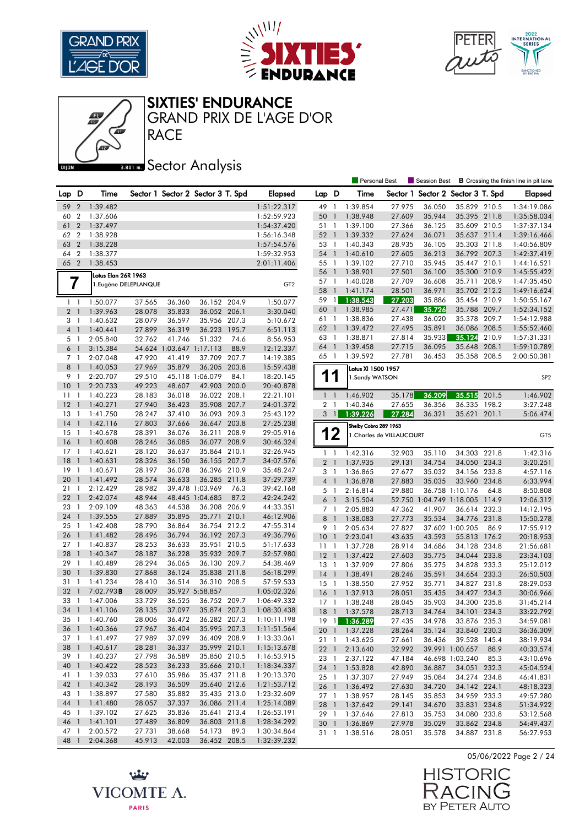





RACE GRAND PRIX DE L'AGE D'OR

Œ

## **Bector Analysis**

|                |                |                       |                  |                                   |                        |       |                            |                     |                          | <b>Personal Best</b>  |                           | <b>Session Best</b>      |                 |       | <b>B</b> Crossing the finish line in pit lane |
|----------------|----------------|-----------------------|------------------|-----------------------------------|------------------------|-------|----------------------------|---------------------|--------------------------|-----------------------|---------------------------|--------------------------|-----------------|-------|-----------------------------------------------|
| Lap            | D              | Time                  |                  | Sector 1 Sector 2 Sector 3 T. Spd |                        |       | <b>Elapsed</b>             | Lap D               |                          | Time                  | Sector 1                  | Sector 2 Sector 3 T. Spd |                 |       | <b>Elapsed</b>                                |
| 59             | $\overline{2}$ | 1:39.482              |                  |                                   |                        |       | 1:51:22.317                | 49                  | $\overline{1}$           | 1:39.854              | 27.975                    | 36.050                   | 35.829 210.5    |       | 1:34:19.086                                   |
| 60             | $\overline{2}$ | 1:37.606              |                  |                                   |                        |       | 1:52:59.923                | 50                  | $\mathbf{1}$             | 1:38.948              | 27.609                    | 35.944                   | 35.395 211.8    |       | 1:35:58.034                                   |
| 61             | $\overline{2}$ | 1:37.497              |                  |                                   |                        |       | 1:54:37.420                | 51                  | $\overline{1}$           | 1:39.100              | 27.366                    | 36.125                   | 35.609 210.5    |       | 1:37:37.134                                   |
| 62             | $\overline{2}$ | 1:38.928              |                  |                                   |                        |       | 1:56:16.348                | 52                  | $\overline{1}$           | 1:39.332              | 27.624                    | 36.071                   | 35.637 211.4    |       | 1:39:16.466                                   |
| 63             | $\overline{2}$ | 1:38.228              |                  |                                   |                        |       | 1:57:54.576                | 53 1                |                          | 1:40.343              | 28.935                    | 36.105                   | 35.303 211.8    |       | 1:40:56.809                                   |
| 64             | $\overline{2}$ | 1:38.377              |                  |                                   |                        |       | 1:59:32.953                | 54 1                |                          | 1:40.610              | 27.605                    | 36.213                   | 36.792 207.3    |       | 1:42:37.419                                   |
| 65 2           |                | 1:38.453              |                  |                                   |                        |       | 2:01:11.406                | 55                  | $\overline{1}$           | 1:39.102              | 27.710                    | 35.945                   | 35.447 210.1    |       | 1:44:16.521                                   |
|                |                |                       |                  |                                   |                        |       |                            | 56                  | $\mathbf{1}$             | 1:38.901              | 27.501                    | 36.100                   | 35.300 210.9    |       | 1:45:55.422                                   |
|                |                | Lotus Elan 26R 1963   |                  |                                   |                        |       |                            | 57                  | $\overline{1}$           | 1:40.028              | 27.709                    | 36.608                   | 35.711 208.9    |       | 1:47:35.450                                   |
|                | 7              | 1. Eugène DELEPLANQUE |                  |                                   |                        |       | GT <sub>2</sub>            | 58                  | $\overline{1}$           | 1:41.174              | 28.501                    | 36.971                   | 35.702 212.2    |       | 1:49:16.624                                   |
|                | $1\quad$       | 1:50.077              | 37.565           | 36.360                            | 36.152 204.9           |       | 1:50.077                   | 59                  | $\overline{1}$           | 1:38.543              | 27.203                    | 35.886                   | 35.454 210.9    |       | 1:50:55.167                                   |
| 2 <sub>1</sub> |                | 1:39.963              | 28.078           | 35.833                            | 36.052 206.1           |       | 3:30.040                   | 60                  | $\overline{1}$           | 1:38.985              | 27.471                    | 35.726                   | 35.788 209.7    |       | 1:52:34.152                                   |
|                | 3 1            | 1:40.632              | 28.079           | 36.597                            | 35.956 207.3           |       | 5:10.672                   | 61                  | $\overline{1}$           | 1:38.836              | 27.438                    | 36.020                   | 35.378          | 209.7 | 1:54:12.988                                   |
| 4 <sup>1</sup> |                | 1:40.441              | 27.899           | 36.319                            | 36.223                 | 195.7 | 6:51.113                   | 62                  | $\overline{1}$           | 1:39.472              | 27.495                    | 35.891                   | 36.086 208.5    |       | 1:55:52.460                                   |
|                | 5 1            | 2:05.840              | 32.762           | 41.746                            | 51.332                 | 74.6  | 8:56.953                   | 63 1                |                          | 1:38.871              | 27.814                    | 35.933                   | 35.124          | 210.9 | 1:57:31.331                                   |
| 6              | $\overline{1}$ | 3:15.384              |                  | 54.624 1:03.647 1:17.113          |                        | 88.9  | 12:12.337                  | 64                  | $\overline{1}$           | 1:39.458              | 27.715                    | 36.095                   | 35.648          | 208.1 | 1:59:10.789                                   |
| 7 1            |                | 2:07.048              | 47.920           | 41.419                            | 37.709 207.7           |       | 14:19.385                  | 65 1                |                          | 1:39.592              | 27.781                    | 36.453                   | 35.358 208.5    |       | 2:00:50.381                                   |
| 8 1            |                | 1:40.053              | 27.969           | 35.879                            | 36.205 203.8           |       | 15:59.438                  |                     |                          | Lotus XI 1500 1957    |                           |                          |                 |       |                                               |
| 9              | $\overline{1}$ | 2:20.707              | 29.510           |                                   | 45.118 1:06.079        | 84.1  | 18:20.145                  | 1                   |                          | 1.Sandy WATSON        |                           |                          |                 |       | SP <sub>2</sub>                               |
| 10             | $\mathbf{1}$   | 2:20.733              | 49.223           | 48.607                            | 42.903                 | 200.0 | 20:40.878                  |                     |                          |                       |                           |                          |                 |       |                                               |
| 11             | - 1            | 1:40.223              | 28.183           | 36.018                            | 36.022 208.1           |       | 22:21.101                  | $1\quad$            |                          | 1:46.902              | 35.178                    | 36.209                   | 35.515          | 201.5 | 1:46.902                                      |
| 12             | $\mathbf{1}$   | 1:40.271              | 27.940           | 36.423                            | 35.908 207.7           |       | 24:01.372                  | $\overline{2}$      | -1                       | 1:40.346              | 27.655                    | 36.356                   | 36.335          | 198.2 | 3:27.248                                      |
| 13             | 1              | 1:41.750              | 28.247           | 37.410                            | 36.093 209.3           |       | 25:43.122                  | 3                   | $\overline{1}$           | 1:39.226              | 27.284                    | 36.321                   | 35.621          | 201.1 | 5:06.474                                      |
| 14             | $\mathbf{1}$   | 1:42.116              | 27.803           | 37.666                            | 36.647 203.8           |       | 27:25.238                  |                     |                          | Shelby Cobra 289 1963 |                           |                          |                 |       |                                               |
| 15             | $\overline{1}$ | 1:40.678              | 28.391           | 36.076                            | 36.211 208.9           |       | 29:05.916                  |                     | 12                       |                       | 1. Charles de VILLAUCOURT |                          |                 |       | GT <sub>5</sub>                               |
| 16             | $\mathbf{1}$   | 1:40.408              | 28.246           | 36.085                            | 36.077 208.9           |       | 30:46.324                  |                     |                          |                       |                           |                          |                 |       |                                               |
| $17-1$         |                | 1:40.621              | 28.120           | 36.637                            | 35.864 210.1           |       | 32:26.945                  | $\mathbf{1}$        | $\overline{1}$           | 1:42.316              | 32.903                    | 35.110                   | 34.303          | 221.8 | 1:42.316                                      |
| 18             | $\mathbf{1}$   | 1:40.631              | 28.326           | 36.150                            | 36.155 207.7           |       | 34:07.576                  | $\overline{2}$      | $\overline{\phantom{a}}$ | 1:37.935              | 29.131                    | 34.754                   | 34.050 234.3    |       | 3:20.251                                      |
| 19             | -1             | 1:40.671              | 28.197           | 36.078                            | 36.396 210.9           |       | 35:48.247                  | 3                   | $\mathbf{1}$             | 1:36.865              | 27.677                    | 35.032                   | 34.156 233.8    |       | 4:57.116                                      |
| 20             | $\mathbf{1}$   | 1:41.492              | 28.574           | 36.633                            | 36.285 211.8           |       | 37:29.739                  | 4 1                 |                          | 1:36.878              | 27.883                    | 35.035                   | 33.960 234.8    |       | 6:33.994                                      |
| 21             | $\overline{1}$ | 2:12.429              | 28.982           |                                   | 39.478 1:03.969        | 76.3  | 39:42.168                  | 5 1                 |                          | 2:16.814              | 29.880                    |                          | 36.758 1:10.176 | 64.8  | 8:50.808                                      |
| 22             | $\mathbf{1}$   | 2:42.074              | 48.944           |                                   | 48.445 1:04.685        | 87.2  | 42:24.242                  | 6                   | $\overline{1}$           | 3:15.504              |                           | 52.750 1:04.749 1:18.005 |                 | 114.9 | 12:06.312                                     |
| 23             | -1             | 2:09.109              | 48.363           | 44.538                            | 36.208                 | 206.9 | 44:33.351                  | 7 1                 |                          | 2:05.883              | 47.362                    | 41.907                   | 36.614 232.3    |       | 14:12.195                                     |
| 24             | $\mathbf{1}$   | 1:39.555              | 27.889           | 35.895                            | 35.771 210.1           |       | 46:12.906                  | 8                   | $\overline{1}$           | 1:38.083              | 27.773                    | 35.534                   | 34.776 231.8    |       | 15:50.278                                     |
| 25             | -1             | 1:42.408              | 28.790           | 36.864                            | 36.754 212.2           |       | 47:55.314                  | 9                   | $\overline{1}$           | 2:05.634              | 27.827                    |                          | 37.602 1:00.205 | 86.9  | 17:55.912                                     |
| 26             | $\mathbf{1}$   | 1:41.482              | 28.496           | 36.794                            | 36.192 207.3           |       | 49:36.796                  | 10                  | $\overline{1}$           | 2:23.041              | 43.635                    | 43.593                   | 55.813          | 176.2 | 20:18.953                                     |
| $27-1$         |                | 1:40.837              | 28.253           | 36.633                            | 35.951 210.5           |       | 51:17.633                  | 11                  | $\mathbf{1}$             | 1:37.728              | 28.914                    | 34.686                   | 34.128 234.8    |       | 21:56.681                                     |
| 28             | $\overline{1}$ | 1:40.347              | 28.187           | 36.228                            | 35.932 209.7           |       | 52:57.980                  | 12                  | $\overline{1}$           | 1:37.422              | 27.603                    | 35.775                   | 34.044 233.8    |       | 23:34.103                                     |
| 29             | - 1            | 1:40.489              | 28.294           | 36.065                            | 36.130 209.7           |       | 54:38.469                  | 13                  | $\overline{1}$           | 1:37.909              | 27.806                    | 35.275                   | 34.828 233.3    |       | 25:12.012                                     |
| 30             | $\mathbf{1}$   | 1:39.830              | 27.868           | 36.124                            | 35.838 211.8           |       | 56:18.299                  | $14-1$              |                          | 1:38.491              | 28.246                    | 35.591                   | 34.654 233.3    |       | 26:50.503                                     |
| 31             | -1             | 1:41.234              | 28.410           | 36.514                            | 36.310 208.5           |       | 57:59.533                  | 15                  | $\overline{1}$           | 1:38.550              | 27.952                    | 35.771                   | 34.827          | 231.8 | 28:29.053                                     |
| 32             | $\mathbf{1}$   | 7:02.793B             | 28.009           |                                   | 35.927 5:58.857        |       | 1:05:02.326                | 16                  | $\overline{1}$           | 1:37.913              | 28.051                    | 35.435                   | 34.427 234.3    |       | 30:06.966                                     |
| 33             | -1             | 1:47.006              | 33.729           | 36.525                            | 36.752 209.7           |       | 1:06:49.332                | 17                  | -1                       | 1:38.248              | 28.045                    | 35.903                   | 34.300          | 235.8 | 31:45.214                                     |
| 34             | $\overline{1}$ | 1:41.106              | 28.135           | 37.097                            | 35.874 207.3           |       | 1:08:30.438                | 18                  | $\overline{1}$           | 1:37.578              | 28.713                    | 34.764                   | 34.101 234.3    |       | 33:22.792                                     |
|                |                | 35 1 1:40.760         | 28.006           | 36.472                            | 36.282 207.3           |       | 1:10:11.198                | 19 1 <mark>1</mark> |                          | 1:36.289              | 27.435                    | 34.978                   | 33.876 235.3    |       | 34:59.081                                     |
| 36 1           |                | 1:40.366              | 27.967           | 36.404                            | 35.995 207.3           |       | 1:11:51.564                |                     |                          | 20 1 1:37.228         | 28.264                    | 35.124                   | 33.840 230.3    |       | 36:36.309                                     |
| 37 1           |                | 1:41.497              | 27.989           | 37.099                            | 36.409 208.9           |       | 1:13:33.061                |                     |                          | 21 1 1:43.625         | 27.661                    | 36.436                   | 39.528 145.4    |       | 38:19.934                                     |
| 38 1           |                | 1:40.617              | 28.281           | 36.337                            | 35.999 210.1           |       | 1:15:13.678                |                     |                          | 22 1 2:13.640         | 32.992                    |                          | 39.991 1:00.657 | 88.9  | 40:33.574                                     |
| 39 1           |                | 1:40.237              | 27.798           | 36.589                            | 35.850 210.5           |       | 1:16:53.915                | 23 1                |                          | 2:37.122              | 47.184                    |                          | 46.698 1:03.240 | 85.3  | 43:10.696                                     |
| 40 1           |                | 1:40.422              | 28.523           | 36.233                            | 35.666 210.1           |       | 1:18:34.337                | $24 \quad 1$        |                          | 1:53.828              | 42.890                    | 36.887                   | 34.051 232.3    |       | 45:04.524                                     |
| 41 1           |                | 1:39.033              | 27.610           | 35.986                            | 35.437 211.8           |       | 1:20:13.370                | $25 \quad 1$        |                          | 1:37.307              | 27.949                    | 35.084                   | 34.274 234.8    |       | 46:41.831                                     |
| 42 1           |                | 1:40.342              | 28.193           | 36.509                            | 35.640 212.6           |       | 1:21:53.712                |                     |                          | 26 1 1:36.492         | 27.630                    | 34.720                   | 34.142 224.1    |       | 48:18.323                                     |
| 43 1           |                | 1:38.897              | 27.580           | 35.882                            | 35.435 213.0           |       | 1:23:32.609                |                     |                          | 27 1 1:38.957         | 28.145                    | 35.853                   | 34.959 233.3    |       | 49:57.280                                     |
| 44 1           |                | 1:41.480              | 28.057           | 37.337                            | 36.086 211.4           |       | 1:25:14.089                |                     |                          | 28 1 1:37.642         | 29.141                    | 34.670                   | 33.831 234.8    |       | 51:34.922                                     |
| 45 1           |                | 1:39.102              | 27.625<br>27.489 | 35.836                            | 35.641 213.4           |       | 1:26:53.191                | 29 1                |                          | 1:37.646              | 27.813                    | 35.753                   | 34.080 233.8    |       | 53:12.568                                     |
| 46 1           |                | 1:41.101<br>2:00.572  | 27.731           | 36.809                            | 36.803 211.8<br>54.173 | 89.3  | 1:28:34.292<br>1:30:34.864 | 30 1                |                          | 1:36.869              | 27.978                    | 35.029                   | 33.862 234.8    |       | 54:49.437                                     |
| 47 1<br>48 1   |                | 2:04.368              | 45.913           | 38.668<br>42.003                  | 36.452 208.5           |       | 1:32:39.232                |                     |                          | 31 1 1:38.516         | 28.051                    | 35.578                   | 34.887 231.8    |       | 56:27.953                                     |
|                |                |                       |                  |                                   |                        |       |                            |                     |                          |                       |                           |                          |                 |       |                                               |

05/06/2022 Page 2 / 24



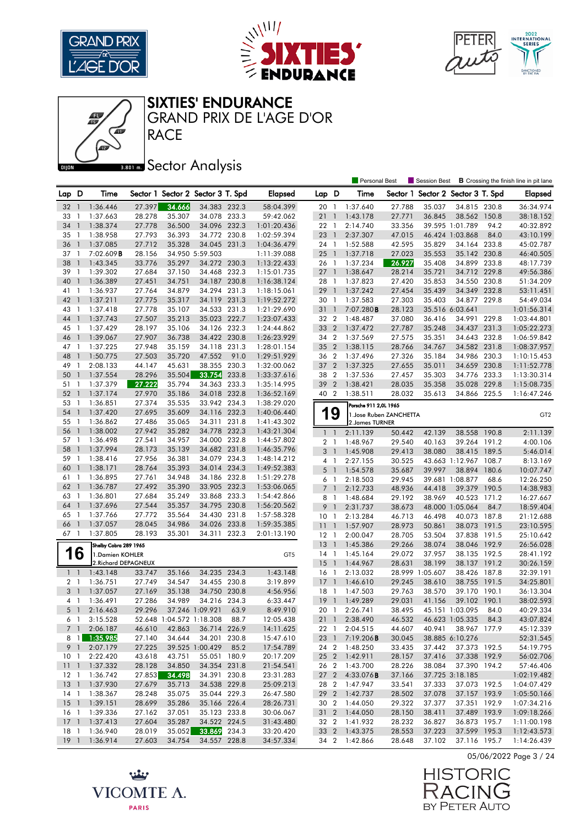





RACE GRAND PRIX DE L'AGE D'OR

Œ

## **Bector Analysis**

|                |                |                       |        |        |                                   |       |                |                 |                          | <b>Personal Best</b>    |          | Session Best             |                       |       | <b>B</b> Crossing the finish line in pit lane |
|----------------|----------------|-----------------------|--------|--------|-----------------------------------|-------|----------------|-----------------|--------------------------|-------------------------|----------|--------------------------|-----------------------|-------|-----------------------------------------------|
| Lap D          |                | Time                  |        |        | Sector 1 Sector 2 Sector 3 T. Spd |       | <b>Elapsed</b> | Lap D           |                          | Time                    | Sector 1 | Sector 2 Sector 3 T. Spd |                       |       | <b>Elapsed</b>                                |
| 32             | -1             | 1:36.446              | 27.397 | 34.666 | 34.383 232.3                      |       | 58:04.399      | 20 1            |                          | 1:37.640                | 27.788   | 35.037                   | 34.815 230.8          |       | 36:34.974                                     |
| 33             | 1              | 1:37.663              | 28.278 | 35.307 | 34.078 233.3                      |       | 59:42.062      | 21              | $\mathbf{1}$             | 1:43.178                | 27.771   | 36.845                   | 38.562 150.8          |       | 38:18.152                                     |
| 34             | $\mathbf{1}$   | 1:38.374              | 27.778 | 36.500 | 34.096 232.3                      |       | 1:01:20.436    | 22 1            |                          | 2:14.740                | 33.356   |                          | 39.595 1:01.789       | 94.2  | 40:32.892                                     |
| 35             | -1             | 1:38.958              | 27.793 | 36.393 | 34.772 230.8                      |       | 1:02:59.394    | 23              | $\overline{1}$           | 2:37.307                | 47.015   |                          | 46.424 1:03.868       | 84.0  | 43:10.199                                     |
| 36             | $\mathbf{1}$   | 1:37.085              | 27.712 | 35.328 | 34.045 231.3                      |       | 1:04:36.479    | 24 1            |                          | 1:52.588                | 42.595   | 35.829                   | 34.164 233.8          |       | 45:02.787                                     |
| 37             | $\overline{1}$ | $7:02.609$ <b>B</b>   | 28.156 |        | 34.950 5:59.503                   |       | 1:11:39.088    | $25 \quad 1$    |                          | 1:37.718                | 27.023   | 35.553                   | 35.142 230.8          |       | 46:40.505                                     |
| 38             | $\mathbf{1}$   | 1:43.345              | 33.776 | 35.297 | 34.272 230.3                      |       | 1:13:22.433    | 26 1            |                          | 1:37.234                | 26.927   | 35.408                   | 34.899 233.8          |       | 48:17.739                                     |
| 39             | -1             | 1:39.302              | 27.684 | 37.150 | 34.468 232.3                      |       | 1:15:01.735    | $27-1$          |                          | 1:38.647                | 28.214   | 35.721                   | 34.712                | 229.8 | 49:56.386                                     |
| 40             | $\mathbf{1}$   | 1:36.389              | 27.451 | 34.751 | 34.187 230.8                      |       | 1:16:38.124    | 28              | $\mathbf{1}$             | 1:37.823                | 27.420   | 35.853                   | 34.550 230.8          |       | 51:34.209                                     |
| 41             | -1             | 1:36.937              | 27.764 | 34.879 | 34.294 231.3                      |       | 1:18:15.061    | 29 1            |                          | 1:37.242                | 27.454   | 35.439                   | 34.349 232.8          |       | 53:11.451                                     |
| 42             | $\overline{1}$ | 1:37.211              | 27.775 | 35.317 | 34.119 231.3                      |       | 1:19:52.272    | 30              | $\overline{1}$           | 1:37.583                | 27.303   | 35.403                   | 34.877 229.8          |       | 54:49.034                                     |
| 43             | $\overline{1}$ | 1:37.418              | 27.778 | 35.107 | 34.533 231.3                      |       | 1:21:29.690    | 31 1            |                          | 7:07.280B               | 28.123   |                          | 35.516 6:03.641       |       | 1:01:56.314                                   |
| 44             | $\overline{1}$ | 1:37.743              | 27.507 | 35.213 | 35.023 222.7                      |       | 1:23:07.433    | 32 2            |                          | 1:48.487                | 37.080   | 36.416                   | 34.991                | 229.8 | 1:03:44.801                                   |
| 45             | -1             | 1:37.429              | 28.197 | 35.106 | 34.126 232.3                      |       | 1:24:44.862    | 33 2            |                          | 1:37.472                | 27.787   | 35.248                   | 34.437 231.3          |       | 1:05:22.273                                   |
| 46             | $\mathbf{1}$   | 1:39.067              | 27.907 | 36.738 | 34.422 230.8                      |       | 1:26:23.929    | 34 2            |                          | 1:37.569                | 27.575   | 35.351                   | 34.643 232.8          |       | 1:06:59.842                                   |
| 47             | -1             | 1:37.225              | 27.948 | 35.159 | 34.118                            | 231.3 | 1:28:01.154    | 35 2            |                          | 1:38.115                | 28.766   | 34.767                   | 34.582 231.8          |       | 1:08:37.957                                   |
| 48             | $\mathbf{1}$   | 1:50.775              | 27.503 | 35.720 | 47.552                            | 91.0  | 1:29:51.929    | 36 2            |                          | 1:37.496                | 27.326   | 35.184                   | 34.986 230.3          |       | 1:10:15.453                                   |
| 49             | -1             | 2:08.133              | 44.147 | 45.631 | 38.355                            | 230.3 | 1:32:00.062    | 37              | $\overline{2}$           | 1:37.325                | 27.655   | 35.011                   | 34.659                | 230.8 | 1:11:52.778                                   |
| 50             | $\mathbf{1}$   | 1:37.554              | 28.296 | 35.504 | 33.754                            | 233.8 | 1:33:37.616    | 38              | $\overline{2}$           | 1:37.536                | 27.457   | 35.303                   | 34.776 233.3          |       | 1:13:30.314                                   |
| 51             | -1             | 1:37.379              | 27.222 | 35.794 | 34.363 233.3                      |       | 1:35:14.995    | 39 2            |                          | 1:38.421                | 28.035   | 35.358                   | 35.028                | 229.8 | 1:15:08.735                                   |
| 52             | $\overline{1}$ | 1:37.174              | 27.970 | 35.186 | 34.018 232.8                      |       | 1:36:52.169    | 40 2            |                          | 1:38.511                | 28.032   | 35.613                   | 34.866 225.5          |       | 1:16:47.246                                   |
| 53             | -1             | 1:36.851              | 27.374 | 35.535 | 33.942 234.3                      |       | 1:38:29.020    |                 |                          | Porsche 911 2,0L 1965   |          |                          |                       |       |                                               |
| 54             | $\overline{1}$ | 1:37.420              | 27.695 | 35.609 | 34.116 232.3                      |       | 1:40:06.440    | 1               | 9                        | 1. Jose Ruben ZANCHETTA |          |                          |                       |       | GT <sub>2</sub>                               |
| 55             | $\overline{1}$ | 1:36.862              | 27.486 | 35.065 | 34.311 231.8                      |       | 1:41:43.302    |                 |                          | 2. James TURNER         |          |                          |                       |       |                                               |
| 56             | $\overline{1}$ | 1:38.002              | 27.942 | 35.282 | 34.778                            | 232.3 | 1:43:21.304    | $1\quad1$       |                          | 2:11.139                | 50.442   | 42.139                   | 38.558 190.8          |       | 2:11.139                                      |
| 57             | -1             | 1:36.498              | 27.541 | 34.957 | 34.000 232.8                      |       | 1:44:57.802    | 2 <sub>1</sub>  |                          | 1:48.967                | 29.540   | 40.163                   | 39.264 191.2          |       | 4:00.106                                      |
| 58             | $\mathbf{1}$   | 1:37.994              | 28.173 | 35.139 | 34.682 231.8                      |       | 1:46:35.796    | 3               | $\overline{1}$           | 1:45.908                | 29.413   | 38.080                   | 38.415 189.5          |       | 5:46.014                                      |
| 59             | -1             | 1:38.416              | 27.956 | 36.381 | 34.079                            | 234.3 | 1:48:14.212    | 4 1             |                          | 2:27.155                | 30.525   |                          | 43.663 1:12.967 108.7 |       | 8:13.169                                      |
| 60             | $\overline{1}$ | 1:38.171              | 28.764 | 35.393 | 34.014 234.3                      |       | 1:49:52.383    | 5 <sub>1</sub>  |                          | 1:54.578                | 35.687   | 39.997                   | 38.894 180.6          |       | 10:07.747                                     |
| 61             | $\overline{1}$ | 1:36.895              | 27.761 | 34.948 | 34.186 232.8                      |       | 1:51:29.278    | 6               | $\overline{\phantom{a}}$ | 2:18.503                | 29.945   |                          | 39.681 1:08.877       | 68.6  | 12:26.250                                     |
| 62             | $\overline{1}$ | 1:36.787              | 27.492 | 35.390 | 33.905 232.3                      |       | 1:53:06.065    | 7 <sup>1</sup>  |                          | 2:12.733                | 48.936   | 44.418                   | 39.379                | 190.5 | 14:38.983                                     |
| 63             | -1             | 1:36.801              | 27.684 | 35.249 | 33.868 233.3                      |       | 1:54:42.866    | 8 1             |                          | 1:48.684                | 29.192   | 38.969                   | 40.523 171.2          |       | 16:27.667                                     |
| 64             | $\mathbf{1}$   | 1:37.696              | 27.544 | 35.357 | 34.795 230.8                      |       | 1:56:20.562    | 9               | $\overline{1}$           | 2:31.737                | 38.673   |                          | 48.000 1:05.064       | 84.7  | 18:59.404                                     |
| 65             | -1             | 1:37.766              | 27.772 | 35.564 | 34.430 231.8                      |       | 1:57:58.328    | 10 <sub>1</sub> |                          | 2:13.284                | 46.713   | 46.498                   | 40.073 187.8          |       | 21:12.688                                     |
| 66             | $\mathbf{1}$   | 1:37.057              | 28.045 | 34.986 | 34.026 233.8                      |       | 1:59:35.385    | 111             |                          | 1:57.907                | 28.973   | 50.861                   | 38.073 191.5          |       | 23:10.595                                     |
| 67 1           |                | 1:37.805              | 28.193 | 35.301 | 34.311 232.3                      |       | 2:01:13.190    | 12              | $\overline{1}$           | 2:00.047                | 28.705   | 53.504                   | 37.838 191.5          |       | 25:10.642                                     |
|                |                | Shelby Cobra 289 1965 |        |        |                                   |       |                | 13              | $\overline{1}$           | 1:45.386                | 29.266   | 38.074                   | 38.046 192.9          |       | 26:56.028                                     |
|                | 16             | 1.Damien KOHLER       |        |        |                                   |       | GT5            | $14-1$          |                          | 1:45.164                | 29.072   | 37.957                   | 38.135 192.5          |       | 28:41.192                                     |
|                |                | 2. Richard DEPAGNEUX  |        |        |                                   |       |                | $15-1$          |                          | 1:44.967                | 28.631   | 38.199                   | 38.137 191.2          |       | 30:26.159                                     |
| $1\quad$       |                | 1:43.148              | 33.747 | 35.166 | 34.235 234.3                      |       | 1:43.148       | 16 1            |                          | 2:13.032                |          | 28.999 1:05.607          | 38.426 187.8          |       | 32:39.191                                     |
| 2 <sub>1</sub> |                | 1:36.751              | 27.749 | 34.547 | 34.455 230.8                      |       | 3:19.899       | 17              | $\overline{1}$           | 1:46.610                | 29.245   | 38.610                   | 38.755 191.5          |       | 34:25.801                                     |
| 3              | $\overline{1}$ | 1:37.057              | 27.169 | 35.138 | 34.750                            | 230.8 | 4:56.956       | $18-1$          |                          | 1:47.503                | 29.763   | 38.570                   | 39.170 190.1          |       | 36:13.304                                     |
| 4              | $\overline{1}$ | 1:36.491              | 27.286 | 34.989 | 34.216                            | 234.3 | 6:33.447       | 19              | $\overline{1}$           | 1:49.289                | 29.031   | 41.156                   | 39.102                | 190.1 | 38:02.593                                     |
| 5 <sub>1</sub> |                | 2:16.463              | 29.296 |        | 37.246 1:09.921                   | 63.9  | 8:49.910       | 20 1            |                          | 2:26.741                | 38.495   |                          | 45.151 1:03.095       | 84.0  | 40:29.334                                     |
|                | 6 1            | 3:15.528              |        |        | 52.648 1:04.572 1:18.308          | 88.7  | 12:05.438      |                 |                          | 21 1 2:38.490           | 46.532   |                          | 46.623 1:05.335 84.3  |       | 43:07.824                                     |
|                |                | 7 1 2:06.187          | 46.610 | 42.863 | 36.714 226.9                      |       | 14:11.625      |                 |                          | 22 1 2:04.515           | 44.607   | 40.941                   | 38.967 177.9          |       | 45:12.339                                     |
|                |                | 8 1 1:35.985          | 27.140 | 34.644 | 34.201 230.8                      |       | 15:47.610      | 23 1            |                          | 7:19.206 <b>B</b>       | 30.045   |                          | 38.885 6:10.276       |       | 52:31.545                                     |
|                |                | 9 1 2:07.179          | 27.225 |        | 39.525 1:00.429 85.2              |       | 17:54.789      |                 |                          | 24 2 1:48.250           | 33.435   | 37.442                   | 37.373 192.5          |       | 54:19.795                                     |
|                |                | 10 1 2:22.420         | 43.618 | 43.751 | 55.051 180.9                      |       | 20:17.209      |                 |                          | 25 2 1:42.911           | 28.157   | 37.416                   | 37.338 192.9          |       | 56:02.706                                     |
|                |                | 11 1 1:37.332         | 28.128 | 34.850 | 34.354 231.8                      |       | 21:54.541      |                 |                          | 26 2 1:43.700           | 28.226   | 38.084                   | 37.390 194.2          |       | 57:46.406                                     |
|                |                | 12 1 1:36.742         | 27.853 | 34.498 | 34.391 230.8                      |       | 23:31.283      |                 |                          | 27 2 4:33.076B          | 37.166   |                          | 37.725 3:18.185       |       | 1:02:19.482                                   |
|                |                | 13 1 1:37.930         | 27.679 | 35.713 | 34.538 229.8                      |       | 25:09.213      |                 |                          | 28 2 1:47.947           | 33.541   | 37.333                   | 37.073 192.5          |       | 1:04:07.429                                   |
|                |                | 14 1 1:38.367         | 28.248 | 35.075 | 35.044 229.3                      |       | 26:47.580      |                 |                          | 29 2 1:42.737           | 28.502   | 37.078                   | 37.157 193.9          |       | 1:05:50.166                                   |
|                |                | 15 1 1:39.151         | 28.699 | 35.286 | 35.166 226.4                      |       | 28:26.731      | 30 2            |                          | 1:44.050                | 29.322   | 37.377                   | 37.351 192.9          |       | 1:07:34.216                                   |
|                |                | 16 1 1:39.336         | 27.162 | 37.051 | 35.123 233.8                      |       | 30:06.067      |                 |                          | 31 2 1:44.050           | 28.150   | 38.411                   | 37.489 193.9          |       | 1:09:18.266                                   |
|                |                | 17 1 1:37.413         | 27.604 | 35.287 | 34.522 224.5                      |       | 31:43.480      |                 |                          | 32 2 1:41.932           | 28.232   | 36.827                   | 36.873 195.7          |       | 1:11:00.198                                   |
| 18 1           |                | 1:36.940              | 28.019 | 35.052 | 33.869 234.3                      |       | 33:20.420      |                 |                          | 33 2 1:43.375           | 28.553   | 37.223                   | 37.599 195.3          |       | 1:12:43.573                                   |
|                |                | 19 1 1:36.914         | 27.603 | 34.754 | 34.557 228.8                      |       | 34:57.334      |                 |                          | 34 2 1:42.866           | 28.648   | 37.102                   | 37.116 195.7          |       | 1:14:26.439                                   |





بينيه VICOMTE A. **PARIS**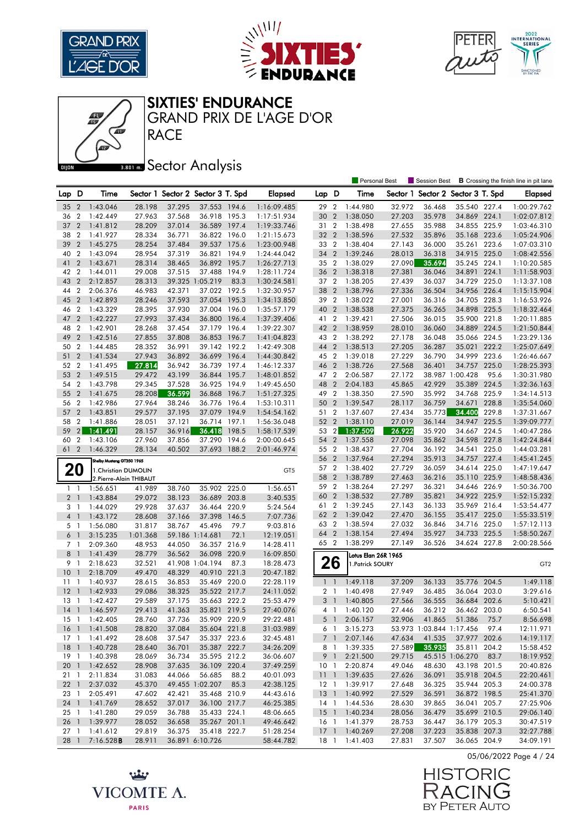







**RACE** GRAND PRIX DE L'AGE D'OR

## **Bector Analysis**

|                 |                  |                           |          |        |                                   |       |                 |                |                | <b>Personal Best</b>       |        | Session Best                      |                      |       | <b>B</b> Crossing the finish line in pit lane |
|-----------------|------------------|---------------------------|----------|--------|-----------------------------------|-------|-----------------|----------------|----------------|----------------------------|--------|-----------------------------------|----------------------|-------|-----------------------------------------------|
| Lap D           |                  | Time                      |          |        | Sector 1 Sector 2 Sector 3 T. Spd |       | <b>Elapsed</b>  | Lap D          |                | Time                       |        | Sector 1 Sector 2 Sector 3 T. Spd |                      |       | Elapsed                                       |
|                 | $\overline{2}$   | 1:43.046                  | 28.198   | 37.295 | 37.553 194.6                      |       | 1:16:09.485     | 29 2           |                | 1:44.980                   | 32.972 | 36.468                            | 35.540 227.4         |       | 1:00:29.762                                   |
| 35<br>36        | $\overline{2}$   | 1:42.449                  | 27.963   | 37.568 | 36.918 195.3                      |       | 1:17:51.934     | 30             | $\overline{2}$ | 1:38.050                   | 27.203 | 35.978                            | 34.869 224.1         |       | 1:02:07.812                                   |
| 37              | $\overline{2}$   | 1:41.812                  | 28.209   | 37.014 | 36.589 197.4                      |       | 1:19:33.746     | 31 2           |                | 1:38.498                   | 27.655 | 35.988                            | 34.855 225.9         |       | 1:03:46.310                                   |
| 38              | $\overline{2}$   | 1:41.927                  | 28.334   | 36.771 | 36.822 196.0                      |       | 1:21:15.673     | 32 2           |                | 1:38.596                   | 27.532 | 35.896                            | 35.168 223.6         |       | 1:05:24.906                                   |
| 39              | $\overline{2}$   | 1:45.275                  | 28.254   | 37.484 | 39.537 175.6                      |       | 1:23:00.948     | 33 2           |                | 1:38.404                   | 27.143 | 36.000                            | 35.261 223.6         |       | 1:07:03.310                                   |
| 40              | $\overline{2}$   | 1:43.094                  | 28.954   | 37.319 | 36.821                            | 194.9 | 1:24:44.042     | 34 2           |                | 1:39.246                   | 28.013 | 36.318                            | 34.915 225.0         |       | 1:08:42.556                                   |
| 41              | $\overline{2}$   | 1:43.671                  | 28.314   | 38.465 | 36.892 195.7                      |       | 1:26:27.713     | 35 2           |                | 1:38.029                   | 27.090 | 35.694                            | 35.245 224.1         |       | 1:10:20.585                                   |
| 42              | $\overline{2}$   | 1:44.011                  | 29.008   | 37.515 | 37.488                            | 194.9 | 1:28:11.724     | 36 2           |                | 1:38.318                   | 27.381 | 36.046                            | 34.891               | 224.1 | 1:11:58.903                                   |
| 43              | $\overline{2}$   | 2:12.857                  | 28.313   |        | 39.325 1:05.219                   | 83.3  | 1:30:24.581     | 37 2           |                | 1:38.205                   | 27.439 | 36.037                            | 34.729 225.0         |       | 1:13:37.108                                   |
| 44              | $\boldsymbol{2}$ | 2:06.376                  | 46.983   | 42.371 | 37.022 192.5                      |       | 1:32:30.957     | 38 2           |                | 1:38.796                   | 27.336 | 36.504                            | 34.956 226.4         |       | 1:15:15.904                                   |
| 45              | $\overline{2}$   | 1:42.893                  | 28.246   | 37.593 | 37.054 195.3                      |       | 1:34:13.850     | 39 2           |                | 1:38.022                   | 27.001 | 36.316                            | 34.705 228.3         |       | 1:16:53.926                                   |
| 46              | $\overline{2}$   | 1:43.329                  | 28.395   | 37.930 | 37.004 196.0                      |       | 1:35:57.179     | 40 2           |                | 1:38.538                   | 27.375 | 36.265                            | 34.898 225.5         |       | 1:18:32.464                                   |
| 47              | $\overline{2}$   | 1:42.227                  | 27.993   | 37.434 | 36.800                            | 196.4 | 1:37:39.406     | 41 2           |                | 1:39.421                   | 27.506 | 36.015                            | 35.900 221.8         |       | 1:20:11.885                                   |
| 48              | $\overline{2}$   | 1:42.901                  | 28.268   | 37.454 | 37.179 196.4                      |       | 1:39:22.307     | 42 2           |                | 1:38.959                   | 28.010 | 36.060                            | 34.889 224.5         |       | 1:21:50.844                                   |
| 49              | $\overline{2}$   | 1:42.516                  | 27.855   | 37.808 | 36.853 196.7                      |       | 1:41:04.823     | 43 2           |                | 1:38.292                   | 27.178 | 36.048                            | 35.066 224.5         |       | 1:23:29.136                                   |
| 50              | $\overline{2}$   | 1:44.485                  | 28.352   | 36.991 | 39.142 192.2                      |       | 1:42:49.308     | 44 2           |                | 1:38.513                   | 27.205 | 36.287                            | 35.021 222.2         |       | 1:25:07.649                                   |
| 51              | $\overline{2}$   | 1:41.534                  | 27.943   | 36.892 | 36.699 196.4                      |       | 1:44:30.842     | 45 2           |                | 1:39.018                   | 27.229 | 36.790                            | 34.999 223.6         |       | 1:26:46.667                                   |
| 52              | $\overline{2}$   | 1:41.495                  | 27.814   | 36.942 | 36.739                            | 197.4 | 1:46:12.337     | 46 2           |                | 1:38.726                   | 27.568 | 36.401                            | 34.757 225.0         |       | 1:28:25.393                                   |
| 53              | $\overline{2}$   | 1:49.515                  | 29.472   | 43.199 | 36.844 195.7                      |       | 1:48:01.852     | 47 2           |                | 2:06.587                   | 27.172 |                                   | 38.987 1:00.428      | 95.6  | 1:30:31.980                                   |
| 54              | $\overline{2}$   | 1:43.798                  | 29.345   | 37.528 | 36.925                            | 194.9 | 1:49:45.650     | 48 2           |                | 2:04.183                   | 45.865 | 42.929                            | 35.389 224.5         |       | 1:32:36.163                                   |
| 55              | $\overline{2}$   | 1:41.675                  | 28.208   | 36.599 | 36.868 196.7                      |       | 1:51:27.325     | 49 2           |                | 1:38.350                   | 27.590 | 35.992                            | 34.768 225.9         |       | 1:34:14.513                                   |
| 56              | $\overline{2}$   | 1:42.986                  | 27.964   | 38.246 | 36.776 196.4                      |       | 1:53:10.311     | 50 2           |                | 1:39.547                   | 28.117 | 36.759                            | 34.671               | 228.8 | 1:35:54.060                                   |
| 57              | $\overline{2}$   | 1:43.851                  | 29.577   | 37.195 | 37.079                            | 194.9 | 1:54:54.162     | 51 2           |                | 1:37.607                   | 27.434 | 35.773                            | 34.400               | 229.8 | 1:37:31.667                                   |
| 58              | $\overline{2}$   | 1:41.886                  | 28.051   | 37.121 | 36.714 197.1                      |       | 1:56:36.048     | 52 2           |                | 1:38.110                   | 27.019 | 36.144                            | 34.947 225.5         |       | 1:39:09.777                                   |
| 59              | $2\blacksquare$  | 1:41.491                  | 28.157   | 36.916 | 36.418                            | 198.5 | 1:58:17.539     | 53 2           |                | 1:37.509                   | 26.922 | 35.920                            | 34.667 224.5         |       | 1:40:47.286                                   |
| 60              | $\overline{2}$   | 1:43.106                  | 27.960   | 37.856 | 37.290                            | 194.6 | 2:00:00.645     | 54 2           |                | 1:37.558                   | 27.098 | 35.862                            | 34.598 227.8         |       | 1:42:24.844                                   |
| 61              | $\overline{2}$   | 1:46.329                  | 28.134   | 40.502 | 37.693 188.2                      |       | 2:01:46.974     | 55             | $\overline{2}$ | 1:38.437                   | 27.704 | 36.192                            | 34.541               | 225.0 | 1:44:03.281                                   |
|                 |                  | Shelby Mustang GT350 1965 |          |        |                                   |       |                 | 56 2           |                | 1:37.964                   | 27.294 | 35.913                            | 34.757 227.4         |       | 1:45:41.245                                   |
| 20              |                  | 1. Christian DUMOLIN      |          |        |                                   |       | GT <sub>5</sub> | 57 2           |                | 1:38.402                   | 27.729 | 36.059                            | 34.614 225.0         |       | 1:47:19.647                                   |
|                 |                  | 2.Pierre-Alain THIBAUT    |          |        |                                   |       |                 | 58             | $\overline{2}$ | 1:38.789                   | 27.463 | 36.216                            | 35.110 225.9         |       | 1:48:58.436                                   |
| 1 <sub>1</sub>  |                  | 1:56.651                  | 41.989   | 38.760 | 35.902                            | 225.0 | 1:56.651        | 59 2           |                | 1:38.264                   | 27.297 | 36.321                            | 34.646 226.9         |       | 1:50:36.700                                   |
| 2 <sup>1</sup>  |                  | 1:43.884                  | 29.072   | 38.123 | 36.689                            | 203.8 | 3:40.535        | 60 2           |                | 1:38.532                   | 27.789 | 35.821                            | 34.922 225.9         |       | 1:52:15.232                                   |
| 3               | -1               | 1:44.029                  | 29.928   | 37.637 | 36.464 220.9                      |       | 5:24.564        | 61             | $\overline{2}$ | 1:39.245                   | 27.143 | 36.133                            | 35.969 216.4         |       | 1:53:54.477                                   |
| 4 <sup>1</sup>  |                  | 1:43.172                  | 28.608   | 37.166 | 37.398                            | 146.5 | 7:07.736        | 62 2           |                | 1:39.042                   | 27.470 | 36.155                            | 35.417 225.0         |       | 1:55:33.519                                   |
| 5 <sub>1</sub>  |                  | 1:56.080                  | 31.817   | 38.767 | 45.496                            | 79.7  | 9:03.816        | 63             | $\overline{2}$ | 1:38.594                   | 27.032 | 36.846                            | 34.716 225.0         |       | 1:57:12.113                                   |
| 6               | $\overline{1}$   | 3:15.235                  | 1:01.368 |        | 59.186 1:14.681                   | 72.1  | 12:19.051       | 64             | $\overline{2}$ | 1:38.154                   | 27.494 | 35.927                            | 34.733 225.5         |       | 1:58:50.267                                   |
| 7 <sup>1</sup>  |                  | 2:09.360                  | 48.953   | 44.050 | 36.357 216.9                      |       | 14:28.411       | 65 2           |                | 1:38.299                   | 27.149 | 36.526                            | 34.624 227.8         |       | 2:00:28.566                                   |
| 8               | $\overline{1}$   | 1:41.439                  | 28.779   | 36.562 | 36.098                            | 220.9 | 16:09.850       |                |                | Lotus Elan 26R 1965        |        |                                   |                      |       |                                               |
| 9               | $\overline{1}$   | 2:18.623                  | 32.521   |        | 41.908 1:04.194                   | 87.3  | 18:28.473       |                | 26             | 1. Patrick SOURY           |        |                                   |                      |       | GT <sub>2</sub>                               |
| 10              | $\overline{1}$   | 2:18.709                  | 49.470   | 48.329 | 40.910 221.3                      |       | 20:47.182       |                |                |                            |        |                                   |                      |       |                                               |
| 11              | $\mathbf{1}$     | 1:40.937                  | 28.615   | 36.853 | 35.469 220.0                      |       | 22:28.119       | $1 \quad 1$    |                | 1:49.118                   | 37.209 | 36.133                            | 35.776 204.5         |       | 1:49.118                                      |
| 12              | $\overline{1}$   | 1:42.933                  | 29.086   | 38.325 | 35.522 217.7                      |       | 24:11.052       | 2 <sub>1</sub> |                | 1:40.498                   | 27.949 | 36.485                            | 36.064 203.0         |       | 3:29.616                                      |
| 13              | $\mathbf{1}$     | 1:42.427                  | 29.589   | 37.175 | 35.663 222.2                      |       | 25:53.479       | 3              | $\overline{1}$ | 1:40.805                   | 27.566 | 36.555                            | 36.684 202.6         |       | 5:10.421                                      |
| $14 \quad 1$    |                  | 1:46.597                  | 29.413   | 41.363 | 35.821 219.5                      |       | 27:40.076       |                | 4 1            | 1:40.120                   | 27.446 | 36.212                            | 36.462 203.0         |       | 6:50.541                                      |
|                 |                  | 15 1 1:42.405             | 28.760   | 37.736 | 35.909 220.9                      |       | 29:22.481       |                |                | 5 1 2:06.157               |        | 32.906 41.865 51.386 75.7         |                      |       | 8:56.698                                      |
|                 |                  | 16 1 1:41.508             | 28.820   | 37.084 | 35.604 221.8                      |       | 31:03.989       |                |                | $6 \quad 1 \quad 3:15.273$ |        | 53.973 1:03.844 1:17.456 97.4     |                      |       | 12:11.971                                     |
| $17-1$          |                  | 1:41.492                  | 28.608   | 37.547 | 35.337 223.6                      |       | 32:45.481       |                | 7 <sup>1</sup> | 2:07.146                   | 47.634 | 41.535                            | 37.977 202.6         |       | 14:19.117                                     |
|                 |                  | 18 1 1:40.728             | 28.640   | 36.701 | 35.387 222.7                      |       | 34:26.209       |                | 8 1            | 1:39.335                   | 27.589 | 35.935                            | 35.811               | 204.2 | 15:58.452                                     |
| $19-1$          |                  | 1:40.398                  | 28.069   | 36.734 | 35.595 212.2                      |       | 36:06.607       |                | 9 1            | 2:21.500                   | 29.715 |                                   | 45.515 1:06.270 83.7 |       | 18:19.952                                     |
|                 |                  | 20 1 1:42.652             | 28.908   | 37.635 | 36.109 220.4                      |       | 37:49.259       |                | $10-1$         | 2:20.874                   | 49.046 | 48.630                            | 43.198 201.5         |       | 20:40.826                                     |
| 21 1            |                  | 2:11.834                  | 31.083   | 44.066 | 56.685                            | 88.2  | 40:01.093       |                |                | 11 1:39.635                | 27.626 | 36.091                            | 35.918 204.5         |       | 22:20.461                                     |
| 22 <sub>1</sub> |                  | 2:37.032                  | 45.370   |        | 49.455 1:02.207                   | 85.3  | 42:38.125       | $12-1$         |                | 1:39.917                   | 27.648 | 36.325                            | 35.944 205.3         |       | 24:00.378                                     |
| 23 1            |                  | 2:05.491                  | 47.602   | 42.421 | 35.468 210.9                      |       | 44:43.616       |                |                | 13 1 1:40.992              | 27.529 | 36.591                            | 36.872 198.5         |       | 25:41.370                                     |
|                 |                  | 24 1 1:41.769             | 28.652   | 37.017 | 36.100 217.7                      |       | 46:25.385       |                |                | 14 1 1:44.536              | 28.630 | 39.865                            | 36.041 205.7         |       | 27:25.906                                     |
| $25 \quad 1$    |                  | 1:41.280                  | 29.059   | 36.788 | 35.433 224.1                      |       | 48:06.665       |                |                | 15 1 1:40.234              | 28.056 | 36.479                            | 35.699 210.5         |       | 29:06.140                                     |
| 26 1            |                  | 1:39.977                  | 28.052   | 36.658 | 35.267 201.1                      |       | 49:46.642       |                |                | 16 1 1:41.379              | 28.753 | 36.447                            | 36.179 205.3         |       | 30:47.519                                     |
| $27-1$          |                  | 1:41.612                  | 29.819   | 36.375 | 35.418 222.7                      |       | 51:28.254       |                |                | 17 1 1:40.269              | 27.208 | 37.223                            | 35.838 207.3         |       | 32:27.788                                     |
| 28 1            |                  | 7:16.528 <b>B</b>         | 28.911   |        | 36.891 6:10.726                   |       | 58:44.782       |                |                | 18 1 1:41.403              | 27.831 | 37.507                            | 36.065 204.9         |       | 34:09.191                                     |

05/06/2022 Page 4 / 24



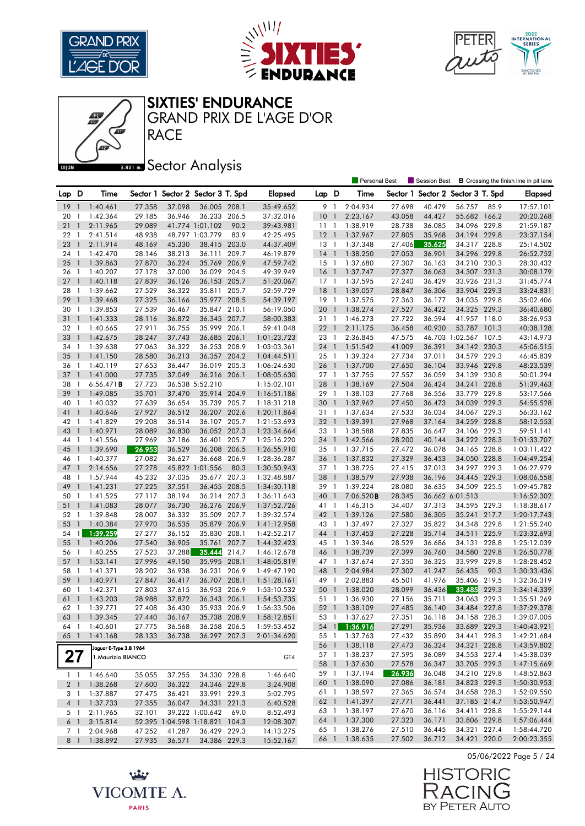





SIXTIES' ENDURANCE

RACE GRAND PRIX DE L'AGE D'OR

## **Bector Analysis**

|          |                                  |                        |                  |                  |                                   |       |                            |                 |                | <b>Personal Best</b> |                  | Session Best                      |                              |       | <b>B</b> Crossing the finish line in pit lane |
|----------|----------------------------------|------------------------|------------------|------------------|-----------------------------------|-------|----------------------------|-----------------|----------------|----------------------|------------------|-----------------------------------|------------------------------|-------|-----------------------------------------------|
| Lap D    |                                  | Time                   |                  |                  | Sector 1 Sector 2 Sector 3 T. Spd |       | <b>Elapsed</b>             | Lap D           |                | Time                 |                  | Sector 1 Sector 2 Sector 3 T. Spd |                              |       | <b>Elapsed</b>                                |
| 19       | -1                               | 1:40.461               | 27.358           | 37.098           | 36.005 208.1                      |       | 35:49.652                  | 9               | $\overline{1}$ | 2:04.934             | 27.698           | 40.479                            | 56.757                       | 85.9  | 17:57.101                                     |
| 20       | -1                               | 1:42.364               | 29.185           | 36.946           | 36.233 206.5                      |       | 37:32.016                  | 10              | $\overline{1}$ | 2:23.167             | 43.058           | 44.427                            | 55.682 166.2                 |       | 20:20.268                                     |
| 21       | $\mathbf{1}$                     | 2:11.965               | 29.089           |                  | 41.774 1:01.102                   | 90.2  | 39:43.981                  | $11-1$          |                | 1:38.919             | 28.738           | 36.085                            | 34.096 229.8                 |       | 21:59.187                                     |
| 22       | -1                               | 2:41.514               | 48.938           |                  | 48.797 1:03.779                   | 83.9  | 42:25.495                  | $12-1$          |                | 1:37.967             | 27.805           | 35.968                            | 34.194 229.8                 |       | 23:37.154                                     |
| 23       | $\overline{1}$                   | 2:11.914               | 48.169           | 45.330           | 38.415 203.0                      |       | 44:37.409                  | $13-1$          |                | 1:37.348             | 27.406           | 35.625                            | 34.317 228.8                 |       | 25:14.502                                     |
| 24       | $\overline{1}$                   | 1:42.470               | 28.146           | 38.213           | 36.111                            | 209.7 | 46:19.879                  | $14-1$          |                | 1:38.250             | 27.053           | 36.901                            | 34.296                       | 229.8 | 26:52.752                                     |
| 25       | $\overline{1}$                   | 1:39.863               | 27.870           | 36.224           | 35.769 206.9                      |       | 47:59.742                  | $15-1$          |                | 1:37.680             | 27.307           | 36.163                            | 34.210 230.3                 |       | 28:30.432                                     |
| 26       | -1                               | 1:40.207               | 27.178           | 37.000           | 36.029 204.5                      |       | 49:39.949                  | 16              | $\overline{1}$ | 1:37.747             | 27.377           | 36.063                            | 34.307                       | 231.3 | 30:08.179                                     |
| 27       | $\overline{1}$                   | 1:40.118               | 27.839           | 36.126           | 36.153 205.7                      |       | 51:20.067                  | $17-1$          |                | 1:37.595             | 27.240           | 36.429                            | 33.926 231.3                 |       | 31:45.774                                     |
| 28       | $\overline{1}$                   | 1:39.662               | 27.529           | 36.322           | 35.811                            | 205.7 | 52:59.729                  | $18-1$          |                | 1:39.057             | 28.847           | 36.306                            | 33.904 229.3                 |       | 33:24.831                                     |
| 29       | $\overline{1}$                   | 1:39.468               | 27.325           | 36.166           | 35.977 208.5                      |       | 54:39.197                  | 19              | $\overline{1}$ | 1:37.575             | 27.363           | 36.177                            | 34.035 229.8                 |       | 35:02.406                                     |
| 30       | $\overline{1}$                   | 1:39.853               | 27.539           | 36.467           | 35.847 210.1                      |       | 56:19.050                  | 20              | $\overline{1}$ | 1:38.274             | 27.527           | 36.422                            | 34.325 229.3                 |       | 36:40.680                                     |
| 31       | $\overline{1}$                   | 1:41.333               | 28.116           | 36.872           | 36.345 207.7                      |       | 58:00.383                  | 21 1            |                | 1:46.273             | 27.722           | 36.594                            | 41.957 118.0                 |       | 38:26.953                                     |
| 32       | -1                               | 1:40.665               | 27.911           | 36.755           | 35.999 206.1                      |       | 59:41.048                  | 221             |                | 2:11.175             | 36.458           | 40.930                            | 53.787 101.3                 |       | 40:38.128                                     |
| 33       | $\mathbf{1}$                     | 1:42.675               | 28.247           | 37.743           | 36.685 206.1                      |       | 1:01:23.723                | 23 1            |                | 2:36.845             | 47.575           |                                   | 46.703 1:02.567 107.5        |       | 43:14.973                                     |
| 34       | -1                               | 1:39.638               | 27.063           | 36.322           | 36.253 208.9                      |       | 1:03:03.361                | 24 1            |                | 1:51.542             | 41.009           | 36.391                            | 34.142 230.3                 |       | 45:06.515                                     |
| 35       | $\overline{1}$                   | 1:41.150               | 28.580           | 36.213           | 36.357 204.2                      |       | 1:04:44.511                | 25 1            |                | 1:39.324             | 27.734           | 37.011                            | 34.579 229.3                 |       | 46:45.839                                     |
| 36       | $\overline{1}$                   | 1:40.119               | 27.653           | 36.447           | 36.019 205.3                      |       | 1:06:24.630                | 26 1            |                | 1:37.700             | 27.650           | 36.104                            | 33.946 229.8                 |       | 48:23.539                                     |
| 37       | $\overline{1}$                   | 1:41.000               | 27.735           | 37.049           | 36.216 206.1                      |       | 1:08:05.630                | 27 1            |                | 1:37.755             | 27.557           | 36.059                            | 34.139 230.8                 |       | 50:01.294                                     |
| 38       | $\mathbf{1}$                     | $6:56.471$ B           | 27.723           |                  | 36.538 5:52.210                   |       | 1:15:02.101                | 28              | $\overline{1}$ | 1:38.169             | 27.504           | 36.424                            | 34.241                       | 228.8 | 51:39.463                                     |
| 39       | $\overline{1}$                   | 1:49.085               | 35.701           | 37.470           | 35.914 204.9                      |       | 1:16:51.186                | 29              | $\overline{1}$ | 1:38.103             | 27.768           | 36.556                            | 33.779 229.8                 |       | 53:17.566                                     |
| 40       | -1                               | 1:40.032               | 27.639           | 36.654           | 35.739 205.7                      |       | 1:18:31.218                | 30 1            |                | 1:37.962             | 27.450           | 36.473                            | 34.039 229.3                 |       | 54:55.528                                     |
| 41       | $\overline{1}$                   | 1:40.646               | 27.927           | 36.512           | 36.207 202.6                      |       | 1:20:11.864                | 31 1            |                | 1:37.634             | 27.533           | 36.034                            | 34.067 229.3                 |       | 56:33.162                                     |
| 42 1     |                                  | 1:41.829               | 29.208           | 36.514           | 36.107 205.7                      |       | 1:21:53.693                | 32 <sub>1</sub> |                | 1:39.391             | 27.968           | 37.164                            | 34.259 228.8                 |       | 58:12.553                                     |
| 43       | $\overline{1}$                   | 1:40.971               | 28.089           | 36.830           | 36.052 207.3                      |       | 1:23:34.664                | 33 1            |                | 1:38.588             | 27.835           | 36.647                            | 34.106 229.3                 |       | 59:51.141                                     |
| 44       | -1                               | 1:41.556               | 27.969           | 37.186           | 36.401 205.7                      |       | 1:25:16.220                | 34 1            |                | 1:42.566             | 28.200           | 40.144                            | 34.222 228.3                 |       | 1:01:33.707                                   |
| 45       | $\mathbf{1}$                     | 1:39.690               | 26.953           | 36.529           | 36.208 206.5                      |       | 1:26:55.910                | 35 1            |                | 1:37.715             | 27.472           | 36.078                            | 34.165 228.8                 |       | 1:03:11.422                                   |
| 46       | -1                               | 1:40.377               | 27.082           | 36.627           | 36.668                            | 206.9 | 1:28:36.287                | 36 1            |                | 1:37.832             | 27.329           | 36.453                            | 34.050 228.8                 |       | 1:04:49.254                                   |
| 47       | $\overline{1}$                   | 2:14.656               | 27.278           |                  | 45.822 1:01.556                   | 80.3  | 1:30:50.943                | 37 1            |                | 1:38.725             | 27.415           | 37.013                            | 34.297 229.3                 |       | 1:06:27.979                                   |
| 48       | - 1                              | 1:57.944               | 45.232           | 37.035           | 35.677 207.3                      |       | 1:32:48.887                | 38 1            |                | 1:38.579             | 27.938           | 36.196                            | 34.445 229.3                 |       | 1:08:06.558                                   |
| 49       | $\overline{1}$                   | 1:41.231               | 27.225           | 37.551           | 36.455 208.5                      |       | 1:34:30.118                | 39 1            |                | 1:39.224             | 28.080           | 36.635                            | 34.509 225.5                 |       | 1:09:45.782                                   |
| 50       | -1                               | 1:41.525               | 27.117           | 38.194           | 36.214 207.3                      |       | 1:36:11.643                | 40 1            |                | 7:06.520B            | 28.345           |                                   | 36.662 6:01.513              |       | 1:16:52.302                                   |
| 51       | $\overline{1}$                   | 1:41.083               | 28.077           | 36.730           | 36.276 206.9                      |       | 1:37:52.726                | 41              | $\overline{1}$ | 1:46.315             | 34.407           | 37.313                            | 34.595 229.3                 |       | 1:18:38.617                                   |
| 52       | $\overline{1}$                   | 1:39.848               | 28.007           | 36.332           | 35.509 207.7                      |       | 1:39:32.574                | 42 1            |                | 1:39.126             | 27.580           | 36.305                            | 35.241                       | 217.7 | 1:20:17.743                                   |
| 53<br>54 | $\overline{1}$<br>$\overline{1}$ | 1:40.384               | 27.970<br>27.277 | 36.535<br>36.152 | 35.879 206.9<br>35.830 208.1      |       | 1:41:12.958                | 43 1<br>44 1    |                | 1:37.497<br>1:37.453 | 27.327           | 35.822                            | 34.348 229.8<br>34.511 225.9 |       | 1:21:55.240                                   |
| 55       | $\overline{1}$                   | 1:39.259<br>1:40.206   | 27.540           | 36.905           | 35.761                            | 207.7 | 1:42:52.217<br>1:44:32.423 | 45 1            |                | 1:39.346             | 27.228<br>28.529 | 35.714<br>36.686                  | 34.131                       | 228.8 | 1:23:32.693<br>1:25:12.039                    |
| 56       | -1                               | 1:40.255               | 27.523           | 37.288           | 35.444                            | 214.7 | 1:46:12.678                | 46              | $\overline{1}$ | 1:38.739             | 27.399           | 36.760                            | 34.580 229.8                 |       | 1:26:50.778                                   |
| 57       | $\mathbf{1}$                     | 1:53.141               | 27.996           | 49.150           | 35.995                            | 208.1 | 1:48:05.819                | 47 1            |                | 1:37.674             | 27.350           | 36.325                            | 33.999 229.8                 |       | 1:28:28.452                                   |
| 58       | 1                                | 1:41.371               | 28.202           | 36.938           | 36.231                            | 206.9 | 1:49:47.190                | 48              | $\overline{1}$ | 2:04.984             | 27.302           | 41.247                            | 56.435                       | 90.3  | 1:30:33.436                                   |
| 59       | $\overline{1}$                   | 1:40.971               | 27.847           | 36.417           | 36.707 208.1                      |       | 1:51:28.161                | 49 1            |                | 2:02.883             | 45.501           | 41.976                            | 35.406 219.5                 |       | 1:32:36.319                                   |
| 60       | - 1                              | 1:42.371               | 27.803           | 37.615           | 36.953                            | 206.9 | 1:53:10.532                | 50 1            |                | 1:38.020             | 28.099           | 36.436                            | 33.485                       | 229.3 | 1:34:14.339                                   |
| 61       | $\overline{1}$                   | 1:43.203               | 28.988           | 37.872           | 36.343 206.1                      |       | 1:54:53.735                | 51 1            |                | 1:36.930             | 27.156           | 35.711                            | 34.063 229.3                 |       | 1:35:51.269                                   |
| 62       | $\blacksquare$                   | 1:39.771               | 27.408           | 36.430           | 35.933 206.9                      |       | 1:56:33.506                | 52 1            |                | 1:38.109             | 27.485           | 36.140                            | 34.484 227.8                 |       | 1:37:29.378                                   |
|          |                                  | 63 1 1:39.345          | 27.440           | 36.167           | 35.738 208.9                      |       | 1:58:12.851                |                 |                | 53 1 1:37.627        | 27.351           | 36.118                            | 34.158 228.3                 |       | 1:39:07.005                                   |
| 64 1     |                                  | 1:40.601               | 27.775           | 36.568           | 36.258 206.5                      |       | 1:59:53.452                |                 |                | 54 1 1:36.916        | 27.291           | 35.936                            | 33.689 229.3                 |       | 1:40:43.921                                   |
| 65 1     |                                  | 1:41.168               | 28.133           | 36.738           | 36.297 207.3                      |       | 2:01:34.620                | 55 1            |                | 1:37.763             | 27.432           | 35.890                            | 34.441 228.3                 |       | 1:42:21.684                                   |
|          |                                  | Jaguar E-Type 3.8 1964 |                  |                  |                                   |       |                            |                 |                | 56 1 1:38.118        | 27.473           | 36.324                            | 34.321 228.8                 |       | 1:43:59.802                                   |
| 27       |                                  | 1. Maurizio BIANCO     |                  |                  |                                   |       | GT4                        |                 |                | 57 1 1:38.237        | 27.595           | 36.089                            | 34.553 227.4                 |       | 1:45:38.039                                   |
|          |                                  |                        |                  |                  |                                   |       |                            |                 |                | 58 1 1:37.630        | 27.578           | 36.347                            | 33.705 229.3                 |       | 1:47:15.669                                   |
|          |                                  | $1 \quad 1:46.640$     | 35.055           | 37.255           | 34.330 228.8                      |       | 1:46.640                   | 59 1            |                | 1:37.194             | 26.936           | 36.048                            | 34.210 229.8                 |       | 1:48:52.863                                   |
|          |                                  | 2 1 1:38.268           | 27.600           | 36.322           | 34.346 229.8                      |       | 3:24.908                   |                 |                | 60 1 1:38.090        | 27.086           | 36.181                            | 34.823 229.3                 |       | 1:50:30.953                                   |
|          | 31                               | 1:37.887               | 27.475           | 36.421           | 33.991 229.3                      |       | 5:02.795                   | 61 1            |                | 1:38.597             | 27.365           | 36.574                            | 34.658 228.3                 |       | 1:52:09.550                                   |
|          |                                  | 4 1 1:37.733           | 27.355           | 36.047           | 34.331 221.3                      |       | 6:40.528                   | 62 1            |                | 1:41.397             | 27.771           | 36.441                            | 37.185 214.7                 |       | 1:53:50.947                                   |
|          | 5 1                              | 2:11.965               | 32.101           |                  | 39.222 1:00.642                   | 69.0  | 8:52.493                   | 63 1            |                | 1:38.197             | 27.670           | 36.116                            | 34.411 228.8                 |       | 1:55:29.144                                   |
| 6 1      |                                  | 3:15.814               |                  |                  | 52.395 1:04.598 1:18.821 104.3    |       | 12:08.307                  |                 |                | 64 1 1:37.300        | 27.323           | 36.171                            | 33.806 229.8                 |       | 1:57:06.444                                   |
|          | 7 1                              | 2:04.968               | 47.252           | 41.287           | 36.429 229.3                      |       | 14:13.275                  | 65 1            |                | 1:38.276             | 27.510           | 36.445                            | 34.321 227.4                 |       | 1:58:44.720                                   |
|          |                                  | 8 1 1:38.892           | 27.935           | 36.571           | 34.386 229.3                      |       | 15:52.167                  |                 |                | 66 1 1:38.635        | 27.502           | 36.712                            | 34.421 220.0                 |       | 2:00:23.355                                   |



05/06/2022 Page 5 / 24

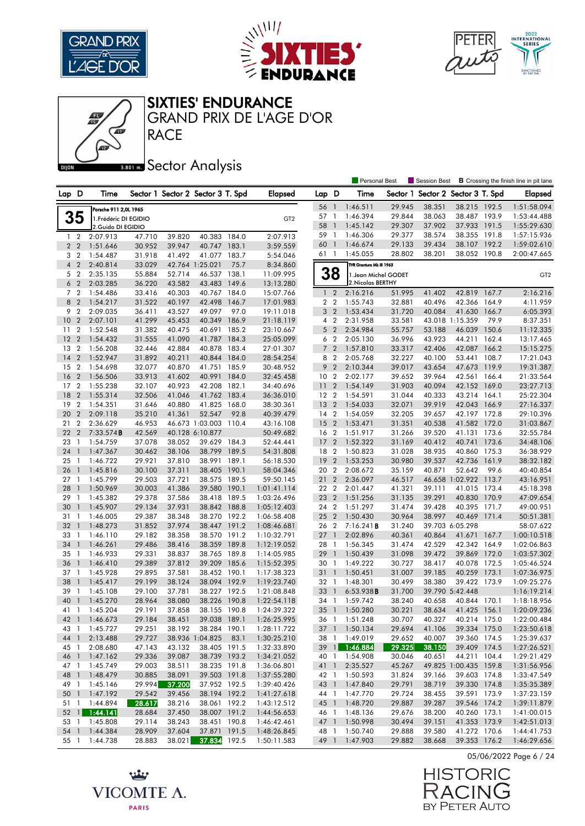





#### SIXTIES' ENDURANCE

**RACE** GRAND PRIX DE L'AGE D'OR

## **Bector Analysis**

|                |                                  |                       |                  |                  |                                   |               |                            |                       |                | <b>Personal Best</b>     |                  | <b>Session Best</b>      |                              |                | <b>B</b> Crossing the finish line in pit lane |
|----------------|----------------------------------|-----------------------|------------------|------------------|-----------------------------------|---------------|----------------------------|-----------------------|----------------|--------------------------|------------------|--------------------------|------------------------------|----------------|-----------------------------------------------|
| Lap D          |                                  | Time                  |                  |                  | Sector 1 Sector 2 Sector 3 T. Spd |               | <b>Elapsed</b>             | Lap D                 |                | Time                     | Sector 1         | Sector 2 Sector 3 T. Spd |                              |                | Elapsed                                       |
|                |                                  |                       |                  |                  |                                   |               |                            | 56                    | $\mathbf{1}$   | 1:46.511                 | 29.945           | 38.351                   | 38.215 192.5                 |                | 1:51:58.094                                   |
|                |                                  | Porsche 911 2,0L 1965 |                  |                  |                                   |               |                            | 57                    | $\mathbf{1}$   | 1:46.394                 | 29.844           | 38.063                   | 38.487 193.9                 |                | 1:53:44.488                                   |
|                | 35                               | 1. Frédéric DI EGIDIO |                  |                  |                                   |               | GT <sub>2</sub>            | 58                    | $\overline{1}$ | 1:45.142                 | 29.307           | 37.902                   | 37.933 191.5                 |                | 1:55:29.630                                   |
|                |                                  | 2. Guido DI EGIDIO    |                  |                  |                                   |               |                            | 59                    | $\overline{1}$ | 1:46.306                 | 29.377           | 38.574                   | 38.355 191.8                 |                | 1:57:15.936                                   |
|                | $1\quad 2$                       | 2:07.913              | 47.710           | 39.820           | 40.383 184.0                      |               | 2:07.913                   | 60                    | $\overline{1}$ | 1:46.674                 | 29.133           | 39.434                   | 38.107 192.2                 |                | 1:59:02.610                                   |
|                | 2 <sub>2</sub>                   | 1:51.646              | 30.952           | 39.947           | 40.747                            | 183.1         | 3:59.559                   | 61 1                  |                | 1:45.055                 | 28.802           | 38.201                   | 38.052 190.8                 |                | 2:00:47.665                                   |
| 3              | $\overline{2}$                   | 1:54.487              | 31.918           | 41.492           | 41.077                            | 183.7         | 5:54.046                   |                       |                |                          |                  |                          |                              |                |                                               |
| $\overline{4}$ | $\overline{2}$                   | 2:40.814              | 33.029           |                  | 42.764 1:25.021                   | 75.7          | 8:34.860                   |                       |                | TVR Grantura Mk III 1963 |                  |                          |                              |                |                                               |
|                | 5 <sub>2</sub>                   | 2:35.135              | 55.884           | 52.714           | 46.537 138.1                      |               | 11:09.995                  |                       | 38             | 1. Jean Michel GODET     |                  |                          |                              |                | GT <sub>2</sub>                               |
| 6              | $\overline{2}$                   | 2:03.285              | 36.220           | 43.582           | 43.483                            | 149.6         | 13:13.280                  |                       |                | 2. Nicolas BERTHY        |                  |                          |                              |                |                                               |
|                | 7 <sub>2</sub>                   | 1:54.486              | 33.416           | 40.303           | 40.767 184.0                      |               | 15:07.766                  |                       | $1\quad 2$     | 2:16.216<br>1:55.743     | 51.995           | 41.402<br>40.496         | 42.819 167.7                 |                | 2:16.216                                      |
| 9              | 8 2<br>$\overline{2}$            | 1:54.217<br>2:09.035  | 31.522           | 40.197           | 42.498<br>49.097                  | 146.7<br>97.0 | 17:01.983                  | 2 <sub>2</sub>        |                |                          | 32.881           | 40.084                   | 42.366                       | 164.9          | 4:11.959                                      |
|                |                                  |                       | 36.411           | 43.527           | 40.349 186.9                      |               | 19:11.018                  | 3 <sub>2</sub>        |                | 1:53.434                 | 31.720           |                          | 41.630<br>43.018 1:15.359    | 166.7          | 6:05.393                                      |
| 10             | $\overline{2}$                   | 2:07.101              | 41.299           | 45.453           |                                   |               | 21:18.119                  | 4 <sup>2</sup>        |                | 2:31.958                 | 33.581           |                          |                              | 79.9           | 8:37.351                                      |
| 11             | $\overline{2}$                   | 1:52.548              | 31.382           | 40.475           | 40.691 185.2                      |               | 23:10.667                  | 5 <sub>2</sub>        |                | 2:34.984                 | 55.757           | 53.188                   | 46.039                       | 150.6          | 11:12.335                                     |
| 12             | $\overline{2}$                   | 1:54.432              | 31.555           | 41.090           | 41.787 184.3                      |               | 25:05.099                  |                       | 6 <sub>2</sub> | 2:05.130                 | 36.996           | 43.923                   | 44.211 162.4                 |                | 13:17.465                                     |
| 13<br>14       | $\overline{2}$<br>$\overline{2}$ | 1:56.208<br>1:52.947  | 32.446<br>31.892 | 42.884           | 40.878 183.4<br>40.844 184.0      |               | 27:01.307                  | $\overline{7}$<br>8 2 | $\overline{2}$ | 1:57.810<br>2:05.768     | 33.317<br>32.227 | 42.406<br>40.100         | 42.087<br>53.441             | 166.2<br>108.7 | 15:15.275                                     |
| 15             | $\overline{2}$                   | 1:54.698              | 32.077           | 40.211<br>40.870 | 41.751                            | 185.9         | 28:54.254                  | 9                     | $\overline{2}$ |                          | 39.017           |                          | 47.673                       | 119.9          | 17:21.043<br>19:31.387                        |
| 16             | $\overline{2}$                   |                       |                  |                  | 40.991                            | 184.0         | 30:48.952                  | 10                    | $\overline{2}$ | 2:10.344<br>2:02.177     |                  | 43.654                   |                              | 166.4          |                                               |
| 17             | $\overline{2}$                   | 1:56.506<br>1:55.238  | 33.913<br>32.107 | 41.602<br>40.923 | 42.208 182.1                      |               | 32:45.458<br>34:40.696     | 11 <sub>2</sub>       |                | 1:54.149                 | 39.652<br>31.903 | 39.964<br>40.094         | 42.561<br>42.152 169.0       |                | 21:33.564<br>23:27.713                        |
| 18             | $\overline{2}$                   | 1:55.314              | 32.506           | 41.046           | 41.762                            | 183.4         | 36:36.010                  | 12 <sub>2</sub>       |                | 1:54.591                 | 31.044           | 40.333                   | 43.214 164.1                 |                | 25:22.304                                     |
| 19             | $\overline{2}$                   | 1:54.351              | 31.646           | 40.880           | 41.825 168.0                      |               | 38:30.361                  | 13 <sub>2</sub>       |                | 1:54.033                 | 32.071           | 39.919                   | 42.043 166.9                 |                | 27:16.337                                     |
| 20             | $\overline{2}$                   | 2:09.118              | 35.210           | 41.361           | 52.547                            | 92.8          | 40:39.479                  | 14 <sup>2</sup>       |                | 1:54.059                 | 32.205           | 39.657                   | 42.197 172.8                 |                | 29:10.396                                     |
| 21             | $\overline{2}$                   | 2:36.629              | 46.953           |                  | 46.673 1:03.003                   | 110.4         | 43:16.108                  | 15 <sub>2</sub>       |                | 1:53.471                 | 31.351           | 40.538                   | 41.582 172.0                 |                | 31:03.867                                     |
| 22             | $\overline{2}$                   | 7:33.574B             | 42.569           |                  | 40.128 6:10.877                   |               | 50:49.682                  | 16 <sub>2</sub>       |                | 1:51.917                 | 31.266           | 39.520                   | 41.131 173.6                 |                | 32:55.784                                     |
| 23             | $\overline{1}$                   | 1:54.759              | 37.078           | 38.052           | 39.629                            | 184.3         | 52:44.441                  | 17 <sub>2</sub>       |                | 1:52.322                 | 31.169           | 40.412                   | 40.741                       | 173.6          | 34:48.106                                     |
| 24             | $\mathbf{1}$                     | 1:47.367              | 30.462           | 38.106           | 38.799                            | 189.5         | 54:31.808                  | 18 2                  |                | 1:50.823                 | 31.028           | 38.935                   | 40.860 175.3                 |                | 36:38.929                                     |
| 25             | -1                               | 1:46.722              | 29.921           | 37.810           | 38.991                            | 189.1         | 56:18.530                  | 19                    | $\overline{2}$ | 1:53.253                 | 30.980           | 39.537                   | 42.736                       | 161.9          | 38:32.182                                     |
| 26             | $\mathbf{1}$                     | 1:45.816              | 30.100           | 37.311           | 38.405                            | 190.1         | 58:04.346                  | 20 2                  |                | 2:08.672                 | 35.159           | 40.871                   | 52.642                       | 99.6           | 40:40.854                                     |
| 27             | -1                               | 1:45.799              | 29.503           | 37.721           | 38.575                            | 189.5         | 59:50.145                  | 21 2                  |                | 2:36.097                 | 46.517           |                          | 46.658 1:02.922 113.7        |                | 43:16.951                                     |
| 28             | $\overline{\phantom{a}}$         | 1:50.969              | 30.003           | 41.386           | 39.580                            | 190.1         | 1:01:41.114                | 22 2                  |                | 2:01.447                 | 41.321           | 39.111                   | 41.015 173.4                 |                | 45:18.398                                     |
| 29             | - 1                              | 1:45.382              | 29.378           | 37.586           | 38.418 189.5                      |               | 1:03:26.496                | 23                    | $\overline{2}$ | 1:51.256                 | 31.135           | 39.291                   | 40.830 170.9                 |                | 47:09.654                                     |
| 30             | -1                               | 1:45.907              | 29.134           | 37.931           | 38.842                            | 188.8         | 1:05:12.403                | 24 2                  |                | 1:51.297                 | 31.474           | 39.428                   | 40.395 171.7                 |                | 49:00.951                                     |
| 31             | -1                               | 1:46.005              | 29.387           | 38.348           | 38.270 192.2                      |               | 1:06:58.408                | 25 2                  |                | 1:50.430                 | 30.964           | 38.997                   | 40.469 171.4                 |                | 50:51.381                                     |
| 32             | $\mathbf{1}$                     | 1:48.273              | 31.852           | 37.974           | 38.447                            | 191.2         | 1:08:46.681                | 26 2                  |                | 7:16.241B                | 31.240           |                          | 39.703 6:05.298              |                | 58:07.622                                     |
| 33             | -1                               | 1:46.110              | 29.182           | 38.358           | 38.570                            | 191.2         | 1:10:32.791                | 27                    | $\overline{1}$ | 2:02.896                 | 40.361           | 40.864                   | 41.671 167.7                 |                | 1:00:10.518                                   |
| 34             | $\mathbf{1}$                     | 1:46.261              | 29.486           | 38.416           | 38.359 189.8                      |               | 1:12:19.052                | 28 1                  |                | 1:56.345                 | 31.474           | 42.529                   | 42.342 164.9                 |                | 1:02:06.863                                   |
| 35             | - 1                              | 1:46.933              | 29.331           | 38.837           | 38.765 189.8                      |               | 1:14:05.985                | 29                    | $\overline{1}$ | 1:50.439                 | 31.098           | 39.472                   | 39.869                       | 172.0          | 1:03:57.302                                   |
| 36             | $\mathbf{1}$                     | 1:46.410              | 29.389           | 37.812           | 39.209 185.6                      |               | 1:15:52.395                | 30 <sub>1</sub>       |                | 1:49.222                 | 30.727           | 38.417                   | 40.078 172.5                 |                | 1:05:46.524                                   |
| 37             | -1                               | 1:45.928              | 29.895           | 37.581           | 38.452 190.1                      |               | 1:17:38.323                | 31                    | $\overline{1}$ | 1:50.451                 | 31.007           | 39.185                   | 40.259                       | 173.1          | 1:07:36.975                                   |
| 38             | $\mathbf{1}$                     | 1:45.417              | 29.199           | 38.124           | 38.094 192.9                      |               | 1:19:23.740                | 32 1                  |                | 1:48.301                 | 30.499           | 38.380                   | 39.422                       | 173.9          | 1:09:25.276                                   |
| 39             | - 1                              | 1:45.108              | 29.100           | 37.781           | 38.227 192.5                      |               | 1:21:08.848                | 33                    | $\overline{1}$ | 6:53.938B                | 31.700           |                          | 39.790 5:42.448              |                | 1:16:19.214                                   |
| 40             | $\mathbf{1}$                     | 1:45.270              | 28.964           | 38.080           | 38.226 190.8                      |               | 1:22:54.118                | 34                    | $\overline{1}$ | 1:59.742                 | 38.240           | 40.658                   | 40.844 170.1                 |                | 1:18:18.956                                   |
| 41 1           |                                  | 1:45.204              | 29.191           | 37.858           | 38.155 190.8                      |               | 1:24:39.322                | 35 <sup>1</sup>       |                | 1:50.280                 | 30.221           | 38.634                   | 41.425 156.1                 |                | 1:20:09.236                                   |
|                |                                  | 42 1 1:46.673         | 29.184           | 38.451           | 39.038 189.1                      |               | 1:26:25.995                |                       |                | 36 1 1:51.248            | 30.707           | 40.327                   | 40.214 175.0                 |                | 1:22:00.484                                   |
| 43 1           |                                  | 1:45.727              | 29.251           | 38.192           | 38.284 190.1                      |               | 1:28:11.722                |                       |                | 37 1 1:50.134            | 29.694           | 41.106                   | 39.334 175.0                 |                | 1:23:50.618                                   |
| 44 1           |                                  | 2:13.488              | 29.727           |                  | 38.936 1:04.825                   | 83.1          | 1:30:25.210                | 38 1                  |                | 1:49.019                 | 29.652           | 40.007                   | 39.360 174.5                 |                | 1:25:39.637                                   |
| 45 1           |                                  | 2:08.680              | 47.143           | 43.132           | 38.405 191.5                      |               | 1:32:33.890                |                       |                | 39 1 1:46.884            | 29.325           | 38.150                   | 39.409 174.5                 |                | 1:27:26.521                                   |
| 46 1           |                                  | 1:47.162              | 29.336           | 39.087           | 38.739 193.2                      |               | 1:34:21.052                |                       |                | 40 1 1:54.908            | 30.046           | 40.651                   | 44.211 104.4                 |                | 1:29:21.429                                   |
| 47 1           |                                  | 1:45.749              | 29.003           | 38.511           | 38.235 191.8                      |               | 1:36:06.801                | 41 1                  |                | 2:35.527                 | 45.267           |                          | 49.825 1:00.435 159.8        |                | 1:31:56.956                                   |
| 48 1           |                                  | 1:48.479              | 30.885           | 38.091           | 39.503 191.8                      |               | 1:37:55.280                |                       |                | 42 1 1:50.593            | 31.824           | 39.166                   | 39.603 174.8                 |                | 1:33:47.549                                   |
| 49 1           |                                  | 1:45.146              | 29.994           | 37.200           | 37.952 192.5                      |               | 1:39:40.426                | 43 1                  |                | 1:47.840                 | 29.791           | 38.719                   | 39.330 174.8                 |                | 1:35:35.389                                   |
| 50 1           |                                  | 1:47.192              | 29.542           | 39.456           | 38.194 192.2                      |               | 1:41:27.618                | 44 1                  |                | 1:47.770                 | 29.724           | 38.455                   | 39.591 173.9                 |                | 1:37:23.159                                   |
|                |                                  | 51 1 1:44.894         | 28.617           | 38.216           | 38.061 192.2                      |               | 1:43:12.512                |                       |                | 45 1 1:48.720            | 29.887           | 39.287                   | 39.546 174.2                 |                | 1:39:11.879                                   |
|                |                                  | 52 1 1:44.141         | 28.684           | 37.450           | 38.007 191.2                      |               | 1:44:56.653                |                       |                | 46 1 1:48.136            | 29.676           | 38.200                   | 40.260 173.1                 |                | 1:41:00.015                                   |
|                |                                  | 53 1 1:45.808         | 29.114           | 38.243           | 38.451 190.8                      |               | 1:46:42.461                |                       |                | 47 1 1:50.998            | 30.494           | 39.151                   | 41.353 173.9                 |                | 1:42:51.013                                   |
| 54 1           |                                  | 1:44.384              | 28.909<br>28.883 | 37.604<br>38.021 | 37.871 191.5<br>37.834 192.5      |               | 1:48:26.845<br>1:50:11.583 | 48 1                  |                | 1:50.740                 | 29.888<br>29.882 | 39.580<br>38.668         | 41.272 170.6<br>39.353 176.2 |                | 1:44:41.753<br>1:46:29.656                    |
| 55 1           |                                  | 1:44.738              |                  |                  |                                   |               |                            |                       |                | 49 1 1:47.903            |                  |                          |                              |                |                                               |

05/06/2022 Page 6 / 24



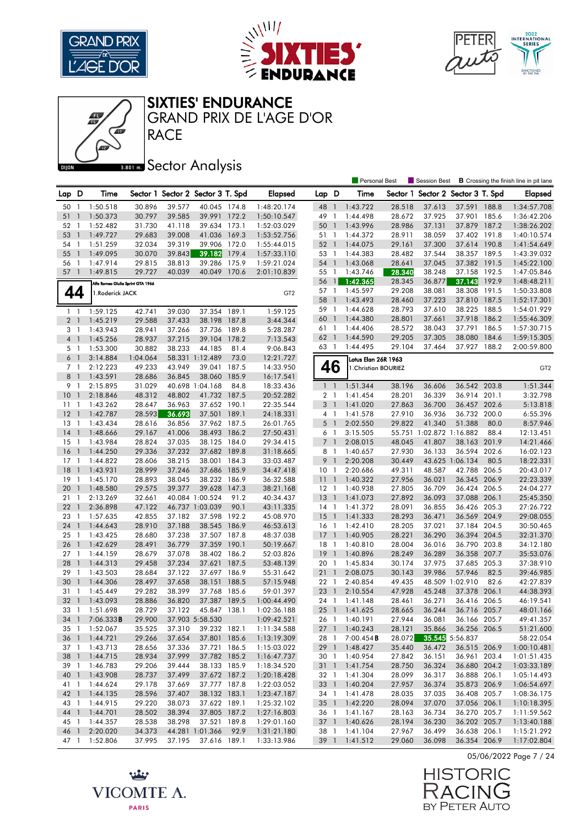





#### SIXTIES' ENDURANCE

RACE GRAND PRIX DE L'AGE D'OR

## **Bector Analysis**

|                |                          |                                   |                  |                  |                                   |               |                        |                       |                | <b>Personal Best</b> |                  | Session Best                       |                 |       | <b>B</b> Crossing the finish line in pit lane |
|----------------|--------------------------|-----------------------------------|------------------|------------------|-----------------------------------|---------------|------------------------|-----------------------|----------------|----------------------|------------------|------------------------------------|-----------------|-------|-----------------------------------------------|
| Lap D          |                          | Time                              |                  |                  | Sector 1 Sector 2 Sector 3 T. Spd |               | <b>Elapsed</b>         | Lap D                 |                | Time                 |                  | Sector 1 Sector 2 Sector 3 T. Spd  |                 |       | Elapsed                                       |
| 50             | $\overline{1}$           | 1:50.518                          | 30.896           | 39.577           | 40.045 174.8                      |               | 1:48:20.174            | 48                    | $\overline{1}$ | 1:43.722             | 28.518           | 37.613                             | 37.591 188.8    |       | 1:34:57.708                                   |
| 51             | $\mathbf{1}$             | 1:50.373                          | 30.797           | 39.585           | 39.991 172.2                      |               | 1:50:10.547            | 49                    | $\mathbf{1}$   | 1:44.498             | 28.672           | 37.925                             | 37.901 185.6    |       | 1:36:42.206                                   |
| 52             | $\mathbf{1}$             | 1:52.482                          | 31.730           | 41.118           | 39.634 173.1                      |               | 1:52:03.029            | 50                    | $\overline{1}$ | 1:43.996             | 28.986           | 37.131                             | 37.879 187.2    |       | 1:38:26.202                                   |
| 53             | $\mathbf{1}$             | 1:49.727                          | 29.683           | 39.008           | 41.036                            | 169.3         | 1:53:52.756            | 51 1                  |                | 1:44.372             | 28.911           | 38.059                             | 37.402 191.8    |       | 1:40:10.574                                   |
| 54             | $\overline{1}$           | 1:51.259                          | 32.034           | 39.319           | 39.906 172.0                      |               | 1:55:44.015            | 52 1                  |                | 1:44.075             | 29.161           | 37.300                             | 37.614 190.8    |       | 1:41:54.649                                   |
| 55             | $\overline{1}$           | 1:49.095                          | 30.070           | 39.843           | 39.182                            | 179.4         | 1:57:33.110            | 53 1                  |                | 1:44.383             | 28.482           | 37.544                             | 38.357 189.5    |       | 1:43:39.032                                   |
| 56 1           |                          | 1:47.914                          | 29.815           | 38.813           | 39.286                            | 175.9         | 1:59:21.024            | 54 1                  |                | 1:43.068             | 28.641           | 37.045                             | 37.382 191.5    |       | 1:45:22.100                                   |
| 57             | $\overline{1}$           | 1:49.815                          | 29.727           | 40.039           | 40.049                            | 170.6         | 2:01:10.839            | 55 1                  |                | 1:43.746             | 28.340           | 38.248                             | 37.158 192.5    |       | 1:47:05.846                                   |
|                |                          |                                   |                  |                  |                                   |               |                        | 56                    | $\frac{1}{2}$  | 1:42.365             | 28.345           | 36.877                             | 37.143 192.9    |       | 1:48:48.211                                   |
|                |                          | Alfa Romeo Giulia Sprint GTA 1966 |                  |                  |                                   |               |                        | 57 1                  |                | 1:45.597             | 29.208           | 38.081                             | 38.308 191.5    |       | 1:50:33.808                                   |
| 44             |                          | 1.Roderick JACK                   |                  |                  |                                   |               | GT <sub>2</sub>        | 58                    | $\overline{1}$ | 1:43.493             | 28.460           | 37.223                             | 37.810 187.5    |       | 1:52:17.301                                   |
|                |                          | 1:59.125                          |                  | 39.030           | 37.354                            | 189.1         | 1:59.125               | 59 1                  |                | 1:44.628             | 28.793           | 37.610                             | 38.225 188.5    |       | 1:54:01.929                                   |
| $1\quad$       |                          |                                   | 42.741           |                  |                                   |               |                        | 60                    | $\overline{1}$ | 1:44.380             | 28.801           | 37.661                             | 37.918 186.2    |       | 1:55:46.309                                   |
| 2 <sub>1</sub> |                          | 1:45.219                          | 29.588           | 37.433           | 38.198 187.8                      |               | 3:44.344               | 61 1                  |                | 1:44.406             | 28.572           | 38.043                             | 37.791 186.5    |       | 1:57:30.715                                   |
| 3 1            |                          | 1:43.943                          | 28.941           | 37.266           | 37.736                            | 189.8         | 5:28.287               | 62 1                  |                | 1:44.590             | 29.205           | 37.305                             | 38.080          | 184.6 | 1:59:15.305                                   |
| 4 1            |                          | 1:45.256                          | 28.937           | 37.215           | 39.104                            | 178.2         | 7:13.543               | 63                    | $\overline{1}$ | 1:44.495             | 29.104           | 37.464                             | 37.927 188.2    |       | 2:00:59.800                                   |
| 5 1            |                          | 1:53.300                          | 30.882           | 38.233           | 44.185                            | 81.4          | 9:06.843               |                       |                |                      |                  |                                    |                 |       |                                               |
| 6              | $\overline{1}$           | 3:14.884                          | 1:04.064         |                  | 58.331 1:12.489                   | 73.0          | 12:21.727              |                       |                | Lotus Elan 26R 1963  |                  |                                    |                 |       |                                               |
| 7 <sub>1</sub> |                          | 2:12.223                          | 49.233           | 43.949           | 39.041                            | 187.5         | 14:33.950              |                       | 46             | 1. Christian BOURIEZ |                  |                                    |                 |       | GT <sub>2</sub>                               |
| 8              | $\overline{1}$           | 1:43.591                          | 28.686           | 36.845           | 38.060                            | 185.9         | 16:17.541              |                       |                |                      |                  |                                    | 36.542 203.8    |       |                                               |
| 9 1            |                          | 2:15.895                          | 31.029           | 48.802           | 40.698 1:04.168                   | 84.8<br>187.5 | 18:33.436              | 1 <sup>1</sup>        |                | 1:51.344<br>1:41.454 | 38.196           | 36.606                             | 36.914          | 201.1 | 1:51.344<br>3:32.798                          |
| 10             | $\overline{1}$           | 2:18.846                          | 48.312           |                  | 41.732<br>37.652 190.1            |               | 20:52.282              | 2 <sub>1</sub>        |                |                      | 28.201           | 36.339                             |                 |       |                                               |
| 11             | $\overline{1}$           | 1:43.262                          | 28.647           | 36.963           |                                   |               | 22:35.544              | 3 <sup>1</sup>        |                | 1:41.020<br>1:41.578 | 27.863           | 36.700                             | 36.457 202.6    |       | 5:13.818                                      |
| 12             | $\mathbf{1}$             | 1:42.787<br>1:43.434              | 28.593           | 36.693           | 37.501<br>37.962 187.5            | 189.1         | 24:18.331<br>26:01.765 | 4 1                   |                |                      | 27.910           | 36.936                             | 36.732 200.0    | 80.0  | 6:55.396                                      |
| 13             | -1                       |                                   | 28.616           | 36.856           | 38.493 186.2                      |               |                        | $5-1$                 |                | 2:02.550             | 29.822           | 41.340                             | 51.388          |       | 8:57.946                                      |
| 14             | $\overline{1}$           | 1:48.666<br>1:43.984              | 29.167           | 41.006           |                                   |               | 27:50.431              | 6 1                   |                | 3:15.505             |                  | 55.751 1:02.872 1:16.882<br>41.807 | 38.163 201.9    | 88.4  | 12:13.451                                     |
| 15             | $\overline{1}$           |                                   | 28.824<br>29.336 | 37.035<br>37.232 | 38.125 184.0<br>37.682 189.8      |               | 29:34.415              | 7 <sup>1</sup><br>8 1 |                | 2:08.015<br>1:40.657 | 48.045<br>27.930 | 36.133                             | 36.594 202.6    |       | 14:21.466<br>16:02.123                        |
| 16<br>17       | $\overline{1}$<br>-1     | 1:44.250<br>1:44.822              | 28.606           | 38.215           | 38.001 184.3                      |               | 31:18.665              | 9                     | $\overline{1}$ |                      | 30.449           |                                    | 43.625 1:06.134 | 80.5  | 18:22.331                                     |
| 18             | $\mathbf{1}$             | 1:43.931                          | 28.999           | 37.246           | 37.686 185.9                      |               | 33:03.487<br>34:47.418 | 10 <sub>1</sub>       |                | 2:20.208<br>2:20.686 | 49.311           | 48.587                             | 42.788 206.5    |       | 20:43.017                                     |
| 19             | -1                       | 1:45.170                          | 28.893           | 38.045           | 38.232 186.9                      |               | 36:32.588              | 11 <sub>1</sub>       |                | 1:40.322             | 27.956           | 36.021                             | 36.345 206.9    |       | 22:23.339                                     |
| 20             | $\overline{1}$           | 1:48.580                          | 29.575           | 39.377           | 39.628                            | 147.3         | 38:21.168              | $12-1$                |                | 1:40.938             | 27.805           | 36.709                             | 36.424 206.5    |       | 24:04.277                                     |
| 211            |                          | 2:13.269                          | 32.661           |                  | 40.084 1:00.524                   | 91.2          | 40:34.437              | 13                    | $\overline{1}$ | 1:41.073             | 27.892           | 36.093                             | 37.088 206.1    |       | 25:45.350                                     |
| 22             | -1                       | 2:36.898                          | 47.122           |                  | 46.737 1:03.039                   | 90.1          | 43:11.335              | 14 1                  |                | 1:41.372             | 28.091           | 36.855                             | 36.426 205.3    |       | 27:26.722                                     |
| 23             | $\overline{1}$           | 1:57.635                          | 42.855           | 37.182           | 37.598 192.2                      |               | 45:08.970              | 15                    | $\overline{1}$ | 1:41.333             | 28.293           | 36.471                             | 36.569 204.9    |       | 29:08.055                                     |
| 24             | $\mathbf{1}$             | 1:44.643                          | 28.910           | 37.188           | 38.545                            | 186.9         | 46:53.613              | $16-1$                |                | 1:42.410             | 28.205           | 37.021                             | 37.184 204.5    |       | 30:50.465                                     |
| 25             | -1                       | 1:43.425                          | 28.680           | 37.238           | 37.507 187.8                      |               | 48:37.038              | $17-1$                |                | 1:40.905             | 28.221           | 36.290                             | 36.394 204.5    |       | 32:31.370                                     |
| 26             | $\overline{1}$           | 1:42.629                          | 28.491           | 36.779           | 37.359 190.1                      |               | 50:19.667              | 18 1                  |                | 1:40.810             | 28.004           | 36.016                             | 36.790 203.8    |       | 34:12.180                                     |
| 27             | $\overline{\phantom{a}}$ | 1:44.159                          | 28.679           | 37.078           | 38.402 186.2                      |               | 52:03.826              | 19                    | $\overline{1}$ | 1:40.896             | 28.249           | 36.289                             | 36.358 207.7    |       | 35:53.076                                     |
| 28             | $\overline{1}$           | 1:44.313                          | 29.458           | 37.234           | 37.621                            | 187.5         | 53:48.139              | 20 1                  |                | 1:45.834             | 30.174           | 37.975                             | 37.685 205.3    |       | 37:38.910                                     |
| 29             | -1                       | 1:43.503                          | 28.684           | 37.122           | 37.697 186.9                      |               | 55:31.642              | 211                   |                | 2:08.075             | 30.143           | 39.986                             | 57.946          | 82.5  | 39:46.985                                     |
| 30             | $\mathbf{1}$             | 1:44.306                          | 28.497           | 37.658           | 38.151                            | 188.5         | 57:15.948              | 22 1                  |                | 2:40.854             | 49.435           |                                    | 48.509 1:02.910 | 82.6  | 42:27.839                                     |
| 31             | $\overline{1}$           | 1:45.449                          | 29.282           | 38.399           | 37.768 185.6                      |               | 59:01.397              | 23 1                  |                | 2:10.554             | 47.928           | 45.248                             | 37.378 206.1    |       | 44:38.393                                     |
| 32             | $\overline{1}$           | 1:43.093                          | 28.886           | 36.820           | 37.387 189.5                      |               | 1:00:44.490            | 24 1                  |                | 1:41.148             | 28.461           | 36.271                             | 36.416 206.5    |       | 46:19.541                                     |
| 33 1           |                          | 1:51.698                          | 28.729           | 37.122           | 45.847 138.1                      |               | 1:02:36.188            | $25 \quad 1$          |                | 1:41.625             | 28.665           | 36.244                             | 36.716 205.7    |       | 48:01.166                                     |
|                |                          | 34 1 7:06.333 <b>B</b>            | 29.900           |                  | 37.903 5:58.530                   |               | 1:09:42.521            |                       |                | 26 1 1:40.191        | 27.944           | 36.081                             | 36.166 205.7    |       | 49:41.357                                     |
|                |                          | 35 1 1:52.067                     | 35.525           | 37.310           | 39.232 182.1                      |               | 1:11:34.588            |                       |                | 27 1 1:40.243        | 28.121           | 35.866                             | 36.256 206.5    |       | 51:21.600                                     |
| 36 1           |                          | 1:44.721                          | 29.266           | 37.654           | 37.801 185.6                      |               | 1:13:19.309            | 28 1                  |                | 7:00.454B            | 28.072           |                                    | 35.545 5:56.837 |       | 58:22.054                                     |
| 37 1           |                          | 1:43.713                          | 28.656           | 37.336           | 37.721 186.5                      |               | 1:15:03.022            |                       |                | 29 1 1:48.427        | 35.440           | 36.472                             | 36.515 206.9    |       | 1:00:10.481                                   |
| 38 1           |                          | 1:44.715                          | 28.934           | 37.999           | 37.782 185.2                      |               | 1:16:47.737            |                       |                | 30 1 1:40.954        | 27.842           | 36.151                             | 36.961 203.4    |       | 1:01:51.435                                   |
| 39 1           |                          | 1:46.783                          | 29.206           | 39.444           | 38.133 185.9                      |               | 1:18:34.520            |                       |                | 31 1 1:41.754        | 28.750           | 36.324                             | 36.680 204.2    |       | 1:03:33.189                                   |
| 40 1           |                          | 1:43.908                          | 28.737           | 37.499           | 37.672 187.2                      |               | 1:20:18.428            |                       |                | 32 1 1:41.304        | 28.099           | 36.317                             | 36.888 206.1    |       | 1:05:14.493                                   |
| 41 1           |                          | 1:44.624                          | 29.178           | 37.669           | 37.777 187.8                      |               | 1:22:03.052            |                       |                | 33 1 1:40.204        | 27.957           | 36.374                             | 35.873 206.9    |       | 1:06:54.697                                   |
| 42 1           |                          | 1:44.135                          | 28.596           | 37.407           | 38.132 183.1                      |               | 1:23:47.187            | 34 1                  |                | 1:41.478             | 28.035           | 37.035                             | 36.408 205.7    |       | 1:08:36.175                                   |
| 43 1           |                          | 1:44.915                          | 29.220           | 38.073           | 37.622 189.1                      |               | 1:25:32.102            |                       |                | 35 1 1:42.220        | 28.094           | 37.070                             | 37.056 206.1    |       | 1:10:18.395                                   |
| 44 1           |                          | 1:44.701                          | 28.502           | 38.394           | 37.805 187.2                      |               | 1:27:16.803            | 36 1                  |                | 1:41.167             | 28.163           | 36.734                             | 36.270 205.7    |       | 1:11:59.562                                   |
| 45 1           |                          | 1:44.357                          | 28.538           | 38.298           | 37.521 189.8                      |               | 1:29:01.160            |                       |                | 37 1 1:40.626        | 28.194           | 36.230                             | 36.202 205.7    |       | 1:13:40.188                                   |
| 46 1           |                          | 2:20.020                          | 34.373           |                  | 44.281 1:01.366                   | 92.9          | 1:31:21.180            | 38 1                  |                | 1:41.104             | 27.967           | 36.499                             | 36.638 206.1    |       | 1:15:21.292                                   |
| 47 1           |                          | 1:52.806                          | 37.995           | 37.195           | 37.616 189.1                      |               | 1:33:13.986            | 39 1                  |                | 1:41.512             | 29.060           | 36.098                             | 36.354 206.9    |       | 1:17:02.804                                   |

05/06/2022 Page 7 / 24



بينيه VICOMTE A. **PARIS**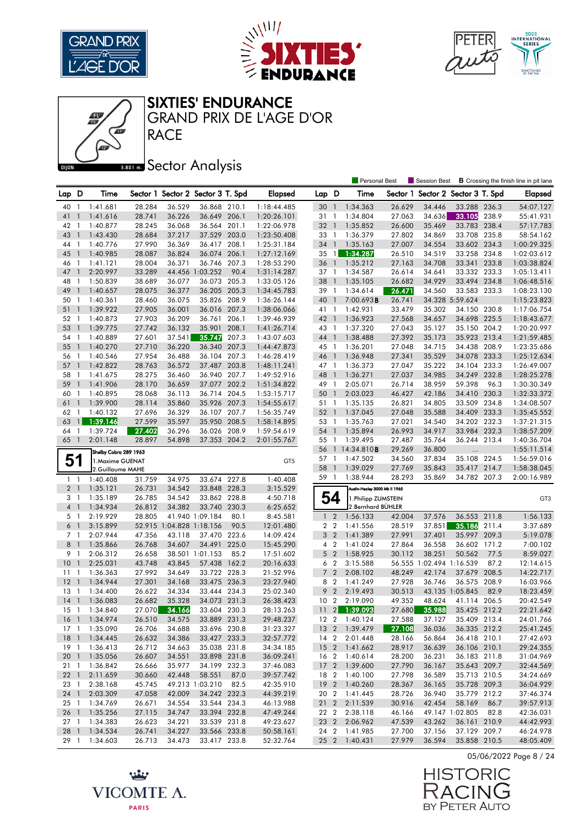





SIXTIES' ENDURANCE

RACE GRAND PRIX DE L'AGE D'OR

## **Bector Analysis**

|                      |                |                       |                  |                          |                                   |       |                        |                 |                | Personal Best                  |                  | Session Best                      |                              |       | <b>B</b> Crossing the finish line in pit lane |
|----------------------|----------------|-----------------------|------------------|--------------------------|-----------------------------------|-------|------------------------|-----------------|----------------|--------------------------------|------------------|-----------------------------------|------------------------------|-------|-----------------------------------------------|
| Lap D                |                | Time                  |                  |                          | Sector 1 Sector 2 Sector 3 T. Spd |       | <b>Elapsed</b>         | Lap D           |                | Time                           |                  | Sector 1 Sector 2 Sector 3 T. Spd |                              |       | <b>Elapsed</b>                                |
| 40                   | -1             | 1:41.681              | 28.284           | 36.529                   | 36.868 210.1                      |       | 1:18:44.485            | 30              | $\overline{1}$ | 1:34.363                       | 26.629           | 34.446                            | 33.288 236.3                 |       | 54:07.127                                     |
| 41                   | $\mathbf{1}$   | 1:41.616              | 28.741           | 36.226                   | 36.649 206.1                      |       | 1:20:26.101            | 31              | $\overline{1}$ | 1:34.804                       | 27.063           | 34.636                            | 33.105 238.9                 |       | 55:41.931                                     |
| 42                   | -1             | 1:40.877              | 28.245           | 36.068                   | 36.564 201.1                      |       | 1:22:06.978            | 32 <sub>1</sub> |                | 1:35.852                       | 26.600           | 35.469                            | 33.783 238.4                 |       | 57:17.783                                     |
| 43                   | $\mathbf{1}$   | 1:43.430              | 28.684           | 37.217                   | 37.529 203.0                      |       | 1:23:50.408            | 33              | $\overline{1}$ | 1:36.379                       | 27.802           | 34.869                            | 33.708 235.8                 |       | 58:54.162                                     |
| 44                   | $\overline{1}$ | 1:40.776              | 27.990           | 36.369                   | 36.417 208.1                      |       | 1:25:31.184            | 34 1            |                | 1:35.163                       | 27.007           | 34.554                            | 33.602 234.3                 |       | 1:00:29.325                                   |
| 45                   | $\mathbf{1}$   | 1:40.985              | 28.087           | 36.824                   | 36.074 206.1                      |       | 1:27:12.169            | $35 \quad 1$    |                | 1:34.287                       | 26.510           | 34.519                            | 33.258 234.8                 |       | 1:02:03.612                                   |
| 46                   | $\overline{1}$ | 1:41.121              | 28.004           | 36.371                   | 36.746 207.3                      |       | 1:28:53.290            | 36              | $\overline{1}$ | 1:35.212                       | 27.163           | 34.708                            | 33.341                       | 233.8 | 1:03:38.824                                   |
| 47                   | $\mathbf{1}$   | 2:20.997              | 33.289           |                          | 44.456 1:03.252                   | 90.4  | 1:31:14.287            | 37 1            |                | 1:34.587                       | 26.614           | 34.641                            | 33.332 233.3                 |       | 1:05:13.411                                   |
| 48                   | $\overline{1}$ | 1:50.839              | 38.689           | 36.077                   | 36.073 205.3                      |       | 1:33:05.126            | 38              | $\mathbf{1}$   | 1:35.105                       | 26.682           | 34.929                            | 33.494 234.8                 |       | 1:06:48.516                                   |
| 49                   | $\mathbf{1}$   | 1:40.657              | 28.075           | 36.377                   | 36.205 205.3                      |       | 1:34:45.783            | 39 1            |                | 1:34.614                       | 26.471           | 34.560                            | 33.583 233.3                 |       | 1:08:23.130                                   |
| 50                   | -1             | 1:40.361              | 28.460           | 36.075                   | 35.826 208.9                      |       | 1:36:26.144            | 40              | $\overline{1}$ | 7:00.693B                      | 26.741           |                                   | 34.328 5:59.624              |       | 1:15:23.823                                   |
| 51                   | $\mathbf{1}$   | 1:39.922              | 27.905           | 36.001                   | 36.016 207.3                      |       | 1:38:06.066            | 41 1            |                | 1:42.931                       | 33.479           | 35.302                            | 34.150 230.8                 |       | 1:17:06.754                                   |
| 52                   | $\mathbf{1}$   | 1:40.873              | 27.903           | 36.209                   | 36.761                            | 206.1 | 1:39:46.939            | 42 1            |                | 1:36.923                       | 27.568           | 34.657                            | 34.698                       | 225.5 | 1:18:43.677                                   |
| 53                   | $\mathbf{1}$   | 1:39.775              | 27.742           | 36.132                   | 35.901                            | 208.1 | 1:41:26.714            | 43 1            |                | 1:37.320                       | 27.043           | 35.127                            | 35.150 204.2                 |       | 1:20:20.997                                   |
| 54                   | -1             | 1:40.889              | 27.601           | 37.541                   | 35.747                            | 207.3 | 1:43:07.603            | 44 1            |                | 1:38.488                       | 27.392           | 35.173                            | 35.923 213.4                 |       | 1:21:59.485                                   |
| 55                   | $\mathbf{1}$   | 1:40.270              | 27.710           | 36.220                   | 36.340                            | 207.3 | 1:44:47.873            | 45 1            |                | 1:36.201                       | 27.048           | 34.715                            | 34.438 208.9                 |       | 1:23:35.686                                   |
| 56                   | -1             | 1:40.546              | 27.954           | 36.488                   | 36.104 207.3                      |       | 1:46:28.419            | 46 1            |                | 1:36.948                       | 27.341           | 35.529                            | 34.078 233.3                 |       | 1:25:12.634                                   |
| 57                   | $\overline{1}$ | 1:42.822              | 28.763           | 36.572                   | 37.487 203.8                      |       | 1:48:11.241            | 47 1            |                | 1:36.373                       | 27.047           | 35.222                            | 34.104 233.3                 |       | 1:26:49.007                                   |
| 58                   | -1             | 1:41.675              | 28.275           | 36.460                   | 36.940 207.7                      |       | 1:49:52.916            | 48              | $\overline{1}$ | 1:36.271                       | 27.037           | 34.985                            | 34.249 232.8                 |       | 1:28:25.278                                   |
| 59                   | $\mathbf{1}$   | 1:41.906              | 28.170           | 36.659                   | 37.077                            | 202.2 | 1:51:34.822            | 49 1            |                | 2:05.071                       | 26.714           | 38.959                            | 59.398                       | 96.3  | 1:30:30.349                                   |
| 60                   | 1              | 1:40.895              | 28.068           | 36.113                   | 36.714 204.5                      |       | 1:53:15.717            | 50              | $\mathbf{1}$   | 2:03.023                       | 46.427           | 42.186                            | 34.410 230.3                 |       | 1:32:33.372                                   |
| 61                   | $\mathbf{1}$   | 1:39.900              | 28.114           | 35.860                   | 35.926 207.3                      |       | 1:54:55.617            | 51 1            |                | 1:35.135                       | 26.821           | 34.805                            | 33.509 234.8                 |       | 1:34:08.507                                   |
| 62                   | -1             | 1:40.132              | 27.696           | 36.329                   | 36.107 207.7                      |       | 1:56:35.749            | 52 1            |                | 1:37.045                       | 27.048           | 35.588                            | 34.409 233.3                 |       | 1:35:45.552                                   |
| 63                   | $\mathbf{1}$   | 1:39.146              | 27.599           | 35.597                   | 35.950 208.5                      |       | 1:58:14.895            | 53 1            |                | 1:35.763                       | 27.021           | 34.540                            | 34.202 232.3                 |       | 1:37:21.315                                   |
| 64                   | $\mathbf{1}$   | 1:39.724              | 27.402           | 36.296                   | 36.026                            | 208.9 | 1:59:54.619            | 54              | $\mathbf{1}$   | 1:35.894                       | 26.993           | 34.917                            | 33.984                       | 232.3 | 1:38:57.209                                   |
| 65                   | $\overline{1}$ | 2:01.148              | 28.897           | 54.898                   | 37.353 204.2                      |       | 2:01:55.767            | 55 1            |                | 1:39.495                       | 27.487           | 35.764                            | 36.244 213.4                 |       | 1:40:36.704                                   |
|                      |                | Shelby Cobra 289 1963 |                  |                          |                                   |       |                        | 56              |                | 114:34.810B                    | 29.269           | 36.800                            | $\ldots$                     |       | 1:55:11.514                                   |
| 51                   |                | 1.Maxime GUENAT       |                  |                          |                                   |       | GT <sub>5</sub>        | 57              | $\overline{1}$ | 1:47.502                       | 34.560           | 37.834                            | 35.108 224.5                 |       | 1:56:59.016                                   |
|                      |                | 2.Guillaume MAHE      |                  |                          |                                   |       |                        | 58              | $\overline{1}$ | 1:39.029                       | 27.769           | 35.843                            | 35.417 214.7                 |       | 1:58:38.045                                   |
| $1\quad$             |                | 1:40.408              | 31.759           | 34.975                   | 33.674 227.8                      |       | 1:40.408               | 59 1            |                | 1:38.944                       | 28.293           | 35.869                            | 34.782 207.3                 |       | 2:00:16.989                                   |
| 2 <sub>1</sub>       |                | 1:35.121              | 26.731           | 34.542                   | 33.848 228.3                      |       | 3:15.529               |                 |                | Austin-Healey 3000 Mk II 1965  |                  |                                   |                              |       |                                               |
| 3 1                  |                | 1:35.189              | 26.785           | 34.542                   | 33.862 228.8                      |       | 4:50.718               | 54              |                | 1. Philipp ZUMSTEIN            |                  |                                   |                              |       | GT3                                           |
| 4 1                  |                | 1:34.934              | 26.812           | 34.382                   | 33.740                            | 230.3 | 6:25.652               |                 |                | 2. Bernhard BÜHLER             |                  |                                   |                              |       |                                               |
| 5 1                  |                | 2:19.929              | 28.805           |                          | 41.940 1:09.184                   | 80.1  | 8:45.581               | $1\quad 2$      |                | 1:56.133                       | 42.004           | 37.576                            | 36.553 211.8                 |       | 1:56.133                                      |
| 6                    | $\overline{1}$ | 3:15.899              |                  | 52.915 1:04.828 1:18.156 |                                   | 90.5  | 12:01.480              | 2 <sub>2</sub>  |                | 1:41.556                       | 28.519           | 37.851                            | 35.186                       | 211.4 | 3:37.689                                      |
| 7 <sub>1</sub>       |                | 2:07.944              | 47.356           | 43.118                   | 37.470 223.6                      |       | 14:09.424              | 3 <sub>2</sub>  |                | 1:41.389                       | 27.991           | 37.401                            | 35.997 209.3                 |       | 5:19.078                                      |
| 8                    | $\overline{1}$ | 1:35.866              | 26.768           | 34.607                   | 34.491 225.0                      |       | 15:45.290              | 4 <sup>2</sup>  |                | 1:41.024                       | 27.864           | 36.558                            | 36.602 171.2                 |       | 7:00.102                                      |
| 9                    | $\overline{1}$ | 2:06.312              | 26.658           |                          | 38.501 1:01.153                   | 85.2  | 17:51.602              | 5               | $\overline{2}$ | 1:58.925                       | 30.112           | 38.251                            | 50.562                       | 77.5  | 8:59.027                                      |
| 10                   | $\overline{1}$ | 2:25.031              | 43.748           | 43.845                   | 57.438                            | 162.2 | 20:16.633              | 6 <sub>2</sub>  |                | 3:15.588                       |                  | 56.555 1:02.494 1:16.539          |                              | 87.2  | 12:14.615                                     |
| 11                   | $\mathbf{1}$   | 1:36.363              | 27.992           | 34.649                   | 33.722 228.3                      |       | 21:52.996              | $\overline{7}$  | $\overline{2}$ | 2:08.102                       | 48.249           | 42.174                            | 37.679                       | 208.5 | 14:22.717                                     |
| 12                   | $\overline{1}$ | 1:34.944              | 27.301           | 34.168                   | 33.475 236.3                      |       | 23:27.940              | 8 2             |                | 1:41.249                       | 27.928           | 36.746                            | 36.575 208.9                 |       | 16:03.966                                     |
| 13                   | $\overline{1}$ | 1:34.400              | 26.622           | 34.334                   | 33.444 234.3                      |       | 25:02.340              | 9               | $\overline{2}$ | 2:19.493                       | 30.513           |                                   | 43.135 1:05.845              | 82.9  | 18:23.459                                     |
| 14                   | $\overline{1}$ | 1:36.083              | 26.682           | 35.328                   | 34.073 231.3<br>33.604 230.3      |       | 26:38.423              | 10              | $\overline{2}$ | 2:19.090                       | 49.352           | 48.624                            | 41.114 206.5                 |       | 20:42.549                                     |
| $15-1$               |                | 1:34.840              | 27.070           | 34.166                   |                                   |       | 28:13.263              | $11 \quad 2$    |                | 1:39.093                       | 27.680           | 35.988                            | 35.425 212.2                 |       | 22:21.642                                     |
|                      |                | 16 1 1:34.974         | 26.510           | 34.575                   | 33.889 231.3                      |       | 29:48.237              |                 |                | 12 2 1:40.124                  | 27.588           | 37.127                            | 35.409 213.4                 |       | 24:01.766                                     |
|                      |                | 17 1 1:35.090         | 26.706           | 34.688<br>34.386         | 33.696 230.8                      |       | 31:23.327              |                 |                | 13 2 1:39.479                  | 27.108           | 36.036                            | 36.335 212.2                 |       | 25:41.245                                     |
|                      |                | 18 1 1:34.445         | 26.632           |                          | 33.427 233.3                      |       | 32:57.772              |                 |                | 14 2 2:01.448                  | 28.166           | 56.864                            | 36.418 210.1                 |       | 27:42.693                                     |
| 19 1                 |                | 1:36.413<br>1:35.056  | 26.712           | 34.663                   | 35.038 231.8<br>33.898 231.8      |       | 34:34.185              |                 |                | 15 2 1:41.662                  | 28.917           | 36.639                            | 36.106 210.1                 |       | 29:24.355                                     |
| 201                  |                |                       | 26.607           | 34.551                   |                                   |       | 36:09.241              |                 |                | 16 2 1:40.614<br>17 2 1:39.600 | 28.200           | 36.231                            | 36.183 211.8                 |       | 31:04.969                                     |
| 21 1<br>$22 \quad 1$ |                | 1:36.842<br>2:11.659  | 26.666<br>30.660 | 35.977<br>42.448         | 34.199 232.3<br>58.551            | 87.0  | 37:46.083<br>39:57.742 |                 |                | 18 2 1:40.100                  | 27.790<br>27.798 | 36.167<br>36.589                  | 35.643 209.7<br>35.713 210.5 |       | 32:44.569<br>34:24.669                        |
| 23 1                 |                | 2:38.168              | 45.745           |                          | 49.213 1:03.210                   | 82.5  | 42:35.910              |                 |                | 19 2 1:40.260                  | 28.367           | 36.165                            | 35.728 209.3                 |       | 36:04.929                                     |
|                      |                | 24 1 2:03.309         | 47.058           | 42.009                   | 34.242 232.3                      |       | 44:39.219              |                 |                | 20 2 1:41.445                  | 28.726           | 36.940                            | 35.779 212.2                 |       | 37:46.374                                     |
| $25-1$               |                | 1:34.769              | 26.671           | 34.554                   | 33.544 234.3                      |       | 46:13.988              |                 |                | 21 2 2:11.539                  | 30.916           | 42.454                            | 58.169 86.7                  |       | 39:57.913                                     |
| 26 1                 |                | 1:35.256              | 27.115           | 34.747                   | 33.394 232.8                      |       | 47:49.244              | 22 2            |                | 2:38.118                       | 46.166           |                                   | 49.147 1:02.805              | 82.8  | 42:36.031                                     |
| $27-1$               |                | 1:34.383              | 26.623           | 34.221                   | 33.539 231.8                      |       | 49:23.627              |                 |                | 23 2 2:06.962                  | 47.539           | 43.262                            | 36.161 210.9                 |       | 44:42.993                                     |
| 28 1                 |                | 1:34.534              | 26.741           | 34.227                   | 33.566 233.8                      |       | 50:58.161              |                 |                | 24 2 1:41.985                  | 27.700           | 37.156                            | 37.129 209.7                 |       | 46:24.978                                     |
| 29 1                 |                | 1:34.603              | 26.713           | 34.473                   | 33.417 233.8                      |       | 52:32.764              |                 |                | 25 2 1:40.431                  | 27.979           | 36.594                            | 35.858 210.5                 |       | 48:05.409                                     |

05/06/2022 Page 8 / 24



بينيه VICOMTE A. **PARIS**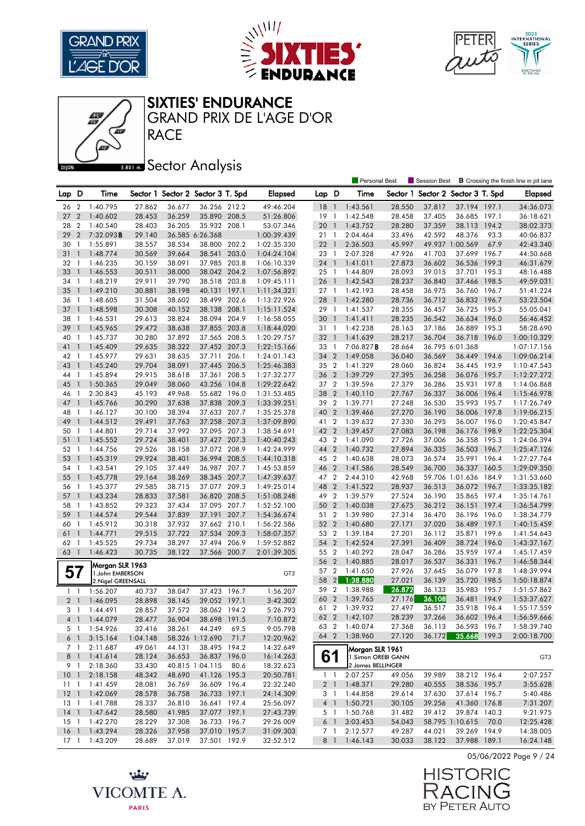





SIXTIES' ENDURANCE

RACE GRAND PRIX DE L'AGE D'OR

## **Bector Analysis**

|                 |                |                           |                  |                  |                                   |       |                        |                 |                | Personal Best        |                  | Session Best                      |                                 |       | <b>B</b> Crossing the finish line in pit lane |
|-----------------|----------------|---------------------------|------------------|------------------|-----------------------------------|-------|------------------------|-----------------|----------------|----------------------|------------------|-----------------------------------|---------------------------------|-------|-----------------------------------------------|
| Lap D           |                | Time                      |                  |                  | Sector 1 Sector 2 Sector 3 T. Spd |       | <b>Elapsed</b>         | Lap D           |                | Time                 |                  | Sector 1 Sector 2 Sector 3 T. Spd |                                 |       | <b>Elapsed</b>                                |
| 26              | $\overline{2}$ | 1:40.795                  | 27.862           | 36.677           | 36.256 212.2                      |       | 49:46.204              | 18              | $\overline{1}$ | 1:43.561             | 28.550           | 37.817                            | 37.194 197.1                    |       | 34:36.073                                     |
| 27              | $\overline{2}$ | 1:40.602                  | 28.453           | 36.259           | 35.890 208.5                      |       | 51:26.806              | 19              | $\overline{1}$ | 1:42.548             | 28.458           | 37.405                            | 36.685 197.1                    |       | 36:18.621                                     |
| 28              | $\overline{2}$ | 1:40.540                  | 28.403           | 36.205           | 35.932 208.1                      |       | 53:07.346              | 20              | $\overline{1}$ | 1:43.752             | 28.280           | 37.359                            | 38.113 194.2                    |       | 38:02.373                                     |
| 29              | $\overline{2}$ | 7:32.093B                 | 29.140           |                  | 36.585 6:26.368                   |       | 1:00:39.439            | 21              | - 1            | 2:04.464             | 33.496           | 42.592                            | 48.376                          | 93.3  | 40:06.837                                     |
| 30              | $\overline{1}$ | 1:55.891                  | 38.557           | 38.534           | 38.800 202.2                      |       | 1:02:35.330            | 22              | $\overline{1}$ | 2:36.503             | 45.997           |                                   | 49.937 1:00.569                 | 67.9  | 42:43.340                                     |
| 31              | $\overline{1}$ | 1:48.774                  | 30.569           | 39.664           | 38.541                            | 203.0 | 1:04:24.104            | 23 1            |                | 2:07.328             | 47.926           | 41.703                            | 37.699 196.7                    |       | 44:50.668                                     |
| 32              | -1             | 1:46.235                  | 30.159           | 38.091           | 37.985 203.8                      |       | 1:06:10.339            | 24 1            |                | 1:41.011             | 27.873           | 36.602                            | 36.536 199.3                    |       | 46:31.679                                     |
| 33              | $\overline{1}$ | 1:46.553                  | 30.511           | 38.000           | 38.042 204.2                      |       | 1:07:56.892            | 25 1            |                | 1:44.809             | 28.093           | 39.015                            | 37.701 195.3                    |       | 48:16.488                                     |
| 34              | -1             | 1:48.219                  | 29.911           | 39.790           | 38.518 203.8                      |       | 1:09:45.111            | 26              | $\overline{1}$ | 1:42.543             | 28.237           | 36.840                            | 37.466 198.5                    |       | 49:59.031                                     |
| 35              | $\overline{1}$ | 1:49.210                  | 30.881           | 38.198           | 40.131 197.1                      |       | 1:11:34.321            | 27 1            |                | 1:42.193             | 28.458           | 36.975                            | 36.760 196.7                    |       | 51:41.224                                     |
| 36              | $\overline{1}$ | 1:48.605                  | 31.504           | 38.602           | 38.499                            | 202.6 | 1:13:22.926            | 28              | $\overline{1}$ | 1:42.280             | 28.736           | 36.712                            | 36.832 196.7                    |       | 53:23.504                                     |
| 37              | $\overline{1}$ | 1:48.598                  | 30.308           | 40.152           | 38.138 208.1                      |       | 1:15:11.524            | 29 1            |                | 1:41.537             | 28.355           | 36.457                            | 36.725 195.3                    |       | 55:05.041                                     |
| 38              | -1             | 1:46.531                  | 29.613           | 38.824           | 38.094 204.9                      |       | 1:16:58.055            | 30              | $\overline{1}$ | 1:41.411             | 28.235           | 36.542                            | 36.634 196.0                    |       | 56:46.452                                     |
| 39              | $\mathbf{1}$   | 1:45.965                  | 29.472           | 38.638           | 37.855 203.8                      |       | 1:18:44.020            | 31 1            |                | 1:42.238             | 28.163           | 37.186                            | 36.889 195.3                    |       | 58:28.690                                     |
| 40              | $\overline{1}$ | 1:45.737                  | 30.280           | 37.892           | 37.565 208.5                      |       | 1:20:29.757            | 32 <sub>1</sub> |                | 1:41.639             | 28.217           | 36.704                            | 36.718 196.0                    |       | 1:00:10.329                                   |
| 41              | $\overline{1}$ | 1:45.409                  | 29.635           | 38.322           | 37.452 207.3                      |       | 1:22:15.166            | 33              | $\overline{1}$ | 7:06.827 <b>B</b>    | 28.664           |                                   | 36.795 6:01.368                 |       | 1:07:17.156                                   |
| 42              | - 1            | 1:45.977                  | 29.631           | 38.635           | 37.711                            | 206.1 | 1:24:01.143            | 34 2            |                | 1:49.058             | 36.040           | 36.569                            | 36.449 194.6                    |       | 1:09:06.214                                   |
| 43              | $\overline{1}$ | 1:45.240                  | 29.704           | 38.091           | 37.445                            | 206.5 | 1:25:46.383            | 35 2            |                | 1:41.329             | 28.060           | 36.824                            | 36.445 193.9                    |       | 1:10:47.543                                   |
| 44              | -1             | 1:45.894                  | 29.915           | 38.618           | 37.361 208.5                      |       | 1:27:32.277            | 36              | $\overline{2}$ | 1:39.729             | 27.395           | 36.258                            | 36.076 195.7                    |       | 1:12:27.272                                   |
| 45              | $\overline{1}$ | 1:50.365                  | 29.049           | 38.060           | 43.256                            | 104.8 | 1:29:22.642            | 37 2            |                | 1:39.596             | 27.379           | 36.286                            | 35.931                          | 197.8 | 1:14:06.868                                   |
| 46              | -1             | 2:30.843                  | 45.193           | 49.968           | 55.682 196.0                      |       | 1:31:53.485            | 38              | $\overline{2}$ | 1:40.110             | 27.767           | 36.337                            | 36.006 196.4                    |       | 1:15:46.978                                   |
| 47              | $\overline{1}$ | 1:45.766                  | 30.290           | 37.638           | 37.838 209.3                      |       | 1:33:39.251            | 39 2            |                | 1:39.771             | 27.248           | 36.530                            | 35.993 195.7                    |       | 1:17:26.749                                   |
| 48              | $\mathbf{1}$   | 1:46.127                  | 30.100           | 38.394           | 37.633 207.7                      |       | 1:35:25.378            | 40              | $\overline{2}$ | 1:39.466             | 27.270           | 36.190                            | 36.006 197.8                    |       | 1:19:06.215                                   |
| 49              | $\overline{1}$ | 1:44.512                  | 29.491           | 37.763           | 37.258 207.3                      |       | 1:37:09.890            | 41 2            |                | 1:39.632             | 27.330           | 36.295                            | 36.007 196.0                    |       | 1:20:45.847                                   |
| 50              | $\overline{1}$ | 1:44.801                  | 29.714           | 37.992           | 37.095 207.3                      |       | 1:38:54.691            | 42 2            |                | 1:39.457             | 27.083           | 36.198                            | 36.176                          | 198.9 | 1:22:25.304                                   |
| 51              | $\overline{1}$ | 1:45.552                  | 29.724           | 38.401           | 37.427 207.3                      |       | 1:40:40.243            | 43 2            |                | 1:41.090             | 27.726           | 37.006                            | 36.358 195.3                    |       | 1:24:06.394                                   |
| 52              | -1             | 1:44.756                  | 29.526           | 38.158           | 37.072 208.9                      |       | 1:42:24.999            | 44 2            |                | 1:40.732             | 27.894           | 36.335                            | 36.503 196.7                    |       | 1:25:47.126                                   |
| 53              | $\overline{1}$ | 1:45.319                  | 29.924           | 38.401           | 36.994 208.5                      |       | 1:44:10.318            | 45 2            |                | 1:40.638             | 28.073           | 36.574                            | 35.991                          | 196.4 | 1:27:27.764                                   |
| 54 1            |                | 1:43.541                  | 29.105           | 37.449           | 36.987 207.7                      |       | 1:45:53.859            | 46 2            |                | 1:41.586             | 28.549           | 36.700                            | 36.337 160.5                    |       | 1:29:09.350                                   |
| 55              | $\overline{1}$ | 1:45.778                  | 29.164           | 38.269           | 38.345 207.7                      |       | 1:47:39.637            | 47 2            |                | 2:44.310             | 42.968           |                                   | 59.706 1:01.636 184.9           |       | 1:31:53.660                                   |
| 56              | -1             | 1:45.377                  | 29.585           | 38.715           | 37.077 209.3                      |       | 1:49:25.014            | 48              | $\overline{2}$ | 1:41.522             | 28.937           | 36.513                            | 36.072 196.7                    |       | 1:33:35.182                                   |
| 57              | $\overline{1}$ | 1:43.234                  | 28.833           | 37.581           | 36.820 208.5                      |       | 1:51:08.248            | 49 2            |                | 1:39.579             | 27.524           | 36.190                            | 35.865 197.4                    |       | 1:35:14.761                                   |
| 58              | -1             | 1:43.852                  | 29.323           | 37.434           | 37.095 207.7                      |       | 1:52:52.100            | 50              | $\overline{2}$ | 1:40.038             | 27.675           | 36.212                            | 36.151 197.4                    |       | 1:36:54.799                                   |
| 59              | $\overline{1}$ | 1:44.574                  | 29.544           | 37.839           | 37.191                            | 207.7 | 1:54:36.674            | 51 2            |                | 1:39.980             | 27.314           | 36.470                            | 36.196 196.0                    |       | 1:38:34.779                                   |
| 60              | $\overline{1}$ | 1:45.912                  | 30.318           | 37.932           | 37.662 210.1                      |       | 1:56:22.586            | 52 2            |                | 1:40.680             | 27.171           | 37.020                            | 36.489 197.1                    |       | 1:40:15.459                                   |
| 61              | $\overline{1}$ | 1:44.771                  | 29.515           | 37.722           | 37.534 209.3                      |       | 1:58:07.357            | 53 2            |                | 1:39.184             | 27.201           | 36.112                            | 35.871 199.6                    |       | 1:41:54.643                                   |
| 62              | $\overline{1}$ | 1:45.525                  | 29.734           | 38.297           | 37.494 206.9                      |       | 1:59:52.882            | 54              | $\overline{2}$ | 1:42.524             | 27.391           | 36.409                            | 38.724                          | 196.0 | 1:43:37.167                                   |
| 63 1            |                | 1:46.423                  | 30.735           | 38.122           | 37.566 200.7                      |       | 2:01:39.305            | 55 2            |                | 1:40.292             | 28.047           | 36.286                            | 35.959 197.4                    |       | 1:45:17.459                                   |
|                 |                | Morgan SLR 1963           |                  |                  |                                   |       |                        | 56 2            |                | 1:40.885             | 28.017           | 36.537                            | 36.331                          | 196.7 | 1:46:58.344                                   |
| 57              |                | 1.John EMBERSON           |                  |                  |                                   |       | GT3                    | 57 2            |                | 1:41.650             | 27.926           | 37.645                            | 36.079 197.8                    |       | 1:48:39.994                                   |
|                 |                | 2. Nigel GREENSALL        |                  |                  |                                   |       |                        | 58              | $\vert$ 2      | 1:38.880             | 27.021           | 36.139                            | 35.720 198.5                    |       | 1:50:18.874                                   |
| $\mathbf{1}$    | $\overline{1}$ | 1:56.207                  | 40.737           | 38.047           | 37.423 196.7                      |       | 1:56.207               | 59              | $\overline{2}$ | 1:38.988             | 26.872           | 36.133                            | 35.983 195.7                    |       | 1:51:57.862                                   |
| 2 <sub>1</sub>  |                | 1:46.095                  | 28.898           | 38.145           | 39.052 197.1                      |       | 3:42.302               | 60              | $\overline{2}$ | 1:39.765             | 27.176           | 36.108                            | 36.481 194.9                    |       | 1:53:37.627                                   |
| 3 1             |                | 1:44.491                  | 28.857           | 37.572           | 38.062 194.2                      |       | 5:26.793               | 61 2            |                | 1:39.932             | 27.497           | 36.517                            | 35.918 196.4                    |       | 1:55:17.559                                   |
|                 |                | 4 1 1:44.079              | 28.477           | 36.904           | 38.698 191.5                      |       | 7:10.872               |                 |                | 62 2 1:42.107        | 28.239           | 37.266                            | 36.602 196.4                    |       | 1:56:59.666                                   |
|                 | 5 1            | 1:54.926                  | 32.416           | 38.261           | 44.249                            | 69.5  | 9:05.798               |                 |                | 63 2 1:40.074        | 27.368           | 36.113                            | 36.593 196.7                    |       | 1:58:39.740                                   |
| $6-1$           |                | 3:15.164                  | 1:04.148         |                  | 58.326 1:12.690                   | 71.7  | 12:20.962              | 64 2            |                | 1:38.960             | 27.120           |                                   | 36.172 35.668 199.3             |       | 2:00:18.700                                   |
| 7 <sub>1</sub>  |                | 2:11.687                  | 49.061           | 44.131           | 38.495 194.2                      |       | 14:32.649              |                 |                | Morgan SLR 1961      |                  |                                   |                                 |       |                                               |
| 8 1             |                | 1:41.614                  | 28.124           | 36.653           | 36.837 196.0                      |       | 16:14.263              | 61              |                | 1.Simon OREBI GANN   |                  |                                   |                                 |       | GT <sub>3</sub>                               |
| 9 1             |                | 2:18.360                  | 33.430           |                  | 40.815 1:04.115                   | 80.6  | 18:32.623              |                 |                | 2. James BELLINGER   |                  |                                   |                                 |       |                                               |
| 10 <sub>1</sub> |                | 2:18.158                  | 48.342           | 48.690           | 41.126 195.3                      |       | 20:50.781              | $1 \quad 1$     |                | 2:07.257             | 49.056           | 39.989                            | 38.212 196.4                    |       | 2:07.257                                      |
| $11 \quad 1$    |                | 1:41.459                  | 28.081           | 36.769           | 36.609 196.4                      |       | 22:32.240              | 2 <sup>1</sup>  |                | 1:48.371             | 29.280           | 40.555                            | 38.536 195.7                    |       | 3:55.628                                      |
| $12-1$          |                | 1:42.069                  | 28.578           | 36.758           | 36.733 197.1                      |       | 24:14.309              | 3 1             |                | 1:44.858             | 29.614           | 37.630                            | 37.614 196.7                    |       | 5:40.486                                      |
| $13-1$          |                | 1:41.788                  | 28.337           | 36.810           | 36.641 197.4<br>37.077 197.1      |       | 25:56.097<br>27:43.739 | $4 \quad 1$     |                | 1:50.721<br>1:50.768 | 30.105           | 39.256                            | 41.360 176.8                    |       | 7:31.207                                      |
| $15-1$          |                | 14 1 1:47.642<br>1:42.270 | 28.580<br>28.229 | 41.985<br>37.308 | 36.733 196.7                      |       | 29:26.009              | 5 1<br>6 1      |                | 3:03.453             | 31.482<br>54.043 | 39.412                            | 39.874 140.3<br>58.795 1:10.615 | 70.0  | 9:21.975<br>12:25.428                         |
| 16 <sub>1</sub> |                | 1:43.294                  | 28.326           | 37.958           | 37.010 195.7                      |       | 31:09.303              | 7 1             |                | 2:12.577             | 49.287           | 44.021                            | 39.269 194.9                    |       | 14:38.005                                     |
| $17-1$          |                | 1:43.209                  | 28.689           | 37.019           | 37.501 192.9                      |       | 32:52.512              | 8 1             |                | 1:46.143             | 30.033           | 38.122                            | 37.988 189.1                    |       | 16:24.148                                     |
|                 |                |                           |                  |                  |                                   |       |                        |                 |                |                      |                  |                                   |                                 |       |                                               |



05/06/2022 Page 9 / 24

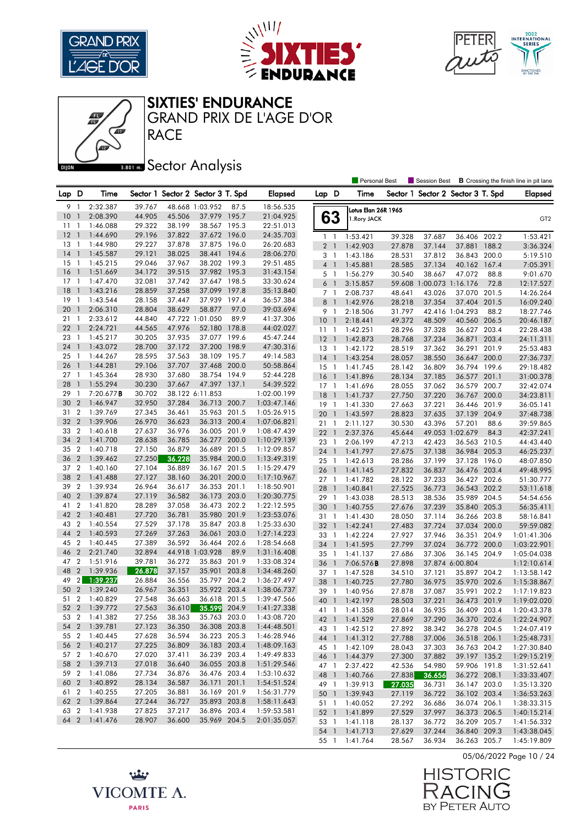





SIXTIES' ENDURANCE

RACE GRAND PRIX DE L'AGE D'OR

## **Bector Analysis**

|       |                |               |        |        |                                   |       |                |                |                          | Personal Best       |        | <b>Session Best</b>               |                 |       | <b>B</b> Crossing the finish line in pit lane |
|-------|----------------|---------------|--------|--------|-----------------------------------|-------|----------------|----------------|--------------------------|---------------------|--------|-----------------------------------|-----------------|-------|-----------------------------------------------|
| Lap D |                | Time          |        |        | Sector 1 Sector 2 Sector 3 T. Spd |       | <b>Elapsed</b> | Lap D          |                          | Time                |        | Sector 1 Sector 2 Sector 3 T. Spd |                 |       | <b>Elapsed</b>                                |
| 9     | -1             | 2:32.387      | 39.767 |        | 48.668 1:03.952                   | 87.5  | 18:56.535      |                |                          | Lotus Elan 26R 1965 |        |                                   |                 |       |                                               |
| 10    | $\mathbf{1}$   | 2:08.390      | 44.905 | 45.506 | 37.979 195.7                      |       | 21:04.925      | 63             |                          | 1. Rory JACK        |        |                                   |                 |       | GT <sub>2</sub>                               |
| 11    | -1             | 1:46.088      | 29.322 | 38.199 | 38.567 195.3                      |       | 22:51.013      |                |                          |                     |        |                                   |                 |       |                                               |
| 12    | $\overline{1}$ | 1:44.690      | 29.196 | 37.822 | 37.672                            | 196.0 | 24:35.703      | $1\quad$       |                          | 1:53.421            | 39.328 | 37.687                            | 36.406 202.2    |       | 1:53.421                                      |
| 13    | - 1            | 1:44.980      | 29.227 | 37.878 | 37.875 196.0                      |       | 26:20.683      | 2 <sub>1</sub> |                          | 1:42.903            | 27.878 | 37.144                            | 37.881          | 188.2 | 3:36.324                                      |
| 14    | $\overline{1}$ | 1:45.587      | 29.121 | 38.025 | 38.441 194.6                      |       | 28:06.270      | 3              | - 1                      | 1:43.186            | 28.531 | 37.812                            | 36.843 200.0    |       | 5:19.510                                      |
| 15    | - 1            | 1:45.215      | 29.046 | 37.967 | 38.202 199.3                      |       | 29:51.485      | $4-1$          |                          | 1:45.881            | 28.585 | 37.134                            | 40.162 167.4    |       | 7:05.391                                      |
| 16    | $\mathbf{1}$   | 1:51.669      | 34.172 | 39.515 | 37.982                            | 195.3 | 31:43.154      | 5 1            |                          | 1:56.279            | 30.540 | 38.667                            | 47.072          | 88.8  | 9:01.670                                      |
| 17    | $\mathbf{1}$   | 1:47.470      | 32.081 | 37.742 | 37.647 198.5                      |       | 33:30.624      | 6              | $\overline{\phantom{a}}$ | 3:15.857            | 59.608 | 1:00.073 1:16.176                 |                 | 72.8  | 12:17.527                                     |
| 18    | $\mathbf{1}$   | 1:43.216      | 28.859 | 37.258 | 37.099 197.8                      |       | 35:13.840      | 7 1            |                          | 2:08.737            | 48.641 | 43.026                            | 37.070 201.5    |       | 14:26.264                                     |
| 19    | $\overline{1}$ | 1:43.544      | 28.158 | 37.447 | 37.939                            | 197.4 | 36:57.384      | 8              | $\overline{1}$           | 1:42.976            | 28.218 | 37.354                            | 37.404          | 201.5 | 16:09.240                                     |
| 20    | $\overline{1}$ | 2:06.310      | 28.804 | 38.629 | 58.877                            | 97.0  | 39:03.694      | 9              | -1                       | 2:18.506            | 31.797 |                                   | 42.416 1:04.293 | 88.2  | 18:27.746                                     |
| 21    | -1             | 2:33.612      | 44.840 |        | 47.722 1:01.050                   | 89.9  | 41:37.306      | 10             | $\overline{1}$           | 2:18.441            | 49.372 | 48.509                            | 40.560 206.5    |       | 20:46.187                                     |
| 22    | $\mathbf{1}$   | 2:24.721      | 44.565 | 47.976 | 52.180 178.8                      |       | 44:02.027      | 11             | $\overline{1}$           | 1:42.251            | 28.296 | 37.328                            | 36.627 203.4    |       | 22:28.438                                     |
| 23    | $\mathbf{1}$   | 1:45.217      | 30.205 | 37.935 | 37.077 199.6                      |       | 45:47.244      | $12-1$         |                          | 1:42.873            | 28.768 | 37.234                            | 36.871 203.4    |       | 24:11.311                                     |
| 24    | $\mathbf{1}$   | 1:43.072      | 28.700 | 37.172 | 37.200 198.9                      |       | 47:30.316      | 13 1           |                          | 1:42.172            | 28.519 | 37.362                            | 36.291 201.9    |       | 25:53.483                                     |
| 25    | - 1            | 1:44.267      | 28.595 | 37.563 | 38.109 195.7                      |       | 49:14.583      | 14             | $\overline{1}$           | 1:43.254            | 28.057 | 38.550                            | 36.647 200.0    |       | 27:36.737                                     |
| 26    | $\overline{1}$ | 1:44.281      | 29.106 | 37.707 | 37.468                            | 200.0 | 50:58.864      | $15-1$         |                          | 1:41.745            | 28.142 | 36.809                            | 36.794 199.6    |       | 29:18.482                                     |
| 27    | $\mathbf{1}$   | 1:45.364      | 28.930 | 37.680 | 38.754 194.9                      |       | 52:44.228      | 16             | $\overline{1}$           | 1:41.896            | 28.134 | 37.185                            | 36.577          | 201.1 | 31:00.378                                     |
| 28    | $\mathbf{1}$   | 1:55.294      | 30.230 | 37.667 | 47.397                            | 137.1 | 54:39.522      | $17-1$         |                          | 1:41.696            | 28.055 | 37.062                            | 36.579 200.7    |       | 32:42.074                                     |
| 29    | 1              | 7:20.677B     | 30.702 |        | 38.122 6:11.853                   |       | 1:02:00.199    | 18             | $\overline{1}$           | 1:41.737            | 27.750 | 37.220                            | 36.767          | 200.0 | 34:23.811                                     |
| 30    | $\overline{2}$ | 1:46.947      | 32.950 | 37.284 | 36.713 200.7                      |       | 1:03:47.146    | 19             | $\overline{1}$           | 1:41.330            | 27.663 | 37.221                            | 36.446 201.9    |       | 36:05.141                                     |
| 31    | $\overline{2}$ | 1:39.769      | 27.345 | 36.461 | 35.963 201.5                      |       | 1:05:26.915    | 20             | $\overline{1}$           | 1:43.597            | 28.823 | 37.635                            | 37.139 204.9    |       | 37:48.738                                     |
| 32    | $\overline{2}$ | 1:39.906      | 26.970 | 36.623 | 36.313                            | 200.4 | 1:07:06.821    | 21             | $\mathbf{1}$             | 2:11.127            | 30.530 | 43.396                            | 57.201          | 88.6  | 39:59.865                                     |
| 33    | $\overline{2}$ | 1:40.618      | 27.637 | 36.976 | 36.005 201.9                      |       | 1:08:47.439    | 22             | $\overline{1}$           | 2:37.376            | 45.644 |                                   | 49.053 1:02.679 | 84.3  | 42:37.241                                     |
| 34    | $\overline{2}$ | 1:41.700      | 28.638 | 36.785 | 36.277 200.0                      |       | 1:10:29.139    | 23             | $\overline{1}$           | 2:06.199            | 47.213 | 42.423                            | 36.563 210.5    |       | 44:43.440                                     |
| 35    | $\overline{2}$ | 1:40.718      | 27.150 | 36.879 | 36.689                            | 201.5 | 1:12:09.857    | 24             | $\overline{1}$           | 1:41.797            | 27.675 | 37.138                            | 36.984 205.3    |       | 46:25.237                                     |
| 36    | $\overline{2}$ | 1:39.462      | 27.250 | 36.228 | 35.984 200.0                      |       | 1:13:49.319    | 25 1           |                          | 1:42.613            | 28.286 | 37.199                            | 37.128 196.0    |       | 48:07.850                                     |
| 37    | $\overline{2}$ | 1:40.160      | 27.104 | 36.889 | 36.167 201.5                      |       | 1:15:29.479    | 26             | $\overline{1}$           | 1:41.145            | 27.832 | 36.837                            | 36.476 203.4    |       | 49:48.995                                     |
| 38    | $\overline{2}$ | 1:41.488      | 27.127 | 38.160 | 36.201                            | 200.0 | 1:17:10.967    | 27 1           |                          | 1:41.782            | 28.122 | 37.233                            | 36.427 202.6    |       | 51:30.777                                     |
| 39    | $\overline{2}$ | 1:39.934      | 26.964 | 36.617 | 36.353 201.1                      |       | 1:18:50.901    | 28             | $\overline{1}$           | 1:40.841            | 27.525 | 36.773                            | 36.543 202.2    |       | 53:11.618                                     |
| 40    | $\overline{2}$ | 1:39.874      | 27.119 | 36.582 | 36.173 203.0                      |       | 1:20:30.775    | 29 1           |                          | 1:43.038            | 28.513 | 38.536                            | 35.989 204.5    |       | 54:54.656                                     |
| 41    | $\overline{2}$ | 1:41.820      | 28.289 | 37.058 | 36.473 202.2                      |       | 1:22:12.595    | 30             | $\overline{1}$           | 1:40.755            | 27.676 | 37.239                            | 35.840 205.3    |       | 56:35.411                                     |
| 42    | $\overline{2}$ | 1:40.481      | 27.720 | 36.781 | 35.980 201.9                      |       | 1:23:53.076    | 31             | $\overline{1}$           | 1:41.430            | 28.050 | 37.114                            | 36.266 203.8    |       | 58:16.841                                     |
| 43    | $\overline{2}$ | 1:40.554      | 27.529 | 37.178 | 35.847 203.8                      |       | 1:25:33.630    | 32             | $\overline{1}$           | 1:42.241            | 27.483 | 37.724                            | 37.034 200.0    |       | 59:59.082                                     |
| 44    | $\overline{2}$ | 1:40.593      | 27.269 | 37.263 | 36.061                            | 203.0 | 1:27:14.223    | 33             | -1                       | 1:42.224            | 27.927 | 37.946                            | 36.351          | 204.9 | 1:01:41.306                                   |
| 45    | $\overline{2}$ | 1:40.445      | 27.389 | 36.592 | 36.464                            | 202.6 | 1:28:54.668    | 34             | $\overline{1}$           | 1:41.595            | 27.799 | 37.024                            | 36.772 200.0    |       | 1:03:22.901                                   |
| 46    | $\overline{2}$ | 2:21.740      | 32.894 |        | 44.918 1:03.928                   | 89.9  | 1:31:16.408    | 35 1           |                          | 1:41.137            | 27.686 | 37.306                            | 36.145 204.9    |       | 1:05:04.038                                   |
| 47    | $\overline{2}$ | 1:51.916      | 39.781 | 36.272 | 35.863 201.9                      |       | 1:33:08.324    | 36             | $\overline{1}$           | 7:06.576B           | 27.898 |                                   | 37.874 6:00.804 |       | 1:12:10.614                                   |
| 48    | $\sqrt{2}$     | 1:39.936      | 26.878 | 37.157 | 35.901 203.8                      |       | 1:34:48.260    | 37 1           |                          | 1:47.528            | 34.510 | 37.121                            | 35.897 204.2    |       | 1:13:58.142                                   |
| 49    | 2 <sub>1</sub> | 1:39.237      | 26.884 | 36.556 | 35.797 204.2                      |       | 1:36:27.497    | 38             | $\overline{1}$           | 1:40.725            | 27.780 | 36.975                            | 35.970 202.6    |       | 1:15:38.867                                   |
| 50    | $\overline{2}$ | 1:39.240      | 26.967 | 36.351 | 35.922                            | 203.4 | 1:38:06.737    | 39 1           |                          | 1:40.956            | 27.878 | 37.087                            | 35.991          | 202.2 | 1:17:19.823                                   |
| 51    | $\overline{2}$ | 1:40.829      | 27.548 | 36.663 | 36.618 201.5                      |       | 1:39:47.566    | 40             | $\overline{1}$           | 1:42.197            | 28.503 | 37.221                            | 36.473 201.9    |       | 1:19:02.020                                   |
| 52    | $\overline{2}$ | 1:39.772      | 27.563 | 36.610 | 35.599 204.9                      |       | 1:41:27.338    | 41 1           |                          | 1:41.358            | 28.014 | 36.935                            | 36.409 203.4    |       | 1:20:43.378                                   |
|       |                | 53 2 1:41.382 | 27.256 | 38.363 | 35.763 203.0                      |       | 1:43:08.720    |                |                          | 42 1 1:41.529       | 27.869 | 37.290                            | 36.370 202.6    |       | 1:22:24.907                                   |
|       |                | 54 2 1:39.781 | 27.123 | 36.350 | 36.308 203.8                      |       | 1:44:48.501    |                |                          | 43 1 1:42.512       | 27.892 | 38.342                            | 36.278 204.5    |       | 1:24:07.419                                   |
|       |                | 55 2 1:40.445 | 27.628 | 36.594 | 36.223 205.3                      |       | 1:46:28.946    |                |                          | 44 1 1:41.312       | 27.788 | 37.006                            | 36.518 206.1    |       | 1:25:48.731                                   |
|       |                | 56 2 1:40.217 | 27.225 | 36.809 | 36.183 203.4                      |       | 1:48:09.163    | 45 1           |                          | 1:42.109            | 28.043 | 37.303                            | 36.763 204.2    |       | 1:27:30.840                                   |
|       |                | 57 2 1:40.670 | 27.020 | 37.411 | 36.239 203.4                      |       | 1:49:49.833    |                |                          | 46 1 1:44.379       | 27.300 | 37.882                            | 39.197 135.2    |       | 1:29:15.219                                   |
|       |                | 58 2 1:39.713 | 27.018 | 36.640 | 36.055 203.8                      |       | 1:51:29.546    | 47 1           |                          | 2:37.422            | 42.536 | 54.980                            | 59.906 191.8    |       | 1:31:52.641                                   |
| 59 2  |                | 1:41.086      | 27.734 | 36.876 | 36.476 203.4                      |       | 1:53:10.632    |                |                          | 48 1 1:40.766       | 27.838 | 36.656                            | 36.272 208.1    |       | 1:33:33.407                                   |
|       |                | 60 2 1:40.892 | 28.134 | 36.587 | 36.171 201.1                      |       | 1:54:51.524    | 49 1           |                          | 1:39.913            | 27.035 | 36.731                            | 36.147 203.0    |       | 1:35:13.320                                   |
|       |                | 61 2 1:40.255 | 27.205 | 36.881 | 36.169 201.9                      |       | 1:56:31.779    |                |                          | 50 1 1:39.943       | 27.119 | 36.722                            | 36.102 203.4    |       | 1:36:53.263                                   |
|       |                | 62 2 1:39.864 | 27.244 | 36.727 | 35.893 203.8                      |       | 1:58:11.643    | 51 1           |                          | 1:40.052            | 27.292 | 36.686                            | 36.074 206.1    |       | 1:38:33.315                                   |
|       |                | 63 2 1:41.938 | 27.825 | 37.217 | 36.896 203.4                      |       | 1:59:53.581    |                |                          | 52 1 1:41.899       | 27.529 | 37.997                            | 36.373 206.5    |       | 1:40:15.214                                   |
|       |                | 64 2 1:41.476 | 28.907 | 36.600 | 35.969 204.5                      |       | 2:01:35.057    |                |                          | 53 1 1:41.118       | 28.137 | 36.772                            | 36.209 205.7    |       | 1:41:56.332                                   |
|       |                |               |        |        |                                   |       |                |                |                          | 54 1 1:41.713       | 27.629 | 37.244                            | 36.840 209.3    |       | 1:43:38.045                                   |
|       |                |               |        |        |                                   |       |                |                |                          | 55 1 1:41.764       | 28.567 | 36.934                            | 36.263 205.7    |       | 1:45:19.809                                   |
|       |                |               |        |        |                                   |       |                |                |                          |                     |        |                                   |                 |       |                                               |

05/06/2022 Page 10 / 24



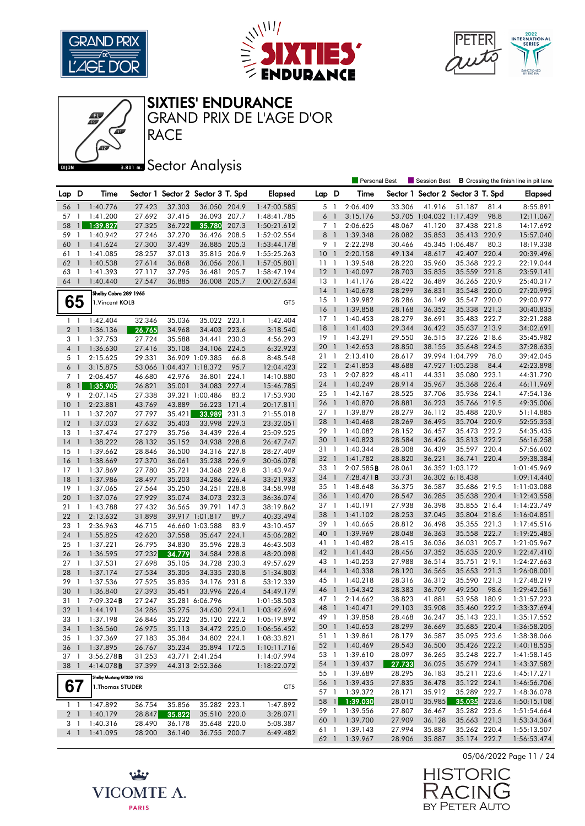





**RACE** GRAND PRIX DE L'AGE D'OR

## **Bector Analysis**

|                 |                          |                            |        |                          |                                   |       |                 |                 |                | <b>Personal Best</b>           |                  | Session Best                      |                              |       | <b>B</b> Crossing the finish line in pit lane |
|-----------------|--------------------------|----------------------------|--------|--------------------------|-----------------------------------|-------|-----------------|-----------------|----------------|--------------------------------|------------------|-----------------------------------|------------------------------|-------|-----------------------------------------------|
| Lap D           |                          | Time                       |        |                          | Sector 1 Sector 2 Sector 3 T. Spd |       | <b>Elapsed</b>  | Lap D           |                | Time                           |                  | Sector 1 Sector 2 Sector 3 T. Spd |                              |       | <b>Elapsed</b>                                |
| 56              | $\overline{1}$           | 1:40.776                   | 27.423 | 37.303                   | 36.050 204.9                      |       | 1:47:00.585     | 5 1             |                | 2:06.409                       | 33.306           | 41.916                            | 51.187                       | 81.4  | 8:55.891                                      |
| 57              | $\mathbf{1}$             | 1:41.200                   | 27.692 | 37.415                   | 36.093 207.7                      |       | 1:48:41.785     | 6               | $\overline{1}$ | 3:15.176                       |                  | 53.705 1:04.032 1:17.439          |                              | 98.8  | 12:11.067                                     |
| 58              | $\mathbf{1}$             | 1:39.827                   | 27.325 | 36.722                   | 35.780                            | 207.3 | 1:50:21.612     | 7 1             |                | 2:06.625                       | 48.067           | 41.120                            | 37.438 221.8                 |       | 14:17.692                                     |
| 59              | -1                       | 1:40.942                   | 27.246 | 37.270                   | 36.426                            | 208.5 | 1:52:02.554     | 8 <sup>1</sup>  |                | 1:39.348                       | 28.082           | 35.853                            | 35.413 220.9                 |       | 15:57.040                                     |
| 60              | $\mathbf{1}$             | 1:41.624                   | 27.300 | 37.439                   | 36.885 205.3                      |       | 1:53:44.178     | 9 1             |                | 2:22.298                       | 30.466           |                                   | 45.345 1:06.487              | 80.3  | 18:19.338                                     |
| 61              | $\mathbf{1}$             | 1:41.085                   | 28.257 | 37.013                   | 35.815 206.9                      |       | 1:55:25.263     | 10              | $\overline{1}$ | 2:20.158                       | 49.134           | 48.617                            | 42.407 220.4                 |       | 20:39.496                                     |
| 62              | $\mathbf{1}$             | 1:40.538                   | 27.614 | 36.868                   | 36.056                            | 206.1 | 1:57:05.801     | 111             |                | 1:39.548                       | 28.220           | 35.960                            | 35.368 222.2                 |       | 22:19.044                                     |
| 63              | $\mathbf{1}$             | 1:41.393                   | 27.117 | 37.795                   | 36.481                            | 205.7 | 1:58:47.194     | 12 1            |                | 1:40.097                       | 28.703           | 35.835                            | 35.559 221.8                 |       | 23:59.141                                     |
| 64              | $\overline{1}$           | 1:40.440                   | 27.547 | 36.885                   | 36.008 205.7                      |       | 2:00:27.634     | $13-1$          |                | 1:41.176                       | 28.422           | 36.489                            | 36.265 220.9                 |       | 25:40.317                                     |
|                 |                          | Shelby Cobra 289 1965      |        |                          |                                   |       |                 | $14-1$          |                | 1:40.678                       | 28.299           | 36.831                            | 35.548 220.0                 |       | 27:20.995                                     |
| 65              |                          | 1. Vincent KOLB            |        |                          |                                   |       | GT5             | 15              | $\overline{1}$ | 1:39.982                       | 28.286           | 36.149                            | 35.547 220.0                 |       | 29:00.977                                     |
|                 |                          |                            |        |                          |                                   |       |                 | 16              | $\overline{1}$ | 1:39.858                       | 28.168           | 36.352                            | 35.338 221.3                 |       | 30:40.835                                     |
| $1 \quad 1$     |                          | 1:42.404                   | 32.346 | 35.036                   | 35.022 223.1                      |       | 1:42.404        | $17-1$          |                | 1:40.453                       | 28.279           | 36.691                            | 35.483 222.7                 |       | 32:21.288                                     |
| 2 <sub>1</sub>  |                          | 1:36.136                   | 26.765 | 34.968                   | 34.403 223.6                      |       | 3:18.540        | 18              | $\overline{1}$ | 1:41.403                       | 29.344           | 36.422                            | 35.637 213.9                 |       | 34:02.691                                     |
| 3 1             |                          | 1:37.753                   | 27.724 | 35.588                   | 34.441 230.3                      |       | 4:56.293        | $19-1$          |                | 1:43.291                       | 29.550           | 36.515                            | 37.226 218.6                 |       | 35:45.982                                     |
| $4-1$           |                          | 1:36.630                   | 27.416 | 35.108                   | 34.106                            | 224.5 | 6:32.923        | 20              | $\overline{1}$ | 1:42.653                       | 28.850           | 38.155                            | 35.648 224.5                 |       | 37:28.635                                     |
| 5 <sub>1</sub>  |                          | 2:15.625                   | 29.331 |                          | 36.909 1:09.385                   | 66.8  | 8:48.548        | 21 1            |                | 2:13.410                       | 28.617           |                                   | 39.994 1:04.799              | 78.0  | 39:42.045                                     |
| 6 <sup>1</sup>  |                          | 3:15.875                   |        | 53.066 1:04.437 1:18.372 |                                   | 95.7  | 12:04.423       | 22              | $\overline{1}$ | 2:41.853                       | 48.688           |                                   | 47.927 1:05.238              | 84.4  | 42:23.898                                     |
| 7 <sub>1</sub>  |                          | 2:06.457                   | 46.680 | 42.976                   | 36.801                            | 224.1 | 14:10.880       | 23 1            |                | 2:07.822                       | 48.411           | 44.331                            | 35.080 223.1                 |       | 44:31.720                                     |
| 8               | $\mathbf{1}$             | 1:35.905                   | 26.821 | 35.001                   | 34.083                            | 227.4 | 15:46.785       | 24 1            |                | 1:40.249                       | 28.914           | 35.967                            | 35.368 226.4                 |       | 46:11.969                                     |
| 9               | $\mathbf{1}$             | 2:07.145                   | 27.338 |                          | 39.321 1:00.486                   | 83.2  | 17:53.930       | 25              | $\overline{1}$ | 1:42.167                       | 28.525           | 37.706                            | 35.936 224.1                 |       | 47:54.136                                     |
| 10              | $\mathbf{1}$             | 2:23.881                   | 43.769 | 43.889                   | 56.223                            | 171.4 | 20:17.811       | 26              | $\overline{1}$ | 1:40.870                       | 28.881           | 36.223                            | 35.766 219.5                 |       | 49:35.006                                     |
| 11              | $\mathbf{1}$             | 1:37.207                   | 27.797 | 35.421                   | 33.989                            | 231.3 | 21:55.018       | 27 <sub>1</sub> |                | 1:39.879                       | 28.279           | 36.112                            | 35.488 220.9                 |       | 51:14.885                                     |
| 12              | $\mathbf{1}$             | 1:37.033                   | 27.632 | 35.403                   | 33.998 229.3                      |       | 23:32.051       | 28              | $\overline{1}$ | 1:40.468                       | 28.269           | 36.495                            | 35.704 220.9                 |       | 52:55.353                                     |
| 13              | $\overline{1}$           | 1:37.474                   | 27.279 | 35.756                   | 34.439 226.4                      |       | 25:09.525       | 29              | $\overline{1}$ | 1:40.082                       | 28.152           | 36.457                            | 35.473 222.2                 |       | 54:35.435                                     |
| 14              | $\overline{\phantom{a}}$ | 1:38.222                   | 28.132 | 35.152                   | 34.938 228.8                      |       | 26:47.747       | 30              | $\overline{1}$ | 1:40.823                       | 28.584           | 36.426                            | 35.813 222.2                 |       | 56:16.258                                     |
| 15              | $\overline{1}$           | 1:39.662                   | 28.846 | 36.500                   | 34.316 227.8                      |       | 28:27.409       | 31 1            |                | 1:40.344                       | 28.308           | 36.439                            | 35.597 220.4                 |       | 57:56.602                                     |
| 16              | $\mathbf{1}$             | 1:38.669                   | 27.370 | 36.061                   | 35.238 226.9                      |       | 30:06.078       | 32 <sub>1</sub> |                | 1:41.782                       | 28.820           | 36.221                            | 36.741 220.4                 |       | 59:38.384                                     |
| 17              | $\mathbf{1}$             | 1:37.869                   | 27.780 | 35.721                   | 34.368 229.8                      |       | 31:43.947       | 33 1            |                | 2:07.585B                      | 28.061           |                                   | 36.352 1:03.172              |       | 1:01:45.969                                   |
| 18              | $\mathbf{1}$             | 1:37.986                   | 28.497 | 35.203                   | 34.286 226.4                      |       | 33:21.933       | 34              | $\overline{1}$ | 7:28.471B                      | 33.731           |                                   | 36.302 6:18.438              |       | 1:09:14.440                                   |
| 19              | $\mathbf{1}$             | 1:37.065                   | 27.564 | 35.250                   | 34.251 228.8                      |       | 34:58.998       | 35              | $\overline{1}$ | 1:48.648                       | 36.375           | 36.587                            | 35.686 219.5                 |       | 1:11:03.088                                   |
| 20              | $\overline{\phantom{a}}$ | 1:37.076                   | 27.929 | 35.074                   | 34.073 232.3                      |       | 36:36.074       | 36              | $\overline{1}$ | 1:40.470                       | 28.547           | 36.285                            | 35.638 220.4                 |       | 1:12:43.558                                   |
| 21              | $\overline{1}$           | 1:43.788                   | 27.432 | 36.565                   | 39.791 147.3                      |       | 38:19.862       | 37              | $\overline{1}$ | 1:40.191                       | 27.938           | 36.398                            | 35.855 216.4                 |       | 1:14:23.749                                   |
| 22              | $\mathbf{1}$             | 2:13.632                   | 31.898 |                          | 39.917 1:01.817                   | 89.7  | 40:33.494       | 38              | $\overline{1}$ | 1:41.102                       | 28.253           | 37.045                            | 35.804 218.6                 |       | 1:16:04.851                                   |
| 23              | $\mathbf{1}$             | 2:36.963                   | 46.715 |                          | 46.660 1:03.588                   | 83.9  | 43:10.457       | 39              | $\overline{1}$ | 1:40.665                       | 28.812           | 36.498                            | 35.355 221.3                 |       | 1:17:45.516                                   |
| 24              | $\mathbf{1}$             | 1:55.825                   | 42.620 | 37.558                   | 35.647 224.1                      |       | 45:06.282       | 40              | $\overline{1}$ | 1:39.969                       | 28.048           | 36.363                            | 35.558 222.7                 |       | 1:19:25.485                                   |
| $25-1$          |                          | 1:37.221                   | 26.795 | 34.830                   | 35.596 228.3                      |       | 46:43.503       | 41 1            |                | 1:40.482                       | 28.415           | 36.036                            | 36.031                       | 205.7 | 1:21:05.967                                   |
| 26              | $\overline{1}$           | 1:36.595                   | 27.232 | 34.779                   | 34.584 228.8                      |       | 48:20.098       | 42 1            |                | 1:41.443                       | 28.456           | 37.352                            | 35.635 220.9                 |       | 1:22:47.410                                   |
| 27 <sub>1</sub> |                          | 1:37.531                   | 27.698 | 35.105                   | 34.728 230.3                      |       | 49:57.629       | 43 1            |                | 1:40.253                       | 27.988           | 36.514                            | 35.751                       | 219.1 | 1:24:27.663                                   |
| 28              | $\mathbf{1}$             | 1:37.174                   | 27.534 | 35.305                   | 34.335 230.8                      |       | 51:34.803       | 44              | $\overline{1}$ | 1:40.338                       | 28.120           | 36.565                            | 35.653 221.3                 |       | 1:26:08.001                                   |
| 29              | $\mathbf{1}$             | 1:37.536                   | 27.525 | 35.835                   | 34.176 231.8                      |       | 53:12.339       | 45 1            |                | 1:40.218                       | 28.316           | 36.312                            | 35.590 221.3                 |       | 1:27:48.219                                   |
| 30              | $\mathbf{1}$             | 1:36.840                   | 27.393 | 35.451                   | 33.996 226.4                      |       | 54:49.179       | 46              | $\overline{1}$ | 1:54.342                       | 28.383           | 36.709                            | 49.250                       | 98.6  | 1:29:42.561                                   |
| 31              | $\mathbf{1}$             | $7:09.324$ <b>B</b>        | 27.247 |                          | 35.281 6:06.796                   |       | 1:01:58.503     | 47              | $\overline{1}$ | 2:14.662                       | 38.823           | 41.881                            | 53.958 180.9                 |       | 1:31:57.223                                   |
| 32 1            |                          | 1:44.191                   | 34.286 | 35.275                   | 34.630 224.1                      |       | 1:03:42.694     | 48 1            |                | 1:40.471                       | 29.103           | 35.908                            | 35.460 222.2                 |       | 1:33:37.694                                   |
|                 |                          | 33 1 1:37.198              | 26.846 | 35.232                   | 35.120 222.2                      |       | 1:05:19.892     |                 |                | 49 1 1:39.858                  | 28.468           | 36.247                            | 35.143 223.1                 |       | 1:35:17.552                                   |
| 34 1            |                          | 1:36.560                   | 26.975 | 35.113                   | 34.472 225.0                      |       | 1:06:56.452     |                 |                | 50 1 1:40.653                  | 28.299           | 36.669                            | 35.685 220.4                 |       | 1:36:58.205                                   |
| 35 1            |                          | 1:37.369                   | 27.183 | 35.384                   | 34.802 224.1                      |       | 1:08:33.821     |                 |                | 51 1 1:39.861                  | 28.179           | 36.587                            | 35.095 223.6                 |       | 1:38:38.066                                   |
| 36 1            |                          | 1:37.895                   | 26.767 |                          | 35.234 35.894 172.5               |       | 1:10:11.716     |                 |                | 52 1 1:40.469                  | 28.543           | 36.500                            | 35.426 222.2                 |       | 1:40:18.535                                   |
| 37 1            |                          | 3:56.278B                  | 31.253 |                          | 43.771 2:41.254                   |       | 1:14:07.994     |                 |                | 53 1 1:39.610                  | 28.097           | 36.265                            | 35.248 222.7                 |       | 1:41:58.145                                   |
| 38 1            |                          | 4:14.078 <b>B</b>          | 37.399 |                          | 44.313 2:52.366                   |       | 1:18:22.072     |                 |                | 54 1 1:39.437                  | 27.733           | 36.025                            | 35.679 224.1                 |       | 1:43:37.582                                   |
|                 |                          | Shelby Mustang GT350 1965  |        |                          |                                   |       |                 | 55 1            |                | 1:39.689                       | 28.295           | 36.183                            | 35.211 223.6                 |       | 1:45:17.271                                   |
| 67              |                          | 1. Thomas STUDER           |        |                          |                                   |       | GT <sub>5</sub> |                 |                | 56 1 1:39.435                  | 27.835           | 36.478                            | 35.122 224.1<br>35.289 222.7 |       | 1:46:56.706                                   |
|                 |                          |                            |        |                          |                                   |       |                 |                 |                | 57 1 1:39.372<br>58 1 1:39.030 | 28.171           | 35.912                            | 35.035 223.6                 |       | 1:48:36.078                                   |
|                 |                          | $1 \quad 1 \quad 1:47.892$ | 36.754 | 35.856                   | 35.282 223.1                      |       | 1:47.892        |                 |                | 59 1 1:39.556                  | 28.010<br>27.807 | 35.985<br>36.467                  | 35.282 223.6                 |       | 1:50:15.108                                   |
| 2 <sub>1</sub>  |                          | 1:40.179                   | 28.847 | 35.822                   | 35.510 220.0                      |       | 3:28.071        |                 |                | 60 1 1:39.700                  | 27.909           | 36.128                            | 35.663 221.3                 |       | 1:51:54.664                                   |
| 3 <sup>1</sup>  |                          | 1:40.316                   | 28.490 | 36.178                   | 35.648 220.0                      |       | 5:08.387        | 61 1            |                | 1:39.143                       | 27.994           | 35.887                            | 35.262 220.4                 |       | 1:53:34.364<br>1:55:13.507                    |
|                 | $4 \quad 1$              | 1:41.095                   | 28.200 | 36.140                   | 36.755 200.7                      |       | 6:49.482        |                 |                | 62 1 1:39.967                  | 28.906           | 35.887                            | 35.174 222.7                 |       | 1:56:53.474                                   |
|                 |                          |                            |        |                          |                                   |       |                 |                 |                |                                |                  |                                   |                              |       |                                               |





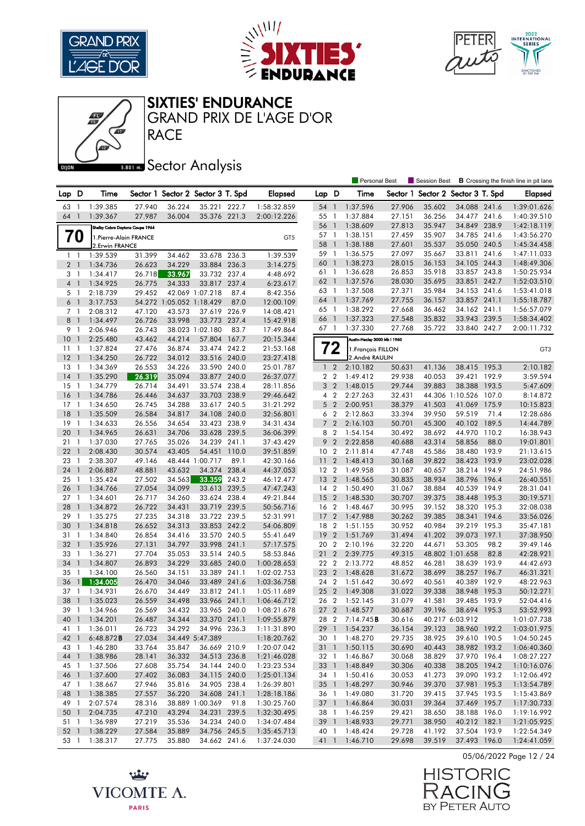

41





#### SIXTIES' ENDURANCE

RACE GRAND PRIX DE L'AGE D'OR

**Bector Analysis** 

|                 |                |                                 |                  |                          |                                   |       |                            |                 |                | <b>Personal Best</b>               |                  | Session Best                      |                              |       | <b>B</b> Crossing the finish line in pit lane |
|-----------------|----------------|---------------------------------|------------------|--------------------------|-----------------------------------|-------|----------------------------|-----------------|----------------|------------------------------------|------------------|-----------------------------------|------------------------------|-------|-----------------------------------------------|
| Lap D           |                | Time                            |                  |                          | Sector 1 Sector 2 Sector 3 T. Spd |       | <b>Elapsed</b>             | Lap D           |                | Time                               |                  | Sector 1 Sector 2 Sector 3 T. Spd |                              |       | Elapsed                                       |
| 63              | -1             | 1:39.385                        | 27.940           | 36.224                   | 35.221 222.7                      |       | 1:58:32.859                | 54              | $\overline{1}$ | 1:37.596                           | 27.906           | 35.602                            | 34.088 241.6                 |       | 1:39:01.626                                   |
| 64              | $\mathbf{1}$   | 1:39.367                        | 27.987           | 36.004                   | 35.376 221.3                      |       | 2:00:12.226                | 55              | $\mathbf{1}$   | 1:37.884                           | 27.151           | 36.256                            | 34.477 241.6                 |       | 1:40:39.510                                   |
|                 |                | Shelby Cobra Daytona Coupe 1964 |                  |                          |                                   |       |                            | 56              | $\overline{1}$ | 1:38.609                           | 27.813           | 35.947                            | 34.849 238.9                 |       | 1:42:18.119                                   |
|                 | 70             | 1. Pierre-Alain FRANCE          |                  |                          |                                   |       | GT5                        | 57              | $\overline{1}$ | 1:38.151                           | 27.459           | 35.907                            | 34.785 241.6                 |       | 1:43:56.270                                   |
|                 |                | 2. Erwin FRANCE                 |                  |                          |                                   |       |                            | 58              | $\overline{1}$ | 1:38.188                           | 27.601           | 35.537                            | 35.050 240.5                 |       | 1:45:34.458                                   |
| $\mathbf{1}$    | $\overline{1}$ | 1:39.539                        | 31.399           | 34.462                   | 33.678 236.3                      |       | 1:39.539                   | 59              | $\overline{1}$ | 1:36.575                           | 27.097           | 35.667                            | 33.811 241.6                 |       | 1:47:11.033                                   |
| 2 <sub>1</sub>  |                | 1:34.736                        | 26.623           | 34.229                   | 33.884 236.3                      |       | 3:14.275                   | 60              | $\overline{1}$ | 1:38.273                           | 28.015           | 36.153                            | 34.105 244.3                 |       | 1:48:49.306                                   |
| 3 1             |                | 1:34.417                        | 26.718           | 33.967                   | 33.732 237.4                      |       | 4:48.692                   | 61 1            |                | 1:36.628                           | 26.853           | 35.918                            | 33.857 243.8                 |       | 1:50:25.934                                   |
| $\overline{4}$  | $\overline{1}$ | 1:34.925                        | 26.775           | 34.333                   | 33.817                            | 237.4 | 6:23.617                   | 62              | $\overline{1}$ | 1:37.576                           | 28.030           | 35.695                            | 33.851 242.7                 |       | 1:52:03.510                                   |
| 5 <sub>1</sub>  |                | 2:18.739                        | 29.452           |                          | 42.069 1:07.218                   | 87.4  | 8:42.356                   | 63 1            |                | 1:37.508                           | 27.371           | 35.984                            | 34.153 241.6                 |       | 1:53:41.018                                   |
| 6               | $\mathbf{1}$   | 3:17.753                        |                  | 54.272 1:05.052 1:18.429 |                                   | 87.0  | 12:00.109                  | 64              | $\overline{1}$ | 1:37.769                           | 27.755           | 36.157                            | 33.857 241.1                 |       | 1:55:18.787                                   |
| 7 1             |                | 2:08.312                        | 47.120           | 43.573                   | 37.619 226.9                      |       | 14:08.421                  | 65 1            |                | 1:38.292                           | 27.668           | 36.462                            | 34.162 241.1                 |       | 1:56:57.079                                   |
| 8               | $\overline{1}$ | 1:34.497                        | 26.726           | 33.998                   | 33.773 237.4                      |       | 15:42.918                  | 66              | $\overline{1}$ | 1:37.323                           | 27.548           | 35.832                            | 33.943                       | 239.5 | 1:58:34.402                                   |
| 9               | $\mathbf{1}$   | 2:06.946                        | 26.743           |                          | 38.023 1:02.180                   | 83.7  | 17:49.864                  | 67 1            |                | 1:37.330                           | 27.768           | 35.722                            | 33.840 242.7                 |       | 2:00:11.732                                   |
| 10 <sup>°</sup> | $\mathbf{1}$   | 2:25.480                        | 43.462           | 44.214                   | 57.804 167.7                      |       | 20:15.344                  |                 |                | Austin-Healey 3000 Mk I 1960       |                  |                                   |                              |       |                                               |
| 11              | 1              | 1:37.824                        | 27.476           | 36.874                   | 33.474 242.2                      |       | 21:53.168                  |                 | $\sim$         | 1. François FILLON                 |                  |                                   |                              |       | GT3                                           |
| 12              | $\mathbf{1}$   | 1:34.250                        | 26.722           | 34.012                   | 33.516 240.0                      |       | 23:27.418                  |                 |                | 2.André RAULIN                     |                  |                                   |                              |       |                                               |
| 13              | $\mathbf{1}$   | 1:34.369                        | 26.553           | 34.226                   | 33.590 240.0                      |       | 25:01.787                  | $\mathbf{1}$    | $\overline{2}$ | 2:10.182                           | 50.631           | 41.136                            | 38.415 195.3                 |       | 2:10.182                                      |
| 14              | $\mathbf{1}$   | 1:35.290                        | 26.319           | 35.094                   | 33.877 240.0                      |       | 26:37.077                  | 2 <sub>2</sub>  |                | 1:49.412                           | 29.938           | 40.053                            | 39.421                       | 192.9 | 3:59.594                                      |
| $15-1$          |                | 1:34.779                        | 26.714           | 34.491                   | 33.574 238.4                      |       | 28:11.856                  | 3 <sub>2</sub>  |                | 1:48.015                           | 29.744           | 39.883                            | 38.388 193.5                 |       | 5:47.609                                      |
| 16              | $\mathbf{1}$   | 1:34.786                        | 26.446           | 34.637                   | 33.703 238.9                      |       | 29:46.642                  | 4               | $\overline{2}$ | 2:27.263                           | 32.431           |                                   | 44.306 1:10.526 107.0        |       | 8:14.872                                      |
| 17              | -1             | 1:34.650                        | 26.745           | 34.288                   | 33.617 240.5                      |       | 31:21.292                  | 5 <sub>2</sub>  |                | 2:00.951                           | 38.379           | 41.503                            | 41.069 175.9                 |       | 10:15.823                                     |
| 18              | -1             | 1:35.509                        | 26.584           | 34.817                   | 34.108 240.0                      |       | 32:56.801                  | 6 <sub>2</sub>  |                | 2:12.863                           | 33.394           | 39.950                            | 59.519                       | 71.4  | 12:28.686                                     |
| 19              | -1             | 1:34.633                        | 26.556           | 34.654                   | 33.423 238.9                      |       | 34:31.434                  | 7 <sup>2</sup>  |                | 2:16.103                           | 50.701           | 45.300                            | 40.102 189.5                 |       | 14:44.789                                     |
| 20              | $\mathbf{1}$   | 1:34.965                        | 26.631           | 34.706                   | 33.628 239.5                      |       | 36:06.399                  | 8 2             |                | 1:54.154                           | 30.492           | 38.692                            | 44.970 110.2                 |       | 16:38.943                                     |
| 21              | $\mathbf{1}$   | 1:37.030                        | 27.765           | 35.026                   | 34.239 241.1                      |       | 37:43.429                  | 9               | $\overline{2}$ | 2:22.858                           | 40.688           | 43.314                            | 58.856                       | 88.0  | 19:01.801                                     |
| 22              | $\mathbf{1}$   | 2:08.430                        | 30.574           | 43.405                   | 54.451 110.0                      |       | 39:51.859                  | 10 <sub>2</sub> |                | 2:11.814                           | 47.748           | 45.586                            | 38.480 193.9                 |       | 21:13.615                                     |
| 23              | 1              | 2:38.307                        | 49.146           |                          | 48.444 1:00.717                   | 89.1  | 42:30.166                  | $\overline{11}$ | $\overline{2}$ | 1:48.413                           | 30.168           | 39.822                            | 38.423 193.9                 |       | 23:02.028                                     |
| 24              | $\mathbf{1}$   | 2:06.887                        | 48.881           | 43.632                   | 34.374 238.4                      |       | 44:37.053                  | 12 <sub>2</sub> |                | 1:49.958                           | 31.087           | 40.657                            | 38.214 194.9                 |       | 24:51.986                                     |
| 25              | -1             | 1:35.424                        | 27.502           | 34.563                   | 33.359                            | 243.2 | 46:12.477                  | 13 <sub>2</sub> |                | 1:48.565                           | 30.835           | 38.934                            | 38.796 196.4                 |       | 26:40.551                                     |
| 26              | $\mathbf{1}$   | 1:34.766                        | 27.054           | 34.099                   | 33.613 239.5                      |       | 47:47.243                  | 14 <sup>2</sup> |                | 1:50.490                           | 31.067           | 38.884                            | 40.539 194.9                 |       | 28:31.041                                     |
| $27-1$          |                | 1:34.601                        | 26.717           | 34.260                   | 33.624 238.4                      |       | 49:21.844                  | 15 <sub>2</sub> |                | 1:48.530                           | 30.707           | 39.375                            | 38.448 195.3                 |       | 30:19.571                                     |
| 28              | $\mathbf{1}$   | 1:34.872                        | 26.722           | 34.431                   | 33.719 239.5                      |       | 50:56.716                  | 16 2            |                | 1:48.467                           | 30.995           | 39.152                            | 38.320 195.3                 |       | 32:08.038                                     |
| 29              | 1              | 1:35.275                        | 27.235           | 34.318                   | 33.722 239.5                      |       | 52:31.991                  | 17 <sub>2</sub> |                | 1:47.988                           | 30.262           | 39.385                            | 38.341 194.6                 |       | 33:56.026                                     |
| 30              | $\mathbf{1}$   | 1:34.818                        | 26.652           | 34.313                   | 33.853 242.2                      |       | 54:06.809                  | 18 2            |                | 1:51.155                           | 30.952           | 40.984                            | 39.219 195.3                 |       | 35:47.181                                     |
| 31              | 1              | 1:34.840                        | 26.854           | 34.416                   | 33.570 240.5                      |       | 55:41.649                  | 192             |                | 1:51.769                           | 31.494           | 41.202                            | 39.073 197.1                 |       | 37:38.950                                     |
| 32              | $\overline{1}$ | 1:35.926                        | 27.131           | 34.797                   | 33.998 241.1                      |       | 57:17.575                  | 20 2            |                | 2:10.196                           | 32.220           | 44.671                            | 53.305                       | 98.2  | 39:49.146                                     |
| 33              | $\mathbf{1}$   | 1:36.271                        | 27.704           | 35.053                   | 33.514 240.5                      |       | 58:53.846                  | 21              | $\overline{2}$ | 2:39.775                           | 49.315           |                                   | 48.802 1:01.658              | 82.8  | 42:28.921                                     |
| 34              | $\mathbf{1}$   | 1:34.807                        | 26.893           | 34.229                   | 33.685 240.0                      |       | 1:00:28.653                | 22 2            |                | 2:13.772                           | 48.852           | 46.281                            | 38.639 193.9                 |       | 44:42.693                                     |
| 35              | 1              | 1:34.100                        | 26.560           | 34.151                   | 33.389 241.1                      |       | 1:02:02.753                | 23 2            |                | 1:48.628                           | 31.672           | 38.699                            | 38.257                       | 196.7 | 46:31.321                                     |
| 36              | 1              | 1:34.005                        | 26.470           | 34.046                   | 33.489 241.6                      |       | 1:03:36.758                | 24 2            |                | 1:51.642                           | 30.692           | 40.561                            | 40.389 192.9                 |       | 48:22.963                                     |
| 37              | -1             | 1:34.931                        | 26.670           | 34.449                   | 33.812 241.1                      |       | 1:05:11.689                | 25 2            |                | 1:49.308                           | 31.022           | 39.338                            | 38.948 195.3                 |       | 50:12.271                                     |
| 38              | $\mathbf{1}$   | 1:35.023                        | 26.559           | 34.498                   | 33.966 241.1                      |       | 1:06:46.712                | 26 2            |                | 1:52.145                           | 31.079           | 41.581                            | 39.485 193.9                 |       | 52:04.416                                     |
| 39 1            |                | 1:34.966                        | 26.569           | 34.432                   | 33.965 240.0                      |       | 1:08:21.678                | 27 <sub>2</sub> |                | 1:48.577<br>28 2 7:14.745 <b>B</b> | 30.687           | 39.196                            | 38.694 195.3                 |       | 53:52.993                                     |
| 40 1            |                | 1:34.201                        | 26.487           | 34.344                   | 33.370 241.1                      |       | 1:09:55.879                |                 |                |                                    | 30.616           |                                   | 40.217 6:03.912              |       | 1:01:07.738                                   |
| 41 1            |                | 1:36.011                        | 26.723           | 34.292                   | 34.996 236.3                      |       | 1:11:31.890                |                 |                | 29 1 1:54.237                      | 36.154           | 39.123                            | 38.960 192.2                 |       | 1:03:01.975                                   |
| 42 1            |                | 6:48.872B                       | 27.034           |                          | 34.449 5:47.389                   |       | 1:18:20.762                | 30 1            |                | 1:48.270                           | 29.735           | 38.925                            | 39.610 190.5                 |       | 1:04:50.245                                   |
| 43 1            |                | 1:46.280<br>1:38.986            | 33.764<br>28.141 | 35.847                   | 36.669 210.9                      |       | 1:20:07.042                |                 |                | 31 1 1:50.115                      | 30.690           | 40.443                            | 38.982 193.2                 |       | 1:06:40.360                                   |
| 44 1<br>45 1    |                | 1:37.506                        | 27.608           | 36.332<br>35.754         | 34.513 236.8<br>34.144 240.0      |       | 1:21:46.028<br>1:23:23.534 |                 |                | 32 1 1:46.867<br>33 1 1:48.849     | 30.068<br>30.306 | 38.829<br>40.338                  | 37.970 196.4<br>38.205 194.2 |       | 1:08:27.227<br>1:10:16.076                    |
| 46 1            |                | 1:37.600                        | 27.402           | 36.083                   | 34.115 240.0                      |       | 1:25:01.134                |                 |                | 34 1 1:50.416                      | 30.053           | 41.273                            | 39.090 193.2                 |       | 1:12:06.492                                   |
| 47 1            |                | 1:38.667                        | 27.946           | 35.816                   | 34.905 238.4                      |       | 1:26:39.801                |                 |                | 35 1 1:48.297                      | 30.946           | 39.370                            | 37.981 195.3                 |       | 1:13:54.789                                   |
| 48 1            |                | 1:38.385                        | 27.557           | 36.220                   | 34.608 241.1                      |       | 1:28:18.186                |                 |                | 36 1 1:49.080                      | 31.720           | 39.415                            | 37.945 193.5                 |       | 1:15:43.869                                   |
| 49 1            |                | 2:07.574                        | 28.316           |                          | 38.889 1:00.369                   | 91.8  | 1:30:25.760                |                 |                | 37 1 1:46.864                      | 30.031           | 39.364                            | 37.469 195.7                 |       | 1:17:30.733                                   |
| 50 1            |                | 2:04.735                        | 47.210           | 43.294                   | 34.231 239.5                      |       | 1:32:30.495                |                 |                | 38 1 1:46.259                      | 29.421           | 38.650                            | 38.188 196.0                 |       | 1:19:16.992                                   |
| 51 1            |                | 1:36.989                        | 27.219           | 35.536                   | 34.234 240.0                      |       | 1:34:07.484                |                 |                | 39 1 1:48.933                      | 29.771           | 38.950                            | 40.212 182.1                 |       | 1:21:05.925                                   |
| 52 <sub>1</sub> |                | 1:38.229                        | 27.584           | 35.889                   | 34.756 245.5                      |       | 1:35:45.713                |                 |                | 40 1 1:48.424                      | 29.728           | 41.192                            | 37.504 193.9                 |       | 1:22:54.349                                   |
| 53 1            |                | 1:38.317                        | 27.775           | 35.880                   | 34.662 241.6                      |       | 1:37:24.030                |                 |                | 41 1 1:46.710                      | 29.698           | 39.519                            | 37.493 196.0                 |       | 1:24:41.059                                   |

05/06/2022 Page 12 / 24



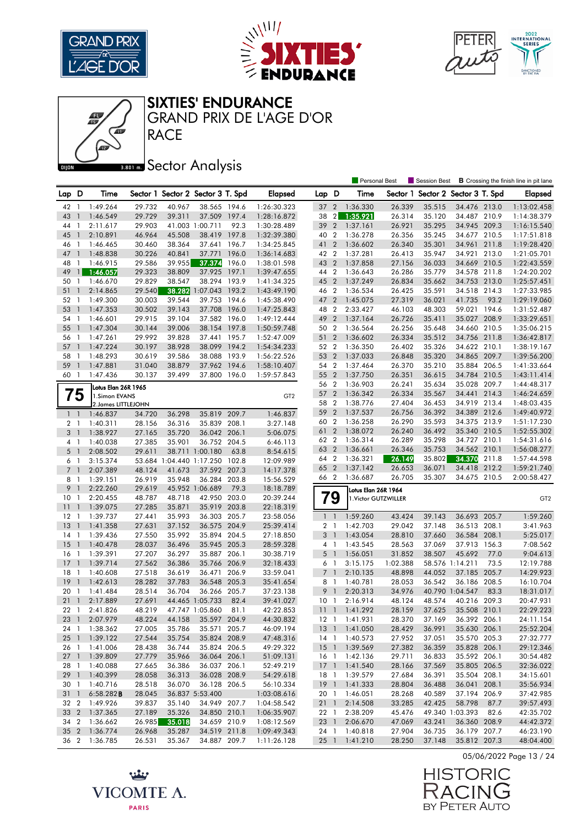







**RACE** GRAND PRIX DE L'AGE D'OR

Œ

## **Bector Analysis**

|                      |                          |                      |        |                                   |                     |               |                       |                |                          | <b>Personal Best</b>                        |          | Session Best                      |                 |       | <b>B</b> Crossing the finish line in pit lane |
|----------------------|--------------------------|----------------------|--------|-----------------------------------|---------------------|---------------|-----------------------|----------------|--------------------------|---------------------------------------------|----------|-----------------------------------|-----------------|-------|-----------------------------------------------|
| Lap D                |                          | Time                 |        | Sector 1 Sector 2 Sector 3 T. Spd |                     |               | <b>Elapsed</b>        | Lap D          |                          | Time                                        |          | Sector 1 Sector 2 Sector 3 T. Spd |                 |       | <b>Elapsed</b>                                |
| 42                   | - 1                      | 1:49.264             | 29.732 | 40.967                            | 38.565 194.6        |               | 1:26:30.323           | 37             | $\overline{2}$           | 1:36.330                                    | 26.339   | 35.515                            | 34.476 213.0    |       | 1:13:02.458                                   |
| 43                   | $\mathbf{1}$             | 1:46.549             | 29.729 | 39.311                            | 37.509 197.4        |               | 1:28:16.872           | 38             | $\overline{2}$           | 1:35.921                                    | 26.314   | 35.120                            | 34.487 210.9    |       | 1:14:38.379                                   |
| 44                   | -1                       | 2:11.617             | 29.903 |                                   | 41.003 1:00.711     | 92.3          | 1:30:28.489           | 39             | $\overline{2}$           | 1:37.161                                    | 26.921   | 35.295                            | 34.945 209.3    |       | 1:16:15.540                                   |
| 45                   | $\mathbf{1}$             | 2:10.891             | 46.964 | 45.508                            | 38.419              | 197.8         | 1:32:39.380           | 40             | $\overline{2}$           | 1:36.278                                    | 26.356   | 35.245                            | 34.677 210.5    |       | 1:17:51.818                                   |
| 46                   | - 1                      | 1:46.465             | 30.460 | 38.364                            | 37.641 196.7        |               | 1:34:25.845           | 41 2           |                          | 1:36.602                                    | 26.340   | 35.301                            | 34.961 211.8    |       | 1:19:28.420                                   |
| 47                   | $\overline{\phantom{a}}$ | 1:48.838             | 30.226 | 40.841                            | 37.771              | 196.0         | 1:36:14.683           | 42 2           |                          | 1:37.281                                    | 26.413   | 35.947                            | 34.921 213.0    |       | 1:21:05.701                                   |
| 48                   | $\mathbf{1}$             | 1:46.915             | 29.586 | 39.955                            | 37.374              | 196.0         | 1:38:01.598           | 43 2           |                          | 1:37.858                                    | 27.156   | 36.033                            | 34.669 210.5    |       | 1:22:43.559                                   |
| 49                   | $\mathbf{1}$             | 1:46.057             | 29.323 | 38.809                            | 37.925              | 197.1         | 1:39:47.655           | 44 2           |                          | 1:36.643                                    | 26.286   | 35.779                            | 34.578 211.8    |       | 1:24:20.202                                   |
| 50                   | $\mathbf{1}$             | 1:46.670             | 29.829 | 38.547                            | 38.294 193.9        |               | 1:41:34.325           | 45 2           |                          | 1:37.249                                    | 26.834   | 35.662                            | 34.753 213.0    |       | 1:25:57.451                                   |
| 51                   | $\mathbf{1}$             | 2:14.865             | 29.540 |                                   | 38.282 1:07.043     | 193.2         | 1:43:49.190           | 46 2           |                          | 1:36.534                                    | 26.425   | 35.591                            | 34.518 214.3    |       | 1:27:33.985                                   |
| 52                   | -1                       | 1:49.300             | 30.003 | 39.544                            | 39.753              | 194.6         | 1:45:38.490           | 47 2           |                          | 1:45.075                                    | 27.319   | 36.021                            | 41.735          | 93.2  | 1:29:19.060                                   |
| 53                   | $\overline{1}$           | 1:47.353             | 30.502 | 39.143                            | 37.708              | 196.0         | 1:47:25.843           | 48 2           |                          | 2:33.427                                    | 46.103   | 48.303                            | 59.021 194.6    |       | 1:31:52.487                                   |
| 54                   | $\overline{1}$           | 1:46.601             | 29.915 | 39.104                            | 37.582 196.0        |               | 1:49:12.444           | 49             | $\overline{2}$           | 1:37.164                                    | 26.726   | 35.411                            | 35.027          | 208.9 | 1:33:29.651                                   |
| 55                   | $\overline{1}$           | 1:47.304             | 30.144 | 39.006                            | 38.154 197.8        |               | 1:50:59.748           | 50 2           |                          | 1:36.564                                    | 26.256   | 35.648                            | 34.660 210.5    |       | 1:35:06.215                                   |
| 56                   | -1                       | 1:47.261             | 29.992 | 39.828                            | 37.441              | 195.7         | 1:52:47.009           | 51 2           |                          | 1:36.602                                    | 26.334   | 35.512                            | 34.756 211.8    |       | 1:36:42.817                                   |
| 57                   | $\overline{1}$           | 1:47.224             | 30.197 | 38.928                            | 38.099 194.2        |               | 1:54:34.233           | 52 2           |                          | 1:36.350                                    | 26.402   | 35.326                            | 34.622 210.1    |       | 1:38:19.167                                   |
| 58                   | - 1                      | 1:48.293             | 30.619 | 39.586                            | 38.088 193.9        |               | 1:56:22.526           | 53             | $\overline{2}$           | 1:37.033                                    | 26.848   | 35.320                            | 34.865 209.7    |       | 1:39:56.200                                   |
| 59                   | $\overline{1}$           | 1:47.881             | 31.040 | 38.879                            | 37.962 194.6        |               | 1:58:10.407           | 54 2           |                          | 1:37.464                                    | 26.370   | 35.210                            | 35.884 206.5    |       | 1:41:33.664                                   |
| 60 1                 |                          | 1:47.436             | 30.137 | 39.499                            | 37.800 196.0        |               | 1:59:57.843           | 55             | $\overline{2}$           | 1:37.750                                    | 26.351   | 36.615                            | 34.784 210.5    |       | 1:43:11.414                                   |
|                      |                          |                      |        |                                   |                     |               |                       | 56 2           |                          | 1:36.903                                    | 26.241   | 35.634                            | 35.028 209.7    |       | 1:44:48.317                                   |
|                      |                          | Lotus Elan 26R 1965  |        |                                   |                     |               |                       | 57 2           |                          | 1:36.342                                    | 26.334   | 35.567                            | 34.441 214.3    |       | 1:46:24.659                                   |
| 75                   |                          | 1.Simon EVANS        |        |                                   |                     |               | GT <sub>2</sub>       | 58 2           |                          | 1:38.776                                    | 27.404   | 36.453                            | 34.919 213.4    |       | 1:48:03.435                                   |
|                      |                          | 2. James LITTLEJOHN  |        |                                   |                     |               |                       | 59             | $\overline{2}$           | 1:37.537                                    | 26.756   | 36.392                            | 34.389 212.6    |       | 1:49:40.972                                   |
| $1\quad$             |                          | 1:46.837             | 34.720 | 36.298                            | 35.819 209.7        |               | 1:46.837              | 60 2           |                          | 1:36.258                                    | 26.290   | 35.593                            | 34.375 213.9    |       | 1:51:17.230                                   |
| 2 <sub>1</sub>       |                          | 1:40.311             | 28.156 | 36.316                            | 35.839              | 208.1         | 3:27.148              | 61             | $\overline{2}$           | 1:38.072                                    | 26.240   | 36.492                            | 35.340 210.5    |       | 1:52:55.302                                   |
| 3 1                  |                          | 1:38.927             | 27.165 | 35.720                            | 36.042 206.1        |               | 5:06.075              | 62 2           |                          | 1:36.314                                    | 26.289   | 35.298                            | 34.727 210.1    |       | 1:54:31.616                                   |
| 4 1                  |                          | 1:40.038             | 27.385 | 35.901                            | 36.752 204.5        |               | 6:46.113              | 63 2           |                          | 1:36.661                                    | 26.346   | 35.753                            | 34.562 210.1    |       | 1:56:08.277                                   |
| 5 <sub>1</sub>       |                          | 2:08.502<br>3:15.374 | 29.611 | 53.684 1:04.440 1:17.250          | 38.711 1:00.180     | 63.8<br>102.8 | 8:54.615<br>12:09.989 | 64             | $\overline{2}$           | 1:36.321                                    | 26.149   | 35.802                            | 34.370          | 211.8 | 1:57:44.598                                   |
| 61<br>7 <sub>1</sub> |                          | 2:07.389             | 48.124 | 41.673                            | 37.592 207.3        |               | 14:17.378             | 65 2           |                          | 1:37.142                                    | 26.653   | 36.071                            | 34.418 212.2    |       | 1:59:21.740                                   |
| 8                    | $\overline{1}$           | 1:39.151             | 26.919 | 35.948                            | 36.284 203.8        |               | 15:56.529             | 66 2           |                          | 1:36.687                                    | 26.705   | 35.307                            | 34.675 210.5    |       | 2:00:58.427                                   |
| 9                    | $\overline{1}$           | 2:22.260             | 29.619 |                                   | 45.952 1:06.689     | 79.3          | 18:18.789             |                |                          |                                             |          |                                   |                 |       |                                               |
| 10                   | - 1                      | 2:20.455             | 48.787 | 48.718                            | 42.950 203.0        |               | 20:39.244             |                | 79                       | Lotus Elan 26R 1964<br>1. Victor GUTZWILLER |          |                                   |                 |       | GT <sub>2</sub>                               |
| 11                   | $\overline{1}$           | 1:39.075             | 27.285 | 35.871                            | 35.919              | 203.8         | 22:18.319             |                |                          |                                             |          |                                   |                 |       |                                               |
| 12                   | -1                       | 1:39.737             | 27.441 | 35.993                            | 36.303 205.7        |               | 23:58.056             | $1\quad$       |                          | 1:59.260                                    | 43.424   | 39.143                            | 36.693 205.7    |       | 1:59.260                                      |
| 13                   | $\mathbf{1}$             | 1:41.358             | 27.631 | 37.152                            | 36.575 204.9        |               | 25:39.414             | 2 <sub>1</sub> |                          | 1:42.703                                    | 29.042   | 37.148                            | 36.513 208.1    |       | 3:41.963                                      |
| 14                   | -1                       | 1:39.436             | 27.550 | 35.992                            | 35.894 204.5        |               | 27:18.850             | 3 <sup>1</sup> |                          | 1:43.054                                    | 28.810   | 37.660                            | 36.584 208.1    |       | 5:25.017                                      |
| 15                   | $\overline{1}$           | 1:40.478             | 28.037 | 36.496                            | 35.945 205.3        |               | 28:59.328             | $4-1$          |                          | 1:43.545                                    | 28.563   | 37.069                            | 37.913 156.3    |       | 7:08.562                                      |
| 16                   | $\overline{1}$           | 1:39.391             | 27.207 | 36.297                            | 35.887 206.1        |               | 30:38.719             | 5              | $\overline{\phantom{a}}$ | 1:56.051                                    | 31.852   | 38.507                            | 45.692          | 77.0  | 9:04.613                                      |
| 17                   | $\overline{1}$           | 1:39.714             | 27.562 | 36.386                            | 35.766 206.9        |               | 32:18.433             | 6 1            |                          | 3:15.175                                    | 1:02.388 |                                   | 58.576 1:14.211 | 73.5  | 12:19.788                                     |
| 18                   | $\overline{1}$           | 1:40.608             | 27.518 | 36.619                            | 36.471              | 206.9         | 33:59.041             | $\overline{7}$ | $\overline{1}$           | 2:10.135                                    | 48.898   | 44.052                            | 37.185          | 205.7 | 14:29.923                                     |
| 19                   | $\mathbf{1}$             | 1:42.613             | 28.282 | 37.783                            | 36.548 205.3        |               | 35:41.654             | 8 1            |                          | 1:40.781                                    | 28.053   | 36.542                            | 36.186 208.5    |       | 16:10.704                                     |
| 20                   | -1                       | 1:41.484             | 28.514 | 36.704                            | 36.266 205.7        |               | 37:23.138             | 9              | $\overline{\phantom{a}}$ | 2:20.313                                    | 34.976   |                                   | 40.790 1:04.547 | 83.3  | 18:31.017                                     |
| 21                   | $\overline{1}$           | 2:17.889             | 27.691 |                                   | 44.465 1:05.733     | 82.4          | 39:41.027             | 10             | $\overline{1}$           | 2:16.914                                    | 48.124   | 48.574                            | 40.216 209.3    |       | 20:47.931                                     |
| 221                  |                          | 2:41.826             | 48.219 |                                   | 47.747 1:05.860     | 81.1          | 42:22.853             | $11-1$         |                          | 1:41.292                                    | 28.159   | 37.625                            | 35.508 210.1    |       | 22:29.223                                     |
|                      |                          | 23 1 2:07.979        | 48.224 |                                   | 44.158 35.597 204.9 |               | 44:30.832             |                |                          | 12 1 1:41.931                               | 28.370   | 37.169                            | 36.392 206.1    |       | 24:11.154                                     |
|                      |                          | 24 1 1:38.362        | 27.005 | 35.786                            | 35.571 205.7        |               | 46:09.194             |                |                          | 13 1 1:41.050                               | 28.429   | 36.991                            | 35.630 206.1    |       | 25:52.204                                     |
| $25 \quad 1$         |                          | 1:39.122             | 27.544 | 35.754                            | 35.824 208.9        |               | 47:48.316             | $14-1$         |                          | 1:40.573                                    | 27.952   | 37.051                            | 35.570 205.3    |       | 27:32.777                                     |
| 26 1                 |                          | 1:41.006             | 28.438 | 36.744                            | 35.824 206.5        |               | 49:29.322             |                |                          | 15 1 1:39.569                               | 27.382   | 36.359                            | 35.828 206.1    |       | 29:12.346                                     |
| $27-1$               |                          | 1:39.809             | 27.779 | 35.966                            | 36.064 206.1        |               | 51:09.131             |                |                          | 16 1 1:42.136                               | 29.711   | 36.833                            | 35.592 206.1    |       | 30:54.482                                     |
| 28 1                 |                          | 1:40.088             | 27.665 | 36.386                            | 36.037 206.1        |               | 52:49.219             |                |                          | 17 1 1:41.540                               | 28.166   | 37.569                            | 35.805 206.5    |       | 32:36.022                                     |
| $29-1$               |                          | 1:40.399             | 28.058 | 36.313                            | 36.028 208.9        |               | 54:29.618             |                |                          | 18 1 1:39.579                               | 27.684   | 36.391                            | 35.504 208.1    |       | 34:15.601                                     |
| 30 1                 |                          | 1:40.716             | 28.518 | 36.070                            | 36.128 206.5        |               | 56:10.334             |                |                          | 19 1 1:41.333                               | 28.804   | 36.488                            | 36.041 208.1    |       | 35:56.934                                     |
| $31 \quad 1$         |                          | $6:58.282$ <b>B</b>  | 28.045 |                                   | 36.837 5:53.400     |               | 1:03:08.616           |                |                          | 20 1 1:46.051                               | 28.268   | 40.589                            | 37.194 206.9    |       | 37:42.985                                     |
| 32 2                 |                          | 1:49.926             | 39.837 | 35.140                            | 34.949 207.7        |               | 1:04:58.542           |                | $21 \quad 1$             | 2:14.508                                    | 33.285   | 42.425                            | 58.798          | 87.7  | 39:57.493                                     |
|                      |                          | 33 2 1:37.365        | 27.189 | 35.326                            | 34.850 210.1        |               | 1:06:35.907           |                | 22 1                     | 2:38.209                                    | 45.476   |                                   | 49.340 1:03.393 | 82.6  | 42:35.702                                     |
|                      |                          | 34 2 1:36.662        | 26.985 | 35.018                            | 34.659 210.9        |               | 1:08:12.569           |                |                          | 23 1 2:06.670                               | 47.069   | 43.241                            | 36.360 208.9    |       | 44:42.372                                     |
|                      |                          | 35 2 1:36.774        | 26.968 | 35.287                            | 34.519 211.8        |               | 1:09:49.343           |                |                          | 24 1 1:40.818                               | 27.904   | 36.735                            | 36.179 207.7    |       | 46:23.190                                     |
|                      |                          | 36 2 1:36.785        | 26.531 | 35.367                            | 34.887 209.7        |               | 1:11:26.128           |                |                          | 25 1 1:41.210                               | 28.250   | 37.148                            | 35.812 207.3    |       | 48:04.400                                     |

05/06/2022 Page 13 / 24



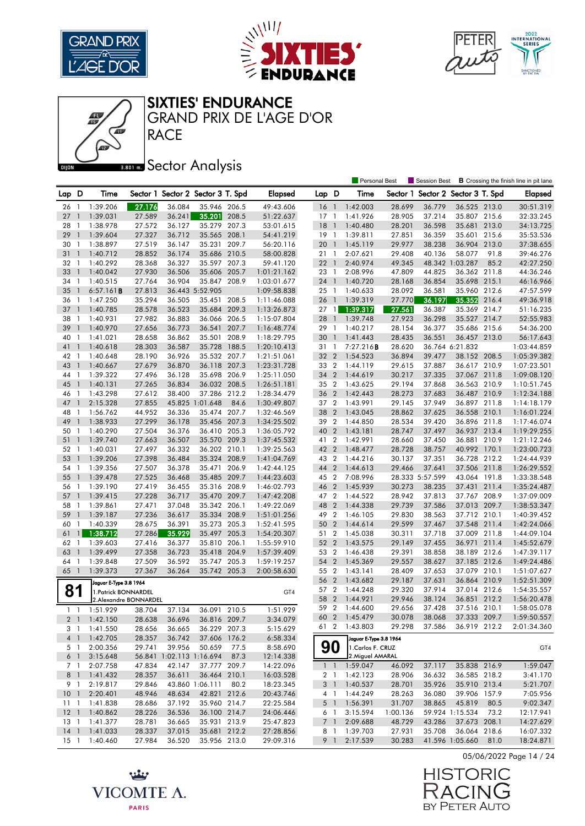





SIXTIES' ENDURANCE

RACE GRAND PRIX DE L'AGE D'OR

## **Bector Analysis**

|              |                |                        |        |        |                                   |       |                            |              |                | <b>Personal Best</b>       |                  | Session Best                      |                 |       | <b>B</b> Crossing the finish line in pit lane |
|--------------|----------------|------------------------|--------|--------|-----------------------------------|-------|----------------------------|--------------|----------------|----------------------------|------------------|-----------------------------------|-----------------|-------|-----------------------------------------------|
| Lap D        |                | Time                   |        |        | Sector 1 Sector 2 Sector 3 T. Spd |       | <b>Elapsed</b>             | Lap D        |                | Time                       |                  | Sector 1 Sector 2 Sector 3 T. Spd |                 |       | <b>Elapsed</b>                                |
| 26           | - 1            | 1:39.206               | 27.176 | 36.084 | 35.946 206.5                      |       | 49:43.606                  | $16-1$       |                | 1:42.003                   | 28.699           | 36.779                            | 36.525 213.0    |       | 30:51.319                                     |
| 27           | $\mathbf{1}$   | 1:39.031               | 27.589 | 36.241 | 35.201                            | 208.5 | 51:22.637                  | $17-1$       |                | 1:41.926                   | 28.905           | 37.214                            | 35.807 215.6    |       | 32:33.245                                     |
| 28           | -1             | 1:38.978               | 27.572 | 36.127 | 35.279 207.3                      |       | 53:01.615                  | $18-1$       |                | 1:40.480                   | 28.201           | 36.598                            | 35.681 213.0    |       | 34:13.725                                     |
| 29           | $\overline{1}$ | 1:39.604               | 27.327 | 36.712 | 35.565 208.1                      |       | 54:41.219                  | $19-1$       |                | 1:39.811                   | 27.851           | 36.359                            | 35.601 215.6    |       | 35:53.536                                     |
| 30           | $\overline{1}$ | 1:38.897               | 27.519 | 36.147 | 35.231 209.7                      |       | 56:20.116                  | 20           | $\overline{1}$ | 1:45.119                   | 29.977           | 38.238                            | 36.904 213.0    |       | 37:38.655                                     |
| 31           | $\overline{1}$ | 1:40.712               | 28.852 | 36.174 | 35.686 210.5                      |       | 58:00.828                  | 21 1         |                | 2:07.621                   | 29.408           | 40.136                            | 58.077          | 91.8  | 39:46.276                                     |
| 32           | $\overline{1}$ | 1:40.292               | 28.368 | 36.327 | 35.597 207.3                      |       | 59:41.120                  | 22           | $\overline{1}$ | 2:40.974                   | 49.345           |                                   | 48.342 1:03.287 | 85.2  | 42:27.250                                     |
| 33           | $\overline{1}$ | 1:40.042               | 27.930 | 36.506 | 35.606 205.7                      |       | 1:01:21.162                | 23 1         |                | 2:08.996                   | 47.809           | 44.825                            | 36.362 211.8    |       | 44:36.246                                     |
| 34           | -1             | 1:40.515               | 27.764 | 36.904 | 35.847 208.9                      |       | 1:03:01.677                | 24           | $\overline{1}$ | 1:40.720                   | 28.168           | 36.854                            | 35.698 215.1    |       | 46:16.966                                     |
| 35           | $\mathbf{1}$   | 6:57.161B              | 27.813 |        | 36.443 5:52.905                   |       | 1:09:58.838                | $25 \quad 1$ |                | 1:40.633                   | 28.092           | 36.581                            | 35.960 212.6    |       | 47:57.599                                     |
| 36           | -1             | 1:47.250               | 35.294 | 36.505 | 35.451 208.5                      |       | 1:11:46.088                | 26           | $\overline{1}$ | 1:39.319                   | 27.770           | 36.197                            | 35.352          | 216.4 | 49:36.918                                     |
| 37           | $\overline{1}$ | 1:40.785               | 28.578 | 36.523 | 35.684 209.3                      |       | 1:13:26.873                | $27-1$       |                | 1:39.317                   | 27.561           | 36.387                            | 35.369 214.7    |       | 51:16.235                                     |
| 38           | -1             | 1:40.931               | 27.982 | 36.883 | 36.066 206.5                      |       | 1:15:07.804                | 28           | $\overline{1}$ | 1:39.748                   | 27.923           | 36.298                            | 35.527 214.7    |       | 52:55.983                                     |
| 39           | $\overline{1}$ | 1:40.970               | 27.656 | 36.773 | 36.541                            | 207.7 | 1:16:48.774                | 29           | -1             | 1:40.217                   | 28.154           | 36.377                            | 35.686 215.6    |       | 54:36.200                                     |
| 40           | -1             | 1:41.021               | 28.658 | 36.862 | 35.501                            | 208.9 | 1:18:29.795                | 30           | $\overline{1}$ | 1:41.443                   | 28.435           | 36.551                            | 36.457 213.0    |       | 56:17.643                                     |
| 41           | $\mathbf{1}$   | 1:40.618               | 28.303 | 36.587 | 35.728 188.5                      |       | 1:20:10.413                | 31           | $\overline{1}$ | 7:27.216B                  | 28.620           |                                   | 36.764 6:21.832 |       | 1:03:44.859                                   |
| 42           | - 1            | 1:40.648               | 28.190 | 36.926 | 35.532 207.7                      |       | 1:21:51.061                | 32           | $\overline{2}$ | 1:54.523                   | 36.894           | 39.477                            | 38.152 208.5    |       | 1:05:39.382                                   |
| 43           | $\overline{1}$ | 1:40.667               | 27.679 | 36.870 | 36.118 207.3                      |       | 1:23:31.728                | 33           | $\overline{2}$ | 1:44.119                   | 29.615           | 37.887                            | 36.617 210.9    |       | 1:07:23.501                                   |
|              | -1             |                        |        |        | 35.698 206.9                      |       |                            |              | $\overline{2}$ |                            |                  |                                   | 37.067 211.8    |       |                                               |
| 44           |                | 1:39.322               | 27.496 | 36.128 |                                   |       | 1:25:11.050<br>1:26:51.181 | 34           |                | 1:44.619                   | 30.217<br>29.194 | 37.335<br>37.868                  |                 |       | 1:09:08.120                                   |
| 45           | $\mathbf{1}$   | 1:40.131               | 27.265 | 36.834 | 36.032 208.5                      |       |                            | 35 2         | $\overline{2}$ | 1:43.625                   |                  |                                   | 36.563 210.9    |       | 1:10:51.745                                   |
| 46           | $\mathbf{1}$   | 1:43.298               | 27.612 | 38.400 | 37.286 212.2                      |       | 1:28:34.479                | 36           |                | 1:42.443                   | 28.273           | 37.683                            | 36.487 210.9    |       | 1:12:34.188                                   |
| 47           | $\mathbf{1}$   | 2:15.328               | 27.855 |        | 45.825 1:01.648                   | 84.6  | 1:30:49.807                | 37           | $\overline{2}$ | 1:43.991                   | 29.145           | 37.949                            | 36.897 211.8    |       | 1:14:18.179                                   |
| 48           | -1             | 1:56.762               | 44.952 | 36.336 | 35.474 207.7                      |       | 1:32:46.569                | 38           | $\overline{2}$ | 1:43.045                   | 28.862           | 37.625                            | 36.558          | 210.1 | 1:16:01.224                                   |
| 49           | $\overline{1}$ | 1:38.933               | 27.299 | 36.178 | 35.456 207.3                      |       | 1:34:25.502                | 39 2         |                | 1:44.850                   | 28.534           | 39.420                            | 36.896 211.8    |       | 1:17:46.074                                   |
| 50           | -1             | 1:40.290               | 27.504 | 36.376 | 36.410 205.3                      |       | 1:36:05.792                | 40           | $\overline{2}$ | 1:43.181                   | 28.747           | 37.497                            | 36.937 213.4    |       | 1:19:29.255                                   |
| 51           | $\overline{1}$ | 1:39.740               | 27.663 | 36.507 | 35.570 209.3                      |       | 1:37:45.532                | 41 2         |                | 1:42.991                   | 28.660           | 37.450                            | 36.881 210.9    |       | 1:21:12.246                                   |
| 52           | -1             | 1:40.031               | 27.497 | 36.332 | 36.202 210.1                      |       | 1:39:25.563                | 42 2         |                | 1:48.477                   | 28.728           | 38.757                            | 40.992 170.1    |       | 1:23:00.723                                   |
| 53           | $\overline{1}$ | 1:39.206               | 27.398 | 36.484 | 35.324 208.9                      |       | 1:41:04.769                | 43           | $\overline{2}$ | 1:44.216                   | 30.137           | 37.351                            | 36.728          | 212.2 | 1:24:44.939                                   |
| 54           | $\overline{1}$ | 1:39.356               | 27.507 | 36.378 | 35.471 206.9                      |       | 1:42:44.125                | 44           | $\overline{2}$ | 1:44.613                   | 29.466           | 37.641                            | 37.506 211.8    |       | 1:26:29.552                                   |
| 55           | $\overline{1}$ | 1:39.478               | 27.525 | 36.468 | 35.485 209.7                      |       | 1:44:23.603                | 45 2         |                | 7:08.996                   |                  | 28.333 5:57.599                   | 43.064 191.8    |       | 1:33:38.548                                   |
| 56           | $\overline{1}$ | 1:39.190               | 27.419 | 36.455 | 35.316 208.9                      |       | 1:46:02.793                | 46           | $\overline{2}$ | 1:45.939                   | 30.273           | 38.235                            | 37.431 211.4    |       | 1:35:24.487                                   |
| 57           | $\overline{1}$ | 1:39.415               | 27.228 | 36.717 | 35.470 209.7                      |       | 1:47:42.208                | 47 2         |                | 1:44.522                   | 28.942           | 37.813                            | 37.767 208.9    |       | 1:37:09.009                                   |
| 58           | $\mathbf{1}$   | 1:39.861               | 27.471 | 37.048 | 35.342 206.1                      |       | 1:49:22.069                | 48           | $\overline{2}$ | 1:44.338                   | 29.739           | 37.586                            | 37.013 209.7    |       | 1:38:53.347                                   |
| 59           | $\mathbf{1}$   | 1:39.187               | 27.236 | 36.617 | 35.334                            | 208.9 | 1:51:01.256                | 49 2         |                | 1:46.105                   | 29.830           | 38.563                            | 37.712 210.1    |       | 1:40:39.452                                   |
| 60           | 1              | 1:40.339               | 28.675 | 36.391 | 35.273 205.3                      |       | 1:52:41.595                | 50           | $\overline{2}$ | 1:44.614                   | 29.599           | 37.467                            | 37.548          | 211.4 | 1:42:24.066                                   |
| 61           | $\mathbf{1}$   | 1:38.712               | 27.286 | 35.929 | 35.497 205.3                      |       | 1:54:20.307                | 51 2         |                | 1:45.038                   | 30.311           | 37.718                            | 37.009 211.8    |       | 1:44:09.104                                   |
| 62           | -1             | 1:39.603               | 27.416 | 36.377 | 35.810 206.1                      |       | 1:55:59.910                | 52           | $\overline{2}$ | 1:43.575                   | 29.149           | 37.455                            | 36.971          | 211.4 | 1:45:52.679                                   |
| 63           | $\mathbf{1}$   | 1:39.499               | 27.358 | 36.723 | 35.418 204.9                      |       | 1:57:39.409                | 53 2         |                | 1:46.438                   | 29.391           | 38.858                            | 38.189 212.6    |       | 1:47:39.117                                   |
| 64           | $\overline{1}$ | 1:39.848               | 27.509 | 36.592 | 35.747                            | 205.3 | 1:59:19.257                | 54           | $\overline{2}$ | 1:45.369                   | 29.557           | 38.627                            | 37.185 212.6    |       | 1:49:24.486                                   |
| 65           | $\overline{1}$ | 1:39.373               | 27.367 | 36.264 | 35.742 205.3                      |       | 2:00:58.630                | 55           | $\overline{2}$ | 1:43.141                   | 28.409           | 37.653                            | 37.079          | 210.1 | 1:51:07.627                                   |
|              |                | Jaguar E-Type 3.8 1964 |        |        |                                   |       |                            | 56           | $\overline{2}$ | 1:43.682                   | 29.187           | 37.631                            | 36.864 210.9    |       | 1:52:51.309                                   |
| 81           |                | 1. Patrick BONNARDEL   |        |        |                                   |       | GT4                        | 57           | $\overline{2}$ | 1:44.248                   | 29.320           | 37.914                            | 37.014          | 212.6 | 1:54:35.557                                   |
|              |                | 2.Alexandre BONNARDEL  |        |        |                                   |       |                            | 58           | $\overline{2}$ | 1:44.921                   | 29.946           | 38.124                            | 36.851 212.2    |       | 1:56:20.478                                   |
| $1\quad1$    |                | 1:51.929               | 38.704 | 37.134 | 36.091 210.5                      |       | 1:51.929                   | 59 2         |                | 1:44.600                   | 29.656           | 37.428                            | 37.516 210.1    |       | 1:58:05.078                                   |
|              |                | 2 1 1:42.150           | 28.638 | 36.696 | 36.816 209.7                      |       | 3:34.079                   |              |                | 60 2 1:45.479              | 30.078           | 38.068                            | 37.333 209.7    |       | 1:59:50.557                                   |
|              |                | 3 1 1:41.550           | 28.656 | 36.665 | 36.229 207.3                      |       | 5:15.629                   |              |                | 61 2 1:43.803              | 29.298           | 37.586                            | 36.919 212.2    |       | 2:01:34.360                                   |
|              |                | 4 1 1:42.705           | 28.357 | 36.742 | 37.606 176.2                      |       | 6:58.334                   |              |                | Jaguar E-Type 3.8 1964     |                  |                                   |                 |       |                                               |
| 5 1          |                | 2:00.356               | 29.741 | 39.956 | 50.659                            | 77.5  | 8:58.690                   | 90           |                | 1. Carlos F. CRUZ          |                  |                                   |                 |       | GT4                                           |
|              | 6 1            | 3:15.648               |        |        | 56.841 1:02.113 1:16.694 87.3     |       | 12:14.338                  |              |                | 2. Miguel AMARAL           |                  |                                   |                 |       |                                               |
|              | 7 1            | 2:07.758               | 47.834 | 42.147 | 37.777 209.7                      |       | 14:22.096                  |              |                | $1 \quad 1 \quad 1:59.047$ | 46.092           | 37.117                            | 35.838 216.9    |       | 1:59.047                                      |
| 8 1          |                | 1:41.432               | 28.357 | 36.611 | 36.464 210.1                      |       | 16:03.528                  |              |                | 2 1 1:42.123               | 28.906           | 36.632                            | 36.585 218.2    |       | 3:41.170                                      |
| 9 1          |                | 2:19.817               | 29.846 |        | 43.860 1:06.111                   | 80.2  | 18:23.345                  |              |                | 3 1 1:40.537               | 28.701           | 35.926                            | 35.910 213.4    |       | 5:21.707                                      |
|              |                | 10 1 2:20.401          | 48.946 | 48.634 | 42.821 212.6                      |       | 20:43.746                  | 4 1          |                | 1:44.249                   | 28.263           | 36.080                            | 39.906 157.9    |       | 7:05.956                                      |
| $11 \quad 1$ |                | 1:41.838               | 28.686 | 37.192 | 35.960 214.7                      |       | 22:25.584                  |              |                | 5 1 1:56.391               | 31.707           | 38.865                            | 45.819          | 80.5  | 9:02.347                                      |
|              |                | 12 1 1:40.862          | 28.226 | 36.536 | 36.100 214.7                      |       | 24:06.446                  | 61           |                | 3:15.594                   | 1:00.136         |                                   | 59.924 1:15.534 | 73.2  | 12:17.941                                     |
|              |                | 13 1 1:41.377          | 28.781 | 36.665 | 35.931 213.9                      |       | 25:47.823                  |              | 7 1            | 2:09.688                   | 48.729           | 43.286                            | 37.673 208.1    |       | 14:27.629                                     |
|              |                | 14 1 1:41.033          | 28.337 | 37.015 | 35.681 212.2                      |       | 27:28.856                  | 8 1          |                | 1:39.703                   | 27.931           | 35.708                            | 36.064 218.6    |       | 16:07.332                                     |
| $15-1$       |                | 1:40.460               | 27.984 | 36.520 | 35.956 213.0                      |       | 29:09.316                  |              | 9 1            | 2:17.539                   | 30.283           |                                   | 41.596 1:05.660 | 81.0  | 18:24.871                                     |

05/06/2022 Page 14 / 24

**HISTORIC** RACIN Ĕ BY PETER AUTO

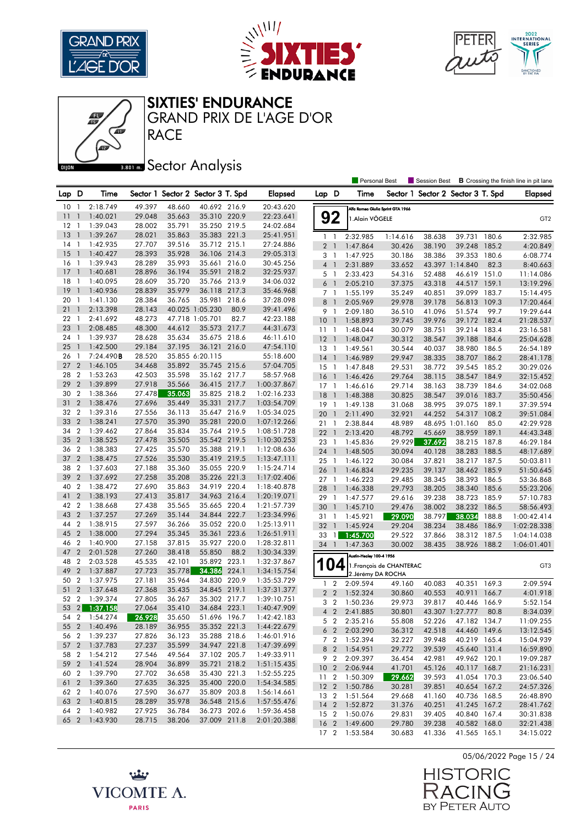

卿





SIXTIES' ENDURANCE

**RACE** GRAND PRIX DE L'AGE D'OR

## **Bector Analysis**

|         |                  |               |        |        |                                   |       |             |                 |                          | Personal Best                  |                                   | Session Best |                                   |       | <b>B</b> Crossing the finish line in pit lane |
|---------|------------------|---------------|--------|--------|-----------------------------------|-------|-------------|-----------------|--------------------------|--------------------------------|-----------------------------------|--------------|-----------------------------------|-------|-----------------------------------------------|
| Lap D   |                  | Time          |        |        | Sector 1 Sector 2 Sector 3 T. Spd |       | Elapsed     | Lap D           |                          | Time                           |                                   |              | Sector 1 Sector 2 Sector 3 T. Spd |       | Elapsed                                       |
| 10      | $\mathbf{1}$     | 2:18.749      | 49.397 | 48.660 | 40.692 216.9                      |       | 20:43.620   |                 |                          |                                | Alfa Romeo Giulia Sprint GTA 1966 |              |                                   |       |                                               |
| 11      | $\mathbf{1}$     | 1:40.021      | 29.048 | 35.663 | 35.310 220.9                      |       | 22:23.641   |                 | 92                       | 1.Alain VÖGELE                 |                                   |              |                                   |       | GT <sub>2</sub>                               |
| $12 \,$ | $\overline{1}$   | 1:39.043      | 28.002 | 35.791 | 35.250 219.5                      |       | 24:02.684   |                 |                          |                                |                                   |              |                                   |       |                                               |
| 13      | $\overline{1}$   | 1:39.267      | 28.021 | 35.863 | 35.383 221.3                      |       | 25:41.951   | 1 <sub>1</sub>  |                          | 2:32.985                       | 1:14.616                          | 38.638       | 39.731 180.6                      |       | 2:32.985                                      |
| 14      | - 1              | 1:42.935      | 27.707 | 39.516 | 35.712 215.1                      |       | 27:24.886   | 2 <sub>1</sub>  |                          | 1:47.864                       | 30.426                            | 38.190       | 39.248                            | 185.2 | 4:20.849                                      |
| 15      | $\overline{1}$   | 1:40.427      | 28.393 | 35.928 | 36.106 214.3                      |       | 29:05.313   | 3 <sub>1</sub>  |                          | 1:47.925                       | 30.186                            | 38.386       | 39.353                            | 180.6 | 6:08.774                                      |
| 16      | $\overline{1}$   | 1:39.943      | 28.289 | 35.993 | 35.661 216.0                      |       | 30:45.256   | $4-1$           |                          | 2:31.889                       | 33.652                            |              | 43.397 1:14.840                   | 82.3  | 8:40.663                                      |
| 17      | $\mathbf{1}$     | 1:40.681      | 28.896 | 36.194 | 35.591                            | 218.2 | 32:25.937   | 5               | $\overline{\phantom{a}}$ | 2:33.423                       | 54.316                            | 52.488       | 46.619 151.0                      |       | 11:14.086                                     |
| 18      | -1               | 1:40.095      | 28.609 | 35.720 | 35.766 213.9                      |       | 34:06.032   | 6               | $\overline{\phantom{a}}$ | 2:05.210                       | 37.375                            | 43.318       | 44.517                            | 159.1 | 13:19.296                                     |
| 19      | $\overline{1}$   | 1:40.936      | 28.839 | 35.979 | 36.118 217.3                      |       | 35:46.968   | 7 1             |                          | 1:55.199                       | 35.249                            | 40.851       | 39.099 183.7                      |       | 15:14.495                                     |
| 20      | -1               | 1:41.130      | 28.384 | 36.765 | 35.981                            | 218.6 | 37:28.098   | 8               | $\overline{1}$           | 2:05.969                       | 29.978                            | 39.178       | 56.813                            | 109.3 | 17:20.464                                     |
| 21      | $\mathbf{1}$     | 2:13.398      | 28.143 |        | 40.025 1:05.230                   | 80.9  | 39:41.496   | 9               | $\overline{1}$           | 2:09.180                       | 36.510                            | 41.096       | 51.574                            | 99.7  | 19:29.644                                     |
| 22      | $\mathbf{1}$     | 2:41.692      | 48.273 |        | 47.718 1:05.701                   | 82.7  | 42:23.188   | 10 <sup>°</sup> | $\overline{1}$           | 1:58.893                       | 39.745                            | 39.976       | 39.172 182.4                      |       | 21:28.537                                     |
| 23      | $\mathbf{1}$     | 2:08.485      | 48.300 | 44.612 | 35.573 217.7                      |       | 44:31.673   | $11-1$          |                          | 1:48.044                       | 30.079                            | 38.751       | 39.214                            | 183.4 | 23:16.581                                     |
| 24      | $\overline{1}$   | 1:39.937      | 28.628 | 35.634 | 35.675 218.6                      |       | 46:11.610   | $12-1$          |                          | 1:48.047                       | 30.312                            | 38.547       | 39.188                            | 184.6 | 25:04.628                                     |
| 25      | $\overline{1}$   | 1:42.500      | 29.184 | 37.195 | 36.121                            | 216.0 | 47:54.110   | 13 1            |                          | 1:49.561                       | 30.544                            | 40.037       | 38.980 186.5                      |       | 26:54.189                                     |
| 26      | $\overline{1}$   | 7:24.490B     | 28.520 |        | 35.855 6:20.115                   |       | 55:18.600   | 14              | $\overline{1}$           | 1:46.989                       | 29.947                            | 38.335       | 38.707 186.2                      |       | 28:41.178                                     |
| 27      | $\overline{2}$   | 1:46.105      | 34.468 | 35.892 | 35.745 215.6                      |       | 57:04.705   | 15              | $\overline{\phantom{a}}$ | 1:47.848                       | 29.531                            | 38.772       | 39.545 185.2                      |       | 30:29.026                                     |
| 28      | $\overline{2}$   | 1:53.263      | 42.503 | 35.598 | 35.162 217.7                      |       | 58:57.968   | 16              | $\overline{1}$           | 1:46.426                       | 29.764                            | 38.115       | 38.547 184.9                      |       | 32:15.452                                     |
| 29      | $\overline{2}$   | 1:39.899      | 27.918 | 35.566 | 36.415 217.7                      |       | 1:00:37.867 | $17-1$          |                          | 1:46.616                       | 29.714                            | 38.163       | 38.739 184.6                      |       | 34:02.068                                     |
| 30      | $\boldsymbol{2}$ | 1:38.366      | 27.478 | 35.063 | 35.825 218.2                      |       | 1:02:16.233 | 18              | $\overline{1}$           | 1:48.388                       | 30.825                            | 38.547       | 39.016                            | 183.7 | 35:50.456                                     |
| 31      | $\overline{2}$   | 1:38.476      | 27.696 | 35.449 | 35.331                            | 217.7 | 1:03:54.709 | 19              | -1                       | 1:49.138                       | 31.068                            | 38.995       | 39.075 189.1                      |       | 37:39.594                                     |
| 32      | $\overline{2}$   | 1:39.316      | 27.556 | 36.113 | 35.647 216.9                      |       | 1:05:34.025 | 20              | $\mathbf{1}$             | 2:11.490                       | 32.921                            | 44.252       | 54.317                            | 108.2 | 39:51.084                                     |
| 33      | $\overline{2}$   | 1:38.241      | 27.570 | 35.390 | 35.281 220.0                      |       | 1:07:12.266 | 21              | -1                       | 2:38.844                       | 48.989                            |              | 48.695 1:01.160                   | 85.0  | 42:29.928                                     |
| 34      | $\overline{2}$   | 1:39.462      | 27.864 | 35.834 | 35.764 219.5                      |       | 1:08:51.728 | 22              | $\overline{1}$           | 2:13.420                       | 48.792                            | 45.669       | 38.959 189.1                      |       | 44:43.348                                     |
| 35      | $\overline{2}$   | 1:38.525      | 27.478 | 35.505 | 35.542 219.5                      |       | 1:10:30.253 | 23 1            |                          | 1:45.836                       | 29.929                            | 37.692       | 38.215 187.8                      |       | 46:29.184                                     |
| 36      | $\overline{2}$   | 1:38.383      | 27.425 | 35.570 | 35.388 219.1                      |       | 1:12:08.636 | 24              | $\overline{1}$           | 1:48.505                       | 30.094                            | 40.128       | 38.283 188.5                      |       | 48:17.689                                     |
| 37 2    |                  | 1:38.475      | 27.526 | 35.530 | 35.419 219.5                      |       | 1:13:47.111 | 25              | - 1                      | 1:46.122                       | 30.084                            | 37.821       | 38.217 187.5                      |       | 50:03.811                                     |
| 38      | $\overline{2}$   | 1:37.603      | 27.188 | 35.360 | 35.055 220.9                      |       | 1:15:24.714 | 26              | $\overline{1}$           | 1:46.834                       | 29.235                            | 39.137       | 38.462 185.9                      |       | 51:50.645                                     |
| 39      | $\overline{2}$   | 1:37.692      | 27.258 | 35.208 | 35.226 221.3                      |       | 1:17:02.406 | $27-1$          |                          | 1:46.223                       | 29.485                            | 38.345       | 38.393                            | 186.5 | 53:36.868                                     |
| 40      | $\overline{2}$   | 1:38.472      | 27.690 | 35.863 | 34.919 220.4                      |       | 1:18:40.878 | 28              | $\overline{1}$           | 1:46.338                       | 29.793                            | 38.205       | 38.340                            | 185.6 | 55:23.206                                     |
| 41      | $\overline{2}$   | 1:38.193      | 27.413 | 35.817 | 34.963 216.4                      |       | 1:20:19.071 | 29 1            |                          | 1:47.577                       | 29.616                            | 39.238       | 38.723 185.9                      |       | 57:10.783                                     |
| 42      | $\overline{2}$   | 1:38.668      | 27.438 | 35.565 | 35.665 220.4                      |       | 1:21:57.739 | 30              | $\overline{1}$           | 1:45.710                       | 29.476                            | 38.002       | 38.232                            | 186.5 | 58:56.493                                     |
| 43      | $\overline{2}$   | 1:37.257      | 27.269 | 35.144 | 34.844                            | 222.7 | 1:23:34.996 | 31              | $\overline{1}$           | 1:45.921                       | 29.090                            | 38.797       | 38.034                            | 188.8 | 1:00:42.414                                   |
| 44      | $\overline{2}$   | 1:38.915      | 27.597 | 36.266 | 35.052 220.0                      |       | 1:25:13.911 | 32              | $\overline{1}$           | 1:45.924                       | 29.204                            | 38.234       | 38.486                            | 186.9 | 1:02:28.338                                   |
| 45      | $\overline{2}$   | 1:38.000      | 27.294 | 35.345 | 35.361 223.6                      |       | 1:26:51.911 | 33              | $\mathbf{1}$             | 1:45.700                       | 29.522                            | 37.866       | 38.312                            | 187.5 | 1:04:14.038                                   |
| 46      | $\overline{2}$   | 1:40.900      | 27.158 | 37.815 | 35.927                            | 220.0 | 1:28:32.811 | 34              | $\overline{1}$           | 1:47.363                       | 30.002                            | 38.435       | 38.926 188.2                      |       | 1:06:01.401                                   |
| 47      | $\overline{2}$   | 2:01.528      | 27.260 | 38.418 | 55.850                            | 88.2  | 1:30:34.339 |                 |                          | Austin-Healey 100-4 1956       |                                   |              |                                   |       |                                               |
| 48      | $\overline{2}$   | 2:03.528      | 45.535 | 42.101 | 35.892                            | 223.1 | 1:32:37.867 |                 |                          |                                |                                   |              |                                   |       |                                               |
| 49      | $\overline{2}$   | 1:37.887      | 27.723 | 35.778 | 34.386                            | 224.1 | 1:34:15.754 |                 | 04                       | 2. Jérémy DA ROCHA             | 1. François de CHANTERAC          |              |                                   |       | GT <sub>3</sub>                               |
| 50      | $\overline{2}$   | 1:37.975      | 27.181 | 35.964 | 34.830 220.9                      |       | 1:35:53.729 | 1               | $\overline{2}$           | 2:09.594                       | 49.160                            | 40.083       | 40.351                            | 169.3 | 2:09.594                                      |
| 51      | $\overline{2}$   | 1:37.648      | 27.368 | 35.435 | 34.845 219.1                      |       | 1:37:31.377 | $\overline{2}$  | $\overline{2}$           | 1:52.324                       | 30.860                            | 40.553       | 40.911                            | 166.7 | 4:01.918                                      |
| 52 2    |                  | 1:39.374      | 27.805 | 36.267 | 35.302 217.7                      |       | 1:39:10.751 | 3               | $\overline{2}$           | 1:50.236                       | 29.973                            | 39.817       | 40.446                            | 166.9 | 5:52.154                                      |
|         |                  | 53 2 1:37.158 | 27.064 | 35.410 | 34.684 223.1                      |       | 1:40:47.909 |                 | 4 <sup>2</sup>           | 2:41.885                       | 30.801                            |              | 43.307 1:27.777                   | 80.8  | 8:34.039                                      |
|         |                  | 54 2 1:54.274 | 26.928 | 35.650 | 51.696 196.7                      |       | 1:42:42.183 |                 |                          |                                |                                   |              |                                   |       |                                               |
|         |                  | 55 2 1:40.496 | 28.189 | 36.955 | 35.352 221.3                      |       | 1:44:22.679 |                 | 5 2                      | 2:35.216                       | 55.808                            | 52.226       | 47.182 134.7                      |       | 11:09.255                                     |
|         |                  | 56 2 1:39.237 | 27.826 | 36.123 | 35.288 218.6                      |       | 1:46:01.916 |                 | 6 <sub>2</sub>           | 2:03.290                       | 36.312                            | 42.518       | 44.460 149.6                      |       | 13:12.545                                     |
|         |                  | 57 2 1:37.783 | 27.237 | 35.599 | 34.947 221.8                      |       | 1:47:39.699 |                 | 7 <sup>2</sup>           | 1:52.394<br>8 2 1:54.951       | 32.227<br>29.772                  | 39.948       | 40.219 165.4<br>45.640 131.4      |       | 15:04.939                                     |
| 58 2    |                  | 1:54.212      | 27.546 | 49.564 | 37.102 205.7                      |       | 1:49:33.911 |                 |                          |                                |                                   | 39.539       |                                   |       | 16:59.890                                     |
|         |                  | 59 2 1:41.524 | 28.904 | 36.899 | 35.721 218.2                      |       | 1:51:15.435 |                 | 10 <sub>2</sub>          | 9 2 2:09.397<br>2:06.944       | 36.454<br>41.701                  | 42.981       | 49.962 120.1<br>40.117 168.7      |       | 19:09.287<br>21:16.231                        |
| 60 2    |                  | 1:39.790      | 27.702 | 36.658 | 35.430 221.3                      |       | 1:52:55.225 |                 |                          |                                |                                   | 45.126       |                                   |       |                                               |
|         |                  | 61 2 1:39.360 | 27.635 | 36.325 | 35.400 220.0                      |       | 1:54:34.585 | 11 <sub>2</sub> |                          | 1:50.309                       | 29.662                            | 39.593       | 41.054 170.3                      |       | 23:06.540                                     |
|         |                  | 62 2 1:40.076 | 27.590 | 36.677 | 35.809 203.8                      |       | 1:56:14.661 |                 |                          | 12 2 1:50.786                  | 30.281                            | 39.851       | 40.654 167.2                      |       | 24:57.326                                     |
|         |                  | 63 2 1:40.815 | 28.289 | 35.978 | 36.548 215.6                      |       | 1:57:55.476 |                 |                          | 13 2 1:51.564                  | 29.668                            | 41.160       | 40.736 168.5                      |       | 26:48.890                                     |
|         |                  | 64 2 1:40.982 | 27.925 | 36.784 | 36.273 202.6                      |       | 1:59:36.458 |                 |                          | 14 2 1:52.872<br>15 2 1:50.076 | 31.376                            | 40.251       | 41.245 167.2                      |       | 28:41.762                                     |
|         |                  | 65 2 1:43.930 | 28.715 | 38.206 | 37.009 211.8                      |       | 2:01:20.388 |                 |                          |                                | 29.831                            | 39.405       | 40.840 167.4                      |       | 30:31.838                                     |
|         |                  |               |        |        |                                   |       |             |                 |                          | 16 2 1:49.600                  | 29.780                            | 39.238       | 40.582 168.0                      |       | 32:21.438                                     |
|         |                  |               |        |        |                                   |       |             |                 |                          | 17 2 1:53.584                  | 30.683                            | 41.336       | 41.565 165.1                      |       | 34:15.022                                     |





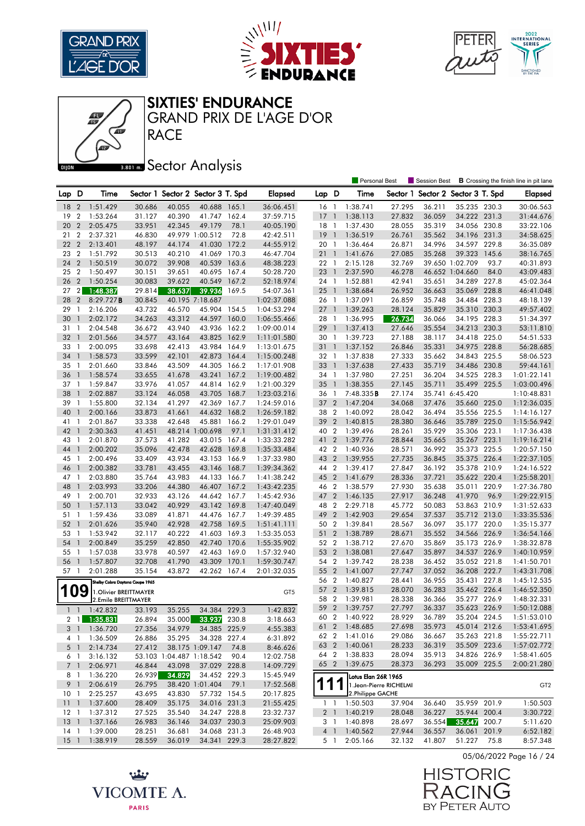





#### SIXTIES' ENDURANCE

GRAND PRIX DE L'AGE D'OR

## **Bector Analysis**

**RACE** 

|            |                  |                                 |        |                          |                                   |       |                 |             |                          | <b>Personal Best</b>   |        | Session Best                      |                 |      | <b>B</b> Crossing the finish line in pit lane |
|------------|------------------|---------------------------------|--------|--------------------------|-----------------------------------|-------|-----------------|-------------|--------------------------|------------------------|--------|-----------------------------------|-----------------|------|-----------------------------------------------|
| Lap D      |                  | Time                            |        |                          | Sector 1 Sector 2 Sector 3 T. Spd |       | <b>Elapsed</b>  | Lap D       |                          | Time                   |        | Sector 1 Sector 2 Sector 3 T. Spd |                 |      | <b>Elapsed</b>                                |
| 18         | $\overline{2}$   | 1:51.429                        | 30.686 | 40.055                   | 40.688 165.1                      |       | 36:06.451       | 16 1        |                          | 1:38.741               | 27.295 | 36.211                            | 35.235 230.3    |      | 30:06.563                                     |
| 19         | 2                | 1:53.264                        | 31.127 | 40.390                   | 41.747 162.4                      |       | 37:59.715       | 17          | $\mathbf{1}$             | 1:38.113               | 27.832 | 36.059                            | 34.222 231.3    |      | 31:44.676                                     |
| 20         | $\overline{2}$   | 2:05.475                        | 33.951 | 42.345                   | 49.179                            | 78.1  | 40:05.190       | $18-1$      |                          | 1:37.430               | 28.055 | 35.319                            | 34.056 230.8    |      | 33:22.106                                     |
| 21         | $\boldsymbol{2}$ | 2:37.321                        | 46.830 |                          | 49.979 1:00.512                   | 72.8  | 42:42.511       | 19          | $\overline{1}$           | 1:36.519               | 26.761 | 35.562                            | 34.196 231.3    |      | 34:58.625                                     |
| 22         | $\overline{2}$   | 2:13.401                        | 48.197 | 44.174                   | 41.030                            | 172.2 | 44:55.912       | 20 1        |                          | 1:36.464               | 26.871 | 34.996                            | 34.597 229.8    |      | 36:35.089                                     |
| 23         | $\overline{2}$   | 1:51.792                        | 30.513 | 40.210                   | 41.069                            | 170.3 | 46:47.704       | 211         |                          | 1:41.676               | 27.085 | 35.268                            | 39.323 145.6    |      | 38:16.765                                     |
|            |                  | 1:50.519                        |        |                          |                                   |       |                 |             |                          |                        |        |                                   |                 | 93.7 |                                               |
| 24         | $\overline{2}$   |                                 | 30.072 | 39.908                   | 40.539                            | 163.6 | 48:38.223       | 22 1        |                          | 2:15.128               | 32.769 |                                   | 39.650 1:02.709 |      | 40:31.893                                     |
| 25         | $\overline{2}$   | 1:50.497                        | 30.151 | 39.651                   | 40.695 167.4                      |       | 50:28.720       | 23          | $\overline{1}$           | 2:37.590               | 46.278 |                                   | 46.652 1:04.660 | 84.0 | 43:09.483                                     |
| 26         | $\overline{2}$   | 1:50.254                        | 30.083 | 39.622                   | 40.549                            | 167.2 | 52:18.974       | 24 1        |                          | 1:52.881               | 42.941 | 35.651                            | 34.289 227.8    |      | 45:02.364                                     |
| 27         | 2 <sub>l</sub>   | 1:48.387                        | 29.814 | 38.637                   | 39.936                            | 169.5 | 54:07.361       | $25-1$      |                          | 1:38.684               | 26.952 | 36.663                            | 35.069 228.8    |      | 46:41.048                                     |
| 28         | $\overline{2}$   | 8:29.727B                       | 30.845 |                          | 40.195 7:18.687                   |       | 1:02:37.088     | 26 1        |                          | 1:37.091               | 26.859 | 35.748                            | 34.484 228.3    |      | 48:18.139                                     |
| 29         | $\mathbf{1}$     | 2:16.206                        | 43.732 | 46.570                   | 45.904 154.5                      |       | 1:04:53.294     | 27          | $\overline{1}$           | 1:39.263               | 28.124 | 35.829                            | 35.310 230.3    |      | 49:57.402                                     |
| 30         | $\mathbf{1}$     | 2:02.172                        | 34.263 | 43.312                   | 44.597                            | 160.0 | 1:06:55.466     | 28 1        |                          | 1:36.995               | 26.734 | 36.066                            | 34.195 228.3    |      | 51:34.397                                     |
| 31         | $\mathbf{1}$     | 2:04.548                        | 36.672 | 43.940                   | 43.936 162.2                      |       | 1:09:00.014     | 29          | $\overline{1}$           | 1:37.413               | 27.646 | 35.554                            | 34.213 230.3    |      | 53:11.810                                     |
| 32         | $\mathbf{1}$     | 2:01.566                        | 34.577 | 43.164                   | 43.825                            | 162.9 | 1:11:01.580     | 30 1        |                          | 1:39.723               | 27.188 | 38.117                            | 34.418 225.0    |      | 54:51.533                                     |
| 33         | -1               | 2:00.095                        | 33.698 | 42.413                   | 43.984                            | 164.9 | 1:13:01.675     | 31 1        |                          | 1:37.152               | 26.846 | 35.331                            | 34.975 228.8    |      | 56:28.685                                     |
| 34         | $\mathbf{1}$     | 1:58.573                        | 33.599 | 42.101                   | 42.873                            | 164.4 | 1:15:00.248     | 32 1        |                          | 1:37.838               | 27.333 | 35.662                            | 34.843 225.5    |      | 58:06.523                                     |
| 35         | -1               | 2:01.660                        | 33.846 | 43.509                   | 44.305                            | 166.2 | 1:17:01.908     | 33          | $\overline{\phantom{a}}$ | 1:37.638               | 27.433 | 35.719                            | 34.486 230.8    |      | 59:44.161                                     |
| 36         | $\mathbf{1}$     | 1:58.574                        | 33.655 | 41.678                   | 43.241                            | 167.2 | 1:19:00.482     | 34          | $\overline{1}$           | 1:37.980               | 27.251 | 36.204                            | 34.525 228.3    |      | 1:01:22.141                                   |
| 37         | $\mathbf{1}$     | 1:59.847                        | 33.976 | 41.057                   | 44.814 162.9                      |       | 1:21:00.329     | 35          | $\mathbf{1}$             | 1:38.355               | 27.145 | 35.711                            | 35.499 225.5    |      | 1:03:00.496                                   |
| 38         | $\mathbf{1}$     | 2:02.887                        | 33.124 | 46.058                   | 43.705                            | 168.7 | 1:23:03.216     | 36          | -1                       | 7:48.335B              | 27.174 |                                   | 35.741 6:45.420 |      | 1:10:48.831                                   |
| 39         | -1               | 1:55.800                        | 32.134 | 41.297                   | 42.369                            | 167.7 | 1:24:59.016     | 37 2        |                          | 1:47.204               | 34.068 | 37.476                            | 35.660 225.0    |      | 1:12:36.035                                   |
| 40         | $\mathbf{1}$     | 2:00.166                        | 33.873 | 41.661                   | 44.632                            | 168.2 | 1:26:59.182     | 38          | $\overline{2}$           | 1:40.092               | 28.042 | 36.494                            | 35.556 225.5    |      | 1:14:16.127                                   |
| 41 1       |                  | 2:01.867                        | 33.338 | 42.648                   | 45.881 166.2                      |       | 1:29:01.049     | 39          | $\overline{2}$           | 1:40.815               | 28.380 | 36.646                            | 35.789 225.0    |      | 1:15:56.942                                   |
| 42         | $\mathbf{1}$     | 2:30.363                        | 41.451 |                          | 48.214 1:00.698                   | 97.1  | 1:31:31.412     | 40 2        |                          | 1:39.496               | 28.261 | 35.929                            | 35.306 223.1    |      | 1:17:36.438                                   |
| 43         | $\mathbf{1}$     | 2:01.870                        | 37.573 | 41.282                   | 43.015 167.4                      |       | 1:33:33.282     | 41          | $\overline{2}$           | 1:39.776               | 28.844 | 35.665                            | 35.267 223.1    |      | 1:19:16.214                                   |
| 44         | $\mathbf{1}$     | 2:00.202                        | 35.096 | 42.478                   | 42.628                            | 169.8 | 1:35:33.484     | 42 2        |                          | 1:40.936               | 28.571 | 36.992                            | 35.373 225.5    |      | 1:20:57.150                                   |
| 45         | -1               | 2:00.496                        | 33.409 | 43.934                   | 43.153                            | 166.9 | 1:37:33.980     | 43          | $\overline{2}$           | 1:39.955               | 27.735 | 36.845                            | 35.375 226.4    |      | 1:22:37.105                                   |
| 46         | $\mathbf{1}$     | 2:00.382                        | 33.781 | 43.455                   | 43.146                            | 168.7 | 1:39:34.362     | 44 2        |                          | 1:39.417               | 27.847 | 36.192                            | 35.378 210.9    |      | 1:24:16.522                                   |
| 47         | - 1              | 2:03.880                        | 35.764 | 43.983                   | 44.133                            | 166.7 | 1:41:38.242     | 45 2        |                          | 1:41.679               | 28.336 | 37.721                            | 35.622 220.4    |      | 1:25:58.201                                   |
| 48         | $\mathbf{1}$     | 2:03.993                        | 33.206 | 44.380                   | 46.407 167.2                      |       | 1:43:42.235     | 46 2        |                          | 1:38.579               | 27.930 | 35.638                            | 35.011 220.9    |      | 1:27:36.780                                   |
| 49         | $\mathbf{1}$     | 2:00.701                        | 32.933 | 43.126                   | 44.642 167.7                      |       | 1:45:42.936     | 47 2        |                          | 1:46.135               | 27.917 | 36.248                            | 41.970          | 96.9 | 1:29:22.915                                   |
| 50         | $\mathbf{1}$     | 1:57.113                        | 33.042 | 40.929                   | 43.142 169.8                      |       | 1:47:40.049     | 48          | $\overline{2}$           | 2:29.718               | 45.772 | 50.083                            | 53.863 210.9    |      | 1:31:52.633                                   |
| 51         | -1               | 1:59.436                        | 33.089 | 41.871                   | 44.476                            | 167.7 | 1:49:39.485     | 49 2        |                          | 1:42.903               | 29.654 | 37.537                            | 35.712 213.0    |      | 1:33:35.536                                   |
| 52         | $\mathbf{1}$     | 2:01.626                        | 35.940 | 42.928                   | 42.758                            | 169.5 | 1:51:41.111     | 50          | $\overline{2}$           | 1:39.841               | 28.567 | 36.097                            | 35.177 220.0    |      | 1:35:15.377                                   |
| 53         | $\overline{1}$   | 1:53.942                        | 32.117 | 40.222                   | 41.603 169.3                      |       | 1:53:35.053     | 51 2        |                          | 1:38.789               | 28.671 | 35.552                            | 34.566 226.9    |      | 1:36:54.166                                   |
| 54         | $\mathbf{1}$     | 2:00.849                        | 35.259 | 42.850                   | 42.740                            | 170.6 | 1:55:35.902     | 52 2        |                          | 1:38.712               | 27.670 | 35.869                            | 35.173 226.9    |      | 1:38:32.878                                   |
| 55         | - 1              | 1:57.038                        | 33.978 | 40.597                   | 42.463 169.0                      |       | 1:57:32.940     | 53 2        |                          | 1:38.081               | 27.647 | 35.897                            | 34.537 226.9    |      | 1:40:10.959                                   |
| 56         | $\overline{1}$   | 1:57.807                        | 32.708 | 41.790                   | 43.309                            | 170.1 | 1:59:30.747     | 54 2        |                          | 1:39.742               | 28.238 | 36.452                            | 35.052 221.8    |      | 1:41:50.701                                   |
| 57         | -1               | 2:01.288                        | 35.154 | 43.872                   | 42.262 167.4                      |       | 2:01:32.035     | 55 2        |                          | 1:41.007               | 27.747 | 37.052                            | 36.208 222.7    |      | 1:43:31.708                                   |
|            |                  | Shelby Cobra Daytona Coupe 1965 |        |                          |                                   |       |                 | 56 2        |                          | 1:40.827               | 28.441 | 36.955                            | 35.431 227.8    |      | 1:45:12.535                                   |
| <b>109</b> |                  | 1. Olivier BREITTMAYER          |        |                          |                                   |       | GT <sub>5</sub> | 57          | $\overline{2}$           | 1:39.815               | 28.070 | 36.283                            | 35.462 226.4    |      | 1:46:52.350                                   |
|            |                  | 2.Emile BREITTMAYER             |        |                          |                                   |       |                 | 58 2        |                          | 1:39.981               | 28.338 | 36.366                            | 35.277 226.9    |      | 1:48:32.331                                   |
|            | $1\quad1$        | 1:42.832                        | 33.193 | 35.255                   | 34.384 229.3                      |       | 1:42.832        | 59 2        |                          | 1:39.757               | 27.797 | 36.337                            | 35.623 226.9    |      | 1:50:12.088                                   |
|            |                  | 2 1 1:35.831                    | 26.894 |                          | 35.000 33.937 230.8               |       | 3:18.663        |             |                          | 60 2 1:40.922          | 28.929 | 36.789                            | 35.204 224.5    |      | 1:51:53.010                                   |
|            |                  | 3 1 1:36.720                    | 27.356 | 34.979                   | 34.385 225.9                      |       | 4:55.383        |             |                          | 61 2 1:48.685          | 27.698 | 35.973                            | 45.014 212.6    |      | 1:53:41.695                                   |
|            | 4 1              | 1:36.509                        | 26.886 | 35.295                   | 34.328 227.4                      |       | 6:31.892        |             |                          | 62 2 1:41.016          | 29.086 | 36.667                            | 35.263 221.8    |      | 1:55:22.711                                   |
|            |                  | 2:14.734                        | 27.412 |                          | 38.175 1:09.147                   | 74.8  | 8:46.626        |             |                          | 63 2 1:40.061          | 28.233 | 36.319                            | 35.509 223.6    |      | 1:57:02.772                                   |
|            | 5 <sub>1</sub>   | 3:16.132                        |        | 53.103 1:04.487 1:18.542 |                                   | 90.4  | 12:02.758       |             |                          | 64 2 1:38.833          | 28.094 | 35.913                            | 34.826 226.9    |      | 1:58:41.605                                   |
|            | 6 1              |                                 |        |                          |                                   |       |                 |             |                          | 65 2 1:39.675          | 28.373 | 36.293                            | 35.009 225.5    |      | 2:00:21.280                                   |
|            | 7 <sup>1</sup>   | 2:06.971                        | 46.844 | 43.098                   | 37.029 228.8                      |       | 14:09.729       |             |                          |                        |        |                                   |                 |      |                                               |
|            | 81               | 1:36.220                        | 26.939 | 34.829                   | 34.452 229.3                      |       | 15:45.949       |             |                          | Lotus Elan 26R 1965    |        |                                   |                 |      |                                               |
|            | 9 1              | 2:06.619                        | 26.795 |                          | 38.420 1:01.404                   | 79.1  | 17:52.568       | 111         |                          | 1.Jean-Pierre RICHELMI |        |                                   |                 |      | GT <sub>2</sub>                               |
| 10 1       |                  | 2:25.257                        | 43.695 | 43.830                   | 57.732 154.5                      |       | 20:17.825       |             |                          | 2.Philippe GACHE       |        |                                   |                 |      |                                               |
|            |                  | 11 1 1:37.600                   | 28.409 | 35.175                   | 34.016 231.3                      |       | 21:55.425       | $1 \quad 1$ |                          | 1:50.503               | 37.904 | 36.640                            | 35.959 201.9    |      | 1:50.503                                      |
| $12-1$     |                  | 1:37.312                        | 27.525 | 35.540                   | 34.247 228.8                      |       | 23:32.737       |             |                          | 2 1 1:40.219           | 28.048 | 36.227                            | 35.944 200.4    |      | 3:30.722                                      |
|            |                  | 13 1 1:37.166                   | 26.983 | 36.146                   | 34.037 230.3                      |       | 25:09.903       |             |                          | 3 1 1:40.898           | 28.697 | 36.554                            | 35.647 200.7    |      | 5:11.620                                      |
| $14-1$     |                  | 1:39.000                        | 28.251 | 36.681                   | 34.068 231.3                      |       | 26:48.903       |             |                          | 4 1 1:40.562           | 27.944 | 36.557                            | 36.061 201.9    |      | 6:52.182                                      |
|            |                  | 15 1 1:38.919                   | 28.559 | 36.019                   | 34.341 229.3                      |       | 28:27.822       |             | 5 1                      | 2:05.166               | 32.132 | 41.807                            | 51.227 75.8     |      | 8:57.348                                      |

05/06/2022 Page 16 / 24



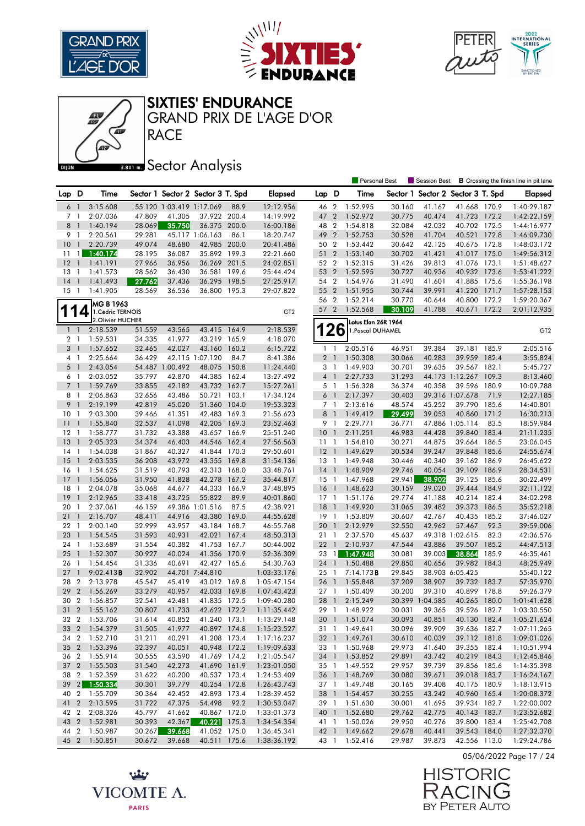





#### SIXTIES' ENDURANCE

RACE GRAND PRIX DE L'AGE D'OR

## **Bector Analysis**

|                    |                          |                                |                  |                          |                                   |       |                        |                 |                | <b>Personal Best</b> |                  | Session Best                      |                        |                | <b>B</b> Crossing the finish line in pit lane |
|--------------------|--------------------------|--------------------------------|------------------|--------------------------|-----------------------------------|-------|------------------------|-----------------|----------------|----------------------|------------------|-----------------------------------|------------------------|----------------|-----------------------------------------------|
| Lap D              |                          | Time                           |                  |                          | Sector 1 Sector 2 Sector 3 T. Spd |       | <b>Elapsed</b>         | Lap D           |                | Time                 |                  | Sector 1 Sector 2 Sector 3 T. Spd |                        |                | Elapsed                                       |
| 6                  | $\overline{1}$           | 3:15.608                       |                  | 55.120 1:03.419 1:17.069 |                                   | 88.9  | 12:12.956              | 46 2            |                | 1:52.995             | 30.160           | 41.167                            | 41.668 170.9           |                | 1:40:29.187                                   |
| 7 1                |                          | 2:07.036                       | 47.809           | 41.305                   | 37.922 200.4                      |       | 14:19.992              | 47 2            |                | 1:52.972             | 30.775           | 40.474                            | 41.723 172.2           |                | 1:42:22.159                                   |
| 8 1                |                          | 1:40.194                       | 28.069           | 35.750                   | 36.375 200.0                      |       | 16:00.186              | 48 2            |                | 1:54.818             | 32.084           | 42.032                            | 40.702 172.5           |                | 1:44:16.977                                   |
| 9                  | $\overline{1}$           | 2:20.561                       | 29.281           |                          | 45.117 1:06.163                   | 86.1  | 18:20.747              | 49 2            |                | 1:52.753             | 30.528           | 41.704                            | 40.521 172.8           |                | 1:46:09.730                                   |
| 10                 | $\overline{1}$           | 2:20.739                       | 49.074           | 48.680                   | 42.985 200.0                      |       | 20:41.486              | 50 2            |                | 1:53.442             | 30.642           | 42.125                            | 40.675 172.8           |                | 1:48:03.172                                   |
| 11                 | $\mathbf{1}$             | 1:40.174                       | 28.195           | 36.087                   | 35.892 199.3                      |       | 22:21.660              | 51 2            |                | 1:53.140             | 30.702           | 41.421                            | 41.017 175.0           |                | 1:49:56.312                                   |
| 12                 | $\overline{1}$           | 1:41.191                       | 27.966           | 36.956                   | 36.269 201.5                      |       | 24:02.851              | 52 2            |                | 1:52.315             | 31.426           | 39.813                            | 41.076 173.1           |                | 1:51:48.627                                   |
| 13                 | -1                       | 1:41.573                       | 28.562           | 36.430                   | 36.581 199.6                      |       | 25:44.424              | 53 2            |                | 1:52.595             | 30.727           | 40.936                            | 40.932                 | 173.6          | 1:53:41.222                                   |
| 14                 | $\overline{1}$           | 1:41.493                       | 27.762           | 37.436                   | 36.295 198.5                      |       | 27:25.917              | 54 2            |                | 1:54.976             | 31.490           | 41.601                            | 41.885 175.6           |                | 1:55:36.198                                   |
| $15-1$             |                          | 1:41.905                       | 28.569           | 36.536                   | 36.800 195.3                      |       | 29:07.822              | 55 2            |                | 1:51.955             | 30.744           | 39.991                            | 41.220 171.7           |                | 1:57:28.153                                   |
|                    |                          |                                |                  |                          |                                   |       |                        | 56 2            |                | 1:52.214             | 30.770           | 40.644                            | 40.800                 | 172.2          | 1:59:20.367                                   |
|                    | 4                        | MG B 1963<br>1. Cédric TERNOIS |                  |                          |                                   |       | GT <sub>2</sub>        | 57 2            |                | 1:52.568             | 30.109           | 41.788                            | 40.671                 | 172.2          | 2:01:12.935                                   |
| $\mathbf{\hat{I}}$ |                          | 2. Olivier HUCHER              |                  |                          |                                   |       |                        |                 |                | Lotus Elan 26R 1964  |                  |                                   |                        |                |                                               |
| $1\quad$           |                          | 2:18.539                       | 51.559           | 43.565                   | 43.415 164.9                      |       | 2:18.539               |                 | 26             | 1. Pascal DUHAMEL    |                  |                                   |                        |                | GT <sub>2</sub>                               |
| 2 <sub>1</sub>     |                          | 1:59.531                       | 34.335           | 41.977                   | 43.219 165.9                      |       | 4:18.070               |                 |                |                      |                  |                                   |                        |                |                                               |
| 3 <sub>1</sub>     |                          | 1:57.652                       | 32.465           | 42.027                   | 43.160                            | 160.2 | 6:15.722               | 1 <sup>1</sup>  |                | 2:05.516             | 46.951           | 39.384                            | 39.181                 | 185.9          | 2:05.516                                      |
| 4 1                |                          | 2:25.664                       | 36.429           |                          | 42.115 1:07.120                   | 84.7  | 8:41.386               | 2 <sub>1</sub>  |                | 1:50.308             | 30.066           | 40.283                            | 39.959 182.4           |                | 3:55.824                                      |
| 5 <sub>1</sub>     |                          | 2:43.054                       |                  | 54.487 1:00.492          | 48.075                            | 150.8 | 11:24.440              | 3 1             |                | 1:49.903             | 30.701           | 39.635                            | 39.567 182.1           |                | 5:45.727                                      |
| 6                  | $\overline{1}$           | 2:03.052                       | 35.797           | 42.870                   | 44.385 162.4                      |       | 13:27.492              | $4-1$           |                | 2:27.733             | 31.293           |                                   | 44.173 1:12.267 109.3  |                | 8:13.460                                      |
| 7 <sup>1</sup>     |                          | 1:59.769                       | 33.855           | 42.182                   | 43.732 162.7                      |       | 15:27.261              | 5 1             |                | 1:56.328             | 36.374           | 40.358                            | 39.596 180.9           |                | 10:09.788                                     |
| 8                  | $\overline{1}$           | 2:06.863                       | 32.656           | 43.486                   | 50.721 103.1                      |       | 17:34.124              | $6-1$           |                | 2:17.397             | 30.403           |                                   | 39.316 1:07.678        | 71.9           | 12:27.185                                     |
| 9                  | $\mathbf{1}$             | 2:19.199                       | 42.819           | 45.020                   | 51.360 104.0                      |       | 19:53.323              | 7 <sub>1</sub>  |                | 2:13.616             | 48.574           | 45.252                            | 39.790 185.6           |                | 14:40.801                                     |
| 10 <sup>°</sup>    | -1                       | 2:03.300                       | 39.466           | 41.351                   | 42.483 169.3                      |       | 21:56.623              | 8               | $\overline{1}$ | 1:49.412             | 29.499           | 39.053                            | 40.860                 | 171.2          | 16:30.213                                     |
| 11                 | $\overline{1}$           | 1:55.840                       | 32.537           | 41.098                   | 42.205 169.3                      |       | 23:52.463              | 9 1             |                | 2:29.771             | 36.771           |                                   | 47.886 1:05.114        | 83.5           | 18:59.984                                     |
| 12                 | $\overline{\phantom{a}}$ | 1:58.777                       | 31.732           | 43.388                   | 43.657 166.9                      |       | 25:51.240              | 10 <sub>1</sub> |                | 2:11.251             | 46.983           | 44.428                            | 39.840 183.4           |                | 21:11.235                                     |
| 13                 | $\overline{1}$           | 2:05.323                       | 34.374           | 46.403                   | 44.546                            | 162.4 | 27:56.563              | $11-1$          |                | 1:54.810             | 30.271           | 44.875                            | 39.664 186.5           |                | 23:06.045                                     |
| $14-1$             |                          | 1:54.038                       | 31.867           | 40.327                   | 41.844 170.3                      |       | 29:50.601              | $12-1$          |                | 1:49.629             | 30.534           | 39.247                            | 39.848 185.6           |                | 24:55.674                                     |
| 15                 | $\overline{1}$           | 2:03.535                       | 36.208           | 43.972                   | 43.355                            | 169.8 | 31:54.136              | $13-1$          |                | 1:49.948             | 30.446           | 40.340                            | 39.162 186.9           |                | 26:45.622                                     |
| 16                 | -1                       | 1:54.625                       | 31.519           | 40.793                   | 42.313 168.0                      |       | 33:48.761              | $14-1$          |                | 1:48.909             | 29.746           | 40.054                            | 39.109 186.9           |                | 28:34.531                                     |
| 17                 | $\mathbf{1}$             | 1:56.056                       | 31.950           | 41.828                   | 42.278 167.2                      |       | 35:44.817              | $15-1$          |                | 1:47.968             | 29.941           | 38.902                            | 39.125 185.6           |                | 30:22.499                                     |
| 18                 | -1                       | 2:04.078                       | 35.068           | 44.677                   | 44.333                            | 166.9 | 37:48.895              | $16-1$          |                | 1:48.623             | 30.159           | 39.020                            | 39.444 184.9           |                | 32:11.122                                     |
| 19                 | $\overline{1}$           | 2:12.965                       | 33.418           | 43.725                   | 55.822                            | 89.9  | 40:01.860              | $17-1$          |                | 1:51.176             | 29.774           | 41.188                            | 40.214 182.4           |                | 34:02.298                                     |
| 20                 | -1                       | 2:37.061                       | 46.159           |                          | 49.386 1:01.516                   | 87.5  | 42:38.921              | $18-1$          |                | 1:49.920             | 31.065           | 39.482                            | 39.373                 | 186.5          | 35:52.218                                     |
| 21                 | $\overline{1}$           | 2:16.707                       | 48.411           | 44.916                   | 43.380                            | 169.0 | 44:55.628              | $19-1$          |                | 1:53.809             | 30.607           | 42.767                            | 40.435 185.2           |                | 37:46.027                                     |
| 22                 | -1                       | 2:00.140                       | 32.999           | 43.957                   | 43.184 168.7                      |       | 46:55.768              | 20              | $\overline{1}$ | 2:12.979             | 32.550           | 42.962                            | 57.467                 | 92.3           | 39:59.006                                     |
| 23                 | $\overline{1}$           | 1:54.545                       | 31.593           | 40.931                   | 42.021                            | 167.4 | 48:50.313              | 21              | $\overline{1}$ | 2:37.570             | 45.637           |                                   | 49.318 1:02.615        | 82.3           | 42:36.576                                     |
| 24 1               | $\overline{1}$           | 1:53.689                       | 31.554           | 40.382                   | 41.753 167.7                      |       | 50:44.002              | $22 \quad 1$    |                | 2:10.937             | 47.544           | 43.886                            | 39.507 185.2<br>38.864 |                | 44:47.513                                     |
| 25<br>26           | $\overline{1}$           | 1:52.307<br>1:54.454           | 30.927<br>31.336 | 40.024<br>40.691         | 41.356<br>42.427 165.6            | 170.9 | 52:36.309<br>54:30.763 | 23 1<br>24 1    |                | 1:47.948<br>1:50.488 | 30.081<br>29.850 | 39.003<br>40.656                  | 39.982                 | 185.9<br>184.3 | 46:35.461<br>48:25.949                        |
| 27                 | $\overline{1}$           | 9:02.413B                      | 32.902           |                          | 44.701 7:44.810                   |       | 1:03:33.176            | 25 1            |                | 7:14.173B            | 29.845           |                                   | 38.903 6:05.425        |                | 55:40.122                                     |
| 28                 | $\overline{2}$           | 2:13.978                       | 45.547           | 45.419                   | 43.012 169.8                      |       | 1:05:47.154            | 26              | $\overline{1}$ | 1:55.848             | 37.209           | 38.907                            | 39.732 183.7           |                | 57:35.970                                     |
| 29                 | $\overline{2}$           | 1:56.269                       | 33.279           | 40.957                   | 42.033 169.8                      |       | 1:07:43.423            | 27 1            |                | 1:50.409             | 30.200           | 39.310                            | 40.899 178.8           |                | 59:26.379                                     |
| 30                 | $\overline{2}$           | 1:56.857                       | 32.541           | 42.481                   | 41.835 172.5                      |       | 1:09:40.280            | 28              | $\overline{1}$ | 2:15.249             |                  | 30.399 1:04.585                   | 40.265 180.0           |                | 1:01:41.628                                   |
| 31 <sub>2</sub>    |                          | 1:55.162                       | 30.807           | 41.733                   | 42.622 172.2                      |       | 1:11:35.442            | 29 1            |                | 1:48.922             | 30.031           | 39.365                            | 39.526 182.7           |                | 1:03:30.550                                   |
|                    |                          | 32 2 1:53.706                  | 31.614           | 40.852                   | 41.240 173.1                      |       | 1:13:29.148            |                 |                | 30 1 1:51.074        | 30.093           | 40.851                            | 40.130 182.4           |                | 1:05:21.624                                   |
|                    |                          | 33 2 1:54.379                  | 31.505           | 41.977                   | 40.897 174.8                      |       | 1:15:23.527            |                 |                | 31 1 1:49.641        | 30.096           | 39.909                            | 39.636 182.7           |                | 1:07:11.265                                   |
| 34 2               |                          | 1:52.710                       | 31.211           | 40.291                   | 41.208 173.4                      |       | 1:17:16.237            | 32 1            |                | 1:49.761             | 30.610           | 40.039                            | 39.112 181.8           |                | 1:09:01.026                                   |
|                    |                          | 35 2 1:53.396                  | 32.397           | 40.051                   | 40.948 172.2                      |       | 1:19:09.633            | 33 1            |                | 1:50.968             | 29.973           | 41.640                            | 39.355 182.4           |                | 1:10:51.994                                   |
|                    |                          | 36 2 1:55.914                  | 30.555           | 43.590                   | 41.769 174.2                      |       | 1:21:05.547            |                 |                | 34 1 1:53.852        | 29.891           | 43.742                            | 40.219 184.3           |                | 1:12:45.846                                   |
|                    |                          | 37 2 1:55.503                  | 31.540           | 42.273                   | 41.690 161.9                      |       | 1:23:01.050            |                 |                | 35 1 1:49.552        | 29.957           | 39.739                            | 39.856 185.6           |                | 1:14:35.398                                   |
|                    |                          | 38 2 1:52.359                  | 31.622           | 40.200                   | 40.537 173.4                      |       | 1:24:53.409            |                 |                | 36 1 1:48.769        | 30.080           | 39.671                            | 39.018 183.7           |                | 1:16:24.167                                   |
|                    |                          | 39 2 1:50.334                  | 30.301           | 39.779                   | 40.254 172.8                      |       | 1:26:43.743            | 37 1            |                | 1:49.748             | 30.165           | 39.408                            | 40.175 180.9           |                | 1:18:13.915                                   |
|                    |                          | 40 2 1:55.709                  | 30.364           | 42.452                   | 42.893 173.4                      |       | 1:28:39.452            |                 |                | 38 1 1:54.457        | 30.255           | 43.242                            | 40.960 165.4           |                | 1:20:08.372                                   |
|                    |                          | 41 2 2:13.595                  | 31.722           | 47.375                   | 54.498                            | 92.2  | 1:30:53.047            | 39 1            |                | 1:51.630             | 30.001           | 41.695                            | 39.934 182.7           |                | 1:22:00.002                                   |
|                    |                          | 42 2 2:08.326                  | 45.797           | 41.662                   | 40.867 172.0                      |       | 1:33:01.373            |                 |                | 40 1 1:52.680        | 29.762           | 42.775                            | 40.143 183.7           |                | 1:23:52.682                                   |
|                    |                          | 43 2 1:52.981                  | 30.393           | 42.367                   | 40.221 175.3                      |       | 1:34:54.354            |                 |                | 41 1 1:50.026        | 29.950           | 40.276                            | 39.800 183.4           |                | 1:25:42.708                                   |
| 44 2               |                          | 1:50.987                       | 30.267           | 39.668                   | 41.052 175.0                      |       | 1:36:45.341            |                 |                | 42 1 1:49.662        | 29.678           | 40.441                            | 39.543 184.0           |                | 1:27:32.370                                   |
|                    |                          | 45 2 1:50.851                  | 30.672           | 39.668                   | 40.511 175.6                      |       | 1:38:36.192            |                 |                | 43 1 1:52.416        | 29.987           | 39.873                            | 42.556 113.0           |                | 1:29:24.786                                   |





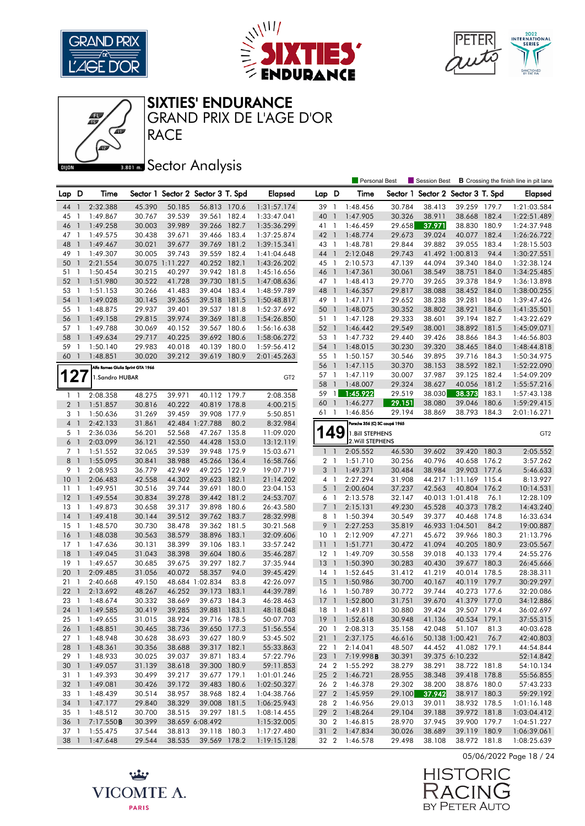





SIXTIES' ENDURANCE

RACE GRAND PRIX DE L'AGE D'OR

## **Bector Analysis**

|                |                |                                   |        |                 |                                   |       |                 |                 |                | <b>Personal Best</b>          |        | Session Best                      |                       |       | <b>B</b> Crossing the finish line in pit lane |
|----------------|----------------|-----------------------------------|--------|-----------------|-----------------------------------|-------|-----------------|-----------------|----------------|-------------------------------|--------|-----------------------------------|-----------------------|-------|-----------------------------------------------|
| Lap D          |                | Time                              |        |                 | Sector 1 Sector 2 Sector 3 T. Spd |       | <b>Elapsed</b>  | Lap D           |                | Time                          |        | Sector 1 Sector 2 Sector 3 T. Spd |                       |       | <b>Elapsed</b>                                |
| 44             | $\mathbf{1}$   | 2:32.388                          | 45.390 | 50.185          | 56.813 170.6                      |       | 1:31:57.174     | 39 1            |                | 1:48.456                      | 30.784 | 38.413                            | 39.259 179.7          |       | 1:21:03.584                                   |
| 45             | $\mathbf{1}$   | 1:49.867                          | 30.767 | 39.539          | 39.561 182.4                      |       | 1:33:47.041     | 40              | $\mathbf{1}$   | 1:47.905                      | 30.326 | 38.911                            | 38.668 182.4          |       | 1:22:51.489                                   |
| 46             | $\mathbf{1}$   | 1:49.258                          | 30.003 | 39.989          | 39.266                            | 182.7 | 1:35:36.299     | 41 1            |                | 1:46.459                      | 29.658 | 37.971                            | 38.830 180.9          |       | 1:24:37.948                                   |
| 47             | -1             | 1:49.575                          | 30.438 | 39.671          | 39.466                            | 183.4 | 1:37:25.874     | 42 1            |                | 1:48.774                      | 29.673 | 39.024                            | 40.077 182.4          |       | 1:26:26.722                                   |
| 48             | $\mathbf{1}$   | 1:49.467                          | 30.021 | 39.677          | 39.769 181.2                      |       | 1:39:15.341     | 43 1            |                | 1:48.781                      | 29.844 | 39.882                            | 39.055 183.4          |       | 1:28:15.503                                   |
| 49             | -1             | 1:49.307                          | 30.005 | 39.743          | 39.559                            | 182.4 | 1:41:04.648     | 44 1            |                | 2:12.048                      | 29.743 |                                   | 41.492 1:00.813       | 94.4  | 1:30:27.551                                   |
| 50             | $\mathbf{1}$   | 2:21.554                          |        | 30.075 1:11.227 | 40.252 182.1                      |       | 1:43:26.202     | 45 1            |                | 2:10.573                      | 47.139 | 44.094                            | 39.340 184.0          |       | 1:32:38.124                                   |
| 51             | $\mathbf{1}$   | 1:50.454                          | 30.215 | 40.297          | 39.942 181.8                      |       | 1:45:16.656     | 46              | $\overline{1}$ | 1:47.361                      | 30.061 | 38.549                            | 38.751                | 184.0 | 1:34:25.485                                   |
| 52             | $\overline{1}$ | 1:51.980                          | 30.522 | 41.728          | 39.730 181.5                      |       | 1:47:08.636     | 47 1            |                | 1:48.413                      | 29.770 | 39.265                            | 39.378 184.9          |       | 1:36:13.898                                   |
| 53             | - 1            | 1:51.153                          | 30.266 | 41.483          | 39.404 183.4                      |       | 1:48:59.789     | 48 1            |                | 1:46.357                      | 29.817 | 38.088                            | 38.452 184.0          |       | 1:38:00.255                                   |
| 54             | $\mathbf{1}$   | 1:49.028                          | 30.145 | 39.365          | 39.518                            | 181.5 | 1:50:48.817     | 49 1            |                | 1:47.171                      | 29.652 | 38.238                            | 39.281                | 184.0 | 1:39:47.426                                   |
| 55             | $\overline{1}$ | 1:48.875                          | 29.937 | 39.401          | 39.537 181.8                      |       | 1:52:37.692     | 50              | $\overline{1}$ | 1:48.075                      | 30.352 | 38.802                            | 38.921                | 184.6 | 1:41:35.501                                   |
| 56             | -1             | 1:49.158                          | 29.815 | 39.974          | 39.369                            | 181.8 | 1:54:26.850     | 51 1            |                | 1:47.128                      | 29.333 | 38.601                            | 39.194                | 182.7 | 1:43:22.629                                   |
| 57             | $\overline{1}$ | 1:49.788                          | 30.069 | 40.152          | 39.567 180.6                      |       | 1:56:16.638     | 52 1            |                | 1:46.442                      | 29.549 | 38.001                            | 38.892 181.5          |       | 1:45:09.071                                   |
| 58             | $\mathbf{1}$   | 1:49.634                          | 29.717 | 40.225          | 39.692 180.6                      |       | 1:58:06.272     | 53 1            |                | 1:47.732                      | 29.440 | 39.426                            | 38.866 184.3          |       | 1:46:56.803                                   |
| 59             | -1             | 1:50.140                          | 29.983 | 40.018          | 40.139                            | 180.0 | 1:59:56.412     | 54 1            |                | 1:48.015                      | 30.230 | 39.320                            | 38.465 184.0          |       | 1:48:44.818                                   |
| 60             | $\overline{1}$ | 1:48.851                          | 30.020 | 39.212          | 39.619 180.9                      |       | 2:01:45.263     | 55 1            |                | 1:50.157                      | 30.546 | 39.895                            | 39.716 184.3          |       | 1:50:34.975                                   |
|                |                |                                   |        |                 |                                   |       |                 | 56 1            |                | 1:47.115                      | 30.370 | 38.153                            | 38.592 182.1          |       | 1:52:22.090                                   |
|                |                | Alfa Romeo Giulia Sprint GTA 1966 |        |                 |                                   |       |                 |                 |                |                               |        | 37.987                            | 39.125 182.4          |       |                                               |
| 127            |                | 1. Sandro HUBAR                   |        |                 |                                   |       | GT <sub>2</sub> | 57 1            |                | 1:47.119                      | 30.007 |                                   |                       |       | 1:54:09.209                                   |
|                |                |                                   |        |                 |                                   |       |                 | 58              | $\overline{1}$ | 1:48.007                      | 29.324 | 38.627                            | 40.056                | 181.2 | 1:55:57.216                                   |
| $1\quad$       |                | 2:08.358                          | 48.275 | 39.971          | 40.112                            | 179.7 | 2:08.358        | 59              | $\mathbf{1}$   | 1:45.922                      | 29.519 | 38.030                            | 38.373                | 183.1 | 1:57:43.138                                   |
| 2 <sub>1</sub> |                | 1:51.857                          | 30.816 | 40.222          | 40.819 178.8                      |       | 4:00.215        | 60              | $\overline{1}$ | 1:46.277                      | 29.151 | 38.080                            | 39.046                | 180.6 | 1:59:29.415                                   |
| 3 1            |                | 1:50.636                          | 31.269 | 39.459          | 39.908                            | 177.9 | 5:50.851        | 61              | $\overline{1}$ | 1:46.856                      | 29.194 | 38.869                            | 38.793 184.3          |       | 2:01:16.271                                   |
| $\overline{4}$ | $\mathbf{1}$   | 2:42.133                          | 31.861 |                 | 42.484 1:27.788                   | 80.2  | 8:32.984        |                 |                | Porsche 356 (C) SC coupé 1965 |        |                                   |                       |       |                                               |
| 5 1            |                | 2:36.036                          | 56.201 | 52.568          | 47.267 135.8                      |       | 11:09.020       |                 | 49             | 1. Bill STEPHENS              |        |                                   |                       |       | GT <sub>2</sub>                               |
| 6 <sup>1</sup> |                | 2:03.099                          | 36.121 | 42.550          | 44.428                            | 153.0 | 13:12.119       |                 |                | 2. Will STEPHENS              |        |                                   |                       |       |                                               |
| 7 <sub>1</sub> |                | 1:51.552                          | 32.065 | 39.539          | 39.948 175.9                      |       | 15:03.671       | $1\quad$        |                | 2:05.552                      | 46.530 | 39.602                            | 39.420 180.3          |       | 2:05.552                                      |
| 8              | $\overline{1}$ | 1:55.095                          | 30.841 | 38.988          | 45.266                            | 136.4 | 16:58.766       | 2 <sub>1</sub>  |                | 1:51.710                      | 30.256 | 40.796                            | 40.658 176.2          |       | 3:57.262                                      |
| 9 1            |                | 2:08.953                          | 36.779 | 42.949          | 49.225 122.9                      |       | 19:07.719       | 3 <sup>1</sup>  |                | 1:49.371                      | 30.484 | 38.984                            | 39.903 177.6          |       | 5:46.633                                      |
| 10             | $\mathbf{1}$   | 2:06.483                          | 42.558 | 44.302          | 39.623 182.1                      |       | 21:14.202       | $4-1$           |                | 2:27.294                      | 31.908 |                                   | 44.217 1:11.169 115.4 |       | 8:13.927                                      |
| 11             | $\overline{1}$ | 1:49.951                          | 30.516 | 39.744          | 39.691                            | 180.0 | 23:04.153       | $5-1$           |                | 2:00.604                      | 37.237 | 42.563                            | 40.804 176.2          |       | 10:14.531                                     |
| 12             | $\overline{1}$ | 1:49.554                          | 30.834 | 39.278          | 39.442 181.2                      |       | 24:53.707       | 6 1             |                | 2:13.578                      | 32.147 |                                   | 40.013 1:01.418       | 76.1  | 12:28.109                                     |
| 13             | -1             | 1:49.873                          | 30.658 | 39.317          | 39.898                            | 180.6 | 26:43.580       | $\overline{7}$  | $\overline{1}$ | 2:15.131                      | 49.230 | 45.528                            | 40.373                | 178.2 | 14:43.240                                     |
| 14             | $\overline{1}$ | 1:49.418                          | 30.144 | 39.512          | 39.762 183.7                      |       | 28:32.998       | 8 1             |                | 1:50.394                      | 30.549 | 39.377                            | 40.468 174.8          |       | 16:33.634                                     |
| 15             | $\mathbf{1}$   | 1:48.570                          | 30.730 | 38.478          | 39.362 181.5                      |       | 30:21.568       | 9               | $\overline{1}$ | 2:27.253                      | 35.819 |                                   | 46.933 1:04.501       | 84.2  | 19:00.887                                     |
| 16             | $\mathbf{1}$   | 1:48.038                          | 30.563 | 38.579          | 38.896 183.1                      |       | 32:09.606       | 10 <sup>°</sup> | -1             | 2:12.909                      | 47.271 | 45.672                            | 39.966 180.3          |       | 21:13.796                                     |
| 17             | $\overline{1}$ | 1:47.636                          | 30.131 | 38.399          | 39.106 183.1                      |       | 33:57.242       | $11-1$          |                | 1:51.771                      | 30.472 | 41.094                            | 40.205 180.9          |       | 23:05.567                                     |
| 18             | $\overline{1}$ | 1:49.045                          | 31.043 | 38.398          | 39.604 180.6                      |       | 35:46.287       | $12-1$          |                | 1:49.709                      | 30.558 | 39.018                            | 40.133 179.4          |       | 24:55.276                                     |
| 19             | $\overline{1}$ | 1:49.657                          | 30.685 | 39.675          | 39.297 182.7                      |       | 37:35.944       | $13-1$          |                | 1:50.390                      | 30.283 | 40.430                            | 39.677 180.3          |       | 26:45.666                                     |
| 20             | $\mathbf{1}$   | 2:09.485                          | 31.056 | 40.072          | 58.357                            | 94.0  | 39:45.429       | $14-1$          |                | 1:52.645                      | 31.412 | 41.219                            | 40.014 178.5          |       | 28:38.311                                     |
| 21             | $\mathbf{1}$   | 2:40.668                          | 49.150 |                 | 48.684 1:02.834                   | 83.8  | 42:26.097       | 15              | $\overline{1}$ | 1:50.986                      | 30.700 | 40.167                            | 40.119 179.7          |       | 30:29.297                                     |
| 22             | $\overline{1}$ | 2:13.692                          | 48.267 | 46.252          | 39.173                            | 183.1 | 44:39.789       | $16-1$          |                | 1:50.789                      | 30.772 | 39.744                            | 40.273 177.6          |       | 32:20.086                                     |
| 23             | $\mathbf{1}$   | 1:48.674                          | 30.332 | 38.669          | 39.673                            | 184.3 | 46:28.463       | 17              | $\overline{1}$ | 1:52.800                      | 31.751 | 39.670                            | 41.379 177.0          |       | 34:12.886                                     |
| 24             | $\overline{1}$ | 1:49.585                          | 30.419 | 39.285          | 39.881 183.1                      |       | 48:18.048       | 18 1            |                | 1:49.811                      | 30.880 | 39.424                            | 39.507 179.4          |       | 36:02.697                                     |
|                |                | 25 1 1:49.655                     | 31.015 | 38.924          | 39.716 178.5                      |       | 50:07.703       |                 |                | 19 1 1:52.618                 | 30.948 | 41.136                            | 40.534 179.1          |       | 37:55.315                                     |
|                |                | 26 1 1:48.851                     | 30.465 | 38.736          | 39.650 177.3                      |       | 51:56.554       |                 |                | 20 1 2:08.313                 | 35.158 | 42.048                            | 51.107 81.3           |       | 40:03.628                                     |
| 27 1           |                | 1:48.948                          | 30.628 | 38.693          | 39.627 180.9                      |       | 53:45.502       | $21 \quad 1$    |                | 2:37.175                      | 46.616 |                                   | 50.138 1:00.421       | 76.7  | 42:40.803                                     |
|                |                | 28 1 1:48.361                     | 30.356 | 38.688          | 39.317 182.1                      |       | 55:33.863       | 22 1            |                | 2:14.041                      | 48.507 | 44.452                            | 41.082 179.1          |       | 44:54.844                                     |
|                |                | 29 1 1:48.933                     | 30.025 | 39.037          | 39.871 183.4                      |       | 57:22.796       |                 |                | 23 1 7:19.998 <b>B</b>        | 30.391 |                                   | 39.375 6:10.232       |       | 52:14.842                                     |
|                |                | 30 1 1:49.057                     | 31.139 | 38.618          | 39.300 180.9                      |       | 59:11.853       |                 |                | 24 2 1:55.292                 | 38.279 | 38.291                            | 38.722 181.8          |       | 54:10.134                                     |
|                |                | 31 1 1:49.393                     | 30.499 | 39.217          | 39.677 179.1                      |       | 1:01:01.246     |                 |                | 25 2 1:46.721                 | 28.955 | 38.348                            | 39.418 178.8          |       | 55:56.855                                     |
|                |                | 32 1 1:49.081                     | 30.426 | 39.172          | 39.483 180.6                      |       | 1:02:50.327     |                 |                | 26 2 1:46.378                 | 29.302 | 38.200                            | 38.876 180.0          |       | 57:43.233                                     |
|                |                | 33 1 1:48.439                     | 30.514 | 38.957          | 38.968 182.4                      |       | 1:04:38.766     |                 |                | 27 2 1:45.959                 | 29.100 | 37.942                            | 38.917 180.3          |       | 59:29.192                                     |
|                |                | 34 1 1:47.177                     | 29.840 | 38.329          | 39.008 181.5                      |       | 1:06:25.943     |                 |                | 28 2 1:46.956                 | 29.013 | 39.011                            | 38.932 178.5          |       | 1:01:16.148                                   |
| 35 1           |                | 1:48.512                          | 30.700 | 38.515          | 39.297 181.5                      |       | 1:08:14.455     |                 |                | 29 2 1:48.264                 | 29.104 | 39.188                            | 39.972 181.8          |       | 1:03:04.412                                   |
|                |                | 36 1 7:17.550 <b>B</b>            | 30.399 |                 | 38.659 6:08.492                   |       | 1:15:32.005     |                 |                | 30 2 1:46.815                 | 28.970 | 37.945                            | 39.900 179.7          |       | 1:04:51.227                                   |
|                |                | 37 1 1:55.475                     | 37.544 | 38.813          | 39.118 180.3                      |       | 1:17:27.480     |                 |                | 31 2 1:47.834                 | 30.026 | 38.689                            | 39.119 180.9          |       | 1:06:39.061                                   |
|                |                | 38 1 1:47.648                     | 29.544 | 38.535          | 39.569 178.2                      |       | 1:19:15.128     |                 |                | 32 2 1:46.578                 | 29.498 | 38.108                            | 38.972 181.8          |       | 1:08:25.639                                   |

05/06/2022 Page 18 / 24



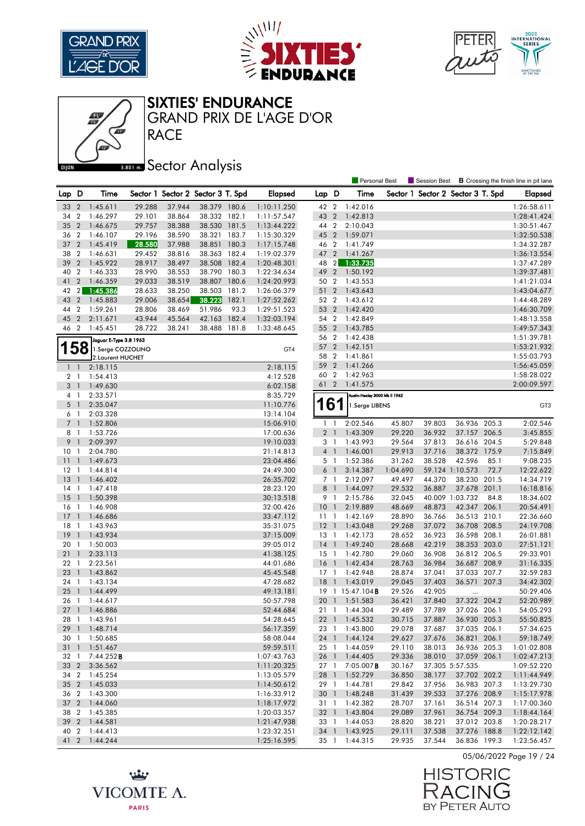





#### SIXTIES' ENDURANCE

RACE GRAND PRIX DE L'AGE D'OR

# **Bector Analysis**

|                |                          |                                    |        |        |                                   |       |                            |                 |                | Personal Best                           |                  |                                   |                                 |      | Session Best <b>B</b> Crossing the finish line in pit lane |
|----------------|--------------------------|------------------------------------|--------|--------|-----------------------------------|-------|----------------------------|-----------------|----------------|-----------------------------------------|------------------|-----------------------------------|---------------------------------|------|------------------------------------------------------------|
| Lap D          |                          | Time                               |        |        | Sector 1 Sector 2 Sector 3 T. Spd |       | <b>Elapsed</b>             | Lap D           |                | Time                                    |                  | Sector 1 Sector 2 Sector 3 T. Spd |                                 |      | <b>Elapsed</b>                                             |
| 33             | $\overline{2}$           | 1:45.611                           | 29.288 | 37.944 | 38.379 180.6                      |       | 1:10:11.250                | 42 2            |                | 1:42.016                                |                  |                                   |                                 |      | 1:26:58.611                                                |
| 34             | $\overline{2}$           | 1:46.297                           | 29.101 | 38.864 | 38.332 182.1                      |       | 1:11:57.547                | 43 2            |                | 1:42.813                                |                  |                                   |                                 |      | 1:28:41.424                                                |
| 35             | $\overline{2}$           | 1:46.675                           | 29.757 | 38.388 | 38.530                            | 181.5 | 1:13:44.222                | 44 2            |                | 2:10.043                                |                  |                                   |                                 |      | 1:30:51.467                                                |
| 36             | $\overline{2}$           | 1:46.107                           | 29.196 | 38.590 | 38.321                            | 183.7 | 1:15:30.329                | 45 2            |                | 1:59.071                                |                  |                                   |                                 |      | 1:32:50.538                                                |
| 37             | $\overline{2}$           | 1:45.419                           | 28.580 | 37.988 | 38.851                            | 180.3 | 1:17:15.748                | 46 2            |                | 1:41.749                                |                  |                                   |                                 |      | 1:34:32.287                                                |
| 38             | $\overline{2}$           | 1:46.631                           | 29.452 | 38.816 | 38.363 182.4                      |       | 1:19:02.379                | 47 2            |                | 1:41.267                                |                  |                                   |                                 |      | 1:36:13.554                                                |
| 39             | $\overline{2}$           | 1:45.922                           | 28.917 | 38.497 | 38.508                            | 182.4 | 1:20:48.301                | 48              | 2              | 1:33.735                                |                  |                                   |                                 |      | 1:37:47.289                                                |
| 40             | $\overline{2}$           | 1:46.333                           | 28.990 | 38.553 | 38.790 180.3                      |       | 1:22:34.634                | 49 2            |                | 1:50.192                                |                  |                                   |                                 |      | 1:39:37.481                                                |
| 41             | $\overline{2}$           | 1:46.359                           | 29.033 | 38.519 | 38.807                            | 180.6 | 1:24:20.993                | 50 2            |                | 1:43.553                                |                  |                                   |                                 |      | 1:41:21.034                                                |
| 42             | $\overline{2}$           | 1:45.386                           | 28.633 | 38.250 | 38.503                            | 181.2 | 1:26:06.379                | 51 2            |                | 1:43.643                                |                  |                                   |                                 |      | 1:43:04.677                                                |
| 43             | $\overline{2}$           | 1:45.883                           | 29.006 | 38.654 | 38.223                            | 182.1 | 1:27:52.262                | 52 2            |                | 1:43.612                                |                  |                                   |                                 |      | 1:44:48.289                                                |
| 44             | $\overline{2}$           | 1:59.261                           | 28.806 | 38.469 | 51.986                            | 93.3  | 1:29:51.523                | 53 2            |                | 1:42.420                                |                  |                                   |                                 |      | 1:46:30.709                                                |
| 45             | $\overline{2}$           | 2:11.671                           | 43.944 | 45.564 | 42.163                            | 182.4 | 1:32:03.194                | 54 2            |                | 1:42.849                                |                  |                                   |                                 |      | 1:48:13.558                                                |
| 46 2           |                          | 1:45.451                           | 28.722 | 38.241 | 38.488 181.8                      |       | 1:33:48.645                | 55 2            |                | 1:43.785                                |                  |                                   |                                 |      | 1:49:57.343                                                |
|                |                          | Jaguar E-Type 3.8 1963             |        |        |                                   |       |                            | 56 2            |                | 1:42.438                                |                  |                                   |                                 |      | 1:51:39.781                                                |
| 158            |                          | 1.Serge COZZOLINO                  |        |        |                                   |       | GT4                        | 57 2            |                | 1:42.151                                |                  |                                   |                                 |      | 1:53:21.932                                                |
|                |                          | 2. Laurent HUCHET                  |        |        |                                   |       |                            | 58 2            |                | 1:41.861                                |                  |                                   |                                 |      | 1:55:03.793                                                |
| $\mathbf{1}$   | $\overline{1}$           | 2:18.115                           |        |        |                                   |       | 2:18.115                   | 59 2            |                | 1:41.266                                |                  |                                   |                                 |      | 1:56:45.059                                                |
| 2 <sub>1</sub> |                          | 1:54.413                           |        |        |                                   |       | 4:12.528                   | 60 2            |                | 1:42.963                                |                  |                                   |                                 |      | 1:58:28.022                                                |
| 3 <sup>1</sup> |                          | 1:49.630                           |        |        |                                   |       | 6:02.158                   | 61 2            |                | 1:41.575                                |                  |                                   |                                 |      | 2:00:09.597                                                |
| 4 1            |                          | 2:33.571                           |        |        |                                   |       | 8:35.729                   |                 |                | Austin-Healey 3000 Mk II 1962           |                  |                                   |                                 |      |                                                            |
| 5 <sub>1</sub> |                          | 2:35.047                           |        |        |                                   |       | 11:10.776                  | 161             |                | 1.Serge LIBENS                          |                  |                                   |                                 |      | GT <sub>3</sub>                                            |
| 6 1            |                          | 2:03.328                           |        |        |                                   |       | 13:14.104                  |                 |                |                                         |                  |                                   |                                 |      |                                                            |
| 7 <sub>1</sub> |                          | 1:52.806                           |        |        |                                   |       | 15:06.910                  | $\mathbf{1}$    | $\overline{1}$ | 2:02.546                                | 45.807           | 39.803                            | 36.936 205.3                    |      | 2:02.546                                                   |
| 8 1            |                          | 1:53.726                           |        |        |                                   |       | 17:00.636                  |                 | 2 <sub>1</sub> | 1:43.309                                | 29.220           | 36.932                            | 37.157 206.5                    |      | 3:45.855                                                   |
| 9              | $\overline{1}$           | 2:09.397                           |        |        |                                   |       | 19:10.033                  | 3 1             |                | 1:43.993                                | 29.564           | 37.813                            | 36.616 204.5                    |      | 5:29.848                                                   |
| 10             | $\overline{1}$           | 2:04.780                           |        |        |                                   |       | 21:14.813                  | $4-1$           |                | 1:46.001                                | 29.913           | 37.716                            | 38.372 175.9                    |      | 7:15.849                                                   |
| 11             | $\overline{1}$           | 1:49.673                           |        |        |                                   |       | 23:04.486                  | 5 1             |                | 1:52.386                                | 31.262           | 38.528                            | 42.596                          | 85.1 | 9:08.235                                                   |
| 12             | -1                       | 1:44.814                           |        |        |                                   |       | 24:49.300                  | 6 <sup>1</sup>  |                | 3:14.387                                | 1:04.690         |                                   | 59.124 1:10.573                 | 72.7 | 12:22.622                                                  |
| 13             | $\overline{1}$           | 1:46.402                           |        |        |                                   |       | 26:35.702                  | 7 1             |                | 2:12.097                                | 49.497           | 44.370                            | 38.230 201.5                    |      | 14:34.719                                                  |
| 14             | $\overline{1}$           | 1:47.418                           |        |        |                                   |       | 28:23.120                  | 8 <sup>1</sup>  |                | 1:44.097                                | 29.532           | 36.887                            | 37.678 201.1                    |      | 16:18.816                                                  |
| 15             | $\overline{1}$           | 1:50.398                           |        |        |                                   |       | 30:13.518                  | 9 1             |                | 2:15.786                                | 32.045           |                                   | 40.009 1:03.732                 | 84.8 | 18:34.602                                                  |
| 16             | -1                       | 1:46.908                           |        |        |                                   |       | 32:00.426                  | 10 <sub>1</sub> |                | 2:19.889                                | 48.669           | 48.873                            | 42.347 206.1                    |      | 20:54.491                                                  |
| 17             | $\overline{1}$           | 1:46.686                           |        |        |                                   |       | 33:47.112                  | 11 <sub>1</sub> |                | 1:42.169                                | 28.890           | 36.766                            | 36.513 210.1                    |      | 22:36.660                                                  |
| 18             | $\mathbf{1}$             | 1:43.963                           |        |        |                                   |       | 35:31.075                  | $12-1$          |                | 1:43.048                                | 29.268           | 37.072                            | 36.708 208.5                    |      | 24:19.708                                                  |
| 19             | $\overline{1}$           | 1:43.934                           |        |        |                                   |       | 37:15.009                  | $13-1$          |                | 1:42.173                                | 28.652           | 36.923                            | 36.598 208.1                    |      | 26:01.881                                                  |
| 20 1           |                          | 1:50.003                           |        |        |                                   |       | 39:05.012                  | $14-1$          |                | 1:49.240                                | 28.668           | 42.219                            | 38.353 203.0                    |      | 27:51.121                                                  |
| 21             | $\overline{\phantom{0}}$ | 2:33.113                           |        |        |                                   |       | 41:38.125                  | $15-1$          |                | 1:42.780                                | 29.060           | 36.908                            | 36.812 206.5                    |      | 29:33.901                                                  |
| 221            |                          | 2:23.561                           |        |        |                                   |       | 44:01.686                  | 16 1            |                | 1:42.434                                | 28.763           | 36.984                            | 36.687 208.9                    |      | 31:16.335                                                  |
| 23             | $\overline{1}$           | 1:43.862                           |        |        |                                   |       | 45:45.548                  | $17-1$          |                | 1:42.948                                | 28.874           | 37.041                            | 37.033 207.7                    |      | 32:59.283                                                  |
| 24             | -1                       | 1:43.134                           |        |        |                                   |       | 47:28.682                  | <b>18</b>       | $\overline{1}$ | 1:43.019                                | 29.045           | 37.403                            | 36.571 207.3                    |      | 34:42.302                                                  |
| 25             | $\overline{1}$           | 1:44.499                           |        |        |                                   |       | 49:13.181                  |                 |                | 19 1 15:47.104 <b>B</b>                 | 29.526           | 42.905                            | $\ddotsc$                       |      | 50:29.406                                                  |
| 26             | $\overline{1}$           | 1:44.617                           |        |        |                                   |       | 50:57.798                  | 20              | $\overline{1}$ | 1:51.583                                | 36.421           | 37.840                            | 37.322 204.2                    |      | 52:20.989                                                  |
| 271            |                          | 1:46.886                           |        |        |                                   |       | 52:44.684                  |                 |                | 21 1 1:44.304                           | 29.489           | 37.789                            | 37.026 206.1                    |      | 54:05.293                                                  |
|                |                          | 28 1 1:43.961                      |        |        |                                   |       | 54:28.645                  |                 |                | 22 1 1:45.532                           | 30.715           | 37.887                            | 36.930 205.3                    |      | 55:50.825                                                  |
|                |                          | 29 1 1:48.714                      |        |        |                                   |       | 56:17.359                  |                 |                | 23 1 1:43.800                           | 29.078           | 37.687                            | 37.035 206.1                    |      | 57:34.625                                                  |
| 30 1           |                          | 1:50.685                           |        |        |                                   |       | 58:08.044                  |                 |                | 24 1 1:44.124                           | 29.627           | 37.676                            | 36.821 206.1                    |      | 59:18.749                                                  |
| $31 \quad 1$   |                          | 1:51.467                           |        |        |                                   |       | 59:59.511                  | $25 \quad 1$    |                | 1:44.059                                | 29.110           | 38.013                            | 36.936 205.3                    |      | 1:01:02.808                                                |
| 32 1           |                          | 7:44.252 <b>B</b><br>33 2 3:36.562 |        |        |                                   |       | 1:07:43.763                |                 |                | 26 1 1:44.405                           | 29.336<br>30.167 | 38.010                            | 37.059 206.1<br>37.305 5:57.535 |      | 1:02:47.213                                                |
|                |                          | 34 2 1:45.254                      |        |        |                                   |       | 1:11:20.325<br>1:13:05.579 |                 |                | 27 1 7:05.007 <b>B</b><br>28 1 1:52.729 | 36.850           | 38.177                            | 37.702 202.2                    |      | 1:09:52.220<br>1:11:44.949                                 |
|                |                          | 35 2 1:45.033                      |        |        |                                   |       | 1:14:50.612                | 29 1            |                | 1:44.781                                | 29.842           | 37.956                            | 36.983 207.3                    |      | 1:13:29.730                                                |
|                |                          | 36 2 1:43.300                      |        |        |                                   |       | 1:16:33.912                |                 |                | 30 1 1:48.248                           | 31.439           | 39.533                            | 37.276 208.9                    |      | 1:15:17.978                                                |
|                |                          | 37 2 1:44.060                      |        |        |                                   |       | 1:18:17.972                | 31 1            |                | 1:42.382                                | 28.707           | 37.161                            | 36.514 207.3                    |      | 1:17:00.360                                                |
| 38 2           |                          | 1:45.385                           |        |        |                                   |       | 1:20:03.357                |                 |                | 32 1 1:43.804                           | 29.089           | 37.961                            | 36.754 209.3                    |      | 1:18:44.164                                                |
|                |                          | 39 2 1:44.581                      |        |        |                                   |       | 1:21:47.938                |                 |                | 33 1 1:44.053                           | 28.820           | 38.221                            | 37.012 203.8                    |      | 1:20:28.217                                                |
|                |                          | 40 2 1:44.413                      |        |        |                                   |       | 1:23:32.351                |                 |                | 34 1 1:43.925                           | 29.111           | 37.538                            | 37.276 188.8                    |      | 1:22:12.142                                                |
|                |                          | 41 2 1:44.244                      |        |        |                                   |       | 1:25:16.595                |                 |                | 35 1 1:44.315                           | 29.935           | 37.544                            | 36.836 199.3                    |      | 1:23:56.457                                                |



**HISTORIC** RACIN Ĕ BY PETER AUTO

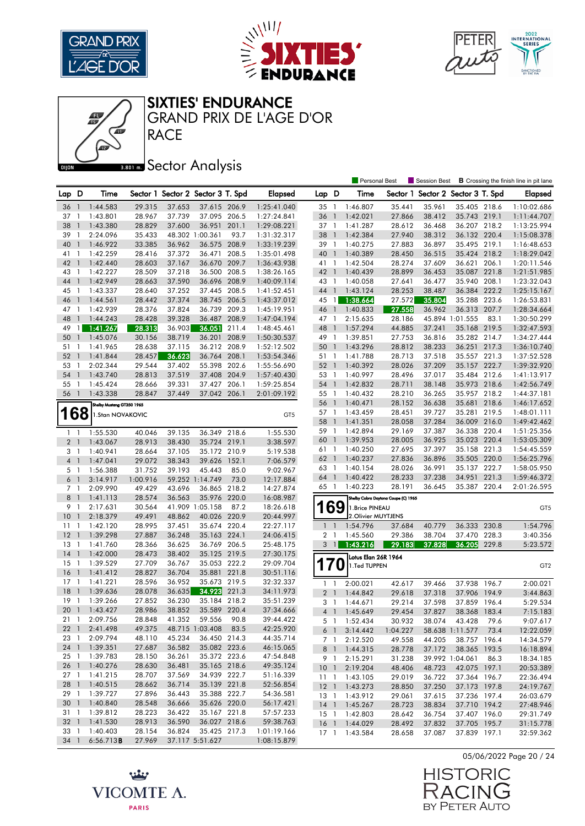





05/06/2022 Page 20 / 24

Ĕ

**HISTORIC** 

BY PETER AUTO

RACIN

SIXTIES' ENDURANCE

**RACE** GRAND PRIX DE L'AGE D'OR

|                 |                |                           |          |        |                                   |       |                 |                 |                | <b>Personal Best</b> |                                     | Session Best                      |                 |       | <b>B</b> Crossing the finish line in pit lane |
|-----------------|----------------|---------------------------|----------|--------|-----------------------------------|-------|-----------------|-----------------|----------------|----------------------|-------------------------------------|-----------------------------------|-----------------|-------|-----------------------------------------------|
| Lap D           |                | Time                      |          |        | Sector 1 Sector 2 Sector 3 T. Spd |       | Elapsed         | Lap D           |                | Time                 |                                     | Sector 1 Sector 2 Sector 3 T. Spd |                 |       | <b>Elapsed</b>                                |
| 36              | -1             | 1:44.583                  | 29.315   | 37.653 | 37.615 206.9                      |       | 1:25:41.040     | 35 1            |                | 1:46.807             | 35.441                              | 35.961                            | 35.405 218.6    |       | 1:10:02.686                                   |
| 37              | $\mathbf{1}$   | 1:43.801                  | 28.967   | 37.739 | 37.095 206.5                      |       | 1:27:24.841     | 36              | $\mathbf{1}$   | 1:42.021             | 27.866                              | 38.412                            | 35.743 219.1    |       | 1:11:44.707                                   |
| 38              | $\mathbf{1}$   | 1:43.380                  | 28.829   | 37.600 | 36.951                            | 201.1 | 1:29:08.221     | 37 1            |                | 1:41.287             | 28.612                              | 36.468                            | 36.207 218.2    |       | 1:13:25.994                                   |
| 39              | $\mathbf{1}$   | 2:24.096                  | 35.433   |        | 48.302 1:00.361                   | 93.7  | 1:31:32.317     | 38              | $\overline{1}$ | 1:42.384             | 27.940                              | 38.312                            | 36.132 220.4    |       | 1:15:08.378                                   |
| 40              | $\overline{1}$ | 1:46.922                  | 33.385   | 36.962 | 36.575 208.9                      |       | 1:33:19.239     | 39 1            |                | 1:40.275             | 27.883                              | 36.897                            | 35.495 219.1    |       | 1:16:48.653                                   |
| 41              | $\overline{1}$ | 1:42.259                  | 28.416   | 37.372 | 36.471                            | 208.5 | 1:35:01.498     | 40              | $\overline{1}$ | 1:40.389             | 28.450                              | 36.515                            | 35.424 218.2    |       | 1:18:29.042                                   |
| 42              | $\overline{1}$ | 1:42.440                  | 28.603   | 37.167 | 36.670 209.7                      |       | 1:36:43.938     | 41 1            |                | 1:42.504             | 28.274                              | 37.609                            | 36.621 206.1    |       | 1:20:11.546                                   |
| 43              | $\overline{1}$ | 1:42.227                  | 28.509   | 37.218 | 36.500 208.5                      |       | 1:38:26.165     | 42 1            |                | 1:40.439             | 28.899                              | 36.453                            | 35.087          | 221.8 | 1:21:51.985                                   |
| 44              | $\mathbf{1}$   | 1:42.949                  | 28.663   | 37.590 | 36.696 208.9                      |       | 1:40:09.114     | 43 1            |                | 1:40.058             | 27.641                              | 36.477                            | 35.940 208.1    |       | 1:23:32.043                                   |
| 45              | - 1            | 1:43.337                  | 28.640   | 37.252 | 37.445 208.5                      |       | 1:41:52.451     | 44 1            |                | 1:43.124             | 28.253                              | 38.487                            | 36.384 222.2    |       | 1:25:15.167                                   |
| 46              | $\overline{1}$ | 1:44.561                  | 28.442   | 37.374 | 38.745 206.5                      |       | 1:43:37.012     | 45              | $\overline{1}$ | 1:38.664             | 27.572                              | 35.804                            | 35.288 223.6    |       | 1:26:53.831                                   |
| 47 1            |                | 1:42.939                  | 28.376   | 37.824 | 36.739 209.3                      |       | 1:45:19.951     | 46 1            |                | 1:40.833             | 27.558                              | 36.962                            | 36.313 207.7    |       | 1:28:34.664                                   |
| 48              | $\mathbf{1}$   | 1:44.243                  | 28.428   | 39.328 | 36.487                            | 208.9 | 1:47:04.194     | 47 1            |                | 2:15.635             | 28.186                              |                                   | 45.894 1:01.555 | 83.1  | 1:30:50.299                                   |
| 49              | $\mathbf{1}$   | 1:41.267                  | 28.313   | 36.903 | 36.051                            | 211.4 | 1:48:45.461     | 48              | $\overline{1}$ | 1:57.294             | 44.885                              | 37.241                            | 35.168 219.5    |       | 1:32:47.593                                   |
| 50              | $\mathbf{1}$   | 1:45.076                  | 30.156   | 38.719 | 36.201                            | 208.9 | 1:50:30.537     | 49 1            |                | 1:39.851             | 27.753                              | 36.816                            | 35.282 214.7    |       | 1:34:27.444                                   |
| 51              | $\mathbf{1}$   | 1:41.965                  | 28.638   | 37.115 | 36.212                            | 208.9 | 1:52:12.502     | 50              | $\overline{1}$ | 1:43.296             | 28.812                              | 38.233                            | 36.251 217.3    |       | 1:36:10.740                                   |
| 52              | $\overline{1}$ | 1:41.844                  | 28.457   | 36.623 | 36.764                            | 208.1 | 1:53:54.346     | 51 1            |                | 1:41.788             | 28.713                              | 37.518                            | 35.557 221.3    |       | 1:37:52.528                                   |
| 53              | $\overline{1}$ | 2:02.344                  | 29.544   | 37.402 | 55.398 202.6                      |       | 1:55:56.690     | 52 1            |                | 1:40.392             | 28.026                              | 37.209                            | 35.157 222.7    |       | 1:39:32.920                                   |
| 54              | $\mathbf{1}$   | 1:43.740                  | 28.813   | 37.519 | 37.408 204.9                      |       | 1:57:40.430     | 53 1            |                | 1:40.997             | 28.496                              | 37.017                            | 35.484 212.6    |       | 1:41:13.917                                   |
| 55              | -1             | 1:45.424                  | 28.666   | 39.331 | 37.427                            | 206.1 | 1:59:25.854     | 54              | $\overline{1}$ | 1:42.832             | 28.711                              | 38.148                            | 35.973 218.6    |       | 1:42:56.749                                   |
| 56              | $\overline{1}$ | 1:43.338                  | 28.847   | 37.449 | 37.042 206.1                      |       | 2:01:09.192     | 55              | $\overline{1}$ | 1:40.432             | 28.210                              | 36.265                            | 35.957 218.2    |       | 1:44:37.181                                   |
|                 |                | Shelby Mustang GT350 1965 |          |        |                                   |       |                 | 56 1            |                | 1:40.471             | 28.152                              | 36.638                            | 35.681          | 218.6 | 1:46:17.652                                   |
| <b>168</b>      |                | 1.Stan NOVAKOVIC          |          |        |                                   |       | GT <sub>5</sub> | 57 1            |                | 1:43.459             | 28.451                              | 39.727                            | 35.281          | 219.5 | 1:48:01.111                                   |
|                 |                |                           |          |        |                                   |       |                 | 58              | $\overline{1}$ | 1:41.351             | 28.058                              | 37.284                            | 36.009 216.0    |       | 1:49:42.462                                   |
| 1 <sub>1</sub>  |                | 1:55.530                  | 40.046   | 39.135 | 36.349 218.6                      |       | 1:55.530        | 59              | $\overline{1}$ | 1:42.894             | 29.169                              | 37.387                            | 36.338 220.4    |       | 1:51:25.356                                   |
| 2 <sub>1</sub>  |                | 1:43.067                  | 28.913   | 38.430 | 35.724 219.1                      |       | 3:38.597        | 60              | $\mathbf{1}$   | 1:39.953             | 28.005                              | 36.925                            | 35.023 220.4    |       | 1:53:05.309                                   |
| 3 1             |                | 1:40.941                  | 28.664   | 37.105 | 35.172 210.9                      |       | 5:19.538        | 61 1            |                | 1:40.250             | 27.695                              | 37.397                            | 35.158          | 221.3 | 1:54:45.559                                   |
| 4 <sub>1</sub>  |                | 1:47.041                  | 29.072   | 38.343 | 39.626                            | 152.1 | 7:06.579        | 62 1            |                | 1:40.237             | 27.836                              | 36.896                            | 35.505 220.0    |       | 1:56:25.796                                   |
| 5 <sub>1</sub>  |                | 1:56.388                  | 31.752   | 39.193 | 45.443                            | 85.0  | 9:02.967        | 63 1            |                | 1:40.154             | 28.026                              | 36.991                            | 35.137 222.7    |       | 1:58:05.950                                   |
| 6               | $\overline{1}$ | 3:14.917                  | 1:00.916 |        | 59.252 1:14.749                   | 73.0  | 12:17.884       | 64 1            |                | 1:40.422             | 28.233                              | 37.238                            | 34.951          | 221.3 | 1:59:46.372                                   |
| 7 <sub>1</sub>  |                | 2:09.990                  | 49.429   | 43.696 | 36.865 218.2                      |       | 14:27.874       | 65 1            |                | 1:40.223             | 28.191                              | 36.645                            | 35.387 220.4    |       | 2:01:26.595                                   |
| 8               | $\bigcirc$     | 1:41.113                  | 28.574   | 36.563 | 35.976 220.0                      |       | 16:08.987       |                 |                |                      | Shelby Cobra Daytona Coupe (C) 1965 |                                   |                 |       |                                               |
| 9               | $\overline{1}$ | 2:17.631                  | 30.564   |        | 41.909 1:05.158                   | 87.2  | 18:26.618       |                 | 69             | 1.Brice PINEAU       |                                     |                                   |                 |       | GT <sub>5</sub>                               |
| 10              | $\mathbf{1}$   | 2:18.379                  | 49.491   | 48.862 | 40.026 220.9                      |       | 20:44.997       |                 |                | 2. Olivier MUYTJENS  |                                     |                                   |                 |       |                                               |
| 11              | -1             | 1:42.120                  | 28.995   | 37.451 | 35.674 220.4                      |       | 22:27.117       | $\mathbf{1}$    | $\overline{1}$ | 1:54.796             | 37.684                              | 40.779                            | 36.333 230.8    |       | 1:54.796                                      |
| 12              | $\overline{1}$ | 1:39.298                  | 27.887   | 36.248 | 35.163 224.1                      |       | 24:06.415       | $\overline{2}$  | -1             | 1:45.560             | 29.386                              | 38.704                            | 37.470          | 228.3 | 3:40.356                                      |
| 13              | -1             | 1:41.760                  | 28.366   | 36.625 | 36.769 206.5                      |       | 25:48.175       | 3               | $\overline{1}$ | 1:43.216             | 29.183                              | 37.828                            | 36.205          | 229.8 | 5:23.572                                      |
| 14              | $\overline{1}$ | 1:42.000                  | 28.473   | 38.402 | 35.125 219.5                      |       | 27:30.175       |                 |                | Lotus Elan 26R 1964  |                                     |                                   |                 |       |                                               |
| 15              | $\overline{1}$ | 1:39.529                  | 27.709   | 36.767 | 35.053 222.2                      |       | 29:09.704       | 17              | $\bf{0}$       | 1.Ted TUPPEN         |                                     |                                   |                 |       | GT <sub>2</sub>                               |
| <b>16</b>       | $\overline{1}$ | 1:41.412                  | 28.827   | 36.704 | 35.881                            | 221.8 | 30:51.116       |                 |                |                      |                                     |                                   |                 |       |                                               |
| 17              | -1             | 1:41.221                  | 28.596   | 36.952 | 35.673 219.5                      |       | 32:32.337       | 1               | $\overline{1}$ | 2:00.021             | 42.617                              | 39.466                            | 37.938          | 196.7 | 2:00.021                                      |
| 18              | $\overline{1}$ | 1:39.636                  | 28.078   | 36.635 | 34.923                            | 221.3 | 34:11.973       | 2 <sub>1</sub>  |                | 1:44.842             | 29.618                              | 37.318                            | 37.906 194.9    |       | 3:44.863                                      |
| 19              | -1             | 1:39.266                  | 27.852   | 36.230 | 35.184 218.2                      |       | 35:51.239       | 3 1             |                | 1:44.671             | 29.214                              | 37.598                            | 37.859          | 196.4 | 5:29.534                                      |
| 20              | $\overline{1}$ | 1:43.427                  | 28.986   | 38.852 | 35.589 220.4                      |       | 37:34.666       | 4 <sup>1</sup>  |                | 1:45.649             | 29.454                              | 37.827                            | 38.368 183.4    |       | 7:15.183                                      |
|                 |                | 21 1 2:09.756             | 28.848   | 41.352 | 59.556 90.8                       |       | 39:44.422       | 5 1             |                | 1:52.434             | 30.932                              | 38.074                            | 43.428          | 79.6  | 9:07.617                                      |
| 22 <sub>1</sub> |                | 2:41.498                  | 49.375   |        | 48.715 1:03.408                   | 83.5  | 42:25.920       | 6 1             |                | 3:14.442             | 1:04.227                            |                                   | 58.638 1:11.577 | 73.4  | 12:22.059                                     |
| 23 1            |                | 2:09.794                  | 48.110   | 45.234 | 36.450 214.3                      |       | 44:35.714       |                 | 7 1            | 2:12.520             | 49.558                              | 44.205                            | 38.757 196.4    |       | 14:34.579                                     |
|                 |                | 24 1 1:39.351             | 27.687   | 36.582 | 35.082 223.6                      |       | 46:15.065       |                 |                | 8 1 1:44.315         | 28.778                              | 37.172                            | 38.365 193.5    |       | 16:18.894                                     |
| $25 \quad 1$    |                | 1:39.783                  | 28.150   | 36.261 | 35.372 223.6                      |       | 47:54.848       | 9 1             |                | 2:15.291             | 31.238                              |                                   | 39.992 1:04.061 | 86.3  | 18:34.185                                     |
|                 |                | 26 1 1:40.276             | 28.630   | 36.481 | 35.165 218.6                      |       | 49:35.124       | 10 <sub>1</sub> |                | 2:19.204             | 48.406                              | 48.723                            | 42.075 197.1    |       | 20:53.389                                     |
|                 |                | 27 1 1:41.215             | 28.707   | 37.569 | 34.939 222.7                      |       | 51:16.339       | 11 <sub>1</sub> |                | 1:43.105             | 29.019                              | 36.722                            | 37.364 196.7    |       | 22:36.494                                     |
|                 |                | 28 1 1:40.515             | 28.662   | 36.714 | 35.139 221.8                      |       | 52:56.854       |                 |                | 12 1 1:43.273        | 28.850                              | 37.250                            | 37.173 197.8    |       | 24:19.767                                     |
|                 |                | 29 1 1:39.727             | 27.896   | 36.443 | 35.388 222.7                      |       | 54:36.581       |                 |                | 13 1 1:43.912        | 29.061                              | 37.615                            | 37.236 197.4    |       | 26:03.679                                     |
|                 |                | 30 1 1:40.840             | 28.548   | 36.666 | 35.626 220.0                      |       | 56:17.421       |                 |                | 14 1 1:45.267        | 28.723                              | 38.834                            | 37.710 194.2    |       | 27:48.946                                     |
| 31 1            |                | 1:39.812                  | 28.223   | 36.422 | 35.167 221.8                      |       | 57:57.233       | $15-1$          |                | 1:42.803             | 28.642                              | 36.754                            | 37.407 196.0    |       | 29:31.749                                     |
|                 |                | 32 1 1:41.530             | 28.913   | 36.590 | 36.027 218.6                      |       | 59:38.763       | $16-1$          |                | 1:44.029             | 28.492                              | 37.832                            | 37.705 195.7    |       | 31:15.778                                     |
| 33 1            |                | 1:40.403                  | 28.154   | 36.824 | 35.425 217.3                      |       | 1:01:19.166     |                 |                | 17 1 1:43.584        | 28.658                              | 37.087                            | 37.839 197.1    |       | 32:59.362                                     |
| 34 1            |                | 6:56.713B                 | 27.969   |        | 37.117 5:51.627                   |       | 1:08:15.879     |                 |                |                      |                                     |                                   |                 |       |                                               |

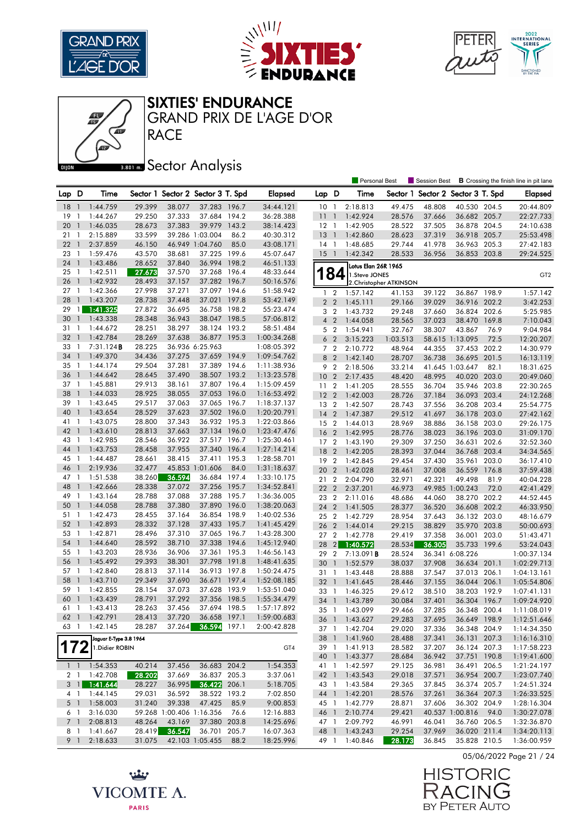







RACE GRAND PRIX DE L'AGE D'OR

## **BRONES** Sector Analysis

|                |                                |                              |                  |                          |                                   |       |                            |                 |                | <b>Personal Best</b>                 |                         | Session Best                      |                              |       | <b>B</b> Crossing the finish line in pit lane |
|----------------|--------------------------------|------------------------------|------------------|--------------------------|-----------------------------------|-------|----------------------------|-----------------|----------------|--------------------------------------|-------------------------|-----------------------------------|------------------------------|-------|-----------------------------------------------|
| Lap D          |                                | Time                         |                  |                          | Sector 1 Sector 2 Sector 3 T. Spd |       | <b>Elapsed</b>             | Lap D           |                | Time                                 |                         | Sector 1 Sector 2 Sector 3 T. Spd |                              |       | Elapsed                                       |
| 18             | $\overline{1}$                 | 1:44.759                     | 29.399           | 38.077                   | 37.283 196.7                      |       | 34:44.121                  | 10 <sub>1</sub> |                | 2:18.813                             | 49.475                  | 48.808                            | 40.530 204.5                 |       | 20:44.809                                     |
| 19             | -1                             | 1:44.267                     | 29.250           | 37.333                   | 37.684 194.2                      |       | 36:28.388                  | $\overline{11}$ | $\overline{1}$ | 1:42.924                             | 28.576                  | 37.666                            | 36.682 205.7                 |       | 22:27.733                                     |
| 20             | $\mathbf{1}$                   | 1:46.035                     | 28.673           | 37.383                   | 39.979                            | 143.2 | 38:14.423                  | $12-1$          |                | 1:42.905                             | 28.522                  | 37.505                            | 36.878 204.5                 |       | 24:10.638                                     |
| 21             | -1                             | 2:15.889                     | 33.599           |                          | 39.286 1:03.004                   | 86.2  | 40:30.312                  | 13              | $\overline{1}$ | 1:42.860                             | 28.623                  | 37.319                            | 36.918 205.7                 |       | 25:53.498                                     |
| 22             | $\mathbf{1}$                   | 2:37.859                     | 46.150           |                          | 46.949 1:04.760                   | 85.0  | 43:08.171                  | $14-1$          |                | 1:48.685                             | 29.744                  | 41.978                            | 36.963 205.3                 |       | 27:42.183                                     |
| 23             | -1                             | 1:59.476                     | 43.570           | 38.681                   | 37.225                            | 199.6 | 45:07.647                  | 15              | $\overline{1}$ | 1:42.342                             | 28.533                  | 36.956                            | 36.853 203.8                 |       | 29:24.525                                     |
| 24             | $\overline{1}$                 | 1:43.486                     | 28.652           | 37.840                   | 36.994 198.2                      |       | 46:51.133                  |                 |                |                                      |                         |                                   |                              |       |                                               |
| 25             | -1                             | 1:42.511                     | 27.673           | 37.570                   | 37.268 196.4                      |       | 48:33.644                  |                 | 84             | Lotus Elan 26R 1965<br>1.Steve JONES |                         |                                   |                              |       | GT <sub>2</sub>                               |
| 26             | $\mathbf{1}$                   | 1:42.932                     | 28.493           | 37.157                   | 37.282 196.7                      |       | 50:16.576                  |                 |                |                                      | 2. Christopher ATKINSON |                                   |                              |       |                                               |
| 27             | -1                             | 1:42.366                     | 27.998           | 37.271                   | 37.097 194.6                      |       | 51:58.942                  |                 | $1\quad 2$     | 1:57.142                             | 41.153                  | 39.122                            | 36.867 198.9                 |       | 1:57.142                                      |
| 28             | $\mathbf{1}$                   | 1:43.207                     | 28.738           | 37.448                   | 37.021                            | 197.8 | 53:42.149                  | 2 <sub>2</sub>  |                | 1:45.111                             | 29.166                  | 39.029                            | 36.916 202.2                 |       | 3:42.253                                      |
| 29             | 1                              | 1:41.325                     | 27.872           | 36.695                   | 36.758 198.2                      |       | 55:23.474                  | 3               | $\overline{2}$ | 1:43.732                             | 29.248                  | 37.660                            | 36.824 202.6                 |       | 5:25.985                                      |
| 30             | $\overline{1}$                 | 1:43.338                     | 28.348           | 36.943                   | 38.047                            | 198.5 | 57:06.812                  | $\overline{4}$  | $\overline{2}$ | 1:44.058                             | 28.565                  | 37.023                            | 38.470 169.8                 |       | 7:10.043                                      |
| 31             | $\mathbf{1}$                   | 1:44.672                     | 28.251           | 38.297                   | 38.124 193.2                      |       | 58:51.484                  | 5               | $\overline{2}$ | 1:54.941                             | 32.767                  | 38.307                            | 43.867                       | 76.9  | 9:04.984                                      |
| 32             | $\mathbf{1}$                   | 1:42.784                     | 28.269           | 37.638                   | 36.877                            | 195.3 | 1:00:34.268                | 6 <sub>2</sub>  |                | 3:15.223                             | 1:03.513                |                                   | 58.615 1:13.095              | 72.5  | 12:20.207                                     |
| 33             | -1                             | 7:31.124B                    | 28.225           |                          | 36.936 6:25.963                   |       | 1:08:05.392                | 7               | $\overline{2}$ | 2:10.772                             | 48.964                  | 44.355                            | 37.453 202.2                 |       | 14:30.979                                     |
| 34             | $\overline{1}$                 | 1:49.370                     | 34.436           | 37.275                   | 37.659                            | 194.9 | 1:09:54.762                | 8 2             |                | 1:42.140                             | 28.707                  | 36.738                            | 36.695 201.5                 |       | 16:13.119                                     |
| 35             | -1                             | 1:44.174                     | 29.504           | 37.281                   | 37.389 194.6                      |       | 1:11:38.936                | 9               | $\overline{2}$ | 2:18.506                             | 33.214                  |                                   | 41.645 1:03.647              | 82.1  | 18:31.625                                     |
| 36             | $\overline{1}$                 | 1:44.642                     | 28.645           | 37.490                   | 38.507 193.2                      |       | 1:13:23.578                | 10              | $\overline{2}$ | 2:17.435                             | 48.420                  | 48.995                            | 40.020 203.0                 |       | 20:49.060                                     |
| 37             | $\mathbf{1}$                   | 1:45.881                     | 29.913           | 38.161                   | 37.807 196.4                      |       | 1:15:09.459                | 11 <sub>2</sub> |                | 1:41.205                             | 28.555                  | 36.704                            | 35.946 203.8                 |       | 22:30.265                                     |
| 38             | $\mathbf{1}$                   | 1:44.033                     | 28.925           | 38.055                   | 37.053 196.0                      |       | 1:16:53.492                | 12 <sub>2</sub> |                | 1:42.003                             | 28.726                  | 37.184                            | 36.093 203.4                 |       | 24:12.268                                     |
| 39             | -1                             | 1:43.645                     | 29.517           | 37.063                   | 37.065 196.7                      |       | 1:18:37.137                | 13 2            |                | 1:42.507                             | 28.743                  | 37.556                            | 36.208 203.4                 |       | 25:54.775                                     |
| 40             | $\overline{1}$                 | 1:43.654                     | 28.529           | 37.623                   | 37.502 196.0                      |       | 1:20:20.791                | 14              | $\overline{2}$ | 1:47.387                             | 29.512                  | 41.697                            | 36.178 203.0                 |       | 27:42.162                                     |
| 41 1           |                                | 1:43.075                     | 28.800           | 37.343                   | 36.932 195.3                      |       | 1:22:03.866                | 15              | $\overline{2}$ | 1:44.013                             | 28.969                  | 38.886                            | 36.158 203.0                 |       | 29:26.175                                     |
| 42             | $\mathbf{1}$                   | 1:43.610                     | 28.813           | 37.663                   | 37.134 196.0                      |       | 1:23:47.476                | 16 <sub>2</sub> |                | 1:42.995                             | 28.776                  | 38.023                            | 36.196 203.0                 |       | 31:09.170                                     |
| 43             | -1                             | 1:42.985                     | 28.546           | 36.922                   | 37.517 196.7                      |       | 1:25:30.461                | 17 <sub>2</sub> |                | 1:43.190                             | 29.309                  | 37.250                            | 36.631                       | 202.6 | 32:52.360                                     |
| 44             | $\mathbf{1}$                   | 1:43.753                     | 28.458           | 37.955                   | 37.340                            | 196.4 | 1:27:14.214                | 18              | $\overline{2}$ | 1:42.205                             | 28.393                  | 37.044                            | 36.768 203.4                 |       | 34:34.565                                     |
| 45             | -1                             | 1:44.487                     | 28.661           | 38.415                   | 37.411                            | 195.3 | 1:28:58.701                | 19              | $\overline{2}$ | 1:42.845                             | 29.454                  | 37.430                            | 35.961                       | 203.0 | 36:17.410                                     |
| 46             | $\overline{1}$                 | 2:19.936                     | 32.477           |                          | 45.853 1:01.606                   | 84.0  | 1:31:18.637                | 20              | $\overline{2}$ | 1:42.028                             | 28.461                  | 37.008                            | 36.559                       | 176.8 | 37:59.438                                     |
| 47             | $\overline{1}$                 | 1:51.538                     | 38.260           | 36.594                   | 36.684 197.4                      |       | 1:33:10.175                | 21              | $\overline{2}$ | 2:04.790                             | 32.971                  | 42.321                            | 49.498                       | 81.9  | 40:04.228                                     |
| 48             | $\mathbf{1}$                   | 1:42.666                     | 28.338           | 37.072                   | 37.256                            | 195.7 | 1:34:52.841                | 22              | $\overline{2}$ | 2:37.201                             | 46.973                  |                                   | 49.985 1:00.243              | 72.0  | 42:41.429                                     |
| 49             | -1                             | 1:43.164                     | 28.788           | 37.088                   | 37.288 195.7                      |       | 1:36:36.005                | 23              | $\overline{2}$ | 2:11.016                             | 48.686                  | 44.060                            | 38.270 202.2                 |       | 44:52.445                                     |
| 50             | $\mathbf{1}$                   | 1:44.058                     | 28.788           | 37.380                   | 37.890 196.0                      |       | 1:38:20.063                | 24              | $\overline{2}$ | 1:41.505                             | 28.377                  | 36.520                            | 36.608 202.2                 |       | 46:33.950                                     |
| 51             | 1                              | 1:42.473                     | 28.455           | 37.164                   | 36.854 198.9                      |       | 1:40:02.536                | 25 2            |                | 1:42.729                             | 28.954                  | 37.643                            | 36.132 203.0                 |       | 48:16.679                                     |
| 52             | $\overline{1}$                 | 1:42.893                     | 28.332           | 37.128                   | 37.433 195.7                      |       | 1:41:45.429                | 26 2            |                | 1:44.014                             | 29.215                  | 38.829                            | 35.970 203.8                 |       | 50:00.693                                     |
| 53             | $\overline{1}$                 | 1:42.871                     | 28.496           | 37.310                   | 37.065 196.7                      |       | 1:43:28.300                | 27              | $\overline{2}$ | 1:42.778                             | 29.419                  | 37.358                            | 36.001                       | 203.0 | 51:43.471                                     |
| 54             | $\mathbf{1}$                   | 1:44.640                     | 28.592           | 38.710                   | 37.338                            | 194.6 | 1:45:12.940                | 28              | 2              | 1:40.572                             | 28.534                  | 36.305                            | 35.733 199.6                 |       | 53:24.043                                     |
| 55             | -1                             | 1:43.203                     | 28.936           | 36.906                   | 37.361 195.3                      |       | 1:46:56.143                | 29              | $\overline{2}$ | 7:13.091B                            | 28.524                  |                                   | 36.341 6:08.226              |       | 1:00:37.134                                   |
| 56             | $\mathbf{1}$                   | 1:45.492                     | 29.393           | 38.301                   | 37.798 191.8                      |       | 1:48:41.635                | 30              | $\overline{1}$ | 1:52.579                             | 38.037                  | 37.908                            | 36.634 201.1                 |       | 1:02:29.713                                   |
| 57             | -1<br>$\mathbf{1}$             | 1:42.840                     | 28.813           | 37.114                   | 36.913                            | 197.8 | 1:50:24.475                | 31 1            |                | 1:43.448                             | 28.888                  | 37.547                            | 37.013 206.1                 |       | 1:04:13.161                                   |
| 58             |                                | 1:43.710                     | 29.349           | 37.690                   | 36.671 197.4                      |       | 1:52:08.185                | 32              | $\overline{1}$ | 1:41.645                             | 28.446                  | 37.155                            | 36.044 206.1                 |       | 1:05:54.806                                   |
| 59<br>60       | $\overline{1}$<br>$\mathbf{1}$ | 1:42.855<br>1:43.439         | 28.154           | 37.073                   | 37.628 193.9                      |       | 1:53:51.040<br>1:55:34.479 | 33              | $\overline{1}$ | 1:46.325                             | 29.612                  | 38.510                            | 38.203 192.9                 |       | 1:07:41.131                                   |
|                | $\overline{1}$                 | 1:43.413                     | 28.791<br>28.263 | 37.292<br>37.456         | 37.356<br>37.694 198.5            | 198.5 | 1:57:17.892                | 34 1            |                | 1:43.789                             | 30.084                  | 37.401                            | 36.304                       | 196.7 | 1:09:24.920                                   |
| 61             |                                |                              |                  |                          | 36.658 197.1                      |       |                            | 35 1            |                | 1:43.099                             | 29.466                  | 37.285                            | 36.348 200.4                 |       | 1:11:08.019                                   |
|                |                                | 62 1 1:42.791                | 28.413           | 37.720                   | 37.264 36.594 197.1               |       | 1:59:00.683                |                 |                | 36 1 1:43.627                        | 29.283                  | 37.695                            | 36.649 198.9                 |       | 1:12:51.646                                   |
| 63 1           |                                | 1:42.145                     | 28.287           |                          |                                   |       | 2:00:42.828                |                 |                | 37 1 1:42.704                        | 29.020                  | 37.336                            | 36.348 204.9                 |       | 1:14:34.350                                   |
|                |                                | Jaguar E-Type 3.8 1964       |                  |                          |                                   |       |                            | 38 1            |                | 1:41.960                             | 28.488                  | 37.341                            | 36.131 207.3                 |       | 1:16:16.310                                   |
| 172            |                                | 1. Didier ROBIN              |                  |                          |                                   |       | GT4                        | 39 1            |                | 1:41.913                             | 28.582                  | 37.207                            | 36.124 207.3                 |       | 1:17:58.223                                   |
|                |                                |                              |                  |                          |                                   |       |                            | 40 1            |                | 1:43.377                             | 28.684                  | 36.942                            | 37.751 190.8                 |       | 1:19:41.600                                   |
| $1\quad1$      |                                | 1:54.353                     | 40.214           | 37.456                   | 36.683 204.2                      |       | 1:54.353                   |                 |                | 41 1 1:42.597                        | 29.125                  | 36.981                            | 36.491 206.5<br>36.954 200.7 |       | 1:21:24.197                                   |
|                |                                | 2 1 1:42.708<br>3 1 1:41.644 | 28.202           | 37.669<br>36.995         | 36.837 205.3<br>36.422 206.1      |       | 3:37.061                   | 42 1            |                | 1:43.543                             | 29.018                  | 37.571                            | 36.374 205.7                 |       | 1:23:07.740<br>1:24:51.324                    |
|                |                                | 4 1 1:44.145                 | 28.227<br>29.031 | 36.592                   | 38.522 193.2                      |       | 5:18.705<br>7:02.850       | 43 1<br>44 1    |                | 1:43.584<br>1:42.201                 | 29.365<br>28.576        | 37.845<br>37.261                  | 36.364 207.3                 |       | 1:26:33.525                                   |
|                |                                | 5 1 1:58.003                 | 31.240           | 39.338                   | 47.425                            | 85.9  | 9:00.853                   | 45 1            |                | 1:42.779                             | 28.871                  | 37.606                            | 36.302 204.9                 |       | 1:28:16.304                                   |
| 61             |                                | 3:16.030                     |                  | 59.268 1:00.406 1:16.356 |                                   | 76.6  | 12:16.883                  | 46 1            |                | 2:10.774                             | 29.421                  |                                   | 40.537 1:00.816              | 94.0  | 1:30:27.078                                   |
| 7 1            |                                | 2:08.813                     | 48.264           | 43.169                   | 37.380 203.8                      |       | 14:25.696                  | 47 1            |                | 2:09.792                             | 46.991                  | 46.041                            | 36.760 206.5                 |       | 1:32:36.870                                   |
| 8 1            |                                | 1:41.667                     | 28.419           | 36.547                   | 36.701 205.7                      |       | 16:07.363                  | 48 1            |                | 1:43.243                             | 29.254                  | 37.969                            | 36.020 211.4                 |       | 1:34:20.113                                   |
| 9 <sub>1</sub> |                                | 2:18.633                     | 31.075           |                          | 42.103 1:05.455                   | 88.2  | 18:25.996                  | 49 1            |                | 1:40.846                             | 28.173                  | 36.845                            | 35.828 210.5                 |       | 1:36:00.959                                   |



05/06/2022 Page 21 / 24

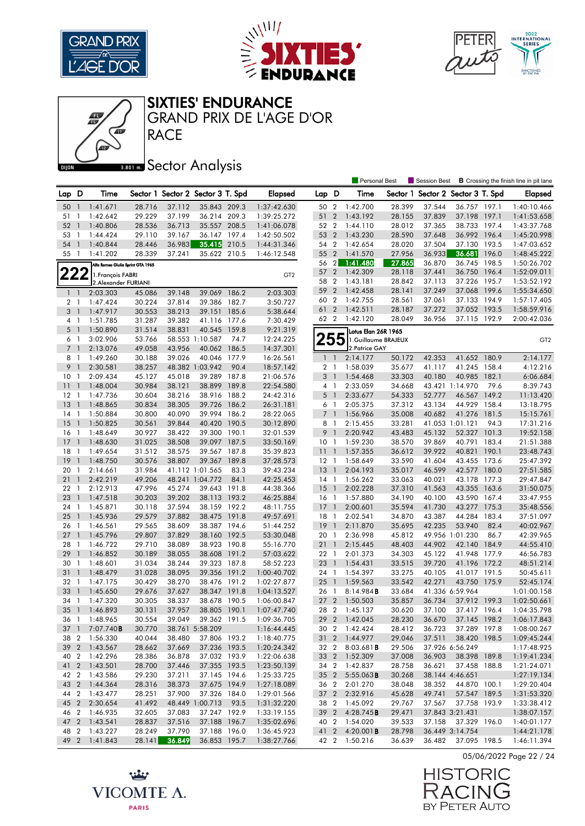





#### SIXTIES' ENDURANCE

RACE GRAND PRIX DE L'AGE D'OR

|                 |                |                                   |        |        |                                   |       |                 |                 |                | <b>Personal Best</b>   |        | <b>Session Best</b>               |                     |       | <b>B</b> Crossing the finish line in pit lane |
|-----------------|----------------|-----------------------------------|--------|--------|-----------------------------------|-------|-----------------|-----------------|----------------|------------------------|--------|-----------------------------------|---------------------|-------|-----------------------------------------------|
| Lap D           |                | Time                              |        |        | Sector 1 Sector 2 Sector 3 T. Spd |       | <b>Elapsed</b>  | Lap D           |                | Time                   |        | Sector 1 Sector 2 Sector 3 T. Spd |                     |       | <b>Elapsed</b>                                |
|                 |                |                                   |        |        |                                   |       |                 |                 |                |                        |        |                                   |                     |       |                                               |
| 50              | $\overline{1}$ | 1:41.671                          | 28.716 | 37.112 | 35.843 209.3                      |       | 1:37:42.630     | 50 2            |                | 1:42.700               | 28.399 | 37.544                            | 36.757 197.1        |       | 1:40:10.466                                   |
| 51              | -1             | 1:42.642                          | 29.229 | 37.199 | 36.214 209.3                      |       | 1:39:25.272     | 51              | $\overline{2}$ | 1:43.192               | 28.155 | 37.839                            | 37.198 197.1        |       | 1:41:53.658                                   |
| 52              | $\mathbf{1}$   | 1:40.806                          | 28.536 | 36.713 | 35.557 208.5                      |       | 1:41:06.078     | 52 2            |                | 1:44.110               | 28.012 | 37.365                            | 38.733 197.4        |       | 1:43:37.768                                   |
| 53              | -1             | 1:44.424                          | 29.110 | 39.167 | 36.147 197.4                      |       | 1:42:50.502     | 53 2            |                | 1:43.230               | 28.590 | 37.648                            | 36.992 196.4        |       | 1:45:20.998                                   |
| 54              | $\overline{1}$ | 1:40.844                          | 28.446 | 36.983 | 35.415                            | 210.5 | 1:44:31.346     | 54 2            |                | 1:42.654               | 28.020 | 37.504                            | 37.130 193.5        |       | 1:47:03.652                                   |
| 55              | $\overline{1}$ | 1:41.202                          | 28.339 | 37.241 | 35.622 210.5                      |       | 1:46:12.548     | 55 2            |                | 1:41.570               | 27.956 | 36.933                            | 36.681              | 196.0 | 1:48:45.222                                   |
|                 |                | Alfa Romeo Giulia Sprint GTA 1965 |        |        |                                   |       |                 | $56 \quad 2$    |                | 1:41.480               | 27.865 | 36.870                            | 36.745 198.5        |       | 1:50:26.702                                   |
|                 | <u> 222</u>    | 1. François FABRI                 |        |        |                                   |       | GT <sub>2</sub> | 57              | $\overline{2}$ | 1:42.309               | 28.118 | 37.441                            | 36.750              | 196.4 | 1:52:09.011                                   |
|                 |                | 2.Alexander FURIANI               |        |        |                                   |       |                 | 58              | $\overline{2}$ | 1:43.181               | 28.842 | 37.113                            | 37.226 195.7        |       | 1:53:52.192                                   |
| $1\quad1$       |                | 2:03.303                          | 45.086 | 39.148 | 39.069                            | 186.2 | 2:03.303        | 59 2            |                | 1:42.458               | 28.141 | 37.249                            | 37.068 199.6        |       | 1:55:34.650                                   |
| 2 1             |                | 1:47.424                          | 30.224 | 37.814 | 39.386                            | 182.7 | 3:50.727        | 60              | $\overline{2}$ | 1:42.755               | 28.561 | 37.061                            | 37.133              | 194.9 | 1:57:17.405                                   |
| 3               | $\overline{1}$ | 1:47.917                          | 30.553 | 38.213 | 39.151                            | 185.6 | 5:38.644        | 61 2            |                | 1:42.511               | 28.187 | 37.272                            | 37.052 193.5        |       | 1:58:59.916                                   |
| 4 1             |                | 1:51.785                          | 31.287 | 39.382 | 41.116 177.6                      |       | 7:30.429        | 62 2            |                | 1:42.120               | 28.049 | 36.956                            | 37.115 192.9        |       | 2:00:42.036                                   |
| 5 <sub>1</sub>  |                | 1:50.890                          | 31.514 | 38.831 | 40.545                            | 159.8 | 9:21.319        |                 |                | Lotus Elan 26R 1965    |        |                                   |                     |       |                                               |
| 6 1             |                | 3:02.906                          | 53.766 |        | 58.553 1:10.587                   | 74.7  | 12:24.225       |                 | 55             | 1.Guillaume BRAJEUX    |        |                                   |                     |       | GT <sub>2</sub>                               |
| $\overline{7}$  | $\overline{1}$ | 2:13.076                          | 49.058 | 43.956 | 40.062                            | 186.5 | 14:37.301       |                 |                | 2. Patrice GAY         |        |                                   |                     |       |                                               |
| 8 1             |                | 1:49.260                          | 30.188 | 39.026 | 40.046                            | 177.9 | 16:26.561       |                 | 1 <sup>1</sup> | 2:14.177               | 50.172 | 42.353                            | 41.652 180.9        |       | 2:14.177                                      |
| 9               | $\overline{1}$ | 2:30.581                          | 38.257 |        | 48.382 1:03.942                   | 90.4  | 18:57.142       | 2 <sub>1</sub>  |                | 1:58.039               | 35.677 | 41.117                            | 41.245 158.4        |       | 4:12.216                                      |
| 10              | -1             | 2:09.434                          | 45.127 | 45.018 | 39.289                            | 187.8 | 21:06.576       | 3 <sup>1</sup>  |                | 1:54.468               | 33.303 | 40.180                            | 40.985 182.1        |       | 6:06.684                                      |
| 11              | $\overline{1}$ | 1:48.004                          | 30.984 | 38.121 | 38.899                            | 189.8 | 22:54.580       |                 | 4 1            | 2:33.059               | 34.668 |                                   | 43.421 1:14.970     | 79.6  | 8:39.743                                      |
| 12              | $\overline{1}$ | 1:47.736                          | 30.604 | 38.216 | 38.916                            | 188.2 | 24:42.316       |                 | 5 <sub>1</sub> | 2:33.677               | 54.333 | 52.777                            | 46.567              | 149.2 | 11:13.420                                     |
| 13              | $\overline{1}$ | 1:48.865                          | 30.834 | 38.305 | 39.726 186.2                      |       | 26:31.181       |                 | 6 1            | 2:05.375               | 37.312 | 43.134                            | 44.929 158.4        |       | 13:18.795                                     |
| 14              | $\overline{1}$ | 1:50.884                          | 30.800 | 40.090 | 39.994                            | 186.2 | 28:22.065       | $\overline{7}$  | $\overline{1}$ | 1:56.966               | 35.008 | 40.682                            | 41.276 181.5        |       | 15:15.761                                     |
| 15              | $\overline{1}$ | 1:50.825                          | 30.561 | 39.844 | 40.420 190.5                      |       | 30:12.890       | 8               | $\overline{1}$ | 2:15.455               | 33.281 |                                   | 41.053 1:01.121     | 94.3  | 17:31.216                                     |
| 16              | $\overline{1}$ | 1:48.649                          | 30.927 | 38.422 | 39.300 190.1                      |       | 32:01.539       | 9 <sub>1</sub>  |                | 2:20.942               | 43.483 | 45.132                            | 52.327 101.3        |       | 19:52.158                                     |
| 17              | $\overline{1}$ | 1:48.630                          | 31.025 | 38.508 | 39.097                            | 187.5 | 33:50.169       | 10 <sub>1</sub> |                | 1:59.230               | 38.570 | 39.869                            | 40.791 183.4        |       | 21:51.388                                     |
| 18              | $\overline{1}$ | 1:49.654                          | 31.512 | 38.575 | 39.567 187.8                      |       | 35:39.823       | 11              | $\overline{1}$ | 1:57.355               | 36.612 | 39.922                            | 40.821              | 190.1 | 23:48.743                                     |
| 19              | $\mathbf{1}$   | 1:48.750                          | 30.576 | 38.807 | 39.367                            | 189.8 | 37:28.573       | $12-1$          |                | 1:58.649               | 33.590 | 41.604                            | 43.455 173.6        |       | 25:47.392                                     |
| 20              | -1             | 2:14.661                          | 31.984 |        | 41.112 1:01.565                   | 83.3  | 39:43.234       | 13              | $\overline{1}$ | 2:04.193               | 35.017 | 46.599                            | 42.577 180.0        |       | 27:51.585                                     |
| 21              | $\mathbf{1}$   | 2:42.219                          | 49.206 |        | 48.241 1:04.772                   | 84.1  | 42:25.453       | $14-1$          |                | 1:56.262               | 33.063 | 40.021                            | 43.178              | 177.3 | 29:47.847                                     |
| 22              | -1             | 2:12.913                          | 47.996 | 45.274 | 39.643                            | 191.8 | 44:38.366       | 15              | $\overline{1}$ | 2:02.228               | 37.310 | 41.563                            | 43.355 163.6        |       | 31:50.075                                     |
| 23              | $\overline{1}$ | 1:47.518                          | 30.203 | 39.202 | 38.113                            | 193.2 | 46:25.884       | 16 <sub>1</sub> |                | 1:57.880               | 34.190 | 40.100                            | 43.590 167.4        |       | 33:47.955                                     |
| 24              | $\overline{1}$ | 1:45.871                          | 30.118 | 37.594 | 38.159 192.2                      |       | 48:11.755       | 17              | $\overline{1}$ | 2:00.601               | 35.594 | 41.730                            | 43.277              | 175.3 | 35:48.556                                     |
| 25              | $\overline{1}$ | 1:45.936                          | 29.579 | 37.882 | 38.475 191.8                      |       | 49:57.691       | 18              | $\mathbf{1}$   | 2:02.541               | 34.870 | 43.387                            | 44.284              | 183.4 | 37:51.097                                     |
| 26              | -1             | 1:46.561                          | 29.565 | 38.609 | 38.387 194.6                      |       | 51:44.252       | <sup>19</sup>   | $\overline{1}$ | 2:11.870               | 35.695 | 42.235                            | 53.940              | 82.4  | 40:02.967                                     |
| 27              | $\overline{1}$ | 1:45.796                          | 29.807 | 37.829 | 38.160 192.5                      |       | 53:30.048       | 20              | $\mathbf{1}$   | 2:36.998               | 45.812 |                                   | 49.956 1:01.230     | 86.7  | 42:39.965                                     |
| 28              | $\overline{1}$ | 1:46.722                          | 29.710 | 38.089 | 38.923 190.8                      |       | 55:16.770       | 21              | $\overline{1}$ | 2:15.445               | 48.403 | 44.902                            | 42.140              | 184.9 | 44:55.410                                     |
| 29              | $\overline{1}$ | 1:46.852                          | 30.189 | 38.055 | 38.608                            | 191.2 | 57:03.622       | 22 1            |                | 2:01.373               | 34.303 | 45.122                            | 41.948 177.9        |       | 46:56.783                                     |
| 30              | -1             | 1:48.601                          | 31.034 | 38.244 | 39.323 187.8                      |       | 58:52.223       | 23              | $\overline{1}$ | 1:54.431               | 33.515 | 39.720                            | 41.196 172.2        |       | 48:51.214                                     |
| 31              | $\mathbf{1}$   | 1:48.479                          | 31.028 | 38.095 | 39.356                            | 191.2 | 1:00:40.702     | 24 1            |                | 1:54.397               | 33.275 | 40.105                            | 41.017 191.5        |       | 50:45.611                                     |
| 32              | -1             | 1:47.175                          | 30.429 | 38.270 | 38.476 191.2                      |       | 1:02:27.877     | 25              | $\overline{1}$ | 1:59.563               | 33.542 | 42.271                            | 43.750 175.9        |       | 52:45.174                                     |
| 33              | $\overline{1}$ | 1:45.650                          | 29.676 | 37.627 | 38.347 191.8                      |       | 1:04:13.527     | 26 1            |                | 8:14.984B              | 33.684 |                                   | 41.336 6:59.964     |       | 1:01:00.158                                   |
| 34              | -1             | 1:47.320                          | 30.305 | 38.337 | 38.678                            | 190.5 | 1:06:00.847     | 27 <sub>2</sub> |                | 1:50.503               | 35.857 | 36.734                            | 37.912 199.3        |       | 1:02:50.661                                   |
| 35              | $\overline{1}$ | 1:46.893                          | 30.131 | 37.957 | 38.805 190.1                      |       | 1:07:47.740     | 28 2            |                | 1:45.137               | 30.620 | 37.100                            | 37.417 196.4        |       | 1:04:35.798                                   |
|                 |                | 36 1 1:48.965                     | 30.554 | 39.049 | 39.362 191.5                      |       | 1:09:36.705     |                 |                | 29 2 1:42.045          | 28.230 | 36.670                            | 37.145 198.2        |       | 1:06:17.843                                   |
| 37 <sup>1</sup> |                | 7:07.740 <b>B</b>                 | 30.770 |        | 38.761 5:58.209                   |       | 1:16:44.445     |                 |                | 30 2 1:42.424          | 28.412 | 36.723                            | 37.289 197.8        |       | 1:08:00.267                                   |
| 38 2            |                | 1:56.330                          | 40.044 | 38.480 | 37.806 193.2                      |       | 1:18:40.775     |                 |                | 31 2 1:44.977          | 29.046 | 37.511                            | 38.420 198.5        |       | 1:09:45.244                                   |
|                 |                | 39 2 1:43.567                     | 28.662 | 37.669 | 37.236 193.5                      |       | 1:20:24.342     | 32 2            |                | 8:03.681 <b>B</b>      | 29.506 |                                   | 37.926 6:56.249     |       | 1:17:48.925                                   |
| 40 2            |                | 1:42.296                          | 28.386 | 36.878 | 37.032 193.9                      |       | 1:22:06.638     |                 |                | 33 2 1:52.309          | 37.008 | 36.903                            | 38.398 189.8        |       | 1:19:41.234                                   |
| 41 2            |                | 1:43.501                          | 28.700 | 37.446 | 37.355 193.5                      |       | 1:23:50.139     |                 |                | 34 2 1:42.837          | 28.758 | 36.621                            | 37.458 188.8        |       | 1:21:24.071                                   |
| 42 2            |                | 1:43.586                          | 29.230 | 37.211 | 37.145 194.6                      |       | 1:25:33.725     |                 |                | 35 2 5:55.063 <b>B</b> | 30.268 |                                   | 38.144 4:46.651     |       | 1:27:19.134                                   |
| 43 2            |                | 1:44.364                          | 28.316 | 38.373 | 37.675 194.9                      |       | 1:27:18.089     |                 |                | 36 2 2:01.270          | 38.048 | 38.352                            | 44.870 100.1        |       | 1:29:20.404                                   |
| 44 2            |                | 1:43.477                          | 28.251 | 37.900 | 37.326 184.0                      |       | 1:29:01.566     |                 |                | 37 2 2:32.916          | 45.628 | 49.741                            | 57.547 189.5        |       | 1:31:53.320                                   |
|                 |                | 45 2 2:30.654                     | 41.492 |        | 48.449 1:00.713                   | 93.5  | 1:31:32.220     |                 |                | 38 2 1:45.092          | 29.767 | 37.567                            | 37.758 193.9        |       | 1:33:38.412                                   |
| 46 2            |                | 1:46.935                          | 32.605 | 37.083 | 37.247 192.9                      |       | 1:33:19.155     |                 |                | 39 2 4:28.745B         | 29.471 |                                   | 37.843 3:21.431     |       | 1:38:07.157                                   |
| 47 2            |                | 1:43.541                          | 28.837 | 37.516 | 37.188 196.7                      |       | 1:35:02.696     |                 |                | 40 2 1:54.020          | 39.533 | 37.158                            | 37.329 196.0        |       | 1:40:01.177                                   |
| 48 2            |                | 1:43.227                          | 28.249 | 37.790 | 37.188 196.0                      |       | 1:36:45.923     |                 |                | 41 2 4:20.001 <b>B</b> | 28.798 |                                   | 36.449 3:14.754     |       | 1:44:21.178                                   |
|                 |                | 49 2 1:41.843                     | 28.141 | 36.849 | 36.853 195.7                      |       | 1:38:27.766     |                 |                | 42 2 1:50.216          | 36.639 |                                   | 36.482 37.095 198.5 |       | 1:46:11.394                                   |





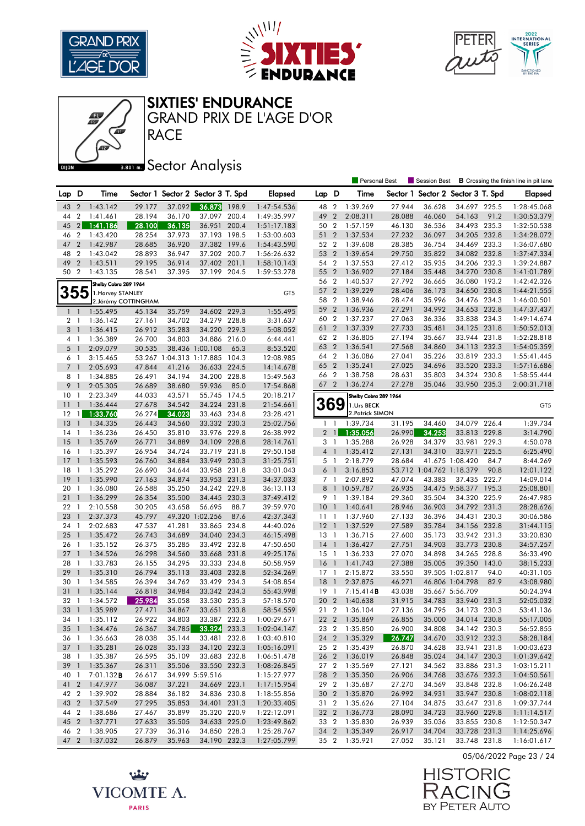





#### SIXTIES' ENDURANCE

**RACE** GRAND PRIX DE L'AGE D'OR

|                 |                  |                       |                      |        |                                   |       |                 |                 |                | <b>Personal Best</b>  |        | Session Best                      |                       |      | <b>B</b> Crossing the finish line in pit lane |
|-----------------|------------------|-----------------------|----------------------|--------|-----------------------------------|-------|-----------------|-----------------|----------------|-----------------------|--------|-----------------------------------|-----------------------|------|-----------------------------------------------|
| Lap.            | D                | Time                  |                      |        | Sector 1 Sector 2 Sector 3 T. Spd |       | <b>Elapsed</b>  | Lap D           |                | Time                  |        | Sector 1 Sector 2 Sector 3 T. Spd |                       |      | Elapsed                                       |
|                 |                  |                       |                      |        | 36.873                            |       |                 |                 |                | 1:39.269              |        |                                   | 34.697 225.5          |      |                                               |
| 43              | $\overline{2}$   | 1:43.142              | 29.177               | 37.092 |                                   | 198.9 | 1:47:54.536     | 48 2            |                |                       | 27.944 | 36.628                            |                       |      | 1:28:45.068                                   |
| 44              | $\overline{2}$   | 1:41.461              | 28.194               | 36.170 | 37.097 200.4                      |       | 1:49:35.997     | 49              | $\overline{2}$ | 2:08.311              | 28.088 | 46.060                            | 54.163                | 91.2 | 1:30:53.379                                   |
| 45              | 2                | 1:41.186              | 28.100               | 36.135 | 36.951                            | 200.4 | 1:51:17.183     | 50 2            |                | 1:57.159              | 46.130 | 36.536                            | 34.493 235.3          |      | 1:32:50.538                                   |
| 46              | $\boldsymbol{2}$ | 1:43.420              | 28.254               | 37.973 | 37.193                            | 198.5 | 1:53:00.603     | 51 2            |                | 1:37.534              | 27.232 | 36.097                            | 34.205 232.8          |      | 1:34:28.072                                   |
| 47              | $\overline{2}$   | 1:42.987              | 28.685               | 36.920 | 37.382 199.6                      |       | 1:54:43.590     | 52 2            |                | 1:39.608              | 28.385 | 36.754                            | 34.469 233.3          |      | 1:36:07.680                                   |
| 48              | 2                | 1:43.042              | 28.893               | 36.947 | 37.202                            | 200.7 | 1:56:26.632     | 53 2            |                | 1:39.654              | 29.750 | 35.822                            | 34.082 232.8          |      | 1:37:47.334                                   |
| 49              | $\overline{2}$   | 1:43.511              | 29.195               | 36.914 | 37.402                            | 201.1 | 1:58:10.143     | 54 2            |                | 1:37.553              | 27.412 | 35.935                            | 34.206 232.3          |      | 1:39:24.887                                   |
| 50              | $\overline{2}$   | 1:43.135              | 28.541               | 37.395 | 37.199 204.5                      |       | 1:59:53.278     | 55 2            |                | 1:36.902              | 27.184 | 35.448                            | 34.270 230.8          |      | 1:41:01.789                                   |
|                 |                  | Shelby Cobra 289 1964 |                      |        |                                   |       |                 | 56 2            |                | 1:40.537              | 27.792 | 36.665                            | 36.080 193.2          |      | 1:42:42.326                                   |
| 355             |                  | 1. Harvey STANLEY     |                      |        |                                   |       | GT <sub>5</sub> | 57 2            |                | 1:39.229              | 28.406 | 36.173                            | 34.650 230.8          |      | 1:44:21.555                                   |
|                 |                  |                       | 2. Jérémy COTTINGHAM |        |                                   |       |                 | 58              | $\overline{2}$ | 1:38.946              | 28.474 | 35.996                            | 34.476 234.3          |      | 1:46:00.501                                   |
|                 | $1\quad$         | 1:55.495              | 45.134               | 35.759 | 34.602 229.3                      |       | 1:55.495        | 59              | $\overline{2}$ | 1:36.936              | 27.291 | 34.992                            | 34.653 232.8          |      | 1:47:37.437                                   |
| 2 <sub>1</sub>  |                  | 1:36.142              | 27.161               | 34.702 | 34.279 228.8                      |       | 3:31.637        | 60              | $\overline{2}$ | 1:37.237              | 27.063 | 36.336                            | 33.838 234.3          |      | 1:49:14.674                                   |
| 3               | $\overline{1}$   | 1:36.415              | 26.912               | 35.283 | 34.220                            | 229.3 | 5:08.052        | 61              | $\overline{2}$ | 1:37.339              | 27.733 | 35.481                            | 34.125 231.8          |      | 1:50:52.013                                   |
|                 | 4 <sub>1</sub>   | 1:36.389              | 26.700               | 34.803 | 34.886 216.0                      |       | 6:44.441        | 62 2            |                | 1:36.805              | 27.194 | 35.667                            | 33.944 231.8          |      | 1:52:28.818                                   |
| 5 <sub>1</sub>  |                  | 2:09.079              | 30.535               |        | 38.436 1:00.108                   | 65.3  | 8:53.520        | 63 2            |                | 1:36.541              | 27.568 | 34.860                            | 34.113 232.3          |      | 1:54:05.359                                   |
|                 | 6 1              | 3:15.465              |                      |        | 53.267 1:04.313 1:17.885          | 104.3 | 12:08.985       | 64 2            |                | 1:36.086              | 27.041 | 35.226                            | 33.819 233.3          |      | 1:55:41.445                                   |
| $7\overline{ }$ | $\overline{1}$   | 2:05.693              | 47.844               | 41.216 | 36.633 224.5                      |       | 14:14.678       | 65 2            |                | 1:35.241              | 27.025 | 34.696                            | 33.520 233.3          |      | 1:57:16.686                                   |
| 8               | $\overline{1}$   | 1:34.885              | 26.491               | 34.194 | 34.200 228.8                      |       | 15:49.563       | 66 2            |                | 1:38.758              | 28.631 | 35.803                            | 34.324 230.8          |      | 1:58:55.444                                   |
| 9               | $\overline{1}$   | 2:05.305              | 26.689               | 38.680 | 59.936                            | 85.0  | 17:54.868       | 67 2            |                | 1:36.274              | 27.278 | 35.046                            | 33.950 235.3          |      | 2:00:31.718                                   |
| 10              | -1               | 2:23.349              | 44.033               | 43.571 | 55.745 174.5                      |       | 20:18.217       |                 |                | Shelby Cobra 289 1964 |        |                                   |                       |      |                                               |
| 11              | $\overline{1}$   | 1:36.444              | 27.678               | 34.542 | 34.224 231.8                      |       | 21:54.661       | <b>369</b>      |                | 1.Urs BECK            |        |                                   |                       |      | GT5                                           |
| 12              | $\mathbf{1}$     | 1:33.760              | 26.274               | 34.023 | 33.463 234.8                      |       | 23:28.421       |                 |                | 2. Patrick SIMON      |        |                                   |                       |      |                                               |
| 13              | $\overline{1}$   | 1:34.335              | 26.443               | 34.560 | 33.332 230.3                      |       | 25:02.756       | $1\quad$        |                | 1:39.734              | 31.195 | 34.460                            | 34.079 226.4          |      | 1:39.734                                      |
| 14              | $\overline{1}$   | 1:36.236              | 26.450               | 35.810 | 33.976 229.8                      |       | 26:38.992       |                 | $2 \mid$       | 1:35.056              | 26.990 | 34.253                            | 33.813 229.8          |      | 3:14.790                                      |
| 15              | $\overline{1}$   | 1:35.769              | 26.771               | 34.889 | 34.109 228.8                      |       | 28:14.761       | 3 1             |                | 1:35.288              | 26.928 | 34.379                            | 33.981 229.3          |      | 4:50.078                                      |
| 16              | $\overline{1}$   | 1:35.397              | 26.954               | 34.724 | 33.719 231.8                      |       | 29:50.158       |                 | 4 <sup>1</sup> | 1:35.412              | 27.131 | 34.310                            | 33.971 225.5          |      | 6:25.490                                      |
| 17              | $\mathbf{1}$     | 1:35.593              | 26.760               | 34.884 | 33.949 230.3                      |       | 31:25.751       | 5 1             |                | 2:18.779              | 28.684 |                                   | 41.675 1:08.420       | 84.7 | 8:44.269                                      |
| 18              | -1               | 1:35.292              | 26.690               | 34.644 | 33.958 231.8                      |       | 33:01.043       | 6               | $\overline{1}$ | 3:16.853              |        | 53.712 1:04.762 1:18.379          |                       | 90.8 | 12:01.122                                     |
| 19              | $\mathbf{1}$     | 1:35.990              | 27.163               | 34.874 | 33.953 231.3                      |       | 34:37.033       | 7 1             |                | 2:07.892              | 47.074 | 43.383                            | 37.435 222.7          |      | 14:09.014                                     |
| 20              | -1               | 1:36.080              | 26.588               | 35.250 | 34.242 229.8                      |       | 36:13.113       | 8               |                | 1 10:59.787           | 26.935 |                                   | 34.475 9:58.377 195.3 |      | 25:08.801                                     |
| 21              | $\overline{1}$   | 1:36.299              | 26.354               | 35.500 | 34.445 230.3                      |       | 37:49.412       | 9 1             |                | 1:39.184              | 29.360 | 35.504                            | 34.320 225.9          |      | 26:47.985                                     |
| 22              | -1               | 2:10.558              | 30.205               | 43.658 | 56.695                            | 88.7  | 39:59.970       | 10 <sub>1</sub> |                | 1:40.641              | 28.946 | 36.903                            | 34.792 231.3          |      | 28:28.626                                     |
| 23              | $\mathbf{1}$     | 2:37.373              | 45.797               |        | 49.320 1:02.256                   | 87.6  | 42:37.343       | $11-1$          |                | 1:37.960              | 27.133 | 36.396                            | 34.431 230.3          |      | 30:06.586                                     |
| 24              | -1               | 2:02.683              | 47.537               | 41.281 | 33.865                            | 234.8 | 44:40.026       | 12 <sub>1</sub> |                | 1:37.529              | 27.589 | 35.784                            | 34.156 232.8          |      | 31:44.115                                     |
| 25              | $\overline{1}$   | 1:35.472              | 26.743               | 34.689 | 34.040 234.3                      |       | 46:15.498       | 13              | -1             | 1:36.715              | 27.600 | 35.173                            | 33.942 231.3          |      | 33:20.830                                     |
| 26              | - 1              | 1:35.152              | 26.375               | 35.285 | 33.492 232.8                      |       | 47:50.650       | $14-1$          |                | 1:36.427              | 27.751 | 34.903                            | 33.773 230.8          |      | 34:57.257                                     |
| 27              | $\overline{1}$   | 1:34.526              | 26.298               | 34.560 | 33.668 231.8                      |       | 49:25.176       | 15              | $\overline{1}$ | 1:36.233              | 27.070 | 34.898                            | 34.265 228.8          |      | 36:33.490                                     |
| 28              | $\overline{1}$   | 1:33.783              | 26.155               | 34.295 | 33.333 234.8                      |       | 50:58.959       | <b>16</b>       | $\overline{1}$ | 1:41.743              | 27.388 | 35.005                            | 39.350 143.0          |      | 38:15.233                                     |
| 29              | $\mathbf{1}$     | 1:35.310              | 26.794               | 35.113 | 33.403 232.8                      |       | 52:34.269       | $17-1$          |                | 2:15.872              | 33.550 |                                   | 39.505 1:02.817       | 94.0 | 40:31.105                                     |
| 30              | 1                | 1:34.585              | 26.394               | 34.762 | 33.429 234.3                      |       | 54:08.854       | 18              | $\overline{1}$ | 2:37.875              | 46.271 |                                   | 46.806 1:04.798       | 82.9 | 43:08.980                                     |
| 31              | $\mathbf{1}$     | 1:35.144              | 26.818               | 34.984 | 33.342 234.3                      |       | 55:43.998       | $19-1$          |                | 7:15.414B             | 43.038 |                                   | 35.667 5:56.709       |      | 50:24.394                                     |
| 32              | -1               | 1:34.572              | 25.984               | 35.058 | 33.530 235.3                      |       | 57:18.570       | 20 2            |                | 1:40.638              | 31.915 | 34.783                            | 33.940 231.3          |      | 52:05.032                                     |
| 33              | $\overline{1}$   | 1:35.989              | 27.471               | 34.867 | 33.651 233.8                      |       | 58:54.559       | 21 2            |                | 1:36.104              | 27.136 | 34.795                            | 34.173 230.3          |      | 53:41.136                                     |
|                 |                  | 34 1 1:35.112         | 26.922               | 34.803 | 33.387 232.3                      |       | 1:00:29.671     |                 |                | 22 2 1:35.869         | 26.855 | 35.000                            | 34.014 230.8          |      | 55:17.005                                     |
| $35 \quad 1$    |                  | 1:34.476              | 26.367               | 34.785 | 33.324 233.3                      |       | 1:02:04.147     |                 |                | 23 2 1:35.850         | 26.900 | 34.808                            | 34.142 230.3          |      | 56:52.855                                     |
| 36 1            |                  | 1:36.663              | 28.038               | 35.144 | 33.481 232.8                      |       | 1:03:40.810     |                 |                | 24 2 1:35.329         | 26.747 | 34.670                            | 33.912 232.3          |      | 58:28.184                                     |
| 37 <sup>1</sup> |                  | 1:35.281              | 26.028               | 35.133 | 34.120 232.3                      |       | 1:05:16.091     |                 |                | 25 2 1:35.439         | 26.870 | 34.628                            | 33.941 231.8          |      | 1:00:03.623                                   |
| 38 1            |                  | 1:35.387              | 26.595               | 35.109 | 33.683 232.8                      |       | 1:06:51.478     |                 |                | 26 2 1:36.019         | 26.848 | 35.024                            | 34.147 230.3          |      | 1:01:39.642                                   |
| 39 1            |                  | 1:35.367              | 26.311               | 35.506 | 33.550 232.3                      |       | 1:08:26.845     |                 |                | 27 2 1:35.569         | 27.121 | 34.562                            | 33.886 231.3          |      | 1:03:15.211                                   |
| 40 1            |                  | $7:01.132$ B          | 26.617               |        | 34.999 5:59.516                   |       | 1:15:27.977     |                 |                | 28 2 1:35.350         | 26.906 | 34.768                            | 33.676 232.3          |      | 1:04:50.561                                   |
| 41 2            |                  | 1:47.977              | 36.087               | 37.221 | 34.669 223.1                      |       | 1:17:15.954     |                 |                | 29 2 1:35.687         | 27.270 | 34.569                            | 33.848 232.8          |      | 1:06:26.248                                   |
| 42 2            |                  | 1:39.902              | 28.884               | 36.182 | 34.836 230.8                      |       | 1:18:55.856     |                 |                | 30 2 1:35.870         | 26.992 | 34.931                            | 33.947 230.8          |      | 1:08:02.118                                   |
| 43 2            |                  | 1:37.549              | 27.295               | 35.853 | 34.401 231.3                      |       | 1:20:33.405     |                 |                | 31 2 1:35.626         | 27.104 | 34.875                            | 33.647 231.8          |      | 1:09:37.744                                   |
| 44 2            |                  | 1:38.686              | 27.467               | 35.899 | 35.320 220.9                      |       | 1:22:12.091     |                 |                | 32 2 1:36.773         | 28.090 | 34.723                            | 33.960 229.8          |      | 1:11:14.517                                   |
| 45 2            |                  | 1:37.771              | 27.633               | 35.505 | 34.633 225.0                      |       | 1:23:49.862     |                 |                | 33 2 1:35.830         | 26.939 | 35.036                            | 33.855 230.8          |      | 1:12:50.347                                   |
| 46 2            |                  | 1:38.905              | 27.739               | 36.316 | 34.850 228.3                      |       | 1:25:28.767     |                 |                | 34 2 1:35.349         | 26.917 | 34.704                            | 33.728 231.3          |      | 1:14:25.696                                   |
| 47 2            |                  | 1:37.032              | 26.879               | 35.963 | 34.190 232.3                      |       | 1:27:05.799     |                 |                | 35 2 1:35.921         | 27.052 | 35.121                            | 33.748 231.8          |      | 1:16:01.617                                   |